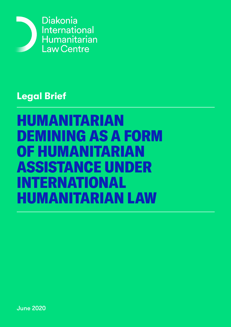

# **Legal Brief**

# HUMANITARIAN DEMINING AS A FORM OF HUMANITARIAN ASSISTANCE UNDER INTERNATIONAL HUMANITARIAN LAW

June 2020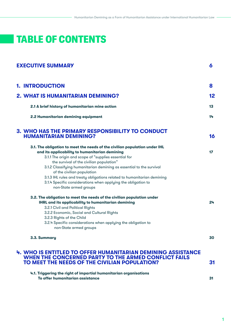# TABLE OF CONTENTS

| <b>EXECUTIVE SUMMARY</b>                                                                                                                                                                                                                                                                                                                                                                                                                                                                                      |         |
|---------------------------------------------------------------------------------------------------------------------------------------------------------------------------------------------------------------------------------------------------------------------------------------------------------------------------------------------------------------------------------------------------------------------------------------------------------------------------------------------------------------|---------|
| <b>1. INTRODUCTION</b>                                                                                                                                                                                                                                                                                                                                                                                                                                                                                        | 8       |
| <b>2. WHAT IS HUMANITARIAN DEMINING?</b>                                                                                                                                                                                                                                                                                                                                                                                                                                                                      | $12 \,$ |
| 2.1 A brief history of humanitarian mine action                                                                                                                                                                                                                                                                                                                                                                                                                                                               | 13      |
| 2.2 Humanitarian demining equipment                                                                                                                                                                                                                                                                                                                                                                                                                                                                           | 14.     |
| 3. WHO HAS THE PRIMARY RESPONSIBILITY TO CONDUCT<br><b>HUMANITARIAN DEMINING?</b>                                                                                                                                                                                                                                                                                                                                                                                                                             | 16      |
| 3.1. The obligation to meet the needs of the civilian population under IHL<br>and its applicability to humanitarian demining<br>3.1.1 The origin and scope of "supplies essential for<br>the survival of the civilian population"<br>3.1.2 Classifying humanitarian demining as essential to the survival<br>of the civilian population<br>3.1.3 IHL rules and treaty obligations related to humanitarian demining<br>3.1.4 Specific considerations when applying the obligation to<br>non-State armed groups | 17      |
| 3.2. The obligation to meet the needs of the civilian population under<br>IHRL and its applicability to humanitarian demining<br>3.2.1 Civil and Political Rights<br>3.2.2 Economic, Social and Cultural Rights<br>3.2.3 Rights of the Child<br>3.2.4 Specific considerations when applying the obligation to<br>non-State armed groups                                                                                                                                                                       | 24      |
| 3.3. Summary                                                                                                                                                                                                                                                                                                                                                                                                                                                                                                  | 30      |
| <b>4. WHO IS ENTITLED TO OFFER HUMANITARIAN DEMINING ASSISTANCE</b><br><b>WHEN THE CONCERNED PARTY TO THE ARMED CONFLICT FAILS</b><br><b>TO MEET THE NEEDS OF THE CIVILIAN POPULATION?</b>                                                                                                                                                                                                                                                                                                                    | 31      |
| 4.1. Triggering the right of impartial humanitarian organisations<br>To offer humanitarian assistance                                                                                                                                                                                                                                                                                                                                                                                                         | 31      |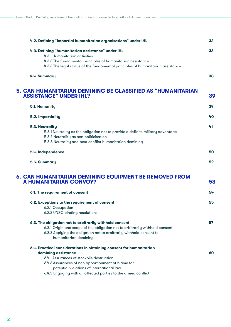| 4.2. Defining "impartial humanitarian organisations" under IHL                               | 32 |
|----------------------------------------------------------------------------------------------|----|
| 4.3. Defining "humanitarian assistance" under IHL                                            | 33 |
| 4.3.1 Humanitarian activities                                                                |    |
| 4.3.2 The fundamental principles of humanitarian assistance                                  |    |
| 4.3.3 The legal status of the fundamental principles of humanitarian assistance              |    |
| 4.4. Summary                                                                                 | 38 |
| 5. CAN HUMANITARIAN DEMINING BE CLASSIFIED AS "HUMANITARIAN<br><b>ASSISTANCE" UNDER IHL?</b> | 39 |
| 5.1. Humanity                                                                                | 39 |
| 5.2. Impartiality                                                                            | 40 |
| 5.3. Neutrality                                                                              | 41 |
| 5.3.1 Neutrality as the obligation not to provide a definite military advantage              |    |
| 5.3.2 Neutrality as non-politicisation                                                       |    |
| 5.3.3 Neutrality and post-conflict humanitarian demining                                     |    |
| 5.4. Independence                                                                            | 50 |
| 5.5. Summary                                                                                 | 52 |
| 6. CAN HUMANITARIAN DEMINING EQUIPMENT BE REMOVED FROM<br><b>A HUMANITARIAN CONVOY?</b>      | 53 |
| 6.1. The requirement of consent                                                              | 54 |
| 6.2. Exceptions to the requirement of consent                                                | 55 |
| 6.2.1 Occupation                                                                             |    |
| 6.2.2 UNSC binding resolutions                                                               |    |
| 6.3. The obligation not to arbitrarily withhold consent                                      | 57 |
| 6.3.1 Origin and scope of the obligation not to arbitrarily withhold consent                 |    |
| 6.3.2 Applying the obligation not to arbitrarily withhold consent to                         |    |
| humanitarian demining                                                                        |    |
| 6.4. Practical considerations in obtaining consent for humanitarian                          |    |
| demining assistance                                                                          | 60 |
| 6.4.1 Assurances of stockpile destruction                                                    |    |
| 6.4.2 Assurances of non-apportionment of blame for                                           |    |
| potential violations of international law                                                    |    |
| 6.4.3 Engaging with all affected parties to the armed conflict                               |    |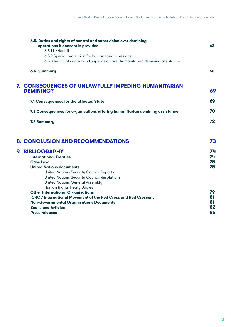| 6.5. Duties and rights of control and supervision over demining<br>operations if consent is provided<br>6.5.1 Under IHL<br>6.5.2 Special protection for humanitarian missions<br>6.5.3 Rights of control and supervision over humanitarian demining assistance | 63                         |
|----------------------------------------------------------------------------------------------------------------------------------------------------------------------------------------------------------------------------------------------------------------|----------------------------|
| 6.6. Summary                                                                                                                                                                                                                                                   | 68                         |
| 7. CONSEQUENCES OF UNLAWFULLY IMPEDING HUMANITARIAN<br><b>DEMINING?</b>                                                                                                                                                                                        | 69                         |
| 7.1 Consequences for the affected State                                                                                                                                                                                                                        | 69                         |
| 7.2 Consequences for organisations offering humanitarian demining assistance                                                                                                                                                                                   | 70                         |
| <b>7.3 Summary</b>                                                                                                                                                                                                                                             | 72                         |
| <b>8. CONCLUSION AND RECOMMENDATIONS</b>                                                                                                                                                                                                                       | 73                         |
| 9. BIBLIOGRAPHY<br><b>International Treaties</b><br><b>Case Law</b><br><b>United Nations documents</b><br><b>United Nations Security Council Reports</b><br><b>United Nations Security Council Resolutions</b><br><b>United Nations General Assembly</b>       | 74<br>74<br>75<br>75       |
| Human Rights Treaty Bodies<br><b>Other International Organisations</b><br><b>ICRC / International Movement of the Red Cross and Red Crescent</b><br><b>Non-Governmental Organisations Documents</b><br><b>Books and Articles</b><br><b>Press releases</b>      | 79<br>81<br>81<br>82<br>85 |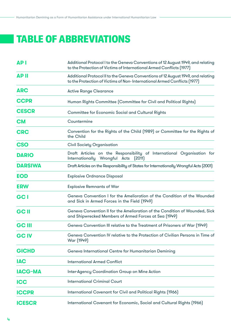# TABLE OF ABBREVIATIONS

| <b>API</b>     | Additional Protocol I to the Geneva Conventions of 12 August 1949, and relating<br>to the Protection of Victims of International Armed Conflicts (1977)      |
|----------------|--------------------------------------------------------------------------------------------------------------------------------------------------------------|
| <b>APII</b>    | Additional Protocol II to the Geneva Conventions of 12 August 1949, and relating<br>to the Protection of Victims of Non-International Armed Conflicts (1977) |
| <b>ARC</b>     | <b>Active Range Clearance</b>                                                                                                                                |
| <b>CCPR</b>    | Human Rights Committee [Committee for Civil and Political Rights]                                                                                            |
| <b>CESCR</b>   | <b>Committee for Economic Social and Cultural Rights</b>                                                                                                     |
| <b>CM</b>      | Countermine                                                                                                                                                  |
| <b>CRC</b>     | Convention for the Rights of the Child (1989) or Committee for the Rights of<br>the Child                                                                    |
| <b>CSO</b>     | <b>Civil Society Organisation</b>                                                                                                                            |
| <b>DARIO</b>   | Draft Articles on the Responsibility of International Organisation for<br>Internationally Wrongful Acts<br>(2011)                                            |
| <b>DARSIWA</b> | Draft Articles on the Responsibility of States for Internationally Wrongful Acts (2001)                                                                      |
| <b>EOD</b>     | <b>Explosive Ordnance Disposal</b>                                                                                                                           |
| <b>ERW</b>     | <b>Explosive Remnants of War</b>                                                                                                                             |
| GC I           | Geneva Convention I for the Amelioration of the Condition of the Wounded<br>and Sick in Armed Forces in the Field (1949)                                     |
| <b>GC II</b>   | Geneva Convention II for the Amelioration of the Condition of Wounded, Sick<br>and Shipwrecked Members of Armed Forces at Sea [1949]                         |
| <b>GC III</b>  | Geneva Convention III relative to the Treatment of Prisoners of War (1949)                                                                                   |
| <b>GC IV</b>   | Geneva Convention IV relative to the Protection of Civilian Persons in Time of<br>War (1949)                                                                 |
| <b>GICHD</b>   | Geneva International Centre for Humanitarian Demining                                                                                                        |
| <b>IAC</b>     | <b>International Armed Conflict</b>                                                                                                                          |
| <b>IACG-MA</b> | Inter-Agency Coordination Group on Mine Action                                                                                                               |
| <b>ICC</b>     | <b>International Criminal Court</b>                                                                                                                          |
| <b>ICCPR</b>   | International Covenant for Civil and Political Rights (1966)                                                                                                 |
| <b>ICESCR</b>  | International Covenant for Economic, Social and Cultural Rights (1966)                                                                                       |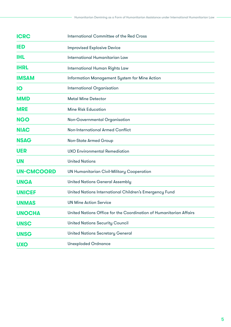| <b>ICRC</b>       | International Committee of the Red Cross                           |
|-------------------|--------------------------------------------------------------------|
| <b>IED</b>        | <b>Improvised Explosive Device</b>                                 |
| ihl               | International Humanitarian Law                                     |
| <b>IHRL</b>       | International Human Rights Law                                     |
| <b>IMSAM</b>      | Information Management System for Mine Action                      |
| <b>IO</b>         | <b>International Organisation</b>                                  |
| <b>MMD</b>        | <b>Metal Mine Detector</b>                                         |
| <b>MRE</b>        | <b>Mine Risk Education</b>                                         |
| <b>NGO</b>        | Non-Governmental Organisation                                      |
| <b>NIAC</b>       | <b>Non-International Armed Conflict</b>                            |
| <b>NSAG</b>       | <b>Non-State Armed Group</b>                                       |
| <b>UER</b>        | <b>UXO Environmental Remediation</b>                               |
| <b>UN</b>         | <b>United Nations</b>                                              |
| <b>UN-CMCOORD</b> | <b>UN Humanitarian Civil-Military Cooperation</b>                  |
| <b>UNGA</b>       | <b>United Nations General Assembly</b>                             |
| <b>UNICEF</b>     | United Nations International Children's Emergency Fund             |
| <b>UNMAS</b>      | <b>UN Mine Action Service</b>                                      |
| <b>UNOCHA</b>     | United Nations Office for the Coordination of Humanitarian Affairs |
| <b>UNSC</b>       | <b>United Nations Security Council</b>                             |
| <b>UNSG</b>       | <b>United Nations Secretary General</b>                            |
| <b>UXO</b>        | <b>Unexploded Ordnance</b>                                         |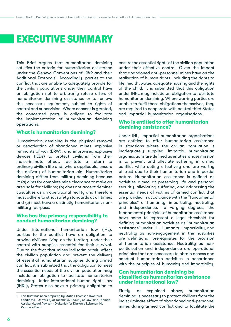# <span id="page-6-0"></span>EXECUTIVE SUMMARY

This Brief argues that humanitarian demining satisfies the criteria for humanitarian assistance under the Geneva Conventions of 1949 and their Additional Protocols<sup>1</sup>. Accordingly, parties to the conflict that are unable to adequately provide for the civilian populations under their control have an obligation not to arbitrarily refuse offers of humanitarian demining assistance or to remove the necessary equipment, subject to rights of control and supervision. Where consent is granted, the concerned party is obliged to facilitate the implementation of humanitarian demining operations.

### **What is humanitarian demining?**

Humanitarian demining is the physical removal or deactivation of abandoned mines, explosive remnants of war (ERW), and improvised explosive devices (IEDs) to protect civilians from their indiscriminate effect, facilitate a return to ordinary civilian life and, where applicable, ensure the delivery of humanitarian aid. Humanitarian demining differs from military demining because it: (a) aims for complete mine clearance to make an area safe for civilians; (b) does not accept deminer casualties as an operational reality and therefore must adhere to strict safety standards at all times; and (c) must have a distinctly humanitarian, nonmilitary purpose.

#### **Who has the primary responsibility to conduct humanitarian demining?**

Under international humanitarian law (IHL), parties to the conflict have an obligation to provide civilians living on the territory under their control with supplies essential for their survival. Due to the fact that mines indiscriminately effect the civilian population and prevent the delivery of essential humanitarian supplies during armed conflict, it is submitted that the obligation to meet the essential needs of the civilian population may include an obligation to facilitate humanitarian demining. Under international human rights law (IHRL), States also have a primary obligation to

ensure the essential rights of the civilian population under their effective control. Given the impact that abandoned anti-personnel mines have on the realisation of human rights, including the rights to life, health, water, adequate housing and the rights of the child, it is submitted that this obligation under IHRL may include an obligation to facilitate humanitarian demining. Where warring parties are unable to fulfil these obligations themselves, they are required to cooperate with neutral third States and impartial humanitarian organisations.

### **Who is entitled to offer humanitarian demining assistance?**

Under IHL, impartial humanitarian organisations are entitled to offer humanitarian assistance in situations where the civilian population is inadequately supplied. Impartial humanitarian organisations are defined as entities whose mission is to prevent and alleviate suffering in armed conflict while acting effectively and are worthy of trust due to their humanitarian and impartial nature. Humanitarian assistance is defined as activities aimed at preserving life and personal security, alleviating suffering, and addressing the essential needs of victims of armed conflict that are provided in accordance with the "fundamental principles" of humanity, impartiality, neutrality, and independence. To varying degrees, the fundamental principles of humanitarian assistance have come to represent a legal threshold for defining humanitarian activities as "humanitarian assistance" under IHL. Humanity, impartiality, and neutrality as non-engagement in the hostilities are definitional prerequisites for the provision of humanitarian assistance. Neutrality as nonpoliticisation and independence are operational principles that are necessary to obtain access and conduct humanitarian activities in accordance with the principles of humanity and impartiality.

### **Can humanitarian demining be classified as humanitarian assistance under international law?**

Firstly, as explained above, humanitarian demining is necessary to protect civilians from the indiscriminate effect of abandoned anti-personnel mines during armed conflict and to facilitate the

<sup>1.</sup> This Brief has been prepared by Matias Thomsen (Doctoral candidate - University of Tasmania, Faculty of Law) and Thomas Assaker (Legal Advisor - Diakonia) for Diakonia Lebanon IHL Resource Desk.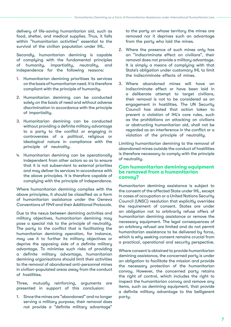delivery of life-saving humanitarian aid, such as food, shelter, and medical supplies. Thus, it falls within "humanitarian activities" essential to the survival of the civilian population under IHL.

Secondly, humanitarian demining is capable of complying with the fundamental principles of humanity, impartiality, neutrality, and independence for the following reasons:

- 1. Humanitarian demining prioritises its services on the basis of humanitarian need. It is therefore compliant with the principle of humanity.
- 2. Humanitarian demining can be conducted solely on the basis of need and without adverse discrimination in accordance with the principle of impartiality.
- 3. Humanitarian demining can be conducted without providing a definite military advantage to a party to the conflict or engaging in controversies of a political, religious or ideological nature in compliance with the principle of neutrality.
- 4. Humanitarian demining can be operationally independent from other actors so as to ensure that it is not subservient to external priorities and may deliver its services in accordance with the above principles. It is therefore capable of complying with the principle of independence.

Where humanitarian demining complies with the above principles, it should be classified as a form of humanitarian assistance under the Geneva Conventions of 1949 and their Additional Protocols.

Due to the nexus between demining activities and military objectives, humanitarian demining may pose a special risk to the principle of neutrality. The party to the conflict that is facilitating the humanitarian demining operation, for instance, may use it to further its military objectives or deprive the opposing side of a definite military advantage. To minimise such risks of providing a definite military advantage, humanitarian demining organisations should limit their activities to the removal of abandoned anti-personnel mines in civilian-populated areas away from the conduct of hostilities.

Three, mutually reinforcing, arguments are presented in support of this conclusion:

1. Since the mines are "abandoned" and no longer serving a military purpose, their removal does not provide a "definite military advantage"

to the party on whose territory the mines are removed nor it deprives such an advantage from the party who laid the mines.

- 2. Where the presence of such mines only has an "indiscriminate effect on civilians", their removal does not provide a military advantage. It is simply a means of complying with that State's obligation under customary IHL to limit the indiscriminate effects of mines.
- 3. Where abandoned mines will have an indiscriminate effect or have been laid in a deliberate attempt to target civilians, their removal is not to be considered as an engagement in hostilities. The UN Security Council has stated that action taken to prevent a violation of IHL's core rules, such as the prohibitions on attacking on civilians or obstructing humanitarian aid, shall not be regarded as an interference in the conflict or a violation of the principle of neutrality.

Limiting humanitarian demining to the removal of abandoned mines outside the conduct of hostilities is therefore necessary to comply with the principle of neutrality.

## **Can humanitarian demining equipment be removed from a humanitarian convoy?**

Humanitarian demining assistance is subject to the consent of the affected State under IHL, except in cases of occupation or a United Nations Security Council (UNSC) resolution that explicitly overrides the requirement of consent. States are under an obligation not to arbitrarily refuse offers of humanitarian demining assistance or remove the necessary equipment. The legal consequences of an arbitrary refusal are limited and do not permit humanitarian assistance to be delivered by force, which is why seeking consent remains crucial from a practical, operational and security perspective.

Where consent is obtained to provide humanitarian demining assistance, the concerned party is under an obligation to facilitate the mission and provide the necessary protection of the humanitarian convoy. However, the concerned party retains the right of control, which includes the right to inspect the humanitarian convoy and remove any items, such as demining equipment, that provide a definite military advantage to the belligerent party.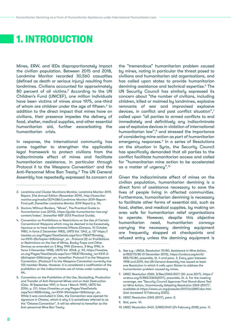# <span id="page-8-0"></span>1. INTRODUCTION

Mines, ERW, and IEDs disproportionately impact the civilian population. Between 2015 and 2018, Landmine Monitor recorded 30,560 casualties (defined as death or serious injury) resulting from landmines. Civilians accounted for approximately 80 percent of all victims.<sup>2</sup> According to the UN Children's Fund (UNICEF), one million individuals have been victims of mines since 1975, one-third of whom are children under the age of fifteen.<sup>3</sup> In addition to the direct impact that mines have on civilians, their presence impedes the delivery of food, shelter, medical supplies, and other essential humanitarian aid, further exacerbating the humanitarian crisis.

In response, the international community has come together to strengthen the applicable legal framework to protect civilians from the indiscriminate effect of mines and facilitate humanitarian assistance, in particular through Protocol II to the Weapons Convention<sup>4</sup> and the Anti-Personnel Mine Ban Treaty.5 The UN General Assembly has repeatedly expressed its concern at

- 2. Landmine and Cluster Munitions Monitor, Landmine Monitor 2019, Report, 21st Annual Edition (November 2019), [http://www.the](http://www.the-monitor.org/media/3074086/Landmine-Monitor-2019-Report-Final.pdf)[monitor.org/media/3074086/Landmine-Monitor-2019-Report-](http://www.the-monitor.org/media/3074086/Landmine-Monitor-2019-Report-Final.pdf)[Final.pdf](http://www.the-monitor.org/media/3074086/Landmine-Monitor-2019-Report-Final.pdf), (hereafter Landmine Monitor 2019 Report) p. 54.
- 3. Doctors Without Borders, "Mines", The Practical Guide to Humanitarian Law (2013), [https://guide-humanitarian-law.org/](https://guide-humanitarian-law.org/content/index/) [content/index/](https://guide-humanitarian-law.org/content/index/). (hereafter MSF 2013 Practical Guide).
- 4. Convention on Prohibitions or Restrictions on the Use of Certain Conventional Weapons which may be deemed to be Excessively Injurious or to have Indiscriminate Effects (Geneva, 10 October 1980, in force 2 December 1983), UNTS Vol. 1342, p. 137 [https://](https://treaties.un.org/Pages/ViewDetails.aspx?src=TREATY&mtdsg_no=XXVI-2&chapter=26&clang=_en) [treaties.un.org/Pages/ViewDetails.aspx?src=TREATY&mtdsg\\_](https://treaties.un.org/Pages/ViewDetails.aspx?src=TREATY&mtdsg_no=XXVI-2&chapter=26&clang=_en) [no=XXVI-2&chapter=26&clang=\\_en](https://treaties.un.org/Pages/ViewDetails.aspx?src=TREATY&mtdsg_no=XXVI-2&chapter=26&clang=_en) , Protocol (II) on Prohibitions or Restrictions on the Use of Mines, Booby-Traps and Other Devices as amended on 3 May 1996 (Geneva, 3 May 1996, in force 3 December 1998), UNTS Vol. 2048, p. 93, [https://treaties.](https://treaties.un.org/Pages/ViewDetails.aspx?src=TREATY&mtdsg_no=XXVI-2-b&chapter=26&clang=_en) [un.org/Pages/ViewDetails.aspx?src=TREATY&mtdsg\\_no=XXVI-2](https://treaties.un.org/Pages/ViewDetails.aspx?src=TREATY&mtdsg_no=XXVI-2-b&chapter=26&clang=_en) [b&chapter=26&clang=\\_en](https://treaties.un.org/Pages/ViewDetails.aspx?src=TREATY&mtdsg_no=XXVI-2-b&chapter=26&clang=_en), hereafter: Protocol II to the Weapons Convention. (Protocol II to the Weapons Convention currently has 125 member States. However, it is considered a codification of the prohibition on the indiscriminate use of mines under customary IHL.
- 5. Convention on the Prohibition of the Use, Stockpiling, Production and Transfer of Anti-Personnel Mines and on their Destruction (Oslo, 18 September 1997, in force 1 March 1999), UNTS Vol. 2056, p. 211, [https://treaties.un.org/Pages/ViewDetails.](https://treaties.un.org/Pages/ViewDetails.aspx?src=IND&mtdsg_no=XXVI-5&chapter=26&clang=_e) [aspx?src=IND&mtdsg\\_no=XXVI-5&chapter=26&clang=\\_en](https://treaties.un.org/Pages/ViewDetails.aspx?src=IND&mtdsg_no=XXVI-5&chapter=26&clang=_e). While it was concluded in Oslo, the Convention was opened for signature in Ottawa, which is why it is sometimes referred to as the "Ottawa Convention". It will be referred to hereafter as the Anti-personnel Mine Ban Treaty.

the "tremendous" humanitarian problem caused by mines, noting in particular the threat posed to civilians and humanitarian aid organisations, and has called upon states to provide humanitarian demining assistance and technical expertise.<sup>6</sup> The UN Security Council has similarly expressed its concern about "the number of civilians, including children, killed or maimed by landmines, explosive remnants of war and improvised explosive devices, in conflict and post conflict situation",7 called upon "all parties to armed conflicts to end immediately and definitively any indiscriminate use of explosive devices in violation of international humanitarian law",<sup>8</sup> and stressed the importance of considering mine action as part of humanitarian emergency responses.<sup>9</sup> In a series of Resolutions on the situation in Syria, the Security Council has specifically demanded that all parties to the conflict facilitate humanitarian access and called for "humanitarian mine action to be accelerated as a matter of urgency".10

Given the indiscriminate effect of mines on the civilian population, humanitarian demining is a direct form of assistance necessary to save the lives of people living in affected communities. Furthermore, humanitarian demining is necessary to facilitate other forms of essential aid, such as food, shelter, and medical supplies, by making an area safe for humanitarian relief organisations to operate. However, despite this objective humanitarian need, humanitarian convoys carrying the necessary demining equipment are frequently stopped at checkpoints and refused entry unless the demining equipment is

8. UNSC Resolution 2365 (2017), para. 2.

<sup>6.</sup> See e.g.: UNGA, Resolution 70/80, Assistance in Mine Action, A/RES/70/80 (9 December 2015), [https://undocs.org/en/A/](https://undocs.org/en/A/RES/70/80) [RES/70/80,](https://undocs.org/en/A/RES/70/80) preamble, lit. 4 and para. 3. Every year between 1998 and 2019, the UN General Assembly has issued at least one Resolution in which it calls upon States to address the humanitarian problem caused by mines.

<sup>7.</sup> UNSC Resolution 2365, S/Res/2365/2017 (30 June 2017), [https://](https://undocs.org/S/RES/2365) [undocs.org/S/RES/2365\(](https://undocs.org/S/RES/2365)2017), preamble, lit. 6. For the meeting coverage, see "Security Council Approves First Stand-Alone Text on Mine Action, Unanimously Adopting Resolution 2365 (2017)", available at <https://www.un.org/press/en/2017/sc12897.doc.htm> (last accessed 13 February 2020).

<sup>9.</sup> Ibid, para. 10.

<sup>10.</sup> UNSC Resolution 2401, S/RES/2401 (24 February 2018) para. 11.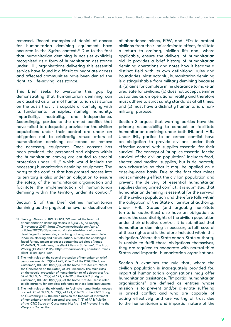removed. Recent examples of denial of access for humanitarian demining equipment have occurred in the Syrian context.11 Due to the fact that humanitarian demining is not yet explicitly recognised as a form of humanitarian assistance under IHL, organisations delivering this essential service have found it difficult to negotiate access and affected communities have been denied the right to life-saving assistance.

This Brief seeks to overcome this gap by demonstrating that humanitarian demining can be classified as a form of humanitarian assistance on the basis that it is capable of complying with its fundamental principles; namely, humanity, impartiality, neutrality, and independence. Accordingly, parties to the armed conflict that have failed to adequately provide for the civilian populations under their control are under an obligation not to arbitrarily refuse offers of humanitarian demining assistance or remove the necessary equipment. Once consent has been provided, the personnel and objects within the humanitarian convoy are entitled to special protection under IHL,<sup>12</sup> which would include the necessary humanitarian demining equipment. The party to the conflict that has granted access into its territory is also under an obligation to ensure the safety of the humanitarian organisation and facilitate the implementation of humanitarian demining within the territory under its control.<sup>13</sup>

Section 2 of this Brief defines humanitarian demining as the physical removal or deactivation

of abandoned mines, ERW, and IEDs to protect civilians from their indiscriminate effect, facilitate a return to ordinary civilian life and, where applicable, ensure the delivery of humanitarian aid. It provides a brief history of humanitarian demining operations and notes how it became a distinct field with its own definitional rules and boundaries. Most notably, humanitarian demining is distinguishable from military demining because it: (a) aims for complete mine clearance to make an area safe for civilians; (b) does not accept deminer casualties as an operational reality and therefore must adhere to strict safety standards at all times; and (c) must have a distinctly humanitarian, nonmilitary purpose.

Section 3 argues that warring parties have the primary responsibility to conduct or facilitate humanitarian demining under both IHL and IHRL. Under IHL, parties to an armed conflict have an obligation to provide civilians under their effective control with supplies essential for their survival. The concept of "supplies essential for the survival of the civilian population" includes food, shelter, and medical supplies, but is deliberately non-exhaustive so that it may be applied on a case-by-case basis. Due to the fact that mines indiscriminately effect the civilian population and prevent the delivery of essential humanitarian supplies during armed conflict, it is submitted that humanitarian demining is essential for the survival of the civilian population and therefore falls within the obligation of the State or territorial authority. Under IHRL, States (and arguably non-State territorial authorities) also have an obligation to ensure the essential rights of the civilian population under their effective control. It is submitted that humanitarian demining is necessary to fulfil several of these rights and is therefore included within this obligation. Where the State or non-State authority is unable to fulfil these obligations themselves, they are required to cooperate with neutral third States and impartial humanitarian organisations.

Section 4 examines the rule that, where the civilian population is inadequately provided for, impartial humanitarian organisations may offer humanitarian assistance. "Impartial humanitarian organisations" are defined as entities whose mission is to prevent and/or alleviate suffering in armed conflict and who are capable of acting effectively and are worthy of trust due to the humanitarian and impartial nature of the

<sup>11.</sup> See e.g.: Alexandra BRADFORD, "Women at the forefront of humanitarian demining efforts in Syria", Syria Deeply, (8 November 2017), [https://www.newsdeeply.com/syria/](https://www.newsdeeply.com/syria/articles/2017/11/08/women-at-forefront-of-humanitarian-demining-eff) [articles/2017/11/08/women-at-forefront-of-humanitarian](https://www.newsdeeply.com/syria/articles/2017/11/08/women-at-forefront-of-humanitarian-demining-eff)[demining-efforts-in-syria](https://www.newsdeeply.com/syria/articles/2017/11/08/women-at-forefront-of-humanitarian-demining-eff), explaining not only women's role in landmine clearing and risk education, but also the challenges faced for equipment to access contaminated sites ; Ahmad RAMADAN, "Landmines, the silent killers in Syria war", The Arab Weekly (18 March 2016), [https://thearabweekly.com/land-mines](https://thearabweekly.com/land-mines-silent-killers-syria-war)[silent-killers-syria-war](https://thearabweekly.com/land-mines-silent-killers-syria-war).

<sup>12.</sup> The main rules on the special protection of humanitarian relief personnel are: Art. 71(2) of AP I; Rule 31 of the ICRC Study on Customary IHL; Art. 8(2)(b)(iii) of the Rome Statute; Art. 7(2) of the Convention on the Safety of UN Personnel. The main rules on the special protection of humanitarian relief objects are: Art. 59 of GC IV; Art. 70(4) of AP I; Rule 32 of the ICRC Study on Customary IHL; Art. 8(2)(b)(iii) of the Rome Statute. Please refer to bibliography for complete reference to these legal instruments.

<sup>13.</sup> The main rules on the obligation to facilitate humanitarian access are: Art. 23 of GC IV; Art 70(2) of AP I; Rule 55 of the ICRC Study on Customary IHL. The main rules on the freedom of movement of humanitarian relief personnel are: Art. 71(3) of AP I; Rule 56 of the ICRC Study on Customary IHL; Art. 12 of Protocol II to the Weapons Convention.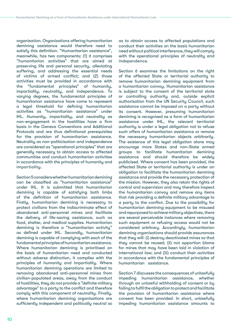organisation. Organisations offering humanitarian demining assistance would therefore need to satisfy this definition. "Humanitarian assistance", meanwhile, has two components: (1) it comprises "humanitarian activities" that are aimed at preserving life and personal security, alleviating suffering, and addressing the essential needs of victims of armed conflict; and (2) those activities must be provided in accordance with the "fundamental principles" of humanity, impartiality, neutrality, and independence. To varying degrees, the fundamental principles of humanitarian assistance have come to represent a legal threshold for defining humanitarian activities as "humanitarian assistance" under IHL. Humanity, impartiality, and neutrality as non-engagement in the hostilities have a firm basis in the Geneva Conventions and Additional Protocols and are thus definitional prerequisites for the provision of humanitarian assistance. Neutrality as non-politicisation and independence are considered as "operational principles" that are generally necessary to obtain access to affected communities and conduct humanitarian activities in accordance with the principles of humanity and impartiality.

Section 5 considers whether humanitarian demining can be classified as "humanitarian assistance" under IHL. It is submitted that humanitarian demining is capable of satisfying both limbs of the definition of humanitarian assistance. Firstly, humanitarian demining is necessary to protect civilians from the indiscriminate effect of abandoned anti-personnel mines and facilitate the delivery of life-saving assistance, such as food, shelter, and medical supplies. Humanitarian demining is therefore a "humanitarian activity" as defined under IHL. Secondly, humanitarian demining is capable of complying with each of the fundamental principles of humanitarian assistance. Where humanitarian demining is prioritised on the basis of humanitarian need and conducted without adverse distinction, it complies with the principles of humanity and impartiality. Where humanitarian demining operations are limited to removing abandoned anti-personnel mines from civilian-populated areas, away from the conduct of hostilities, they do not provide a "definite military advantage" to a party to the conflict and therefore comply with this component of neutrality. Finally, where humanitarian demining organisations are sufficiently independent and politically neutral so

as to obtain access to affected populations and conduct their activities on the basis humanitarian need without political interference, they will comply with the operational principles of neutrality and independence.

Section 6 examines the limitations on the right of the affected State or territorial authority to remove humanitarian demining equipment from a humanitarian convoy. Humanitarian assistance is subject to the consent of the territorial state or controlling authority and, outside explicit authorisation from the UN Security Council, such assistance cannot be imposed on a party without its consent. However, presuming humanitarian demining is recognised as a form of humanitarian assistance under IHL, the relevant territorial authority is under a legal obligation not to refuse such offers of humanitarian assistance or remove the necessary humanitarian objects arbitrarily. The existence of this legal obligation alone may encourage more States and non-State armed groups to facilitate humanitarian demining assistance and should therefore be widely publicised. Where consent has been provided, the affected State or territorial authority is under an obligation to facilitate the humanitarian demining assistance and provide the necessary protection of the mission. However, they also retain the rights of control and supervision and may therefore inspect the humanitarian convoy and remove any items that risk providing a definite military advantage to a party to the conflict. Due to the possibility for humanitarian demining equipment to be misused and repurposed to achieve military objectives, there are several perceivable instances where removing such equipment or refusing access would not be considered arbitrary. Accordingly, humanitarian demining organisations should provide assurances that they will: (i) destroy deactivated mines so that they cannot be reused; (ii) not apportion blame for mines that may have been laid in violation of international law; and (iii) conduct their activities in accordance with the fundamental principles of humanitarian assistance.

Section 7 discusses the consequences of unlawfully impeding humanitarian assistance, whether through an unlawful withholding of consent or by failing to fulfil the obligation to protect and facilitate the provision of humanitarian assistance where consent has been provided. In short, unlawfully impeding humanitarian assistance amounts to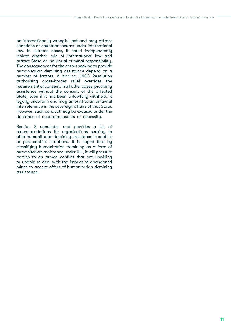an internationally wrongful act and may attract sanctions or countermeasures under international law. In extreme cases, it could independently violate another rule of international law and attract State or individual criminal responsibility. The consequences for the actors seeking to provide humanitarian demining assistance depend on a number of factors. A binding UNSC Resolution authorising cross-border relief overrides the requirement of consent. In all other cases, providing assistance without the consent of the affected State, even if it has been unlawfully withheld, is legally uncertain and may amount to an unlawful interreference in the sovereign affairs of that State. However, such conduct may be excused under the doctrines of countermeasures or necessity.

Section 8 concludes and provides a list of recommendations for organisations seeking to offer humanitarian demining assistance in conflict or post-conflict situations. It is hoped that by classifying humanitarian demining as a form of humanitarian assistance under IHL, it will pressure parties to an armed conflict that are unwilling or unable to deal with the impact of abandoned mines to accept offers of humanitarian demining assistance.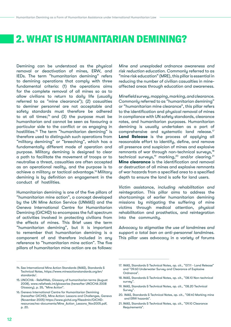# <span id="page-12-0"></span>2. WHAT IS HUMANITARIAN DEMINING?

Demining can be understood as the physical removal or deactivation of mines, ERW, and IEDs. The term "humanitarian demining" refers to demining operations that comply with three fundamental criteria: (1) the operations aims for the complete removal of all mines so as to allow civilians to return to daily life (usually referred to as "mine clearance"); (2) casualties to deminer personnel are not acceptable and safety standards must therefore be adhered to at all times;<sup> $14$ </sup> and (3) the purpose must be humanitarian and cannot be seen as favouring a particular side to the conflict or as engaging in hostilities.<sup>15</sup> The term "humanitarian demining" is therefore used to distinguish such operations from "military demining" or "breeching", which has a fundamentally different mode of operation and purpose. Military demining is designed to clear a path to facilitate the movement of troops or to neutralise a threat, casualties are often accepted as an operational reality, and the purpose is to achieve a military or tactical advantage.16 Military demining is by definition an engagement in the conduct of hostilities.

Humanitarian demining is one of the five pillars of "humanitarian mine action", a concept developed by the UN Mine Action Service (UNMAS) and the Geneva International Centre for Humanitarian Demining (GICHD) to encompass the full spectrum of activities involved in protecting civilians from the effects of mines. This Brief uses the term "humanitarian demining", but it is important to remember that humanitarian demining is a component of and therefore included in any reference to "humanitarian mine action". The five pillars of humanitarian mine action are as follows:

*Mine and unexploded ordnance awareness and risk reduction education*. Commonly referred to as "mine risk education" (MRE), this pillar is essential in reducing the number of civilian casualties in mineaffected areas through education and awareness.

*Minefield survey, mapping, marking, and clearance.*  Commonly referred to as "humanitarian demining" or "humanitarian mine clearance", this pillar refers to the identification and physical removal of mines in compliance with UN safety standards, clearance rates, and humanitarian purposes. Humanitarian demining is usually undertaken as a part of comprehensive and systematic land release.17 **Land Release** is the process of applying all reasonable effort to identify, define, and remove all presence and suspicion of mines and explosive remnants of war through non-technical surveys,<sup>18</sup> technical surveys,<sup>19</sup> marking,<sup>20</sup> and/or clearing.<sup>21</sup> **Mine clearance** is the identification and removal or destruction of all mines and explosive remnants of war hazards from a specified area to a specified depth to ensure the land is safe for land users.

*Victim assistance, including rehabilitation and reintegration.* This pillar aims to address the shortcomings of earlier humanitarian demining missions by mitigating the suffering of mine victims through medical attention, physical rehabilitation and prosthetics, and reintegration into the community.

*Advocacy to stigmatise the use of landmines and support a total ban on anti-personnel landmines.*  This pillar uses advocacy in a variety of forums

<sup>14.</sup> See International Mine Action Standards (IMAS), Standards & Technical Notes, [https://www.mineactionstandards.org/en/](https://www.mineactionstandards.org/en/standards/) [standards/](https://www.mineactionstandards.org/en/standards/).

<sup>15.</sup> UNOCHA - ReliefWeb, Glossary of humanitarian terms (August 2008), www.reliefweb.int/glossaries (hereafter UNOCHA 2008 Glossary), p. 35, "Mine Action".

<sup>16.</sup> Geneva International Centre for Humanitarian Demining (hereafter GICHD), Mine Action: Lessons and Challenges, Geneva (November 2005) [https://www.gichd.org/fileadmin/GICHD](https://www.gichd.org/fileadmin/GICHD-resources/rec-documents/Mine_Action_Lessons_Nov2005.pdf)[resources/rec-documents/Mine\\_Action\\_Lessons\\_Nov2005.pdf](https://www.gichd.org/fileadmin/GICHD-resources/rec-documents/Mine_Action_Lessons_Nov2005.pdf), p. 20.

<sup>17.</sup> IMAS, Standards & Technical Notes, op. cit., "07.11 - Land Release" and "09.60 Underwater Survey and Clearance of Explosive Ordnance".

<sup>18.</sup> IMAS, Standards & Technical Notes, op. cit., "08.10 Non-technical survey".

<sup>19.</sup> IMAS, Standards & Technical Notes, op. cit., "08.20 Technical Survey".

<sup>20.</sup> IMAS, Standards & Technical Notes, op. cit., "08.40 Marking mine and ERW hazards".

<sup>21.</sup> IMAS, Standards & Technical Notes, op. cit., "09.10 Clearance Requirements".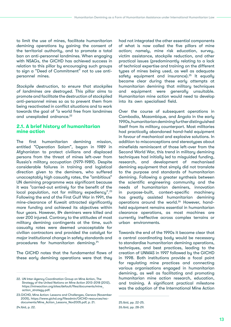<span id="page-13-0"></span>to limit the use of mines, facilitate humanitarian demining operations by gaining the consent of the territorial authority, and to promote a total ban on anti-personnel landmines. When engaging with NSAGs, the GICHD has achieved success in relation to this pillar by encouraging such groups to sign a "Deed of Commitment" not to use antipersonnel mines.

*Stockpile destruction, to ensure that stockpiles of landmines are destroyed.* This pillar aims to promote and facilitate the destruction of stockpiled anti-personnel mines so as to prevent them from being reactivated in conflict situations and to work towards the goal of "a world free from landmines and unexploded ordnance.<sup>22</sup>

# **2.1. A brief history of humanitarian mine action**

The first humanitarian demining mission, entitled "Operation Salam", began in 1989 in Afghanistan to protect civilians and displaced persons from the threat of mines left-over from Russia's military occupation (1979-1989). Despite considerable failures in training and logistical direction given to the deminers, who suffered unacceptably high casualty rates, the "ambitious" UN demining programme was significant because it was "carried-out entirely for the benefit of the local population, not for military expediency".<sup>23</sup> Following the end of the First Gulf War in 1991, the mine-clearance of Kuwait attracted significantly more funding and achieved its objectives within four years. However, 84 deminers were killed and over 200 injured. Contrary to the attitudes of most military demining contingents at the time, such casualty rates were deemed unacceptable for civilian contractors and provided the catalyst for major institutional change in safety standards and procedures for humanitarian demining.24

The GICHD notes that the fundamental flaws of these early demining operations were that they

had not integrated the other essential components of what is now called the five pillars of mine action; namely, mine risk education, survey, victim assistance, stockpile reduction, and other practical issues (predominantly relating to a lack of technical expertise and training on the different types of mines being used, as well as adequate safety equipment and insurance).<sup>25</sup> It equally became clear during these early attempts at humanitarian demining that military techniques and equipment were generally unsuitable. Humanitarian mine action would need to develop into its own specialised field.

Over the course of subsequent operations in Cambodia, Mozambique, and Angola in the early 1990s, humanitarian demining further distinguished itself from its military counterpart. Most militaries had practically abandoned hand-held equipment in favour of mechanical and explosive solutions. In addition to misconceptions and stereotypes about minefields reminiscent of those left-over from the Second World War, this trend in military demining techniques had initially led to misguided funding, research, and development of mechanised demining equipment that simply did not translate to the purpose and standards of humanitarian demining. Following a greater synthesis between the scientific engineering community and the needs of humanitarian deminers, innovation in purpose-built, context-specific machinery has greatly assisted humanitarian demining operations around the world.<sup>26</sup> However, handheld equipment remains essential in humanitarian clearance operations, as most machines are currently ineffective across complex terrains or urban environments.

Towards the end of the 1990s it became clear that a central coordinating body would be necessary to standardise humanitarian demining operations, techniques, and best practices, leading to the creation of UNMAS in 1997 followed by the GICHD in 1998. Both institutions provide a focal point for regulating mine practices and connecting various organisations engaged in humanitarian demining, as well as facilitating and promoting humanitarian mine action research, education, and training. A significant practical milestone was the adoption of the International Mine Action

<sup>22.</sup> UN Inter-Agency Coordination Group on Mine Action, The Strategy of the United Nations on Mine Action 2013-2018 (2012), [https://mineaction.org/sites/default/files/documents/mine\\_](https://mineaction.org/sites/default/files/documents/mine_action_strategy.pdf) [action\\_strategy.pdf](https://mineaction.org/sites/default/files/documents/mine_action_strategy.pdf).

<sup>23.</sup>GICHD, Mine Action: Lessons and Challenges, Geneva (November 2005), [https://www.gichd.org/fileadmin/GICHD-resources/rec](https://www.gichd.org/fileadmin/GICHD-resources/rec-documents/Mine_Action_Lessons_Nov2005.pdf, p. 21)[documents/Mine\\_Action\\_Lessons\\_Nov2005.pdf, p. 21.](https://www.gichd.org/fileadmin/GICHD-resources/rec-documents/Mine_Action_Lessons_Nov2005.pdf, p. 21)

<sup>25.</sup>Ibid, pp. 22-25. 26.Ibid, pp. 28-29.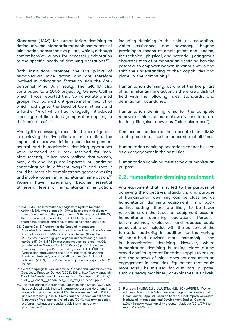<span id="page-14-0"></span>Standards (IMAS) for humanitarian demining to define universal standards for each component of mine action across the five pillars, which, although comprehensive, allows for necessary adaptation to the specific needs of demining operations.<sup>27</sup>

Both institutions promote the five pillars of humanitarian mine action and are therefore involved in advocating States to sign the Antipersonnel Mine Ban Treaty. The GICHD also contributed to a 2006 project by Geneva Call in which it was reported that 35 non-State armed groups had banned anti-personnel mines, 31 of which had signed the Deed of Commitment and a further 14 of which had "allegedly introduced some type of limitations (temporal or applied) to their mine use".28

Finally, it is necessary to consider the role of gender in achieving the five pillars of mine action. The impact of mines was initially considered genderneutral and humanitarian demining operations were perceived as a task reserved for men. More recently, it has been realised that women, men, girls and boys are impacted by landmine contamination in different ways,<sup>29</sup> and that it could be beneficial to mainstream gender diversity and involve women in humanitarian mine action.30 Women have increasingly become essential at several levels of humanitarian mine action,

including demining in the field, risk education, victim assistance, and advocacu. Beyond providing a means of employment and income, the technical, physical, and potentially dangerous characteristics of humanitarian demining has the potential to empower women in various ways and shift the understanding of their capabilities and place in the community.<sup>31</sup>

Humanitarian demining, as one of the five pillars of humanitarian mine action, is therefore a distinct field with the following rules, standards, and definitional boundaries:

Humanitarian demining aims for the complete removal of mines so as to allow civilians to return to daily life (also known as "mine clearance").

Deminer casualties are not accepted and IMAS safety procedures must be adhered to at all times.

Humanitarian demining operations cannot be seen as an engagement in the hostilities.

Humanitarian demining must serve a humanitarian purpose.

### **2.2. Humanitarian demining equipment**

Any equipment that is suited to the purpose of achieving the objectives, standards, and purpose of humanitarian demining can be classified as humanitarian demining equipment. In a postconflict setting, there are likely to be fewer restrictions on the types of equipment used in humanitarian demining operations. Purposebuilt machines, explosives, and robotics could perceivably be included with the consent of the territorial authority in addition to the variety of hand-held devices more commonly used in humanitarian demining. However, where humanitarian demining is taking place during armed conflict, greater limitations apply to ensure that the removal of mines does not amount to an engagement in hostilities. Equipment that could more easily be misused for a military purpose, such as heavy machinery or explosives, is unlikely

<sup>27.</sup> Ibid, p. 33. The Information Management System for Mine Action (IMSAM) was created in 1999 to keep pace with the new generation of mine action programmes. At the request of UNMAS, the system was developed for the GICHD to help programmes coordinate, prioritise and execute their mine action activities.

<sup>28.</sup> Geneva Call & Program for the Study of International Organisations, Armed Non-State Actors and Landmines - Volume II: a global report of NSA mine action, Geneva (November 2006), [http://www.ruig-gian.org/ressources/reusse-gc-ansal](http://www.ruig-gian.org/ressources/reusse-gc-ansal-nov06.pdf?ID=133&FILE=/ressources/reusse-gc-ansa)[nov06.pdf?ID=133&FILE=/ressources/reusse-gc-ansal-nov06.](http://www.ruig-gian.org/ressources/reusse-gc-ansal-nov06.pdf?ID=133&FILE=/ressources/reusse-gc-ansa) [pdf,](http://www.ruig-gian.org/ressources/reusse-gc-ansal-nov06.pdf?ID=133&FILE=/ressources/reusse-gc-ansa) (hereafter Geneva Call 2006 Report) p. 130. For a useful summary of the report's main findings, see: Anki SJÖBERG, "Armed Non-state Actors: Their Contribution to Solving the Landmine Problem", Journal of Mine Action, Vol. 11, Issue 1, article 25 (2007), [https://commons.lib.jmu.edu/cisr-journal/vol11/](https://commons.lib.jmu.edu/cisr-journal/vol11/iss1/25) [iss1/25](https://commons.lib.jmu.edu/cisr-journal/vol11/iss1/25).

<sup>29.</sup>Swiss Campaign to Ban Landmines, Gender and Landmines: from Concept to Practice, Geneva (2008), 108 p. [http://www.gmap.ch/](http://www.gmap.ch/fileadmin/Gender_and_Landmines_from_Concept_to_Practice/SCBL_-_Gender___Landmines) [fileadmin/Gender\\_and\\_Landmines\\_from\\_Concept\\_to\\_Practice/](http://www.gmap.ch/fileadmin/Gender_and_Landmines_from_Concept_to_Practice/SCBL_-_Gender___Landmines) SCBL - Gender Landmines 2008 rev Sep09.pdf, pp. 6-7.

<sup>30.</sup> The Inter-Agency Coordination Group on Mine Action (IACG-MA) has developed guidelines to integrate gender considerations into mine action programmes in 2005. These were reedited in 2010 and most recently in 2019: United Nations Gender Guidelines for Mine Action Programmes, 3rd edition, (2019), [https://mineaction.](https://mineaction.org/en/united-nations-gender-guidelines-mine-action-programmes-0) [org/en/united-nations-gender-guidelines-mine-action](https://mineaction.org/en/united-nations-gender-guidelines-mine-action-programmes-0)[programmes-0](https://mineaction.org/en/united-nations-gender-guidelines-mine-action-programmes-0)

<sup>31.</sup> Franziska EHLERT, Zeila LAULETTA, Nelly SCHLAFEREIT, "Women in Humanitarian Mine Action: Assessing Agency in Families and Communities", Applied Research Seminar Final Report, Graduate Institute of International and Development Studies, Geneva (2016), [http://www.gmap.ch/wp-content/uploads/2016/07/final](http://www.gmap.ch/wp-content/uploads/2016/07/final-report-ARS-2016.pdf)[report-ARS-2016.pdf.](http://www.gmap.ch/wp-content/uploads/2016/07/final-report-ARS-2016.pdf)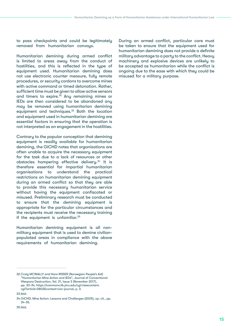to pass checkpoints and could be legitimately removed from humanitarian convous.

Humanitarian demining during armed conflict is limited to areas away from the conduct of hostilities, and this is reflected in the type of equipment used. Humanitarian demining does not use electronic counter measure, fully remote procedures, or security cordons to overcome mines with active command or timed detonation. Rather, sufficient time must be given to allow active sensors and timers to expire.<sup>32</sup> Any remaining mines or IEDs are then considered to be abandoned any may be removed using humanitarian demining equipment and techniques.<sup>33</sup> Both the location and equipment used in humanitarian demining are essential factors in ensuring that the operation is not interpreted as an engagement in the hostilities.

Contrary to the popular conception that demining equipment is readily available for humanitarian demining, the GICHD notes that organisations are often unable to acquire the necessary equipment for the task due to a lack of resources or other obstacles hampering effective delivery.34 It is therefore essential for impartial humanitarian organisations to understand the practical restrictions on humanitarian demining equipment during an armed conflict so that they are able to provide this necessary humanitarian service without having the equipment confiscated or misused. Preliminary research must be conducted to ensure that the demining equipment is appropriate for the particular circumstances and the recipients must receive the necessary training if the equipment is unfamiliar.<sup>35</sup>

Humanitarian demining equipment is all nonmilitary equipment that is used to demine civilianpopulated areas in compliance with the above requirements of humanitarian demining.

During an armed conflict, particular care must be taken to ensure that the equipment used for humanitarian demining does not provide a definite military advantage to a party to the conflict. Heavy machinery and explosive devices are unlikely to be accepted as humanitarian while the conflict is ongoing due to the ease with which they could be misused for a military purpose.

35.Ibid.

<sup>32.</sup>Craig MCINALLY and Hans RISSER (Norwegian People's Aid) "Humanitarian Mine Action and IEDs", Journal of Conventional Weapons Destruction, Vol. 21, Issue 3 (November 2017), pp. 30-34, [https://commons.lib.jmu.edu/cgi/viewcontent.](https://commons.lib.jmu.edu/cgi/viewcontent.cgi?article=2802&context=cisr-journal, p. 3) [cgi?article=2802&context=cisr-journal, p. 3.](https://commons.lib.jmu.edu/cgi/viewcontent.cgi?article=2802&context=cisr-journal, p. 3)

<sup>33.</sup>Ibid.

<sup>34.</sup>GICHD, Mine Action: Lessons and Challenges (2005), op. cit., pp. 34-35.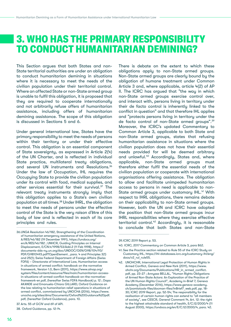# <span id="page-16-0"></span>3. WHO HAS THE PRIMARY RESPONSIBILITY TO CONDUCT HUMANITARIAN DEMINING?

This Section argues that both States and non-State territorial authorities are under an obligation to conduct humanitarian demining in situations where it is necessary to meet the needs of the civilian population under their territorial control. Where an affected State or non-State armed group is unable to fulfil this obligation, it is proposed that they are required to cooperate internationally and not arbitrarily refuse offers of humanitarian assistance, including offers of humanitarian demining assistance. The scope of this obligation is discussed in Sections 5 and 6.

Under general international law, States have the primary responsibility to meet the needs of persons within their territory or under their effective control. This obligation is an essential component of State sovereignty, as expressed in Article 2(4) of the UN Charter, and is reflected in individual State practice, multilateral treaty obligations, and several UN instruments and Resolutions.36 Under the law of Occupation, IHL requires the Occupying State to provide the civilian population under its control with food, medical supplies, and other services essential for their survival.37 The relevant treaty instruments strongly imply that this obligation applies to a State's own civilian population at all times.38 Under IHRL, the obligation to meet the needs of persons under the effective control of the State is the very raison d'être of this body of law and is reflected in each of its core principles and rules.

There is debate on the extent to which these obligations apply to non-State armed groups. Non-State armed groups are clearly bound by the obligation of humane treatment under Common Article 3 and, where applicable, article 4(2) of AP II. The ICRC has argued that "the way in which non-State armed groups exercise control over, and interact with, persons living in territory under their de facto control is inherently linked to the conflict in question" and that therefore IHL applies and "protects persons living in territory under the de facto control of non-State armed groups".39 Moreover, the ICRC's updated Commentary to Common Article 3, applicable to both State and non-State armed groups, states that refusing humanitarian assistance in situations where the civilian population does not have their essential needs provided for will be deemed arbitrary and unlawful.<sup>40</sup> Accordingly, States and, where applicable, non-State armed groups must therefore either fulfil the essential needs of the civilian population or cooperate with international organisations offering assistance. The obligation to allow and facilitate unimpeded humanitarian access to persons in need is applicable to non-State armed groups under customary IHL.<sup>41</sup> With respect to IHRL obligations, there remains debate on their applicability to non-State armed groups. However, both the UN and ICRC have adopted the position that non-State armed groups incur IHRL responsibilities where they exercise effective territorial control.<sup>42</sup> Accordingly, it is reasonable to conclude that both States and non-State

<sup>36.</sup>UNGA Resolution 46/182, Strengthening of the Coordination of humanitarian emergency assistance of the United Nations, A/RES/46/182 (19 December 1991), [https://undocs.org/](https://undocs.org/en/A/RES/46/182 ; UNHCR, Guiding Principles on Internal Displacement, E/CN.4/1998) [en/A/RES/46/182 ; UNHCR, Guiding Principles on Internal](https://undocs.org/en/A/RES/46/182 ; UNHCR, Guiding Principles on Internal Displacement, E/CN.4/1998)  [Displacement, E/CN.4/1998/53/Add.2](https://undocs.org/en/A/RES/46/182 ; UNHCR, Guiding Principles on Internal Displacement, E/CN.4/1998) (11 Feb 1998), [https://](https://documents-dds-ny.un.org/doc/UNDOC/GEN/G98/104/93/PDF/G9810493.pdf?OpenElement) [documents-dds-ny.un.org/doc/UNDOC/GEN/G98/104/93/](https://documents-dds-ny.un.org/doc/UNDOC/GEN/G98/104/93/PDF/G9810493.pdf?OpenElement) [PDF/G9810493.pdf?OpenElement](https://documents-dds-ny.un.org/doc/UNDOC/GEN/G98/104/93/PDF/G9810493.pdf?OpenElement) , para. 4 and Principles 3(1) and 25(1); Swiss Federal Department of Foreign Affairs (Swiss FDFA) – Directorate of International Law, Humanitarian access in situations of armed conflict: handbook on the normative framework, Version 1.0, Bern (2011), [https://www.alnap.org/](https://www.alnap.org/system/files/content/resource/files/main/humanitarian-access-in-situations-of-armed-conflict-handbook-on-the-normative-framework-en.pdf) [system/files/content/resource/files/main/humanitarian-access](https://www.alnap.org/system/files/content/resource/files/main/humanitarian-access-in-situations-of-armed-conflict-handbook-on-the-normative-framework-en.pdf)[in-situations-of-armed-conflict-handbook-on-the-normative](https://www.alnap.org/system/files/content/resource/files/main/humanitarian-access-in-situations-of-armed-conflict-handbook-on-the-normative-framework-en.pdf)[framework-en.pdf,](https://www.alnap.org/system/files/content/resource/files/main/humanitarian-access-in-situations-of-armed-conflict-handbook-on-the-normative-framework-en.pdf) (hereafter Swiss FDFA Handbook) p. 12 ; Dapo AKANDE and Emanuela-Chiara GILLARD, Oxford Guidance on the law relating to humanitarian relief operations in situations of armed conflict, commissioned by UNOCHA (2016), [https://www.](https://www.unocha.org/sites/dms/Documents/Oxford%20Guidance%20pdf.pdf) [unocha.org/sites/dms/Documents/Oxford%20Guidance%20pdf.](https://www.unocha.org/sites/dms/Documents/Oxford%20Guidance%20pdf.pdf) [pdf,](https://www.unocha.org/sites/dms/Documents/Oxford%20Guidance%20pdf.pdf) (hereafter Oxford Guidance), para. 10.

<sup>37.</sup> Arts. 55 of GCIV and 69 of API.

<sup>38.</sup> Oxford Guidance, pp. 12-14.

<sup>39.</sup>ICRC 2019 Report p. 53.

<sup>40.</sup> ICRC, 2017 Commentary on Common Article 3, para 862.

<sup>41.</sup> See the Practice section related to Rule 55 of the ICRC Study on Customary IHL, [https://ihl-databases.icrc.org/customary-ihl/eng/](https://ihl-databases.icrc.org/customary-ihl/eng/docs/v2_rul_rule55) [docs/v2\\_rul\\_rule55](https://ihl-databases.icrc.org/customary-ihl/eng/docs/v2_rul_rule55).

<sup>42.</sup> UNOHCHR, International Legal Protection of Human Rights in Armed Conflict, Geneva and New-York (2011), [https://www.]( https://www.ohchr.org/Documents/Publications/HR_in_armed_conflict.pdf) [ohchr.org/Documents/Publications/HR\\_in\\_armed\\_conflict.]( https://www.ohchr.org/Documents/Publications/HR_in_armed_conflict.pdf) [pdf,]( https://www.ohchr.org/Documents/Publications/HR_in_armed_conflict.pdf) pp. 23-27 ; Annyssa BELLAL, "Human Rights Obligations of Armed Non-State Actors: An Exploration of the Practice of the UN Human Rights Council", Academy in-Brief 7, Geneva Academy (December 2016), [https://www.geneva-academy.](https://www.geneva-academy.ch/joomlatools-files/docman-files/InBrief7_web.pdf) [ch/joomlatools-files/docman-files/InBrief7\\_web.pdf,](https://www.geneva-academy.ch/joomlatools-files/docman-files/InBrief7_web.pdf) pp. 18- 30; ICRC 2019 Report, pp. 52-54; The responsibility for the realisation of certain human rights can extend to "all members of society", see CESCR, General Comment 14, Art. 12: the right to the highest attainable standard of health, E/C.12/2000/4 (11 August 2000), [https://undocs.org/en/E/C.12/2000/4,](https://undocs.org/en/E/C.12/2000/4) para. 42.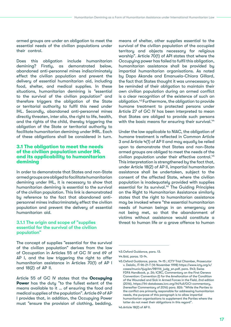<span id="page-17-0"></span>armed groups are under an obligation to meet the essential needs of the civilian populations under their control.

Does this obligation include humanitarian demining? Firstly, as demonstrated below, abandoned anti-personnel mines indiscriminately effect the civilian population and prevent the delivery of essential humanitarian aid, including food, shelter, and medical supplies. In these situations, humanitarian demining is "essential to the survival of the civilian population" and therefore triggers the obligation of the State or territorial authority to fulfil this need under IHL. Secondly, abandoned anti-personnel mines directly threaten, inter alia, the right to life, health, and the rights of the child, thereby triggering the obligation of the State or territorial authority to facilitate humanitarian demining under IHRL. Each of these obligations shall be considered in turn.

## **3.1 The obligation to meet the needs of the civilian population under IHL and its applicability to humanitarian demining**

In order to demonstrate that States and non-State armed groups are obliged to facilitate humanitarian demining under IHL, it is necessary to show that humanitarian demining is essential to the survival of the civilian population. This link is demonstrated by reference to the fact that abandoned antipersonnel mines indiscriminately effect the civilian population and prevent the delivery of essential humanitarian aid.

### 3.1.1 The origin and scope of "supplies essential for the survival of the civilian population"

The concept of supplies "essential for the survival of the civilian population" derives from the law of Occupation in Articles 55 of GC IV and 69 of AP I, and the law triggering the right to offer humanitarian assistance in Articles 70(1) of AP I and 18(2) of AP II.

Article 55 of GC IV states that the **Occupying**  Power has the duty "to the fullest extent of the means available to it … of ensuring the food and medical supplies of the population". Article 69 of AP I provides that, in addition, the Occupying Power must "ensure the provision of clothing, bedding,

means of shelter, other supplies essential to the survival of the civilian population of the occupied territory and objects necessary for religious worship". Article 70(1) of API states that where the Occupying power has failed to fulfil this obligation, humanitarian assistance shall be provided by impartial humanitarian organisations. As noted by Dapo Akande and Emanuela-Chiara Gillard, the fact that States thought it was unnecessary to be reminded of their obligation to maintain their own civilian population during an armed conflict is a clear recognition of the existence of such an obligation.43 Furthermore, the obligation to provide humane treatment to protected persons under Article 27 of GC IV has been interpreted to mean that States are obliged to provide such persons with the basic means for ensuring their survival.<sup>44</sup>

Under the law applicable to NIAC, the obligation of humane treatment is reflected in Common Article 3 and Article 4(1) of AP II and may equally be relied upon to demonstrate that States and non-State armed groups are obliged to meet the needs of the civilian population under their effective control.<sup>45</sup> This interpretation is strengthened by the fact that, under Article 18(2) of AP II, impartial humanitarian assistance shall be undertaken, subject to the consent of the affected State, where the civilian population is inadequately provided with supplies essential for its survival.<sup>46</sup> The Guiding Principles on the Right to Humanitarian Assistance similarly states that the right to humanitarian assistance may be invoked where "the essential humanitarian needs of human beings in an emergency are not being met, so that the abandonment of victims without assistance would constitute a threat to human life or a grave offence to human

<sup>43.</sup>Oxford Guidance, para. 13.

<sup>44.</sup>Ibid, paras. 13-14.

<sup>45.</sup>Oxford Guidance, paras. 14-15 ; ICTY Trial Chamber, Prosecutor v. Delalic, IT-96-21-T (16 November 1998) [https://www.icty.org/x/](https://www.icty.org/x/cases/mucic/tjug/en/981116_judg_en.pdf) [cases/mucic/tjug/en/981116\\_judg\\_en.pdf](https://www.icty.org/x/cases/mucic/tjug/en/981116_judg_en.pdf), para. 543; Swiss FDFA Handbook, p. 26; ICRC, Commentary on the First Geneva Convention: Convention (I) for the Amelioration of the Condition of the Wounded and Sick in Armed Forces in the Field, 2nd edition (2016), [https://ihl-databases.icrc.org/ihl/full/GCI-commentary,](https://ihl-databases.icrc.org/ihl/full/GCI-commentary) (hereafter Commentary of 2016) para. 826: "While the Parties to the conflict are primarily responsible for addressing humanitarian needs, the purpose of this paragraph is to allow impartial humanitarian organisations to supplement the Parties where the latter do not meet their obligations in this regard".

<sup>46.</sup>Article 18(2) of AP II.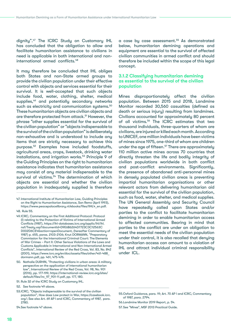dignity".47 The ICRC Study on Customary IHL has concluded that the obligation to allow and facilitate humanitarian assistance to civilians in need is applicable in both international and noninternational armed conflicts.<sup>48</sup>

It may therefore be concluded that IHL obliges both States and non-State armed groups to provide the civilian population under their effective control with objects and services essential for their survival. It is well-accepted that such objects include food, water, clothing, shelter, medical supplies,<sup>49</sup> and potentially secondary networks such as electricity and communication systems.<sup>50</sup> These humanitarian objects are civilian objects and are therefore protected from attack.<sup>51</sup> However, the phrase "other supplies essential for the survival of the civilian population" or "objects indispensable to the survival of the civilian population" is deliberately non-exhaustive and is understood to include any items that are strictly necessary to achieve this purpose.52 Examples have included foodstuffs, agricultural areas, crops, livestock, drinking water installations, and irrigation works.<sup>53</sup> Principle 9 of the Guiding Principles on the right to humanitarian assistance indicates that humanitarian assistance may consist of any material indispensable to the survival of victims.<sup>54</sup> The determination of which objects are essential and whether the civilian population in inadequately supplied is therefore a case by case assessment.55 As demonstrated below, humanitarian demining operations and equipment are essential to the survival of affected civilian communities in armed conflict and should therefore be included within the scope of this legal concept.

#### 3.1.2 Classifying humanitarian demining as essential to the survival of the civilian population

Mines disproportionately affect the civilian population. Between 2015 and 2018, Landmine Monitor recorded 30,560 casualties (defined as death or serious injury) resulting from landmines. Civilians accounted for approximately 80 percent of all victims.56 The ICRC estimates that two thousand individuals, three-quarters of whom are civilians, are injured or killed each month. According to UNICEF, one million individuals have been victims of mines since 1975, one-third of whom are children under the age of fifteen.<sup>57</sup> There are approximately 110 million active mines across 70 countries that directly threaten the life and bodily integrity of civilian populations worldwide in both conflict and post-conflict environments. Significantly, the presence of abandoned anti-personnel mines in densely populated civilian areas is preventing impartial humanitarian organisations or other relevant actors from delivering humanitarian aid essential for the survival of the civilian population, such as food, water, shelter, and medical supplies. The UN General Assembly and Security Council have repeatedly called upon States and/or parties to the conflict to facilitate humanitarian demining in order to enable humanitarian access to affected communities. Bearing in mind that parties to the conflict are under an obligation to meet the essential needs of the civilian population under their control, it is also recalled that denying humanitarian access can amount to a violation of IHL and attract individual criminal responsibility under ICL.

<sup>47.</sup> International Institute of Humanitarian Law, Guiding Principles on the Right to Humanitarian Assistance, San Remo (April 1993), [https://www.peacepalacelibrary.nl/ebooks/files/IIHL4\\_en.pdf.](https://www.peacepalacelibrary.nl/ebooks/files/IIHL4_en.pdf) 48. Rule 55.

<sup>49.</sup>ICRC, Commentary on the First Additional Protocol: Protocol (I) relating to the Protection of Victims of International Armed Conflicts (1987), [https://ihl-databases.icrc.org/applic/ihl/ihl.]( https://ihl-databases.icrc.org/applic/ihl/ihl.nsf/Treaty.xsp?documentId=D9E6B6264D7723C3C12563C D002D6CE4&action=openDocument) [nsf/Treaty.xsp?documentId=D9E6B6264D7723C3C12563C]( https://ihl-databases.icrc.org/applic/ihl/ihl.nsf/Treaty.xsp?documentId=D9E6B6264D7723C3C12563C D002D6CE4&action=openDocument)  [D002D6CE4&action=openDocument]( https://ihl-databases.icrc.org/applic/ihl/ihl.nsf/Treaty.xsp?documentId=D9E6B6264D7723C3C12563C D002D6CE4&action=openDocument), (hereafter Commentary of 1987) p. 655, paras. 2103-2106; Knut DORMANN, "Preparatory Commission for the International Criminal Court: The Elements of War Crimes – Part II: Other Serious Violations of the Laws and Customs Applicable in International and Non-International Armed Conflicts", International Review of the Red Cross, Vol. 83, No. 842 (2001), [https://www.icrc.org/en/doc/assets/files/other/461-488\\_](https://www.icrc.org/en/doc/assets/files/other/461-488_dormann.pdf) [dormann.pdf](https://www.icrc.org/en/doc/assets/files/other/461-488_dormann.pdf), pp. 461, 475-476.

<sup>50.</sup> Nathalie DURHIN, "Protecting civilians in urban areas: A military perspective on the application of international humanitarian law", International Review of the Red Cross, Vol. 98, No. 901 (2016), pp. 177-199, [https://international-review.icrc.org/sites/](https://international-review.icrc.org/sites/default/files/irc_97_901-11.pdf) [default/files/irc\\_97\\_901-11.pdf](https://international-review.icrc.org/sites/default/files/irc_97_901-11.pdf), pp. 177, 180.

<sup>51.</sup> Rule 32 of the ICRC Study on Customary IHL.

<sup>52.</sup> See footnote 49 above.

<sup>53.</sup>ICRC, "Objects indispensable to the survival of the civilian population", How does Law protect in War, [https://casebook.icrc.](https://casebook.icrc.org/) [org/](https://casebook.icrc.org/); See also Art. 69 AP I and ICRC, Commentary of 1987, para. 2780.

<sup>54.</sup>See footnote 47 above.

<sup>55.</sup>Oxford Guidance, para. 19; Art. 70 AP I and ICRC, Commentary of 1987, para. 2794.

<sup>56.</sup>Landmine Monitor 2019 Report, p. 54.

<sup>57.</sup> See "Mines", MSF 2013 Practical Guide.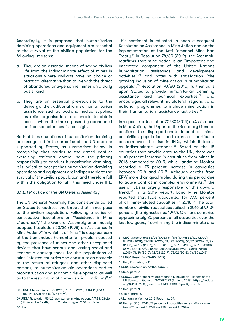Accordingly, it is proposed that humanitarian demining operations and equipment are essential to the survival of the civilian population for the following reasons:

- a. They are an essential means of saving civilian life from the indiscriminate effect of mines in situations where civilians have no choice or practical alternative than to live with the threat of abandoned anti-personnel mines on a daily basis; and
- b. They are an essential pre-requisite to the delivery of the traditional forms of humanitarian assistance, such as food and medical supplies, as relief organisations are unable to obtain access where the threat posed by abandoned anti-personnel mines is too high.

Both of these functions of humanitarian demining are recognised in the practice of the UN and are supported by States, as summarised below. In recognising that parties to the armed conflict exercising territorial control have the primary responsibility to conduct humanitarian demining, it is logical to accept that humanitarian demining operations and equipment are indispensable to the survival of the civilian population and therefore fall within the obligation to fulfil this need under IHL.

#### *3.1.2.1 Practice of the UN General Assembly*

The UN General Assembly has consistently called on States to address the threat that mines pose to the civilian population. Following a series of consecutive Resolutions on "Assistance in Mine Clearance",58 the General Assembly unanimously adopted Resolution 53/26 (1998) on Assistance in Mine Action,<sup>59</sup> in which it affirms "its deep concern at the tremendous humanitarian problem caused by the presence of mines and other unexploded devices that have serious and lasting social and economic consequences for the populations of mine-infested countries and constitute an obstacle to the return of refugees and other displaced persons, to humanitarian aid operations and to reconstruction and economic development, as well as to the restoration of normal social conditions".60

This sentiment is reflected in each subsequent Resolution on Assistance in Mine Action and on the implementation of the Anti-Personnel Mine Ban Treaty.<sup>61</sup> In Resolution 74/80 (2019), the Assembly reaffirms that mine action is an "important and integrated component of the United Nations humanitarian assistance and development activities",<sup>62</sup> and notes with satisfaction "the growing inclusion of mine action in humanitarian appeals".63 Resolution 70/80 (2015) further calls upon States to provide humanitarian demining assistance and technical expertise,<sup>64</sup> and encourages all relevant multilateral, regional, and national programmes to include mine action in their humanitarian assistance activities.<sup>65</sup>

In response to Resolution 70/80 (2015) on Assistance in Mine Action, the Report of the Secretary General confirms the disproportionate impact of mines on civilian populations and expresses particular concern over the rise in IEDs, which it labels as indiscriminate weapons.<sup>66</sup> Based on the 18 countries that provide data to the UN, there was a 40 percent increase in casualties from mines in 2016 compared to 2015, while Landmine Monitor recorded a 75 percent increase in casualties between 2014 and 2015. Although deaths from ERW more than quadrupled during this period due to active conflict in complex environments, $67$  the use of IEDs is largely responsible for this upward trend.68 In its 2019 Report, Land Mine Monitor reported that IEDs accounted for 77.5 percent of all mine-related casualties in 2018.<sup>69</sup> The total number of civilian casualties spiked in 2016 at 9,439 persons (the highest since 1999). Civilians comprise approximately 80 percent of all casualties over the last few years,<sup>70</sup> confirming the indiscriminate and

<sup>58.</sup> UNGA Resolutions 48/7 (1993); 49/215 (1994); 50/82 (1995); 51/149 (1996) and 52/173 (1997).

<sup>59.</sup>UNGA Resolution 53/26, Assistance in Mine Action, A/RES/53/26 (31 December 1998), [https://undocs.org/en/A/RES/53/26.](https://undocs.org/en/A/RES/53/26)

<sup>61.</sup> UNGA Resolutions 53/26 (1998); 54/191 (1999); 55/120 (2000); 56/219 (2001); 57/159 (2002); 58/127 (2003); 60/97 (2005); 61/84 (2006); 62/99 (2007); 63/42 (2008); 64/84 (2009); 65/48 (2010); 66/69 (2011); 67/32 (2012); 68/72 (2013); 69/34 (2014); 70/80 (2015); 71/34 (2016); 72/53 (2017); 73/62 (2018); 74/80 (2019).

<sup>62.</sup>UNGA Resolution 74/80 (2019).

<sup>63.</sup>Ibid, Preamble, p. 2.

<sup>64.</sup>UNGA Resolution 70/80, para. 3.

<sup>65.</sup>Ibid, para. 7.

<sup>66.</sup>UNSC, Comprehensive Approach to Mine Action - Report of the UN Secretary General, S/2018/623 (21 June 2018), [https://undocs.](https://undocs.org/S/2018/623) [org/S/2018/623,](https://undocs.org/S/2018/623) (hereafter UNSG 2018 Report), para. 53.

<sup>67.</sup> Ibid, para. 4.

<sup>68.</sup> Ibid, para. 5.

<sup>69.</sup> Landmine Monitor 2019 Report, p. 59.

<sup>70.</sup>Ibid, p. 58 (In 2018, 71 percent of casualties were civilian; down from 87 percent in 2017 and 78 percent in 2016).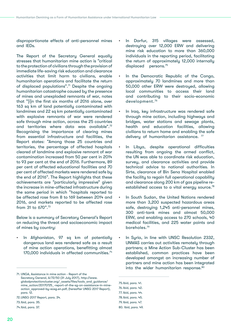disproportionate effects of anti-personnel mines and IEDs.

The Report of the Secretary General equally stresses that humanitarian mine action is "critical to the protection of civilians through the provision of immediate life-saving risk education and clearance activities that limit harm to civilians, enable humanitarian operations and facilitate the return of displaced populations".71 Despite the ongoing humanitarian catastrophe caused by the presence of mines and unexploded remnants of war, notes that "[i]n the first six months of 2016 alone, over 163 sq km of land potentially contaminated with landmines and 22 sq km potentially contaminated with explosive remnants of war were rendered safe through mine action, across the 25 countries and territories where data was available".72 Recognising the importance of clearing mines from essential infrastructure and facilities, the Report states: "Among those 25 countries and territories, the percentage of affected hospitals cleared of landmine and explosive remnant of war contamination increased from 50 per cent in 2014 to 93 per cent at the end of 2016. Furthermore, 89 per cent of affected educational facilities and 70 per cent of affected markets were rendered safe by the end of 2016". The Report highlights that these achievements are "particularly impressive" given the increase in mine-affected infrastructure during the same period in which "hospitals reported to be affected rose from 8 to 169 between 2014 and 2016, and markets reported to be affected rose from 31 to 670" 73

Below is a summary of Secretary General's Report on reducing the threat and socioeconomic impact of mines by country:

• In Afghanistan, 97 sq km of potentially dangerous land was rendered safe as a result of mine action operations, benefitting almost  $170,000$  individuals in affected communities.<sup>74</sup>

73.Ibid, para. 35.

- In Darfur, 315 villages were assessed, destroying over 12,000 ERW and delivering mine risk education to more than 360,000 individuals in the reporting period, facilitating the return of approximately 12,000 internally displaced persons.75
- In the Democratic Republic of the Congo, approximately 70 landmines and more than 50,000 other ERW were destroyed, allowing local communities to access their land and contributing to their socio-economic development.76
- In Iraq, key infrastructure was rendered safe through mine action, including highways and bridges, water stations and sewage plants, health and education facilities, allowing civilians to return home and enabling the safe delivery of humanitarian assistance. 77
- In Libya, despite operational difficulties resulting from ongoing the armed conflict, the UN was able to coordinate risk education, survey, and clearance activities and provide technical advice to national authorities. In Sirte, clearance of Bin Sena Hospital enabled the facility to regain full operational capability and clearance along 200 km of gas pipeline reestablished access to a vital energy source.<sup>78</sup>
- In South Sudan, the United Nations rendered more than 3,200 suspected hazardous areas safe, destroying 1,245 anti-personnel mines, 300 anti-tank mines and almost 50,000 ERW, and enabling access to 270 schools, 40 medical facilities, and 225 water points and boreholes.79
- In Syria, in line with UNSC Resolution 2332, UNMAS carries out activities remotely through partners; a Mine Action Sub-Cluster has been established, common practices have been developed amongst an increasing number of partners and mine action has been integrated into the wider humanitarian response.<sup>80</sup>

- 76.Ibid, para. 42.
- 77. Ibid, para. 44.
- 78.Ibid, para. 45.

<sup>71.</sup> UNGA, Assistance in mine action - Report of the Secretary General, A/72/50 (31 July 2017), [http://www.](http://www.globalprotectioncluster.org/_assets/files/tools_and_guidance/mine_action/20170725_-report-of-the-sg-on-assistance-in-mine-action_approved-by-eosg.en.pdf) [globalprotectioncluster.org/\\_assets/files/tools\\_and\\_guidance/](http://www.globalprotectioncluster.org/_assets/files/tools_and_guidance/mine_action/20170725_-report-of-the-sg-on-assistance-in-mine-action_approved-by-eosg.en.pdf) [mine\\_action/20170725\\_-report-of-the-sg-on-assistance-in-mine](http://www.globalprotectioncluster.org/_assets/files/tools_and_guidance/mine_action/20170725_-report-of-the-sg-on-assistance-in-mine-action_approved-by-eosg.en.pdf)[action\\_approved-by-eosg.en.pdf](http://www.globalprotectioncluster.org/_assets/files/tools_and_guidance/mine_action/20170725_-report-of-the-sg-on-assistance-in-mine-action_approved-by-eosg.en.pdf), (hereafter UNSG 2017 Report), para. 12.

<sup>72.</sup>UNSG 2017 Report, para. 34.

<sup>74.</sup>Ibid, para. 37.

<sup>75.</sup>Ibid, para. 41.

<sup>79.</sup> Ibid, para. 47.

<sup>80.</sup> Ibid, para. 49.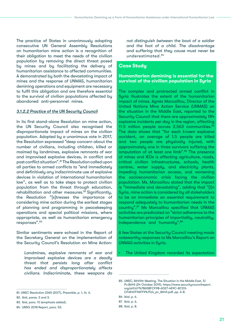The practice of States in unanimously adopting consecutive UN General Assembly Resolutions on humanitarian mine action is a recognition of their obligation to meet the needs of the civilian population by removing the direct threat posed by mines and by facilitating the delivery of humanitarian assistance to affected communities. A demonstrated by both the devastating impact of mines and the response of UNMAS, humanitarian demining operations and equipment are necessary to fulfil this obligation and are therefore essential to the survival of civilian populations affected by abandoned anti-personnel mines.

#### *3.1.2.2 Practice of the UN Security Council*

In its first stand-alone Resolution on mine action, the UN Security Council also recognised the disproportionate impact of mines on the civilian population. Adopted by a unanimous vote in 2017, the Resolution expressed "deep concern about the number of civilians, including children, killed or maimed by landmines, explosive remnants of war and improvised explosive devices, in conflict and post conflict situation".81 The Resolution called upon all parties to armed conflicts to "end immediately and definitively any indiscriminate use of explosive devices in violation of international humanitarian law", as well as to take steps to protect civilian population from the threat through education, rehabilitation and other measures.<sup>82</sup> Significantly, the Resolution "[s]tresses the importance of considering mine action during the earliest stages of planning and programming in peacekeeping operations and special political missions, where appropriate, as well as humanitarian emergency responses".83

Similar sentiments were echoed in the Report of the Secretary General on the implementation of the Security Council's Resolution on Mine Action:

*Landmines, explosive remnants of war and improvised explosive devices are a deadly threat that persists long after conflict has ended and disproportionately affects civilians. Indiscriminate, these weapons do* 

84. UNSG 2018 Report, para. 53.

*not distinguish between the boot of a soldier and the foot of a child. The disadvantage and suffering that they cause must never be underestimated.84*

# **Case Study**

# **Humanitarian demining is essential for the survival of the civilian population in Syria**

The complex and protracted armed conflict in Syria illustrates the extent of the humanitarian impact of mines. Agnès Marcaillou, Director of the United Nations Mine Action Service (UNMAS) on the situation in the Middle East, reported to the Security Council that there are approximately 184 explosive incidents per day in the region, affecting 11.5 million people across 2,563 communities.<sup>85</sup> The data shows that "for each known explosive accident, an average of 1.5 people are killed and two people are physically injured, with approximately one in three survivors suffering the amputation of at least one limb".<sup>86</sup> The presence of mines and IEDs is affecting agriculture, roads, critical civilian infrastructures, schools, health centres, water supply, and electricity plants, impeding humanitarian access, and worsening the socioeconomic crisis facing the civilian population. Ms. Marcaillou stated that the impact is "immediate and devastating", adding that "[i]n Syria, mine action is considered by all stakeholders to be an immediate an essential requirement to respond adequately to humanitarian needs in the country".87 Ms Marcaillou specified that UNMAS activities are predicated on "strict adherence to the humanitarian principles of impartiality, neutrality, independence and humanity".<sup>88</sup>

A few States at the Security Council meeting made noteworthy responses to Ms Marcaillou's Report on UNMAS activities in Syria.

The United Kingdom recorded its expectation

<sup>81.</sup> UNSC Resolution 2365 (2017), Preamble, p. 1, lit. 6.

<sup>82.</sup> Ibid, paras. 2 and 3.

<sup>83.</sup> Ibid, para. 10 (emphasis added).

<sup>85.</sup> UNSC, 8645th Meeting, The Situation in the Middle East, S/ Pv.8645 (24 October 2019), [https://www.securitycouncilreport.](https://www.securitycouncilreport.org/atf/cf/%7B65BFCF9B-6D27-4E9C-8CD3-CF6E4FF96FF9%7D/s_pv_8645.pdf) [org/atf/cf/%7B65BFCF9B-6D27-4E9C-8CD3-](https://www.securitycouncilreport.org/atf/cf/%7B65BFCF9B-6D27-4E9C-8CD3-CF6E4FF96FF9%7D/s_pv_8645.pdf) [CF6E4FF96FF9%7D/s\\_pv\\_8645.pdf,](https://www.securitycouncilreport.org/atf/cf/%7B65BFCF9B-6D27-4E9C-8CD3-CF6E4FF96FF9%7D/s_pv_8645.pdf) pp. 6-8.

<sup>86.</sup> Ibid, p. 6.

<sup>87.</sup> Ibid, p. 6.

<sup>88.</sup> Ibid, p. 8.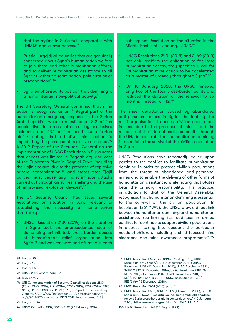that the regime in Syria fully cooperates with UNMAS and allows access.89

- Russia "urge[d] all countries that are genuinely concerned about Syria's humanitarian welfare to join these and other humanitarian efforts, and to deliver humanitarian assistance to all Syrians without discrimination, politicization or preconditions".90
- Syria emphasised its position that demining is a humanitarian, non-political activity.<sup>91</sup>

The UN Secretary General confirmed that mine action is recognised as an "integral part of the humanitarian emergency response in the Syrian Arab Republic, where an estimated 8.2 million people live in areas affected by explosives incidents and 13.1 million need humanitarian aid",92 noting that effective mine action is impeded by the presence of explosive ordnance.<sup>93</sup> A 2019 Report of the Secretary General on the implementation of UNSC Resolutions in Syria notes that access was limited in Raqqah city and east of the Euphrates River in Dayr al-Zawr, including the Hajin enclave, due to the presence of explosive hazard contamination,  $94$  and states that "[a]ll parties must cease any indiscriminate attacks carried out through air strikes, shelling and the use of improvised explosive devices".95

The UN Security Council has issued several Resolutions on situation in Syria relevant to establishing the necessity of humanitarian demining:

• UNSC Resolution 2139 (2014) on the situation in Syria took the unprecedented step of demanding uninhibited, cross-border access of humanitarian relief organisation into Syria,<sup>%</sup> and was renewed and affirmed in each subsequent Resolution on the situation in the Middle-East until Januaru 2020.97

- UNSC Resolutions 2401 (2018) and 2449 (2018) not only reaffirm the obligation to facilitate humanitarian access, they specifically call for "humanitarian mine action to be accelerated as a matter of urgency throughout Syria".<sup>98</sup>
- On 10 January 2020, the UNSC renewed only two of the four cross-border points and reduced the duration of the renewal to six months instead of 12.99

The sheer devastation caused by abandoned anti-personnel mines in Syria, the inability for relief organisations to access civilian populations in need due to the presence of mines, and the response of the international community through the UN, demonstrate that humanitarian demining is essential to the survival of the civilian population in Suria.

UNSC Resolutions have repeatedly called upon parties to the conflict to facilitate humanitarian demining in order to protect civilian populations from the threat of abandoned anti-personnel mines and to enable the delivery of other forms of humanitarian assistance, while noting that States bear the primary responsibility. This practice, in addition to that of the General Assembly, recognises that humanitarian demining is essential to the survival of the civilian population. In Resolution 1261 (1999), the UNSC drew a direct link between humanitarian demining and humanitarian assistance, reaffirming its readiness in armed conflict to "continue to support civilian populations in distress, taking into account the particular needs of children, including … child-focused mine clearance and mine awareness programmes".100

- 92. UNSG 2018 Report, para. 46.
- 93. Ibid, para. 7.

<sup>89.</sup> Ibid, p. 20.

<sup>90.</sup> Ibid, p. 12.

<sup>91.</sup> Ibid, p. 25.

<sup>94.</sup> UNSC, Implementation of Security Council resolutions 2139 (2014), 2165 (2014), 2191 (2014), 2258 (2015), 2332 (2016), 2393 (2017), 2401 (2018) and 2449 (2018) – Report of the Secretary General, S/2019/820 (15 October 2019), https://undocs.org/ en/S/2019/820, (hereafter UNSG 2019 Report), paras. 7, 33.

<sup>95.</sup> Ibid, para. 42.

<sup>96.</sup> UNSC Resolution 2139, S/RES/2139 (22 February 2014).

<sup>97.</sup> UNSC Resolution 2165, S/RES/2165 (14 July 2014); UNSC Resolution 2191, S/RES/2191 (17 December 2014),; UNSC Resolution 2258 (22 December 2015); UNSC Resolution 2332, S/RES/2332 (21 December 2016); UNSC Resolution 2393, S/ RES/2393 (19 December 2017); UNSC Resolution 2401, S/ RES/2401 (24 February 2018); UNSC Resolution 2449, S/ RES/2449 (13 December 2018).

<sup>98.</sup> UNSC Resolution 2401 (2018), para. 11.

<sup>99.</sup> UNSC Resolution 2504, S/RES/2504 (10 January 2020), para 3. See also: UN News, "Security Council beats midnight deadline, renews Syria cross-border aid in contentious vote" (10 January 2020), [https://news.un.org/en/story/2020/01/1055181.](https://news.un.org/en/story/2020/01/1055181)

<sup>100.</sup> UNSC Resolution 1261 (30 August 1999).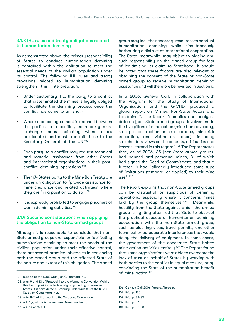#### 3.1.3 IHL rules and treaty obligations related to humanitarian demining

As demonstrated above, the primary responsibility of States to conduct humanitarian demining is contained within the obligation to meet the essential needs of the civilian population under its control. The following IHL rules and treaty provisions related to humanitarian demining strengthen this interpretation.

- Under customary IHL, the party to a conflict that disseminated the mines is legally obliged to facilitate the demining process once the conflict has come to an end.101
- Where a peace agreement is reached between the parties to a conflict, each party must exchange maps indicating where mines are located and must transmit these to the Secretary General of the UN.102
- Each party to a conflict may request technical and material assistance from other States and international organisations in their postconflict demining operations.103
- The 164 States party to the Mine Ban Treaty are under an obligation to "provide assistance for mine clearance and related activities" where they are "in a position to do so".104
- It is expressly prohibited to engage prisoners of war in demining activities.<sup>105</sup>

#### 3.1.4 Specific considerations when applying the obligation to non-State armed groups

Although it is reasonable to conclude that non-State armed groups are responsible for facilitating humanitarian demining to meet the needs of the civilian population under their effective control, there are several practical obstacles in convincing both the armed group and the affected State of the nature and extent of this obligation. The armed

105. Art. 52 of GC III.

group may lack the necessary resources to conduct humanitarian demining while simultaneously harbouring a distrust of international cooperation. The State, meanwhile, may object to placing any such responsibility on the armed group for fear of legitimising its claim to Statehood. It should be noted that these factors are also relevant to obtaining the consent of the State or non-State armed group to receive humanitarian demining assistance and will therefore be revisited in Section 6.

In a 2006, Geneva Call, in collaboration with the Program for the Study of International Organisations and the GICHD, produced a global report on "Armed Non-State Actors and Landmines". The Report "compiles and analyses data on [non-State armed groups'] involvement in the five pillars of mine action (mine ban advocacy, stockpile destruction, mine clearance, mine risk education, and victim assistance), including stakeholders' views on the benefits, difficulties and lessons learned in this regard".106 The Report states that, as of 2006, 35 [non-State armed groups] had banned anti-personnel mines, 31 of which had signed the Deed of Commitment, and that a further 14 had "allegedly introduced some type of limitations (temporal or applied) to their mine use".107

The Report explains that non-State armed groups can be distrustful or suspicious of demining operations, especially where it concerns mines laid by the group themselves.<sup>108</sup> Meanwhile, hostility from the State against which the armed group is fighting often led that State to obstruct the practical aspects of humanitarian demining cooperation with the non-State armed group, such as blocking visas, travel permits, and other technical or bureaucratic interferences that would delay the delivery of equipment. In some cases, the government of the concerned State halted mine action activities entirely.<sup>109</sup> The Report found that some organisations were able to overcome the lack of trust on behalf of States by working with both parties to the conflict in equal measure, or by convincing the State of the humanitarian benefit of mine action.<sup>110</sup>

<sup>101.</sup> Rule 83 of the ICRC Study on Customary IHL.

<sup>102.</sup> Arts. 9 and 10 of Protocol II to the Weapons Convention (While this treaty position is technically only binding on member States, it is considered customary under Rule 83 of the ICRC Study on Customary IHL).

<sup>103.</sup> Arts. 9-11 of Protocol II to the Weapons Convention.

<sup>104.</sup> Art. 6(4) of the Anti-personnel Mine Ban Treaty.

<sup>106.</sup> Geneva Call 2006 Report, Abstract.

<sup>107.</sup> Ibid, p. 130.

<sup>108.</sup> Ibid, p. 32-33.

<sup>109.</sup> Ibid, p. 37.

<sup>110.</sup> Ibid, p. 42-43.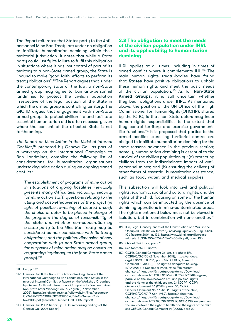<span id="page-24-0"></span>The Report reiterates that States party to the Antipersonnel Mine Ban Treaty are under an obligation to facilitate humanitarian demining within their territorial jurisdiction. It notes that while a State party could justify its failure to fulfil this obligation in situations where it has lost control of part of its territory to a non-State armed group, the State is "bound to make 'good faith' efforts to perform its treaty obligations".111 The Report argues that, under the contemporary state of the law, a non-State armed group may agree to ban anti-personnel landmines to protect the civilian population irrespective of the legal position of the State in which the armed group is controlling territory. The GICHD argues that engagement with non-State armed groups to protect civilian life and facilitate essential humanitarian aid is often necessary even where the consent of the affected State is not forthcoming.

*The Report on Mine Action in the Midst of Internal Conflict*, 112 prepared by Geneva Call as part of a workshop on the International Campaign to Ban Landmines, compiled the following list of considerations for humanitarian organisations undertaking mine action during an ongoing armed conflict:

*The establishment of programs of mine action in situations of ongoing hostilities inevitably presents many difficulties, including: security for mine action staff; questions relating to the utility and cost-effectiveness of the project (in light of possible re-mining of cleared areas); the choice of actor to be placed in charge of the program; the degree of responsibility of the state and whether non-cooperation by a state party to the Mine Ban Treaty may be considered as non-compliance with its treaty obligations; and the political dimension of how cooperation with [a non-State armed group] for purposes of mine action may be construed as granting legitimacy to the [non-State armed group].113*

#### **3.2 The obligation to meet the needs of the civilian population under IHRL and its applicability to humanitarian demining**

IHRL applies at all times, including in times of armed conflict where it complements IHL.<sup>114</sup> The main human rights treaty-bodies have found that **States** have positive obligations to uphold these human rights and meet the basic needs of the civilian population.115 As for **Non-State Armed Groups**, it is still uncertain whether they bear obligations under IHRL. As mentioned above, the position of the UN Office of the High Commissioner for Human Rights (OHCHR), shared by the ICRC, is that non-State actors may incur human rights responsibilities to the extent that they control territory and exercise governmentlike functions.116 It is proposed that parties to the armed conflict exercising territorial control are obliged to facilitate humanitarian demining for the same reasons advanced in the previous section; namely, humanitarian demining is essential to the survival of the civilian population by: (a) protecting civilians from the indiscriminate impact of antipersonnel mines; and (b) ensuring the delivery of other forms of essential humanitarian assistance, such as food, water, and medical supplies.

This subsection will look into civil and political rights, economic, social and cultural rights, and the rights of the child, focusing on some of the human rights which can be impacted by the absence of demining operations in mine-contaminated areas. The rights mentioned below must not be viewed in isolation, but in combination with one another.<sup>117</sup>

- 115. Oxford Guidance, para. 11.
- 116. See footnote 42 above.
- 117. CCPR, General Comment 36, Art. 6: right to life, CCPR/C/GC/36 (2 November 2018), [https://undocs.](https://undocs.org/CCPR/C/GC/36) [org/CCPR/C/GC/36,](https://undocs.org/CCPR/C/GC/36) para. 56 ; CESCR, General Comment 4, Art.11(1): The right to adequate housing, E/1992/23 (13 December 1991), [https://tbinternet.](https://tbinternet.ohchr.org/_layouts/15/treatybodyexternal/Download.aspx?symbolno=INT%2fCESCR%2fGEC) [ohchr.org/\\_layouts/15/treatybodyexternal/Download.](https://tbinternet.ohchr.org/_layouts/15/treatybodyexternal/Download.aspx?symbolno=INT%2fCESCR%2fGEC) [aspx?symbolno=INT%2fCESCR%2fGEC%2f4759&Lang=en,](https://tbinternet.ohchr.org/_layouts/15/treatybodyexternal/Download.aspx?symbolno=INT%2fCESCR%2fGEC) para. 9; on the links between civil and political rights and the rights of the child, see Art. 24 ICCPR; CCPR, General Comment 36 (2018), para. 60; CCPR, General Comment No. 17, Art. 24: Rights of the child, CCPR/C/GC/17 (7 April 1989), [https://tbinternet.](https://tbinternet.ohchr.org/_layouts/15/treatybodyexternal/Download.aspx?symbolno=INT%2fCCPR%2fGEC%) [ohchr.org/\\_layouts/15/treatybodyexternal/Download.](https://tbinternet.ohchr.org/_layouts/15/treatybodyexternal/Download.aspx?symbolno=INT%2fCCPR%2fGEC%) [aspx?symbolno=INT%2fCCPR%2fGEC%2f6623&Lang=en](https://tbinternet.ohchr.org/_layouts/15/treatybodyexternal/Download.aspx?symbolno=INT%2fCCPR%2fGEC%) ; on the links between the right to health and the rights of the child, see CESCR, General Comment 14 (2000), para 22.

<sup>111.</sup> Ibid, p. 135.

<sup>112.</sup> Geneva Call & the Non-State Actors Working Group of the International Campaign to Ban Landmines, Mine Action in the midst of Internal Conflict: A Report on the Workshop Organized by Geneva Call and International Campaign to Ban Landmines Non-State Actor Working Group, Zagreb (27 November 2005), [https://reliefweb.int/sites/reliefweb.int/files/resources/](https://reliefweb.int/sites/reliefweb.int/files/resources/C4248247373A3089C125721B004C0F6C-GenevaCall-Nov2005.pdf) [C4248247373A3089C125721B004C0F6C-GenevaCall-](https://reliefweb.int/sites/reliefweb.int/files/resources/C4248247373A3089C125721B004C0F6C-GenevaCall-Nov2005.pdf)[Nov2005.pdf](https://reliefweb.int/sites/reliefweb.int/files/resources/C4248247373A3089C125721B004C0F6C-GenevaCall-Nov2005.pdf) (hereafter Geneva Call 2005 Report).

<sup>113.</sup> Geneva Call 2006 Report, p. 30 (summarizing findings of the Geneva Call 2005 Report).

<sup>114.</sup> ICJ, Legal Consequences of the Construction of a Wall in the Occupied Palestinian Territory, Advisory Opinion (9 July 2004), ICJ Reports 2004, p. 136, [https://www.icj-cij.org/files/case](https://www.icj-cij.org/files/case-related/131/131-20040709-ADV-01-00-EN.pdf)[related/131/131-20040709-ADV-01-00-EN.pdf](https://www.icj-cij.org/files/case-related/131/131-20040709-ADV-01-00-EN.pdf), para. 106.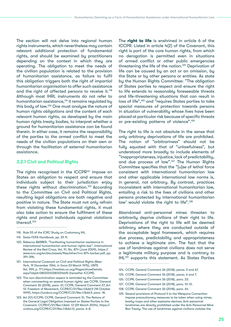The section will not delve into regional human rights instruments, which nevertheless may contain relevant additional protection of fundamental rights, and should be examined by practitioners depending on the context in which they are operating. The obligation to meet the needs of the civilian population is related to the provision of humanitarian assistance, as failure to fulfil this obligation triggers both the right of impartial humanitarian organisation to offer such assistance and the right of affected persons to receive it.<sup>118</sup> Although most IHRL instruments do not refer to humanitarian assistance,<sup>119</sup> it remains regulated by this body of law.120 One must analyse the nature of human rights obligations and the content of each relevant human rights, as developed by the main human rights treaty bodies, to interpret whether a ground for humanitarian assistance can be found therein. In either case, it remains the responsibility of the parties to the armed conflict to meet the needs of the civilian populations on their own or through the facilitation of external humanitarian assistance.

#### 3.2.1 Civil and Political Rights

The rights recognised in the ICCPR<sup>121</sup> impose on States an obligation to respect and ensure that individuals subject to their jurisdiction enjoy these rights without discrimination.<sup>122</sup> According to the Committee on Civil and Political Rights, resulting legal obligations are both negative and positive in nature. The State must not only refrain from violating these fundamental rights, it must also take action to ensure the fulfilment of these rights and protect individuals against violations thereof.123

The **right to life** is enshrined in article 6 of the ICCPR. Listed in article 4(2) of the Covenant, this right is part of the core human rights, from which no derogation is permitted even in situations of armed conflict or other public emergencies threatening the life of the nation.<sup>124</sup> Deprivation of life can be caused by an act or an omission, by the State or by other persons or entities. As state by the Human Rights Committee: "The obligation of States parties to respect and ensure the right to life extends to reasonably foreseeable threats and life-threatening situations that can result in loss of life",125 and "requires States parties to take special measures of protection towards persons in situation of vulnerability whose lives have been placed at particular risk because of specific threats or pre-existing patterns of violence".<sup>126</sup>

The right to life is not absolute in the sense that only arbitrary deprivations of life are prohibited. The notion of "arbitrariness" should not be fully equated with that of "unlawfulness", but understood more broadly to include elements of "inappropriateness, injustice, lack of predictability, and due process of law".127 The Human Rights Committee specifies that the "[u]se of lethal force consistent with international humanitarian law and other applicable international law norms is, in general, not arbitrary. By contrast, practices inconsistent with international humanitarian law, entailing a risk to the lives of civilians and other persons protected by international humanitarian law' would violate the right to life".<sup>128</sup>

Abandoned anti-personnel mines threaten to arbitrarily deprive civilians of their right to life. Deprivations of the right to life will be deemed arbitrary where they are conducted outside of the acceptable legal framework, which requires due process, predictability and appropriateness to achieve a legitimate aim. The fact that the use of landmines against civilians does not serve a legitimate military purpose and is contrary to IHL129 supports this statement. As States Parties

- 126. CCPR, General Comment 36 (2018), para. 23.
- 127. CCPR, General Comment 36 (2018), para. 10-12.
- 128. CCPR, General Comment 36 (2018), para. 64.

<sup>118.</sup> Rule 55 of the ICRC Study on Customary IHL.

<sup>119.</sup> Swiss FDFA Handbook, pp. 29 ff.

<sup>120.</sup> Rebecca BARBER, "Facilitating humanitarian assistance in international humanitarian and human rights law", International Review of the Red Cross, Vol. 91, No. 874 (June 2009), [https://](https://www.icrc.org/en/doc/assets/files/other/irrc-874-barber.pdf, pp. 391-396) [www.icrc.org/en/doc/assets/files/other/irrc-874-barber.pdf, pp.](https://www.icrc.org/en/doc/assets/files/other/irrc-874-barber.pdf, pp. 391-396)  [391-396.](https://www.icrc.org/en/doc/assets/files/other/irrc-874-barber.pdf, pp. 391-396)

<sup>121.</sup> International Covenant on Civil and Political Rights (New-York, 19 December 1966, in force 23 March 1976), UNTS Vol. 999, p. 171,[https://treaties.un.org/Pages/showDetails.](https://treaties.un.org/Pages/showDetails.aspx?objid=0800000280004bf5) [aspx?objid=0800000280004bf5](https://treaties.un.org/Pages/showDetails.aspx?objid=0800000280004bf5) (hereafter ICCPR).

<sup>122.</sup> The non-discrimination aspect is reminded by the Committee when commenting on several human rights: see CCPR, General Comment 36 (2018), para. 61; CCPR, General Comment 27, Art 12: Freedom of Movement, CCPR/C/21/Rev.1/Add.9 (18 October 1999), <https://undocs.org/CCPR/C/21/Rev.1/Add.9, para. 18>.

<sup>123.</sup> Art 2(1) ICCPR; CCPR, General Comment 31, The Nature of the General Legal Obligation Imposed on States Parties to the Covenant, CCPR/C/21/Rev.1/Add. 13 (29 March 2004), [https://](https://undocs.org/CCPR/C/21/Rev.1/Add.13) [undocs.org/CCPR/C/21/Rev.1/Add.13,](https://undocs.org/CCPR/C/21/Rev.1/Add.13) paras. 6-8.

<sup>124.</sup> CCPR, General Comment 36 (2018), paras. 2 and 67.

<sup>125.</sup> CCPR, General Comment 36 (2018), paras. 6 and 7.

<sup>129.</sup> Several provisions of Protocol II to the Weapons Convention impose precautionary measures to be taken when using mines, booby-traps and other explosive devices; Anti-personnel landmines are directly prohibited under the Anti-Personnel Mine Ban Treatu; The use of landmines against civilians violates the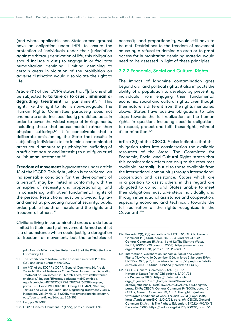(and where applicable non-State armed groups) have an obligation under IHRL to ensure the protection of individuals under their jurisdiction against arbitrary deprivation of life, this obligation should include a duty to engage in or facilitate humanitarian demining. Limiting demining to certain areas in violation of the prohibition on adverse distinction would also violate the right to life.

Article 7(1) of the ICCPR states that "[n]o one shall be subjected to **torture or to cruel, inhuman or degrading treatment** or punishment".130 This right, like the right to life, is non-derogable. The Human Rights Committee purposely does not enumerate or define specifically prohibited acts, in order to cover the widest range of infringements, including those that cause mental rather than physical suffering.131 It is conceivable that a deliberate omission by the State that results in subjecting individuals to life in mine-contaminated areas could amount to psychological suffering of a sufficient nature and intensity to qualify as cruel or inhuman treatment.<sup>132</sup>

**Freedom of movement** is guaranteed under article 12 of the ICCPR. This right, which is considered "an indispensable condition for the development of a person", may be limited in conformity with the principles of necessity and proportionality, and in consistency with other fundamental rights of the person. Restrictions must be provided by law and aimed at protecting national security, public order, public health or morals and the rights and freedom of others.<sup>133</sup>

Civilians living in contaminated areas are de facto limited in their liberty of movement. Armed conflict is a circumstance which could justify a derogation to freedom of movement, but the principles of

necessity and proportionality would still have to be met. Restrictions to the freedom of movement cause by a refusal to demine an area or to grant access for humanitarian demining material would need to be assessed in light of these principles.

#### 3.2.2 Economic, Social and Cultural Rights

The impact of landmine contamination goes beyond civil and political rights: it also impacts the ability of a population to develop, by preventing individuals from enjoying their fundamental economic, social and cultural rights. Even though their nature is different from the rights mentioned above, States have positive obligations to take steps towards the full realization of the human rights in question, including specific obligations to respect, protect and fulfil these rights, without discrimination.<sup>134</sup>

Article 2(1) of the ICESCR<sup>135</sup> also indicates that this obligation takes into consideration the available resources of the State. The Committee for Economic, Social and Cultural Rights states that this consideration refers not only to the resources available internally, but also those available from the international community through international cooperation and assistance. States which are in a position to assist others in this regard are obligated to do so, and States unable to meet their obligations must take steps individually and through international assistance and cooperation, especially economic and technical, towards the full realization of the rights recognized in the Covenant.<sup>136</sup>

principle of distinction; See Rules 1 and 81 of the ICRC Study on Customary IHL.

<sup>130.</sup> The prohibition of torture is also enshrined in article 2 of the CAT, and article 37(a) of the CRC.

<sup>131.</sup> Art 4(2) of the ICCPR ; CCPR, General Comment 20, Article 7 - Prohibition of Torture, or Other Cruel, Inhuman or Degrading Treatment or Punishment (10 March 1992), [https://tbinternet.](https://tbinternet.ohchr.org/_layouts/15/treatybodyexternal/Download.aspx?symbolno=INT%2fCCPR%2fGEC%) [ohchr.org/\\_layouts/15/treatybodyexternal/Download.](https://tbinternet.ohchr.org/_layouts/15/treatybodyexternal/Download.aspx?symbolno=INT%2fCCPR%2fGEC%) [aspx?symbolno=INT%2fCCPR%2fGEC%2f6621&Lang=en,](https://tbinternet.ohchr.org/_layouts/15/treatybodyexternal/Download.aspx?symbolno=INT%2fCCPR%2fGEC%) paras. 3-5; David WEISSBRODT, Cheryl HEILMAN, "Defining Torture and Cruel, Inhuman, and Degrading Treatment", Law & Inequality, Vol. 29 No. 343 (2011), https://scholarship.law.umn. edu/faculty\_articles/366, pp. 352-353.

<sup>132.</sup> Ibid, pp. 377-388.

<sup>133.</sup> CCPR, General Comment 27 (1999), paras. 1-2 and 11-18.

<sup>134.</sup> See Arts. 2(1), 2(2) and article 3 of ICESCR; CESCR, General Comment 14 (2000), paras. 18, 30, 33 and 52; CESCR, General Comment 15, Arts. 11 and 12: The Right to Water, E/C.12/2002/11 (20 January 2003), [https://www.undocs.](https://www.undocs.org/e/c.12/2002/11) [org/e/c.12/2002/11,](https://www.undocs.org/e/c.12/2002/11) paras. 13-16, 23 and 37.

<sup>135.</sup> International Covenant on Economic, Social and Cultural Rights (New York, 16 December 1966, in force 3 January 1976), UNTS Vol. 993, p. 3, [https://treaties.un.org/Pages/showDetails.](https://treaties.un.org/Pages/showDetails.aspx?objid=080000028002b6ed) [aspx?objid=080000028002b6ed](https://treaties.un.org/Pages/showDetails.aspx?objid=080000028002b6ed) (hereafter ICESCR).

<sup>136.</sup> CESCR, General Comment 3, Art. 2(1): The Nature of States Parties' Obligations, E/1991/23 (14 December 1990), [https://tbinternet.ohchr.](https://tbinternet.ohchr.org/_layouts/15/treatybodyexternal/Download.aspx?symbolno=INT%2fCESCR%2fGEC) [org/\\_layouts/15/treatybodyexternal/Download.](https://tbinternet.ohchr.org/_layouts/15/treatybodyexternal/Download.aspx?symbolno=INT%2fCESCR%2fGEC) [aspx?symbolno=INT%2fCESCR%2fGEC%2f4758&Lang=en](https://tbinternet.ohchr.org/_layouts/15/treatybodyexternal/Download.aspx?symbolno=INT%2fCESCR%2fGEC), paras. 13-14; CESCR, General Comment 14 (2000), para. 40; CESCR, General Comment 23, Art. 7: The right to just and favourable conditions of work, E/C.12/GC/23 (7 April 2016), [https://undocs.org/E/C.12/GC/23,](https://undocs.org/E/C.12/GC/23) para. 67; CESCR, General Comment 13, Art. 13: The Right to Education, E/C.12/1999/10 (8 December 1999), [https://undocs.org/E/C.12/1999/10,](https://undocs.org/E/C.12/1999/10) para. 56.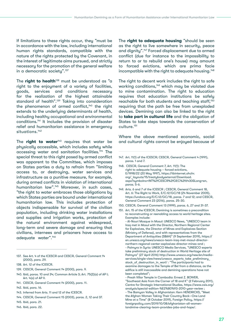If limitations to these rights occur, they "must be in accordance with the law, including international human rights standards, compatible with the nature of the rights protected by the Covenant, in the interest of legitimate aims pursued, and strictly necessary for the promotion of the general welfare in a democratic society".<sup>137</sup>

The **right to health**138 must be understood as "a right to the enjoyment of a variety of facilities, goods, services and conditions necessary for the realization of the highest attainable standard of health".139 Taking into consideration the phenomenon of armed conflict, $140$  the right extends to the underlying determinants of health, including healthy occupational and environmental conditions.141 It includes the provision of disaster relief and humanitarian assistance in emergency situations.<sup>142</sup>

The **right to water**<sup>143</sup> requires that water be physically accessible, which includes safety while accessing water and sanitation facilities.<sup>144</sup> The special threat to this right posed by armed conflict was apparent to the Committee, which imposes on States parties a duty to refrain from "limiting access to, or destroying, water services and infrastructure as a punitive measure, for example, during armed conflicts in violation of international humanitarian law".145 Moreover, in such cases, "the right to water embraces those obligations by which States parties are bound under international humanitarian law. This includes protection of objects indispensable for survival of the civilian population, including drinking water installations and supplies and irrigation works, protection of the natural environment against widespread, long-term and severe damage and ensuring that civilians, internees and prisoners have access to adequate water".146

139. CESCR, General Comment 14 (2000), para. 9.

142. Ibid, para. 16.

- 145. Ibid, para. 21.
- 146. Ibid, para. 22.

The **right to adequate housing** "should be seen as the right to live somewhere in security, peace and dignity".147 Forced displacement due to armed conflict (due for instance to the impossibility to return to or to rebuild one's house) may amount to forced evictions, which are prima facie incompatible with the right to adequate housing.<sup>148</sup>

The right to decent work includes the right to safe working conditions,<sup>149</sup> which may be violated due to mine contamination. The right to education requires that education institutions be safely reachable for both students and teaching staff,<sup>150</sup> requiring that the path be free from unexploded devices. Demining can also be linked to the right to **take part in cultural life** and the obligation of States to take steps towards the conservation of culture.151

Where the above mentioned economic, social and cultural rights cannot be enjoyed because of

151. Art. 15 of the ICESCR; Demining is sometimes a precondition to reconstructing or reenabling access to world heritage sites. Examples include:

<sup>137.</sup> See Art. 4 of the ICESCR and CESCR, General Comment 14 (2000), para. 29.

<sup>138.</sup> Art. 12 of the ICESCR.

<sup>140.</sup> Ibid, paras. 10 and 34; Common Article 3; Art. 75(2)(a) of AP I; Art. 4(a) of AP II.

<sup>141.</sup> CESCR, General Comment 14 (2000), para. 11.

<sup>143.</sup> Inferred from Arts. 11 and 12 of the ICESCR.

<sup>144.</sup> CESCR, General Comment 15 (2003), paras. 2, 12 and 37.

<sup>147.</sup> Art. 11(1) of the ICESCR; CESCR, General Comment 4 (1991), paras. 1 and 7.

<sup>148.</sup> CESCR, General Comment 7, Art. 11(1): The right to adequate housing – forced evictions, E/1998/22 (20 May 1997), [https://tbinternet.ohchr.](https://tbinternet.ohchr.org/_layouts/15/treatybodyexternal/Download.aspx?symbolno=INT%2fCESCR%2fGEC) [org/\\_layouts/15/treatybodyexternal/Download.](https://tbinternet.ohchr.org/_layouts/15/treatybodyexternal/Download.aspx?symbolno=INT%2fCESCR%2fGEC) [aspx?symbolno=INT%2fCESCR%2fGEC%2f6430&Lang=en](https://tbinternet.ohchr.org/_layouts/15/treatybodyexternal/Download.aspx?symbolno=INT%2fCESCR%2fGEC), paras. 5-6.

<sup>149.</sup> Arts. 6 and 7 of the ICESCR ; CESCR, General Comment 18, Art. 6: The Right to Work, E/C.12/GC/18 (24 November 2005), [https://undocs.org/E/C.12/GC/18,](https://undocs.org/E/C.12/GC/18) paras. 7 and 12; and CESCR, General Comment 23 (2016), paras. 25-30.

<sup>150.</sup> CESCR, General Comment 13 (1999), paras. 6, 27 and 31-37.

<sup>-</sup> Al-Nouri Mosque in Mosul: UNESCO News, "UNESCO team in Iraq met in Mosul with the Director, Northern Regional Center for Explosives, the Director of Mines and Explosives Section (Ministry of Defense), and with representatives from the Department of Antiquities (SBAH)" (9 September 2019), [https://](https://en.unesco.org/news/unesco-team-iraq-met-mosul-director-northern-regional-center-explosives-d) [en.unesco.org/news/unesco-team-iraq-met-mosul-director](https://en.unesco.org/news/unesco-team-iraq-met-mosul-director-northern-regional-center-explosives-d)[northern-regional-center-explosives-director-mines-and](https://en.unesco.org/news/unesco-team-iraq-met-mosul-director-northern-regional-center-explosives-d) ; - Palmyra in Syria: UNESCO Media Services, "UNESCO experts take preliminary stock of destruction in World Heritage site of Palmyra" (27 April 2016) [http://www.unesco.org/new/en/media](http://www.unesco.org/new/en/media-services/single-view/news/unesco_experts_take_preliminary_stock_o)services/single-view/news/unesco\_experts\_take\_preliminary stock of destruction in worl/ : "The participants had to examine damages to the Temple of Bel from a distance, as the edifice is still inaccessible and demining operations have not been completed";

<sup>-</sup> Preah Villar Temple in Cambodia: Ernest Z. BOWER, "Southeast Asia from the Corner of 18 and K" (2 February 2011), Centre for Strategic International Studies, [https://www.csis.org/](https://www.csis.org/analysis/special-edition-%E2%80%93-2010-year-review) [analysis/special-edition-%E2%80%93-2010-year-review](https://www.csis.org/analysis/special-edition-%E2%80%93-2010-year-review) ; - The Bamyan Valley in Afghanistan: Kern HENDRICKS, "Meet the Afghan Women Taking Their Country Back—One Land Mine at a Time" (8 October 2019), Foreign Policy, [https://](https://foreignpolicy.com/2019/10/08/afghanistan-all-women-landmine-clearing-team-provides-jobs-and-) [foreignpolicy.com/2019/10/08/afghanistan-all-women](https://foreignpolicy.com/2019/10/08/afghanistan-all-women-landmine-clearing-team-provides-jobs-and-)[landmine-clearing-team-provides-jobs-and-hope/](https://foreignpolicy.com/2019/10/08/afghanistan-all-women-landmine-clearing-team-provides-jobs-and-).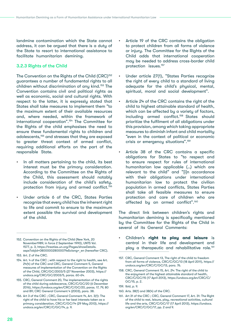landmine contamination which the State cannot address, it can be argued that there is a duty of the State to resort to international assistance to facilitate humanitarian demining.

# 3.2.3 Rights of the Child

The Convention on the Rights of the Child (CRC)<sup>152</sup> guarantees a number of fundamental rights to all children without discrimination of any kind.153 The Convention contains civil and political rights as well as economic, social and cultural rights. With respect to the latter, it is expressly stated that States shall take measures to implement them "to the maximum extent of their available resources and, where needed, within the framework of international cooperation".154 The Committee for the Rights of the child emphasises the need to ensure these fundamental rights to children and adolescents,155 and stresses that they are exposed to greater threat context of armed conflict, requiring additional efforts on the part of the responsible State.

- In all matters pertaining to the child, its best interest must be the primary consideration. According to the Committee on the Rights of the Child, this assessment should notably include consideration of the child's safety, protection from injury and armed conflict.<sup>156</sup>
- Under article 6 of the CRC, States Parties recognize that every child has the inherent right to life and commit to ensure to the maximum extent possible the survival and development of the child.

- 155. CRC, General Comment 20, The implementation of the rights of the child during adolescence, CRC/C/GC/20 (6 December 2016), [https://undocs.org/en/CRC/C/GC/20,](https://undocs.org/en/CRC/C/GC/20) paras. 17, 79, 80 and 89; CRC General Comment 4 (2003), para. 38.
- 156. Art 3 of the CRC ; CRC, General Comment 14, Art. 3(1): The right of the child to have his or her best interests taken as a primary consideration, CRC/C/GC/14 (29 May 2013), [https://](https://undocs.org/en/CRC/C/GC/14, p. 9) [undocs.org/en/CRC/C/GC/14, p. 9](https://undocs.org/en/CRC/C/GC/14, p. 9).
- Article 19 of the CRC contains the obligation to protect children from all forms of violence or injury. The Committee for the Rights of the Child adds that international cooperation may be needed to address cross-border child protection issues.157
- Under article 27(1), "States Parties recognize the right of every child to a standard of living adequate for the child's physical, mental, spiritual, moral and social development".
- Article 24 of the CRC contains the right of the child to highest attainable standard of health, which can be affected by a variety of factors, including armed conflict.158 States should prioritize the fulfilment of all obligations under this provision, among which taking appropriate measures to diminish infant and child mortality "even in the context of political or economic crisis or emergency situations".159
- Article 38 of the CRC contains a specific obligations for States to "to respect and to ensure respect for rules of international humanitarian law applicable (…) which are relevant to the child" and "[i]n accordance with their obligations under international humanitarian law to protect the civilian population in armed conflicts, States Parties shall take all feasible measures to ensure protection and care of children who are affected by an armed conflict".160

The direct link between children's rights and humanitarian demining is specifically mentioned by the Committee for the Rights of the Child in several of its General Comments:

• Children's **right to play and leisure** is central in their life and development and play a therapeutic and rehabilitative role.<sup>161</sup>

- 160. Arts. 38(1) and 38(4) of the CRC.
- 161. Art 31 of the CRC ; CRC, General Comment 17, Art. 31: The Right of the child to rest, leisure, play, recreational activities, cultural life and the arts, CRC/C/GC/17 (17 April 2013), [https://undocs.](https://undocs.org/en/CRC/C/GC/17) [org/en/CRC/C/GC/17,](https://undocs.org/en/CRC/C/GC/17) pp. 2 and 9.

<sup>152.</sup> Convention on the Rights of the Child (New York, 20 November1989, in force 2 September 1990), UNTS Vol. 1577, p. 3, [https://treaties.un.org/Pages/showDetails.](https://treaties.un.org/Pages/showDetails.aspx?objid=08000002800007fe&clang=_en) [aspx?objid=08000002800007fe&clang=\\_en](https://treaties.un.org/Pages/showDetails.aspx?objid=08000002800007fe&clang=_en) (hereafter CRC).

<sup>153.</sup> Art. 2 of the CRC.

<sup>154.</sup> Art. 4 of the CRC ; with respect to the right to health, see Art. 24(4) of the CRC and CRC, General Comment 5, General measures of implementation of the Convention on the Rights of the Child, CRC/GC/2003/5 (27 November 2003), [https://](https://undocs.org/CRC/GC/2003/5) [undocs.org/CRC/GC/2003/5,](https://undocs.org/CRC/GC/2003/5) paras. 60-64.

<sup>157.</sup> CRC, General Comment 13, The right of the child to freedom from all forms of violence, CRC/C/GC/13 (18 April 2011), [https://](https://undocs.org/en/CRC/C/GC/13) [undocs.org/en/CRC/C/GC/13,](https://undocs.org/en/CRC/C/GC/13) para. 76.

<sup>158.</sup> CRC, General Comment 15, Art. 24: The right of the child to the enjoyment of the highest attainable standard of health, CRC/C/GC/15 (17 April 2013), [https://undocs.org/en/CRC/C/](https://undocs.org/en/CRC/C/GC/15) [GC/15,](https://undocs.org/en/CRC/C/GC/15) p. 2.

<sup>159.</sup> Ibid, p. 9.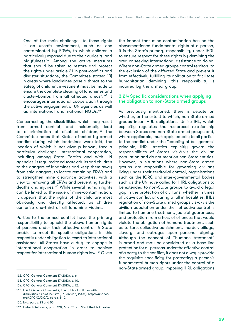One of the main challenges to these rights is an unsafe environment, such as one contaminated by ERWs, to which children a particularly exposed due to their curiosity and playfulness.162 Among the active measures that should be taken to restore and protect the rights under article 31 in post-conflict and disaster situations, the Committee states: "[i] n areas where landmines pose a threat to the safety of children, investment must be made to ensure the complete clearing of landmines and cluster-bombs from all affected areas".163 It encourages international cooperation through the active engagement of UN agencies as well as international and national NGOs.164

Concerned by the **disabilities** which may result from armed conflict, and incidentally lead to discrimination of disabled children,165 the Committee notes that States affected by armed conflict during which landmines were laid, the location of which is not always known, face a particular challenge. International cooperation, including among State Parties and with UN agencies, is required to educate adults and children to the dangers of landmines and keep them away from said dangers, to locate remaining ERWs and to strengthen mine clearance activities, with a view to removing all ERWs and preventing further deaths and injuries.<sup>166</sup> While several human rights can be linked to the issue of mine-contamination, it appears that the rights of the child are most obviously and directly affected, as children comprise one-third of all landmine victims.

Parties to the armed conflict have the primary responsibility to uphold the above human rights of persons under their effective control. A State unable to meet its specific obligations in this respect is under obligation to resort to international assistance. All States have a duty to engage in international cooperation in order to achieve respect for international human rights law.167 Given

the impact that mine contamination has on the abovementioned fundamental rights of a person, it is the State's primary responsibility under IHRL to ensure respect for these rights by demining the area or seeking international assistance to do so. Where non-State armed groups control territory to the exclusion of the affected State and prevent it from effectively fulfilling its obligation to facilitate humanitarian demining, this responsibility is incurred by the armed group.

#### 3.2.4 Specific considerations when applying the obligation to non-State armed groups

As previously mentioned, there is debate on whether, or the extent to which, non-State armed groups incur IHRL obligations. Unlike IHL, which explicitly regulates the reciprocal relationship between States and non-State armed groups and, where applicable, must apply equally to all parties to the conflict under the "equality of belligerents" principle, IHRL treaties explicitly govern the responsibilities of States vis-à-vis the civilian population and do not mention non-State entities. However, in situations where non-State armed groups are responsible for governing civilians living under their territorial control, organisations such as the ICRC and inter-governmental bodies such as the UN have called for IHRL obligations to be extended to non-State groups to avoid a legal gap in the protection of civilians, whether in times of active conflict or during a lull in hostilities. IHL's regulation of non-State armed groups vis-à-vis the civilian population under their effective control is limited to humane treatment, judicial guarantees, and protection from a host of offences that would violate the obligation of humane treatment, such as torture, collective punishment, murder, pillage, slavery, and outrages upon personal dignity. Although the concept of "humane treatment" is broad and may be considered as a base-line protection for all persons under the effective control of a party to the conflict, it does not always provide the requisite specificity for protecting a person's fundamental human rights under the control of a non-State armed group. Imposing IHRL obligations

165. CRC, General Comment 9, The rights of children with disabilities, CRC/C/GC/9 (27 February 2007), [https://undocs.](https://undocs.org/CRC/C/GC/9) [org/CRC/C/GC/9](https://undocs.org/CRC/C/GC/9), paras. 8-10.

<sup>162.</sup> CRC, General Comment 17 (2013), p. 6.

<sup>163.</sup> CRC, General Comment 17 (2013), p. 10.

<sup>164.</sup> CRC, General Comment 17 (2013), p. 12.

<sup>166.</sup> Ibid, paras. 23 and 55.

<sup>167.</sup> Oxford Guidance, para. 128; Arts. 55 and 56 of the UN Charter.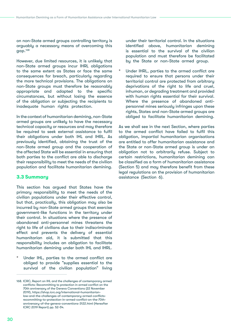<span id="page-30-0"></span>on non-State armed groups controlling territory is arguably a necessary means of overcoming this gap.168

However, due limited resources, it is unlikely that non-State armed groups incur IHRL obligations to the same extent as States or face the same consequences for breach, particularly regarding the more technical provisions. The obligations on non-State groups must therefore be reasonably appropriate and adapted to the specific circumstances, but without losing the essence of the obligation or subjecting the recipients to inadequate human rights protection.

In the context of humanitarian demining, non-State armed groups are unlikely to have the necessary technical capacity or resources and may therefore be required to seek external assistance to fulfil their obligations under both IHL and IHRL. As previously identified, obtaining the trust of the non-State armed group and the cooperation of the affected State will be essential in ensuring that both parties to the conflict are able to discharge their responsibility to meet the needs of the civilian population and facilitate humanitarian demining.

# **3.3 Summary**

This section has argued that States have the primary responsibility to meet the needs of the civilian populations under their effective control, but that, practically, this obligation may also be incurred by non-State armed groups that exercise government-like functions in the territory under their control. In situations where the presence of abandoned anti-personnel mines threatens the right to life of civilians due to their indiscriminate effect and prevents the delivery of essential humanitarian aid, it is submitted that this responsibility includes an obligation to facilitate humanitarian demining under both IHL and IHRL.

Under IHL, parties to the armed conflict are obliged to provide "supplies essential to the survival of the civilian population" living

under their territorial control. In the situations identified above, humanitarian demining is essential to the survival of the civilian population and must therefore be facilitated by the State or non-State armed group.

Under IHRL, parties to the armed conflict are required to ensure that persons under their territorial control are protected from arbitrary deprivations of the right to life and cruel, inhuman, or degrading treatment and provided with human rights essential for their survival. Where the presence of abandoned antipersonnel mines seriously infringes upon these rights, States and non-State armed groups are obliged to facilitate humanitarian demining.

As we shall see in the next Section, where parties to the armed conflict have failed to fulfil this obligation, impartial humanitarian organisations are entitled to offer humanitarian assistance and the State or non-State armed group is under an obligation not to arbitrarily refuse. Subject to certain restrictions, humanitarian demining can be classified as a form of humanitarian assistance (Section 5) and may therefore benefit from these legal regulations on the provision of humanitarian assistance (Section 6).

<sup>168.</sup> ICRC, Report on IHL and the challenges of contemporary armed conflicts: Recommitting to protection in armed conflict on the 70th anniversary of the Geneva Conventions (22 November 2019), [https://shop.icrc.org/international-humanitarian](https://shop.icrc.org/international-humanitarian-law-and-the-challenges-of-contemporary-armed-confli)[law-and-the-challenges-of-contemporary-armed-conflicts](https://shop.icrc.org/international-humanitarian-law-and-the-challenges-of-contemporary-armed-confli)[recommitting-to-protection-in-armed-conflict-on-the-70th](https://shop.icrc.org/international-humanitarian-law-and-the-challenges-of-contemporary-armed-confli)[anniversary-of-the-geneva-conventions-3122.html](https://shop.icrc.org/international-humanitarian-law-and-the-challenges-of-contemporary-armed-confli) (Hereafter ICRC 2019 Report) pp. 52-54.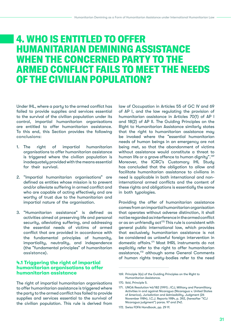# <span id="page-31-0"></span>4. WHO IS ENTITLED TO OFFER HUMANITARIAN DEMINING ASSISTANCE WHEN THE CONCERNED PARTY TO THE ARMED CONFLICT FAILS TO MEET THE NEEDS OF THE CIVILIAN POPULATION?

Under IHL, where a party to the armed conflict has failed to provide supplies and services essential to the survival of the civilian population under its control, impartial humanitarian organisations are entitled to offer humanitarian assistance. To this end, this Section provides the following conclusions:

- 1. The right of impartial humanitarian organisations to offer humanitarian assistance is triggered where the civilian population is inadequately provided with the means essential for their survival.
- 2. "Impartial humanitarian organisations" are defined as entities whose mission is to prevent and/or alleviate suffering in armed conflict and who are capable of acting effectively and are worthy of trust due to the humanitarian and impartial nature of the organisation.
- 3. "Humanitarian assistance" is defined as activities aimed at preserving life and personal security, alleviating suffering, and addressing the essential needs of victims of armed conflict that are provided in accordance with the fundamental principles of humanity, impartiality, neutrality, and independence (the "fundamental principles" of humanitarian assistance).

## **4.1 Triggering the right of impartial humanitarian organisations to offer humanitarian assistance**

The right of impartial humanitarian organisations to offer humanitarian assistance is triggered where the party to the armed conflict has failed to provide supplies and services essential to the survival of the civilian population. This rule is derived from law of Occupation in Articles 55 of GC IV and 69 of AP I, and the law regulating the provision of humanitarian assistance in Articles 70(1) of AP I and 18(2) of AP II. The Guiding Principles on the Right to Humanitarian Assistance similarly states that the right to humanitarian assistance may be invoked where the "essential humanitarian needs of human beings in an emergency are not being met, so that the abandonment of victims without assistance would constitute a threat to human life or a grave offence to human dignity".<sup>169</sup> Moreover, the ICRC's Customary IHL Study has concluded that the obligation to allow and facilitate humanitarian assistance to civilians in need is applicable in both international and noninternational armed conflicts and the content of these rights and obligations is essentially the same in both typologies.

Providing the offer of humanitarian assistance comes from an impartial humanitarian organisation that operates without adverse distinction, it shall not be regarded as interference in the armed conflict or as an unfriendly act<sup>170</sup> This rule is consistent with general public international law, which provides that exclusively humanitarian assistance is not be considered as unlawful foreign intervention in domestic affairs.171 Most IHRL instruments do not explicitly refer to the right to offer humanitarian assistance,172 although some General Comments of human rights treaty-bodies refer to the need

172. Swiss FDFA Handbook, pp. 29 ff.

<sup>169.</sup> Principle 3(a) of the Guiding Principles on the Right to Humanitarian Assistance.

<sup>170.</sup> Ibid, Principle 5.

<sup>171.</sup> UNGA Resolution 46/182 (1991) ; ICJ, Military and Paramilitary Activities in and against Nicaragua (Nicaragua v. United States of America), Jurisdiction and Admissibility, Judgment (26 November 1984), I.C.J. Reports 1984, p. 392, (hereafter "ICJ Nicaragua judgment") paras. 97 and 242.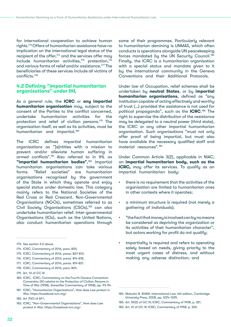<span id="page-32-0"></span>for international cooperation to achieve human rights.173 Offers of humanitarian assistance have no implication on the international legal status of the recipient of the offer, $174$  and the services offer may include humanitarian activities, $175$  protection, $176$ and various forms of relief and/or assistance.177 The beneficiaries of these services include all victims of conflicts.178

## **4.2 Defining "impartial humanitarian organisations" under IHL**

As a general rule, the **ICRC** or **any impartial humanitarian organisation** may, subject to the consent of the Parties to the conflict concerned, undertake humanitarian activities for the protection and relief of civilian persons.<sup>179</sup> The organisation itself, as well as its activities, must be humanitarian and impartial.<sup>180</sup>

The ICRC defines impartial humanitarian organisations as "[e]ntities with a mission to prevent and/or alleviate human suffering in armed conflicts".181 Also referred to in IHL as **"impartial humanitarian bodies"**, 182 impartial humanitarian organisations can take various forms. "Relief societies" are humanitarian organisations recognised by the government of the State in which they operate and enjoy special status under domestic law. This category mainly refers to the National Societies of the Red Cross or Red Crescent. Non-Governmental Organisations (NGOs), sometimes referred to as Civil Society Organisations (CSOs),<sup>183</sup> can also undertake humanitarian relief. Inter-governmental Organisations (IOs), such as the United Nations, also conduct humanitarian operations through

- 175. ICRC, Commentary of 2016, paras. 807-813.
- 176. ICRC, Commentary of 2016, paras. 814-818.
- 177. ICRC, Commentary of 2016, paras. 819-821.

- 179. Art. 10 of GC IV.
- 180. ICRC, ICRC, Commentary on the Fourth Geneva Convention: Convention (IV) relative to the Protection of Civilian Persons in Time of War (1958), (hereafter Commentary of 1958), pp. 93-94.
- 181. ICRC, "Humanitarian Organisations", How does Law protect in War, [https://casebook.icrc.org/.](https://casebook.icrc.org/)

182. Art 70(1) of AP I.

some of their programmes. Particularly relevant to humanitarian demining is UNMAS, which often conducts is operations alongside UN peacekeeping forces mandated by the UN Security Council.<sup>184</sup> Finally, the ICRC is a humanitarian organisation with a special status and mandate given to it by the international community in the Geneva Conventions and their Additional Protocols.

Under law of Occupation, relief schemes shall be undertaken by **neutral States**, or by **impartial humanitarian organisations**, defined as "any institution capable of acting effectively and worthy of trust (…) provided the assistance is not used for political propaganda", such as the **ICRC**. 185 The right to supervise the distribution of the assistance may be delegated to a neutral power (third state), the ICRC or any other impartial humanitarian organisation. Such organisations "must not only offer proof of being impartial, but must also have available the necessary qualified staff and material resources".186

Under Common Article 3(2), applicable in NIAC, an **impartial humanitarian body, such as the ICRC,** may offer its services. To qualify as an impartial humanitarian body:

- there is no requirement that the activities of the organisation are limited to humanitarian ones in other contexts where it operates;
- a minimum structure is required (not merely a gathering of individuals);
- "the fact that money is involved can by no means be considered as depriving the organization or its activities of their humanitarian character", but actors working for profit do not qualify;
- impartiality is required and refers to operating solely based on needs, giving priority to the most urgent cases of distress, and without making any adverse distinction; and

<sup>173.</sup> See section 3.2 above.

<sup>174.</sup> ICRC, Commentary of 2016, para. 805.

<sup>178.</sup> ICRC, Commentary of 2016, para. 824.

<sup>183.</sup> ICRC, "Non-Governmental Organisations", How does Law protect in War, <https://casebook.icrc.org/>.

<sup>184.</sup> Malcolm N. SHAW, International Law, 6th edition, Cambridge University Press, 2008, pp. 1224-1225.

<sup>185.</sup> Art. 59(2) of GC IV; ICRC, Commentary of 1958, p. 321.

<sup>186.</sup> Art. 61 of GC IV; ICRC, Commentary of 1958, p. 326.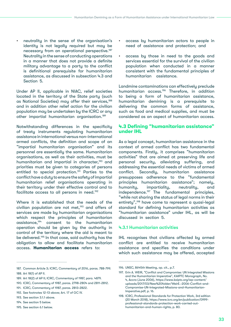<span id="page-33-0"></span>• neutrality in the sense of the organisation's identity is not legally required but may be necessary from an operational perspective.187 Neutrality in the sense of conducting operations in a manner that does not provide a definite military advantage to a party to the conflict is definitional prerequisite for humanitarian assistance, as discussed in subsection 4.3 and Section 5.

Under AP II, applicable in NIAC, relief societies located in the territory of the State party (such as National Societies) may offer their services.<sup>188</sup> and in addition other relief action for the civilian population may be undertaken by the ICRC or any other impartial humanitarian organisation.189

Notwithstanding differences in the specificity of treaty instruments regulating humanitarian assistance in international versus non-international armed conflicts, the definition and scope of an "impartial humanitarian organisation" and its personnel are essentially the same. Humanitarian organisations, as well as their activities, must be humanitarian and impartial in character,<sup>190</sup> and priorities must be given to categories of persons entitled to special protection.<sup>191</sup> Parties to the conflict have a duty to ensure the safety of impartial humanitarian relief organisations operating in their territory under their effective control and to facilitate access to all persons in need.192

Where it is established that the needs of the civilian population are not met,<sup>193</sup> and offers of services are made by humanitarian organisations which respect the principles of humanitarian assistance,194 consent to the humanitarian operation should be given by the authority in control of the territory where the aid is meant to be delivered.195 In that case, said authority has the obligation to allow and facilitate humanitarian access. **Humanitarian access** refers to:

- 194. See section 5 below.
- 195. See section 6.1 below.
- access by humanitarian actors to people in need of assistance and protection; and
- access by those in need to the goods and services essential for the survival of the civilian population when conducted in a manner consistent with the fundamental principles of humanitarian assistance.

Landmine contaminations can effectively preclude humanitarian access.196 Therefore, in addition to being a form of humanitarian assistance, humanitarian demining is a prerequisite to delivering the common forms of assistance, such as food and medical supplies, and must be considered as an aspect of humanitarian access.

### **4.3 Defining "humanitarian assistance" under IHL**

As a legal concept, humanitarian assistance in the context of armed conflict has two fundamental components. Firstly, it comprises "humanitarian activities" that are aimed at preserving life and personal security, alleviating suffering, and addressing the essential needs of victims of armed conflict. Secondly, humanitarian assistance presupposes adherence to the "fundamental principles humanitarian assistance"; namely, humanity, impartiality, neutrality, and independence.197 The fundamental principles, "while not sharing the status of legal norms in their entirety",<sup>198</sup> have come to represent a quasi-legal standard for defining humanitarian activities as "humanitarian assistance" under IHL, as will be discussed in section 5.

#### 4.3.1 Humanitarian activities

IHL recognises that civilians affected by armed conflict are entitled to receive humanitarian assistance and specifies the conditions under which such assistance may be offered, accepted

<sup>187.</sup> Common Article 3; ICRC, Commentary of 2016, paras. 788-799. 188. Art 18(1) of AP II.

<sup>189.</sup> Art 18(2) of AP II; ICRC, Commentary of 1987, para. 4879.

<sup>190.</sup> ICRC, Commentary of 1987, paras. 2798-2804 and 2811-2812.

<sup>191.</sup> ICRC, Commentary of 1987, paras. 2813-2822.

<sup>192.</sup> See footnotes 12-13 above; Art. 17 of GC IV.

<sup>193.</sup> See section 3.1.1 above.

<sup>196.</sup> UNSC, 8645th Meeting, op. cit., p.7.

<sup>197.</sup> Erin A. WEIR, "Conflict and Compromise: UN Integrated Missions and the Humanitarian Imperative", KAIPTC Monograph, No. 4, Accra (June 2006), [https://www.kaiptc.org/wp-content/](https://www.kaiptc.org/wp-content/uploads/2017/03/New%20folder/WeirE.-2006-Conflict-and-Compromise-U) [uploads/2017/03/New%20folder/WeirE.-2006-Conflict-and-](https://www.kaiptc.org/wp-content/uploads/2017/03/New%20folder/WeirE.-2006-Conflict-and-Compromise-U)[Compromise-UN-Integrated-Missions-and-Humanitarian-](https://www.kaiptc.org/wp-content/uploads/2017/03/New%20folder/WeirE.-2006-Conflict-and-Compromise-U)[Imperative.pdf,](https://www.kaiptc.org/wp-content/uploads/2017/03/New%20folder/WeirE.-2006-Conflict-and-Compromise-U) p. 16.

<sup>198.</sup> ICRC, Professional Standards for Protection Work, 3rd edition (20 March 2018), [https://www.icrc.org/en/publication/0999](https://www.icrc.org/en/publication/0999-professional-standards-protection-work-carried-out-humanita) [professional-standards-protection-work-carried-out](https://www.icrc.org/en/publication/0999-professional-standards-protection-work-carried-out-humanita)[humanitarian-and-human-rights](https://www.icrc.org/en/publication/0999-professional-standards-protection-work-carried-out-humanita), p. 80.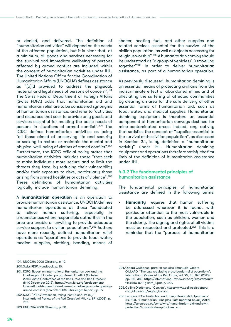or denied, and delivered. The definition of "humanitarian activities" will depend on the needs of the affected population, but it is clear that, at a minimum, all goods and services necessary for the survival and immediate wellbeing of persons affected by armed conflict are included within the concept of humanitarian activities under IHL. The United Nations Office for the Coordination of Humanitarian Affairs (UNOCHA) defines assistance as "[a]id provided to address the physical, material and legal needs of persons of concern".199 The Swiss Federal Department of Foreign Affairs (Swiss FDFA) adds that humanitarian aid and humanitarian relief are to be considered synonyms of humanitarian assistance, and refer to "activities and resources that seek to provide only goods and services essential for meeting the basic needs of persons in situations of armed conflict".200 The ICRC defines humanitarian activities as being "all those aimed at preserving life and security or seeking to restore or maintain the mental and physical well-being of victims of armed conflict".201 Furthermore, the ICRC official policy states that humanitarian activities includes those "that seek to make individuals more secure and to limit the threats they face, by reducing their vulnerability and/or their exposure to risks, particularly those arising from armed hostilities or acts of violence".202 These definitions of humanitarian activities logically include humanitarian demining.

A **humanitarian operation** is an operation to provide humanitarian assistance. UNOCHA defines humanitarian operations as those "conducted to relieve human suffering, especially in circumstances where responsible authorities in the area are unable or unwilling to provide adequate service support to civilian populations".<sup>203</sup> Authors have more recently defined humanitarian relief operations as "operations to provide food, water, medical supplies, clothing, bedding, means of shelter, heating fuel, and other supplies and related services essential for the survival of the civilian population, as well as objects necessary for religious worship".204 A humanitarian convoy should be understood as "a group of vehicles (…) travelling together"205 in order to deliver humanitarian assistance, as part of a humanitarian operation.

As previously discussed, humanitarian demining is an essential means of protecting civilians from the indiscriminate effect of abandoned mines and of alleviating the suffering of affected communities by clearing an area for the safe delivery of other essential forms of humanitarian aid, such as food, water, and medical supplies. Humanitarian demining equipment is therefore an essential component of humanitarian convoys destined for mine-contaminated areas. Indeed, any activity that satisfies the concept of "supplies essential to the survival of the civilian population", as discussed in Section 3.1, is by definition a "humanitarian activity" under IHL. Humanitarian demining equipment and operations therefore satisfy the first limb of the definition of humanitarian assistance under IHL.

### 4.3.2 The fundamental principles of humanitarian assistance

The fundamental principles of humanitarian assistance are defined in the following terms:

**• Humanity** requires that human suffering be addressed wherever it is found, with particular attention to the most vulnerable in the population, such as children, women and the elderly. The dignity and rights of all victims must be respected and protected.206 This is a reminder that the "purpose of humanitarian

<sup>199.</sup> UNOCHA 2008 Glossary, p. 10.

<sup>200.</sup>Swiss FDFA Handbook, p. 10.

<sup>201.</sup> ICRC, Report on International Humanitarian Law and the Challenges of Contemporary Armed Conflict (October 2015), 32nd Conference of the Red Cross and Red Crescent (8-10 December 2015), [https://www.icrc.org/en/document/](https://www.icrc.org/en/document/international-humanitarian-law-and-challenges-contemporary-armed-co) [international-humanitarian-law-and-challenges-contemporary](https://www.icrc.org/en/document/international-humanitarian-law-and-challenges-contemporary-armed-co)[armed-conflicts](https://www.icrc.org/en/document/international-humanitarian-law-and-challenges-contemporary-armed-co) (hereafter 2015 Challenges Report), p. 29.

<sup>202.</sup>ICRC, "ICRC Protection Policy: Institutional Policy," International Review of the Red Cross Vol. 90, No. 871 (2008), p. 752.

<sup>203.</sup>UNOCHA 2008 Glossary, p. 30.

<sup>204.</sup>Oxford Guidance, para. 5; see also Emanuela-Chiara GILLARD, "The Law regulating cross-border relief operations", International Review of the Red Cross, Vol. 95, No. 890 (2013), pp. 351–382, [https://international-review.icrc.org/sites/default/](https://international-review.icrc.org/sites/default/files/irrc-890-gillard_1.pdf) [files/irrc-890-gillard\\_1.pdf,](https://international-review.icrc.org/sites/default/files/irrc-890-gillard_1.pdf) p. 352.

<sup>205.</sup>Collins Dictionary, "Convoy", [https://www.collinsdictionary.](https://www.collinsdictionary.com/dictionary/english/convoy) [com/dictionary/english/convoy](https://www.collinsdictionary.com/dictionary/english/convoy).

<sup>206.</sup>European Civil Protection and Humanitarian Aid Operations (ECHO), Humanitarian Principles, (last updated 12 July 2019), [https://ec.europa.eu/echo/who/humanitarian-aid-and-civil](https://ec.europa.eu/echo/who/humanitarian-aid-and-civil-protection/humanitarian-principles_en)[protection/humanitarian-principles\\_en](https://ec.europa.eu/echo/who/humanitarian-aid-and-civil-protection/humanitarian-principles_en).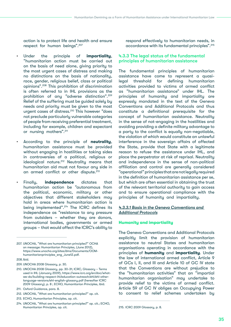action is to protect life and health and ensure respect for human beings".207

- Under the principle of **impartiality**, "humanitarian action must be carried out on the basis of need alone, giving priority to the most urgent cases of distress and making no distinctions on the basis of nationality, race, gender, religious belief, class or political opinions".208 This prohibition of discrimination is often referred to in IHL provisions as the prohibition of any "adverse distinction".209 Relief of the suffering must be guided solely by needs and priority must be given to the most urgent cases of distress.210 This however "does not preclude particularly vulnerable categories of people from receiving preferential treatment, including for example, children and expectant or nursing mothers".<sup>211</sup>
- According to the principle of **neutrality**, humanitarian assistance must be provided without engaging in hostilities or taking sides in controversies of a political, religious or ideological nature.<sup>212</sup> Neutrality means that humanitarian aid must not favour any side in an armed conflict or other dispute.<sup>213</sup>
- Finally, **independence** dictates that humanitarian action be "autonomous from the political, economic, military or other objectives that different stakeholders may hold in areas where humanitarian action is being implemented".214 The ICRC defines its independence as "resistance to any pressure from outsiders – whether they are donors, international bodies, governments or armed groups – that would affect the ICRC's ability to

respond effectively to humanitarian needs, in accordance with its fundamental principles".215

#### 4.3.3 The legal status of the fundamental principles of humanitarian assistance

The fundamental principles of humanitarian assistance have come to represent a quasilegal threshold for defining humanitarian activities provided to victims of armed conflict as "humanitarian assistance" under IHL. The principles of humanity and impartiality are expressly mandated in the text of the Geneva Conventions and Additional Protocols and thus constitute a definitional prerequisite for the concept of humanitarian assistance. Neutrality in the sense of not-engaging in the hostilities and avoiding providing a definite military advantage to a party to the conflict is equally non-negotiable, the violation of which would constitute an unlawful interference in the sovereign affairs of affected the State, provide that State with a legitimate reason to refuse the assistance under IHL, and place the perpetrator at risk of reprisal. Neutrality and independence in the sense of non-political affiliation and control are generally considered "operational" principles that are not legally required in the definition of humanitarian assistance per se, but which are often essential in obtaining the trust of the relevant territorial authority to gain access and to ensure operational compliance with the principles of humanity and impartiality.

#### *4.3.3.1 Basis in the Geneva Conventions and Additional Protocols*

#### **Humanity and impartiality**

The Geneva Conventions and Additional Protocols explicitly limit the provision of humanitarian assistance to neutral States and humanitarian organisations operating in accordance with the principles of **humanity** and **impartiality**. Under the law of international armed conflict, Article 9 of GCs I, II, and III and Article 10 of GC IV state that the Conventions are without prejudice to the "humanitarian activities" that an "impartial humanitarian organisation" may undertake to provide relief to the victims of armed conflict. Article 59 of GC IV obliges an Occupying Power to consent to relief schemes undertaken by

<sup>207.</sup> UNOCHA, "What are humanitarian principles?" OCHA on message: Humanitarian Principles, (June 2012), [https://www.unocha.org/sites/dms/Documents/OOM](https://www.unocha.org/sites/dms/Documents/OOM-humanitarianprinciples_eng_June12.pdf)[humanitarianprinciples\\_eng\\_June12.pdf.](https://www.unocha.org/sites/dms/Documents/OOM-humanitarianprinciples_eng_June12.pdf)

<sup>208.</sup>Ibid.

<sup>209.</sup> UNOCHA 2008 Glossary, p. 30.

<sup>210.</sup> UNOCHA 2008 Glossary, pp. 30-31; ICRC, Glossary – Terms used in IHL (January 2009), [https://www.icrc.org/en/doc/what](https://www.icrc.org/en/doc/what-we-do/building-respect-ihl/education-outreach/ehl/ehl-other-languag)[we-do/building-respect-ihl/education-outreach/ehl/ehl-other](https://www.icrc.org/en/doc/what-we-do/building-respect-ihl/education-outreach/ehl/ehl-other-languag)[language-versions/ehl-english-glossary.pdf](https://www.icrc.org/en/doc/what-we-do/building-respect-ihl/education-outreach/ehl/ehl-other-languag) (hereafter ICRC 2009 Glossary), p. 8 ; ECHO, Humanitarian Principles, ibid.

<sup>211.</sup> Oxford Guidance, para. 8.

<sup>212.</sup> UNOCHA, "What are humanitarian principles?" op. cit.

<sup>213.</sup> ECHO, Humanitarian Principles, op. cit.

<sup>214.</sup> UNOCHA, "What are humanitarian principles?" op. cit.; ECHO, Humanitarian Principles, op. cit. 215. ICRC 2009 Glossary, p. 8.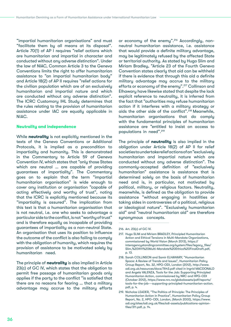"impartial humanitarian organisations" and must "facilitate them by all means at its disposal". Article 70(1) of AP I requires "relief actions which are humanitarian and impartial in character and conducted without any adverse distinction". Under the law of NIAC, Common Article 3 to the Geneva Conventions limits the right to offer humanitarian assistance to "an impartial humanitarian body" and Article 18(2) of AP II requires "relief actions for the civilian population which are of an exclusively humanitarian and impartial nature and which are conducted without any adverse distinction". The ICRC Customary IHL Study determines that the rules relating to the provision of humanitarian assistance under IAC are equally applicable in NIAC.

#### **Neutrality and independence**

While **neutrality** is not explicitly mentioned in the texts of the Geneva Conventions or Additional Protocols, it is implied as a precondition to impartiality and humanity. This is demonstrated in the Commentary to Article 59 of Geneva Convention IV, which states that "only those States which are neutral … are capable of providing guarantees of impartiality". The Commentary goes on to explain that the term "impartial humanitarian organisation" is wide enough to cover any institution or organisation "capable of acting effectively and worthy of trust", noting that the ICRC is explicitly mentioned because its "impartiality is assured". The implication from this text is that a humanitarian organisation that is not neutral, i.e. one who seeks to advantage a particular side to the conflict, is not "worthy of trust" and is therefore equally as incapable of providing guarantees of impartiality as a non-neutral State. An organisation that uses its position to influence the outcome of the conflict is also failing to comply with the obligation of humanity, which requires the provision of assistance to be motivated solely by humanitarian need.

The principle of **neutrality** is also implied in Article 23(c) of GC IV, which states that the obligation to permit free passage of humanitarian goods only applies if the party to the conflict "is satisfied that there are no reasons for fearing … that a military advantage may accrue to the military efforts

or economy of the enemy".216 Accordingly, nonneutral humanitarian assistance, i.e. assistance that would provide a definite military advantage, may be legitimately refused by the affected State or territorial authority. As stated by Hugo Slim and Miriam Bradley, "Article 23 of the Fourth Geneva Convention states clearly that aid can be withheld if there is evidence that through this aid a definite military advantage may accrue to the military efforts or economy of the enemy".<sup>217</sup> Collinson and Elhawary have likewise stated that despite the lack explicit reference to neutrality, it is inferred from the fact that "authorities may refuse humanitarian action if it interferes with a military strategy or aids the other side of the conflict".218 Meanwhile, humanitarian organisations that do comply with the fundamental principles of humanitarian assistance are "entitled to insist on access to populations in need".219

The principle of **neutrality** is also implied in the obligation under Article 18(2) of AP II for relief societies to undertake relief actions of an "exclusively humanitarian and impartial nature which are conducted without any adverse distinction". The commonly-accepted definition of "exclusively humanitarian" assistance is assistance that is determined solely on the basis of humanitarian need and is, in particular, not motivated by political, military, or religious factors. Neutrality, meanwhile, is defined as the obligation to provide assistance "without engaging in hostilities or taking sides in controversies of a political, religious or ideological nature". "Exclusively humanitarian aid" and "neutral humanitarian aid" are therefore synonymous concepts.

<sup>216.</sup> Art. 23(c) of GC IV.

<sup>217.</sup> Hugo SLIM and Miriam BRADLEY, Principled Humanitarian Action and Ethical Tensions in Multi-Mandate Organizations, commissioned by World Vision (March 2013), [https://](https://interagencystandingcommittee.org/system/files/legacy_files/Slim,%20WV%20Multi-Mandate%20Ethi) [interagencystandingcommittee.org/system/files/legacy\\_files/](https://interagencystandingcommittee.org/system/files/legacy_files/Slim,%20WV%20Multi-Mandate%20Ethi) [Slim,%20WV%20Multi-Mandate%20Ethics%20FinalDraft.pdf,](https://interagencystandingcommittee.org/system/files/legacy_files/Slim,%20WV%20Multi-Mandate%20Ethi) p. 13.

<sup>218.</sup> Sarah COLLINSON and Samir ELHAWARY, "Humanitarian Space: A Review of Trends and Issues", Humanitarian Policy Group Report, No. 32, HPG-ODI, London (2012), http://www. odi.org.uk/resources/docs/7643.pdf cited in Ingrid MACDONALD and Angela VALENZA, Tools for the Job: Supporting Principled Humanitarian Action, commissioned by NRC and HPG-ODI (October 2012), [https://www.nrc.no/globalassets/pdf/reports/](https://www.nrc.no/globalassets/pdf/reports/tools-for-the-job---supporting-principled-humanitarian-a) [tools-for-the-job---supporting-principled-humanitarian-action.](https://www.nrc.no/globalassets/pdf/reports/tools-for-the-job---supporting-principled-humanitarian-a) [pdf,](https://www.nrc.no/globalassets/pdf/reports/tools-for-the-job---supporting-principled-humanitarian-a) p. 4.

<sup>219.</sup> Nicholas LEADER, "The Politics of Principle: The Principles of Humanitarian Action in Practice", Humanitarian Policy Group Report, No. 2, HPG-ODI, London, (March 2000), [https://www.](https://www.odi.org/sites/odi.org.uk/files/odi-assets/publications-opinion-files/311.pdf) [odi.org/sites/odi.org.uk/files/odi-assets/publications-opinion](https://www.odi.org/sites/odi.org.uk/files/odi-assets/publications-opinion-files/311.pdf)[files/311.pdf,](https://www.odi.org/sites/odi.org.uk/files/odi-assets/publications-opinion-files/311.pdf) p. 14.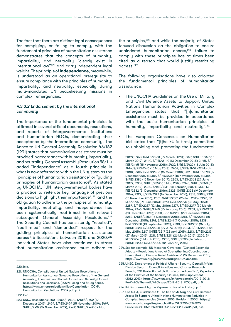The fact that there are distinct legal consequences for complying, or failing to comply, with the fundamental principles of humanitarian assistance demonstrates that the concepts of humanity, impartiality, and neutrality "clearly exist in international law"220 and carry independent legal weight. The principle of **independence**, meanwhile, is understood as an operational prerequisite to ensure compliance with the principles of humanity, impartiality, and neutrality, especially during multi-mandated UN peacekeeping missions in complex emergencies.

## *4.3.3.2 Endorsement by the international community*

The importance of the fundamental principles is affirmed in several official documents, resolutions, and reports of intergovernmental institutions and humanitarian NGOs, demonstrating their acceptance by the international community. The Annex to UN General Assembly Resolution 46/182 (1991) states that humanitarian assistance must be provided in accordance with humanity, impartiality, and neutrality. General Assembly Resolution 58/114 added "independence" as a fourth principle in what is now referred to within the UN system as the "principles of humanitarian assistance" or "guiding principles of humanitarian assistance". As stated by UNOCHA, "UN intergovernmental bodies have a practice to reiterate key language of previous decisions to highlight their importance",<sup>221</sup> and the obligation to adhere to the principles of humanity, impartiality, neutrality, and independence has been systematically reaffirmed in all relevant subsequent General Assembly Resolutions.<sup>222</sup> The Security Council has consistently "recalled", "reaffirmed" and "demanded" respect for the guiding principles of humanitarian assistance across 46 Resolutions between 2015 and 2020.<sup>223</sup> Individual States have also continued to stress that humanitarian assistance must adhere to

the principles, $224$  and while the majority of States focused discussion on the obligation to ensure unhindered humanitarian access,<sup>225</sup> failure to comply with these principles has at times been cited as a reason that would justify restricting access.226

The following organisations have also adopted the fundamental principles of humanitarian assistance:

- The UNOCHA Guidelines on the Use of Military and Civil Defence Assets to Support United Nations Humanitarian Activities in Complex Emergencies states that "[h]umanitarian assistance must be provided in accordance with the basic humanitarian principles of humanity, impartiality and neutrality".<sup>227</sup>
- The European Consensus on Humanitarian Aid states that "[t]he EU is firmly committed to upholding and promoting the fundamental

- 224. See for example: UN Meetings Coverage, "General Assembly Adopts 4 Resolutions Aimed at Strengthening Coordination of Humanitarian, Disaster Relief Assistance" (14 December 2018), <https://www.un.org/press/en/2018/ga12106.doc.htm>.
- 225. UNSC, Department of Political Affairs Security Council Affairs Division Security Council Practices and Charter Research Branch, "29. Protection of civilians in armed conflict", Repertoire of the Practice of the Security Council, 18th Supplement (2012-2013), [https://www.un.org/en/sc/repertoire/2012-2013/](https://www.un.org/en/sc/repertoire/2012-2013/Part%20I/Thematic%20issues/2012-2013_POC.pdf) [Part%20I/Thematic%20issues/2012-2013\\_POC.pdf](https://www.un.org/en/sc/repertoire/2012-2013/Part%20I/Thematic%20issues/2012-2013_POC.pdf), p. 5.

227. UNOCHA, Guidelines On The Use of Military and Civil Defence Assets To Support United Nations Humanitarian Activities in Complex Emergencies (March 2003, Revision 1 2006), [https://](https://www.unocha.org/sites/unocha/files/01.%20MCDA%20Guidelines%20March%2003%20Rev1%20Jan06.pdf) [www.unocha.org/sites/unocha/files/01.%20MCDA%20](https://www.unocha.org/sites/unocha/files/01.%20MCDA%20Guidelines%20March%2003%20Rev1%20Jan06.pdf) [Guidelines%20March%2003%20Rev1%20Jan06.pdf,](https://www.unocha.org/sites/unocha/files/01.%20MCDA%20Guidelines%20March%2003%20Rev1%20Jan06.pdf) p.3.

<sup>220.</sup>Ibid.

<sup>221.</sup> UNOCHA, Compilation of United Nations Resolutions on Humanitarian Assistance: Selective Resolutions of the General Assembly, Economic and Social Council and Security Council Resolutions and Decisions, (2009) Policy and Study Series, [https://www.un.org/ruleoflaw/files/Compliation\\_OCHA\\_](https://www.un.org/ruleoflaw/files/Compliation_OCHA_Humanitarian_Resolutions_2009.pdf) [Humanitarian\\_Resolutions\\_2009.pdf,](https://www.un.org/ruleoflaw/files/Compliation_OCHA_Humanitarian_Resolutions_2009.pdf) p. 2.

<sup>222.</sup>Ibid.

<sup>223.</sup> UNSC Resolutions: 2504 (2020); 2502, S/RES/2502 (19 December 2019); 2499, S/RES/2499 (15 November 2019); 2497, S/RES/2497 (14 November 2019); 2469, S/RES/2469 (14 May

<sup>2019); 2463,</sup> S/RES/2463 (29 March 2019); 2459, S/RES/2459 (15 March 2019); 2449, S/RES/2449 (13 December 2018); 2445, S/ RES/2445 (15 November 2018); 2429, S/RES/2429 (13 July 2018); 2416, S/RES/2416 (15 May 2018); 2409, S/RES/2409 (27 March 2018); 2406, S/RES/2406 (15 March 2018); 2393, S/RES/2393 (19 December 2017); 2387, S/RES/2387 (15 November 2017); 2386, S/RES.2386 (15 November 2017); 2363, S/RES/2363 (29 June 2017); 2352, S/RES/2352 (15 May 2017); 2348, S/RES/2348 (31 March 2017); 2340, S/RES/ 2340 (8 February 2017); 2332, S/ RES/2332 (21 December 2016); 2328, S/RES 2328 (19 December 2016); 2327, S/RES/2327 (16 December 2016); 2318, S/RES/2318 (15 November 2016); 2301, S/RES/2301 (26 July 2016); 2296, S/ RES/2296 (29 June 2016); 2290, S/RES/2290 (31 May 2016); 2287, S/RES/2287 (12 May 2016); 2277, S/RES/2277 (30 March 2016); 2265, S/RES/2265 (10 February 2016); 2259, S/RES/2259 (23 December 2015); 2258, S/RES/2258 (22 December 2015); 2252, S/RES/2252 (15 December 2015); 2251, S/RES/2252 (15 December 2015); 2241, S/RES/2241 (9 October 2015); 2238, S/RES/2238 (10 September 2015); 2230, S/RES/2230 (14 July 2015); 2228, S/RES/2228 (29 June 2015); 2223, S/RES/2223 (28 May 2015); 2217, S/RES/2217 (28 April 2015); 2213, S/RES/2213 (27 March 2015); 2211, S/RES/2211 (26 March 2015); 2206, S/ RES/2206 (3 March 2015); 2205, S/RES/2205 (26 February 2015); 2200, S/RES/2200 (12 February 2015).

<sup>226.</sup> Ibid (statement by the Representative of Pakistan), p. 3.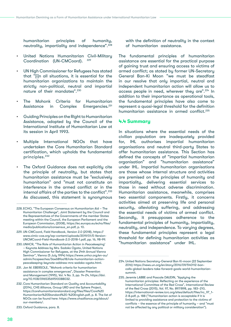humanitarian principles of humanity, neutrality, impartiality and independence".<sup>228</sup>

- United Nations Humanitarian Civil-Military Coordination (UN-CMCoord). <sup>229</sup>
- UN High Commissioner for Refugees has stated that "[i]n all situations, it is essential for the humanitarian organizations to maintain the strictly non-political, neutral and impartial nature of their mandates".<sup>230</sup>
- The Mohonk Criteria for Humanitarian Assistance in Complex Emergencies.<sup>231</sup>
- Guiding Principles on the Right to Humanitarian Assistance, adopted by the Council of the International Institute of Humanitarian Law at its session in April 1993.
- Multiple International NGOs that have undertaken the Core Humanitarian Standard certification, which upholds the fundamental principles.<sup>232</sup>
- The Oxford Guidance does not explicitly cite the principle of neutrality, but states that humanitarian assistance must be "exclusively humanitarian" and "must not constitute an interference in the armed conflict or in the internal affairs of the parties to the conflict".233 As discussed, this statement is synonymous

with the definition of neutrality in the context of humanitarian assistance.

The fundamental principles of humanitarian assistance are essential for the practical purpose of gaining trust and ensuring access to victims of armed conflict; as stated by former UN-Secretary General Ban-Ki Moon "we must be steadfast in our resolve that only impartial, neutral and independent humanitarian action will allow us to access people in need, wherever they are".<sup>234</sup> In addition to their importance as operational tools, the fundamental principles have also come to represent a quasi-legal threshold for the definition humanitarian assistance in armed conflict.<sup>235</sup>

## **4.4 Summary**

In situations where the essential needs of the civilian population are inadequately provided for, IHL authorises impartial humanitarian organisations and neutral third-party States to offer humanitarian assistance. This Section has defined the concepts of "impartial humanitarian organisation" and "humanitarian assistance" under IHL. Impartial humanitarian organisations are those whose internal structure and activities are premised on the principles of humanity and impartiality, delivering essential services to those in need without adverse discrimination. Humanitarian assistance, meanwhile, comprises two essential components. Firstly, it concerns activities aimed at preserving life and personal security, alleviating suffering, and addressing the essential needs of victims of armed conflict. Secondly, it presupposes adherence to the fundamental principles of humanity, impartiality, neutrality, and independence. To varying degrees, these fundamental principles represent a legal threshold for defining humanitarian activities as "humanitarian assistance" under IHL.

<sup>228.</sup>ECHO, "The European Consensus on Humanitarian Aid – The Humanitarian Challenge", Joint Statement by the Council and the Representatives of the Governments of the member States meeting within the Council, the European Parliament and the European Commission, (2008), [https://ec.europa.eu/echo/files/](https://ec.europa.eu/echo/files/media/publications/consensus_en.pdf) [media/publications/consensus\\_en.pdf](https://ec.europa.eu/echo/files/media/publications/consensus_en.pdf), p. 10.

<sup>229.</sup> UN-CMCoord, Field Handbook, Version 2.0 (2018), [https://](https://www.cimic-coe.org/wp-content/uploads/2019/01/E-Version-UNCMCoord-Field-Handbook-2.0-2018-1.p) [www.cimic-coe.org/wp-content/uploads/2019/01/E-Version-](https://www.cimic-coe.org/wp-content/uploads/2019/01/E-Version-UNCMCoord-Field-Handbook-2.0-2018-1.p)[UNCMCoord-Field-Handbook-2.0-2018-1.pdf,](https://www.cimic-coe.org/wp-content/uploads/2019/01/E-Version-UNCMCoord-Field-Handbook-2.0-2018-1.p) pp. 16, 98-99.

<sup>230.</sup>UNHCR, "The Role of Humanitarian Action in Peacekeeping' – Keynote Address by Mrs. Sadako Ogata, United Nations High Commissioner for Refugees, at the 24th Annual Vienna Seminar", Vienna (5 July 1994) [https://www.unhcr.org/en-au/](https://www.unhcr.org/en-au/admin/hcspeeches/3ae68faa18/role-humanitarian-action-peacekeeping-keynot) [admin/hcspeeches/3ae68faa18/role-humanitarian-action](https://www.unhcr.org/en-au/admin/hcspeeches/3ae68faa18/role-humanitarian-action-peacekeeping-keynot)[peacekeeping-keynote-address-mrs-sadako-ogata.html.](https://www.unhcr.org/en-au/admin/hcspeeches/3ae68faa18/role-humanitarian-action-peacekeeping-keynot)

<sup>231.</sup> Jon M. EBERSOLE, "Mohonk criteria for humanitarian assistance in complex emergences", Disaster Prevention and Management (1995), Vol. 4 No. 3, pp. 14-24, [https://doi.](https://doi.org/10.1108/09653569510088032) [org/10.1108/09653569510088032.](https://doi.org/10.1108/09653569510088032)

<sup>232.</sup> Core Humanitarian Standard on Quality and Accountability (2014), CHS Alliance, Group URD and the Sphere Project, [https://corehumanitarianstandard.org/files/files/Core%20](https://corehumanitarianstandard.org/files/files/Core%20Humanitarian%20Standard%20-%20English.pdf) [Humanitarian%20Standard%20-%20English.pdf](https://corehumanitarianstandard.org/files/files/Core%20Humanitarian%20Standard%20-%20English.pdf), p. 8. The list of NGOs can be found here: [https://www.chsalliance.org/about/](https://www.chsalliance.org/about/our-members/) [our-members/.](https://www.chsalliance.org/about/our-members/)

<sup>233.</sup> Oxford Guidance, para. 8.

<sup>234.</sup> United Nations Secretary-General Ban Ki-moon (22 September 2016) [https://news.un.org/en/story/2016/09/540112-ban](https://news.un.org/en/story/2016/09/540112-ban-calls-global-leaders-take-forward-goals-world-humani)[calls-global-leaders-take-forward-goals-world-humanitarian](https://news.un.org/en/story/2016/09/540112-ban-calls-global-leaders-take-forward-goals-world-humani)[summit](https://news.un.org/en/story/2016/09/540112-ban-calls-global-leaders-take-forward-goals-world-humani).

<sup>235.</sup> Jeremie LABBE and Pascale DAUDIN, "Applying the humanitarian principles: Reflecting on the experience of the International Committee of the Red Cross", International Review of the Red Cross (2015), Vol. 97, No. 897/898, pp. 183–210, [https://international-review.icrc.org/sites/default/files/irc\\_97\\_1-](https://international-review.icrc.org/sites/default/files/irc_97_1-2-8.pdf) [2-8.pdf,](https://international-review.icrc.org/sites/default/files/irc_97_1-2-8.pdf) p. 188 ("Humanitarian action is acceptable if it is limited to providing assistance and protection to the victims of conflicts – the essence of the principle of humanity – and "must not be affected by any political or military consideration").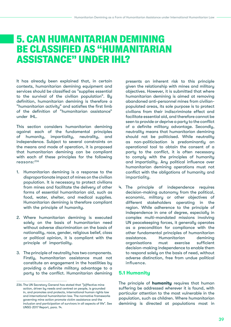# 5. CAN HUMANITARIAN DEMINING BE CLASSIFIED AS "HUMANITARIAN ASSISTANCE" UNDER IHL?

It has already been explained that, in certain contexts, humanitarian demining equipment and services should be classified as "supplies essential to the survival of the civilian population". By definition, humanitarian demining is therefore a "humanitarian activity" and satisfies the first limb of the definition of "humanitarian assistance" under IHL.

This section considers humanitarian demining against each of the fundamental principles of humanity, impartiality, neutrality, and independence. Subject to several constraints on the means and mode of operation, it is proposed that humanitarian demining can be compliant with each of these principles for the following reasons:236

- 1. Humanitarian demining is a response to the disproportionate impact of mines on the civilian population. It is necessary to protect civilians from mines and facilitate the delivery of other forms of essential humanitarian aid, such as food, water, shelter, and medical supplies. Humanitarian demining is therefore compliant with the principle of humanity.
- 2. Where humanitarian demining is executed solely on the basis of humanitarian need without adverse discrimination on the basis of nationality, race, gender, religious belief, class or political opinion, it is compliant with the principle of impartiality.
- 3. The principle of neutrality has two components. Firstly, humanitarian assistance must not constitute an engagement in the hostilities by providing a definite military advantage to a party to the conflict. Humanitarian demining

presents an inherent risk to this principle given the relationship with mines and military objectives. However, it is submitted that where humanitarian demining is aimed at removing abandoned anti-personnel mines from civilianpopulated areas, its sole purpose is to protect civilians from their indiscriminate effect and facilitate essential aid, and therefore cannot be seen to provide or deprive a party to the conflict of a definite military advantage. Secondly, neutrality means that humanitarian demining should not be politicised. While neutrality as non-politicisation is predominantly an operational tool to obtain the consent of a party to the conflict, it is often necessary to comply with the principles of humanity and impartiality. Any political influence over humanitarian demining operations must not conflict with the obligations of humanity and impartiality.

4. The principle of independence requires decision-making autonomy from the political, economic, military or other objectives of different stakeholders operating in the region. While adherence to the principle of independence in one of degree, especially in complex multi-mandated missions involving UN peacekeeping forces, it generally operates as a precondition for compliance with the other fundamental principles of humanitarian assistance. Humanitarian demining organisations must exercise sufficient decision-making independence to enable them to respond solely on the basis of need, without adverse distinction, free from undue political influence.

## **5.1 Humanity**

The principle of **humanity** requires that human suffering be addressed wherever it is found, with particular attention to the most vulnerable in the population, such as children. Where humanitarian demining is directed at populations most in

<sup>236.</sup> The UN Secretary General has stated that "[e]ffective mine action, driven by needs and centred on people, is grounded in, and promotes and protects, international human rights law and international humanitarian law. The normative frameworks governing mine action promote victim assistance and the inclusion and participation of survivors in all aspects of life". See UNSG 2017 Report, para. 14.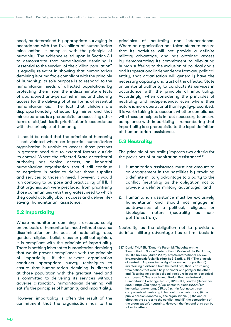need, as determined by appropriate surveying in accordance with the five pillars of humanitarian mine action, it complies with the principle of humanity. The evidence relied upon in Section 3.1 to demonstrate that humanitarian demining is "essential to the survival of the civilian population" is equally relevant in showing that humanitarian demining is prima facie compliant with the principle of humanity; its sole purpose is to respond to the humanitarian needs of affected populations by protecting them from the indiscriminate effects of abandoned anti-personnel mines and clearing access for the delivery of other forms of essential humanitarian aid. The fact that children are disproportionately affected by mines and that mine clearance is a prerequisite for accessing other forms of aid justifies its prioritisation in accordance with the principle of humanity.

It should be noted that the principle of humanity is not violated where an impartial humanitarian organisation is unable to access those persons in greatest need due to external factors outside its control. Where the affected State or territorial authority has denied access, an impartial humanitarian organisation should still continue to negotiate in order to deliver those supplies and services to those in need. However, it would run contrary to purpose and practicality of IHL if that organisation were precluded from prioritising those communities with the greatest need to which they could actually obtain access and deliver lifesaving humanitarian assistance.

## **5.2 Impartiality**

Where humanitarian demining is executed solely on the basis of humanitarian need without adverse discrimination on the basis of nationality, race, gender, religious belief, class or political opinion, it is compliant with the principle of impartiality. There is nothing inherent to humanitarian demining that would prevent compliance with the principle of impartiality. If the relevant organisation conducts appropriate survey techniques to ensure that humanitarian demining is directed at those population with the greatest need and is committed to delivering its services without adverse distinction, humanitarian demining will satisfy the principles of humanity and impartiality.

However, impartiality is often the result of the commitment that the organisation has to the

principles of neutrality and independence. Where an organisation has taken steps to ensure that its activities will not provide a definite military advantage, and has obtained access by demonstrating its commitment to alleviating human suffering to the exclusion of political goals and its operational independence from any political entity, that organisation will generally have the necessary capacity and trust of the affected State or territorial authority to conducts its services in accordance with the principle of impartiality. Accordingly, when considering the principles of neutrality and independence, even where their nature is more operational than legally-proscribed, it is worth taking into account whether compliance with these principles is in fact necessary to ensure compliance with impartiality – remembering that impartiality is a prerequisite to the legal definition of humanitarian assistance.

## **5.3 Neutrality**

The principle of neutrality imposes two criteria for the provisions of humanitarian assistance:<sup>237</sup>

- 1. Humanitarian assistance must not amount to an engagement in the hostilities by providing a definite military advantage to a party to the conflict (neutrality as the obligation not to provide a definite military advantage); and
- 2. Humanitarian assistance must be exclusively humanitarian and should not engage in controversies of a political, religious, or ideological nature (neutrality as nonpoliticisation).

Neutrality as the obligation not to provide a definite military advantage has a firm basis in

<sup>237.</sup> Daniel THURER, "Dunant's Pyramid: Thoughts on the 'Humanitarian Space'", International Review of the Red Cross, Vol. 89, No. 865 (March 2007), [https://international-review.](https://international-review.icrc.org/sites/default/files/irrc-865-3.pdf) [icrc.org/sites/default/files/irrc-865-3.pdf,](https://international-review.icrc.org/sites/default/files/irrc-865-3.pdf) p. 58 ("The principle of neutrality imposes two obligations on neutral parties: (i) maintaining a distance from the hostilities, that is abstaining from actions that would help or hinder one party or the other; and (ii) taking no part in political, racial, religious or ideological controversy".) See also: Humanitarian Practice Network, Humanitarian Exchange, No. 25, HPG-ODI, London (December 2003), [https://odihpn.org/wp-content/uploads/2003/12/](https://odihpn.org/wp-content/uploads/2003/12/humanitarianexchange025.pdf) [humanitarianexchange025.pdf,](https://odihpn.org/wp-content/uploads/2003/12/humanitarianexchange025.pdf) p. 1 (In fact notes three components of neutrality in humanitarian assistance; (i) the public position adopted by the organisation, (ii) the actual effect on the parties to the conflict, and (iii) the perceptions of the organisation's neutrality. However, the first and third can be taken together).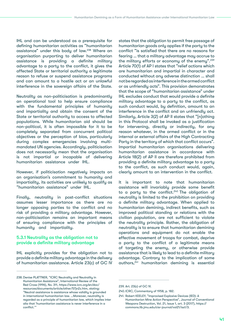IHL and can be understood as a prerequisite for defining humanitarian activities as "humanitarian assistance" under this body of law.238 Where an organisation purporting to deliver humanitarian assistance is providing a definite military advantage to a party to the conflict, it gives the affected State or territorial authority a legitimate reason to refuse or suspend assistance programs and can amount to a hostile act or an unlawful interference in the sovereign affairs of the State.

Neutrality as non-politicisation is predominantly an operational tool to help ensure compliance with the fundamental principles of humanity and impartiality and obtain the consent of the State or territorial authority to access to affected populations. While humanitarian aid should be non-political, it is often impossible for it to be completely separated from concurrent political objectives or the perception of bias, particularly during complex emergencies involving multimandated UN agencies. Accordingly, politicisation does not necessarily mean that the organisation is not impartial or incapable of delivering humanitarian assistance under IHL.

However, if politicisation negatively impacts on an organisation's commitment to humanity and impartiality, its activities are unlikely to qualify as "humanitarian assistance" under IHL.

Finally, neutrality in post-conflict situations assumes lesser importance as there are no longer opposing parties to the conflict and no risk of providing a military advantage. However, non-politicisation remains an important means of ensuring compliance with the principles of humanity and impartiality.

## 5.3.1 Neutrality as the obligation not to provide a definite military advantage

IHL explicitly provides for the obligation not to provide a definite military advantage in the delivery of humanitarian assistance. Article 23(c) of GC IV states that the obligation to permit free passage of humanitarian goods only applies if the party to the conflict "is satisfied that there are no reasons for fearing … that a military advantage may accrue to the military efforts or economy of the enemy".<sup>239</sup> Article 70(1) of AP I states that "relief actions which are humanitarian and impartial in character and conducted without any adverse distinction … shall not be regarded as interference in the armed conflict or as unfriendly acts". This provision demonstrates that the scope of "humanitarian assistance" under IHL excludes conduct that would provide a definite military advantage to a party to the conflict, as such conduct would, by definition, amount to an interference in the conflict and an unfriendly act. Similarly, Article 3(2) of AP II states that "[n]othing in this Protocol shall be invoked as a justification for intervening, directly or indirectly, for any reason whatever, in the armed conflict or in the internal or external affairs of the High Contracting Party in the territory of which that conflict occurs". Impartial humanitarian organisations delivering humanitarian assistance in accordance with Article 18(2) of AP II are therefore prohibited from providing a definite military advantage to a party to the conflict, as such conduct would, again, clearly amount to an intervention in the conflict.

It is important to note that humanitarian assistance will invariably provide some benefit to a party to the conflict.<sup>240</sup> The obligation of neutrality is limited to the prohibition on providing a definite military advantage. When applied to humanitarian demining, indirect benefits, such as improved political standing or relations with the civilian population, are not sufficient to violate the neutrality principle. Rather, the obligation of neutrality is to ensure that humanitarian demining operations and equipment do not enable the effective movement of troops for combat, deprive a party to the conflict of a legitimate means of targeting the enemy, or otherwise provide assistance that is likely to lead to a definite military advantage. Contrary to the implication of some authors,241 humanitarian demining is essential

<sup>238.</sup>Denise PLATTNER, "ICRC Neutrality and Neutrality in Humanitarian Assistance", International Review of the Red Cross (1996), No. 311, [https://www.icrc.org/en/doc/](https://www.icrc.org/en/doc/resources/documents/article/other/57jn2z.htm) [resources/documents/article/other/57jn2z.htm](https://www.icrc.org/en/doc/resources/documents/article/other/57jn2z.htm), stating: "Neutral assistance is assistance whose validity is grounded in international humanitarian law. …Moreover, neutrality is regarded as a principle of humanitarian law, which implies inter alia that 'humanitarian assistance is never interference in a conflict.'"

<sup>239.</sup> Art. 23(c) of GC IV.

<sup>240.</sup>ICRC, Commentary of 1958, p. 182. 241. Robert KEELEY, "Improvised Explosive Devices (IED): A

Humanitarian Mine Action Perspective", Journal of Conventional Weapons Destruction, Vol. 21, Issue 1, art. 3 (2017), [https://](https://commons.lib.jmu.edu/cisr-journal/vol21/iss1/3) [commons.lib.jmu.edu/cisr-journal/vol21/iss1/3](https://commons.lib.jmu.edu/cisr-journal/vol21/iss1/3).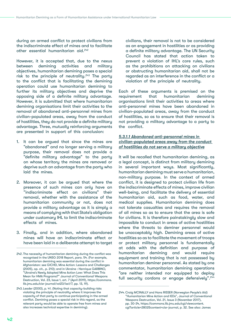during an armed conflict to protect civilians from the indiscriminate effect of mines and to facilitate other essential humanitarian aid.<sup>242</sup>

However, it is accepted that, due to the nexus between demining activities and military objectives, humanitarian demining poses a special risk to the principle of neutrality.<sup> $243$ </sup> The party to the conflict that is facilitating the demining operation could use humanitarian demining to further its military objectives and deprive the opposing side of a definite military advantage. However, it is submitted that where humanitarian demining organisations limit their activities to the removal of abandoned anti-personnel mines from civilian-populated areas, away from the conduct of hostilities, they do not provide a definite military advantage. Three, mutually reinforcing arguments are presented in support of this conclusion:

- 1. It can be argued that since the mines are "abandoned" and no longer serving a military purpose, their removal does not provide a "definite military advantage" to the party on whose territory the mines are removed or deprive such an advantage from the party who laid the mines.
- 2. Moreover, it can be argued that where the presence of such mines can only have an "indiscriminate effect on civilians" their removal, whether with the assistance of the humanitarian community or not, does not provide a military advantage as it is simply a means of complying with that State's obligation under customary IHL to limit the indiscriminate effects of mines.
- 3. Finally, and in addition, where abandoned mines will have an indiscriminate effect or have been laid in a deliberate attempt to target

civilians, their removal is not to be considered as an engagement in hostilities or as providing a definite military advantage. The UN Security Council has stated that action taken to prevent a violation of IHL's core rules, such as the prohibitions on attacking on civilians or obstructing humanitarian aid, shall not be regarded as an interference in the conflict or a violation of the principle of neutrality.

Each of these arguments is premised on the requirement that humanitarian demining organisations limit their activities to areas where anti-personnel mines have been abandoned in civilian-populated areas, away from the conduct of hostilities, so as to ensure that their removal is not providing a military advantage to a party to the conflict.

### *5.3.1.1 Abandoned anti-personnel mines in civilian-populated areas away from the conduct of hostilities do not serve a military objective*

It will be recalled that humanitarian demining, as a legal concept, is distinct from military demining in several important ways. Most significantly, humanitarian demining must serve a humanitarian, non-military purpose. In the context of armed conflict, it is designed to protect civilian life from the indiscriminate effects of mines, improve civilian well-being, and facilitate the delivery of essential humanitarian aid, such as food, water, and medical supplies. Humanitarian demining does not tolerate casualties and requires the removal of all mines so as to ensure that the area is safe for civilians. It is therefore painstakingly slow and impossible to conduct in areas of active hostilities where the threats to deminer personnel would be unacceptably high. Demining areas of active hostilities so as to facilitate the movement of troops or protect military personnel is fundamentally at odds with the definition and purpose of humanitarian demining and would require equipment and training that is not possessed by humanitarian deminer personnel. As stated by one commentator, humanitarian demining operations "are neither intended nor equipped to deploy full security cordons or engage defensively".<sup>244</sup>

<sup>242.</sup> The necessity of humanitarian demining during the conflict was recognised in the UNSG 2018 Report, para. 54. (For example, humanitarian demining was essential during the conflict in Afghanistan: see GICHD, Mine Action: Lessons and Challenges (2005), op. cit., p. 210); and in Ukraine : Henrique GARBINO, "Ukraine's Newly Adopted Mine Action Law: What Does This Mean for HMA Programs?" Journal of Conventional Weapons Destruction, Vol. 23, Issue 1, art. 7 (April 2019), [https://commons.](https://commons.lib.jmu.edu/cisr-journal/vol23/iss1/7) [lib.jmu.edu/cisr-journal/vol23/iss1/7,](https://commons.lib.jmu.edu/cisr-journal/vol23/iss1/7) pp. 13, 19).

<sup>243.</sup> Leader (2000), p. 41. (Noting that capacity-building risks violating the principle of neutrality where it improves the capacity of that party to continue participating in the armed conflict. Demining poses a special risk in this regard, as the relevant party would be able to operate free from mines and also increases technical expertise in demining).

<sup>244.</sup> Craig MCINALLY and Hans RISSER (Norwegian People's Aid) "Humanitarian Mine Action and IEDs", Journal of Conventional Weapons Destruction, Vol. 21, Issue 3 (November 2017), pp. 30-34, [https://commons.lib.jmu.edu/cgi/viewcontent.](https://commons.lib.jmu.edu/cgi/viewcontent.cgi?article=2802&context=cisr-journal) [cgi?article=2802&context=cisr-journal](https://commons.lib.jmu.edu/cgi/viewcontent.cgi?article=2802&context=cisr-journal), p. 32. See also: James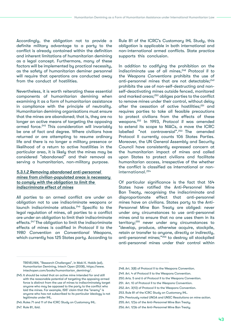Accordingly, the obligation not to provide a definite military advantage to a party to the conflict is already contained within the definition and inherent limitations of humanitarian demining as a legal concept. Furthermore, many of these factors will be implemented by practical necessity, as the safety of humanitarian deminer personnel will require that operations are conducted away from the conduct of hostilities.

Nevertheless, it is worth reiterating these essential components of humanitarian demining when examining it as a form of humanitarian assistance in compliance with the principle of neutrality. Humanitarian demining organisations must ensure that the mines are abandoned; that is, they are no longer an active means of targeting the opposing armed force.<sup>245</sup> This consideration will invariably be one of fact and degree. Where civilians have returned or are attempting to resume ordinary life and there is no longer a military presence or likelihood of a return to active hostilities in the particular area, it is likely that the mines may be considered "abandoned" and their removal as serving a humanitarian, non-military purpose.

## *5.3.1.2 Removing abandoned anti-personnel mines from civilian-populated areas is necessary to comply with the obligation to limit the indiscriminate effect of mines*

All parties to an armed conflict are under an obligation not to use indiscriminate weapons or launch indiscriminate attacks.246 Specific to the legal regulation of mines, all parties to a conflict are under an obligation to limit their indiscriminate effects.<sup>247</sup> The obligation to limit the indiscriminate effects of mines is codified in *Protocol II to the 1980 Convention on Conventional Weapons*, which currently has 125 States party. According to

Rule 81 of the ICRC's Customary IHL Study, this obligation is applicable in both international and non-international armed conflicts. State practice supports this conclusion.

In addition to codifying the prohibition on the indiscriminate use of all mines,248 *Protocol II to the Weapons Conventions* prohibits the use of anti-personnel mines that are not detectable;<sup>249</sup> prohibits the use of non-self-destructing and nonself-deactivating mines outside fenced, monitored and marked areas;250 obliges parties to the conflict to remove mines under their control, without delay after the cessation of active hostilities;<sup>251</sup> and requires parties to take all feasible precautions to protect civilians from the effects of these weapons.252 In 1993, *Protocol II* was amended to extend its scope to NIACs, a move the ICRC labelled "not controversial".253 The amended Protocol II currently counts 106 States Parties. Moreover, the UN General Assembly and Security Council have consistently expressed concern at the humanitarian impact of mines and called upon States to protect civilians and facilitate humanitarian access, irrespective of the whether the conflict is classified as international or noninternational.<sup>254</sup>

Of particular significance is the fact that 164 States have ratified the Anti-Personnel Mine Ban Treaty, recognising the indiscriminate and disproportionate effect that anti-personnel mines have on civilians. States party to the Anti-Personnel Mine Ban Treaty are obliged: never under any circumstances to use anti-personnel mines and to ensure that no one uses them in its territory;<sup>255</sup> never under any circumstances to "develop, produce, otherwise acquire, stockpile, retain or transfer to anyone, directly or indirectly, anti-personnel mines;"256 to destroy all stockpiled anti-personnel mines under their control within

TREVELYAN, "Research Challenges", in Maki K. Habib (ed), Humanitarian Demining, Intech Open (2008), [https://www.](https://www.intechopen.com/books/humanitarian_demining/) [intechopen.com/books/humanitarian\\_demining/.](https://www.intechopen.com/books/humanitarian_demining/)

<sup>245.</sup>It should be noted that an active mine intended for and still with the reasonable potential of targeting the opposing armed force is distinct from the use of mines to indiscriminately target anyone who may be opposed to the party to the conflict who laid the mines. For example, ISIS' claim that the "enemy" is anyone who has not subscribed to its particular ideology is not legitimate under IHL.

<sup>246.</sup>Rules 71 and 11 of the ICRC Study on Customary IHL.

<sup>247.</sup> Rule 81, ibid.

<sup>248.</sup>Art. 3(8) of Protocol II to the Weapons Convention.

<sup>249.</sup> Art. 4 of Protocol II to the Weapons Convention.

<sup>250.</sup>Arts. 5 and 6 of Protocol II to the Weapons Convention.

<sup>251.</sup> Art. 10 of Protocol II to the Weapons Convention.

<sup>252.</sup>Art. 3(10) of Protocol II to the Weapons Convention.

<sup>253.</sup> Rule 81 of the ICRC Study on Customary IHL.

<sup>254.</sup> Previously noted UNGA and UNSC Resolutions on mine action.

<sup>255.</sup> Art. 1(1)a of the Anti-Personnel Mine Ban Treaty.

<sup>256.</sup> Art. 1(1)b of the Anti-Personnel Mine Ban Treaty.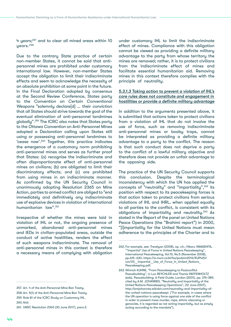4 years;257 and to clear all mined areas within 10  $uears.<sup>258</sup>$ 

Due to the contrary State practice of certain non-member States, it cannot be said that antipersonnel mines are prohibited under customary international law. However, non-member States accept the obligation to limit their indiscriminate effects and seem to acknowledge the necessity of an absolute prohibition at some point in the future. In the Final Declaration adopted by consensus at the Second Review Conference, States party to the *Convention on Certain Conventional Weapons* "solemnly declare[d] … their conviction that all States should strive towards the goal of the eventual elimination of anti-personnel landmines globally".259 The ICRC also notes that States party to the *Ottawa Convention* on Anti-Personnel Mines adopted a Declaration calling upon States still using or possessing anti-personnel landmines to 'cease now'.260 Together, this practice indicates the emergence of a customary norm prohibiting anti-personnel mines and serves as further proof that States: (a) recognise the indiscriminate and often disproportionate effect of anti-personnel mines on civilians; (b) are obligated to limit their discriminatory effects; and (c) are prohibited from using mines in an indiscriminate manner. As confirmed by the UN Security Council in unanimously adopting Resolution 2365 on Mine Action, parties to armed conflict are obliged to "end immediately and definitively any indiscriminate use of explosive devices in violation of international humanitarian law".261

Irrespective of whether the mines were laid in violation of IHL or not, the ongoing presence of unmarked, abandoned anti-personnel mines and IEDs in civilian-populated areas, outside the conduct of active hostilities, renders the effect of such weapons indiscriminate. The removal of anti-personnel mines in this context is therefore a necessary means of complying with obligation

under customary IHL to limit the indiscriminate effect of mines. Compliance with this obligation cannot be viewed as providing a definite military advantage to the party from whose territory the mines are removed; rather, it is to protect civilians from the indiscriminate effect of mines and facilitate essential humanitarian aid. Removing mines in this context therefore complies with the principle of neutrality.

## *5.3.1.3 Taking action to prevent a violation of IHL's core rules does not constitute and engagement in hostilities or provide a definite military advantage*

In addition to the arguments presented above, it is submitted that actions taken to protect civilians from a violation of IHL that do not involve the use of force, such as removing indiscriminate anti-personnel mines or booby traps, cannot be interpreted as providing a definite military advantage to a party to the conflict. The reason is that such conduct does not deprive a party to the conflict of a lawful military objective and therefore does not provide an unfair advantage to the opposing side.

The practice of the UN Security Council supports this conclusion. Despite the terminological inconsistency with which the UN has applied the concepts of "neutrality" and "impartiality", <sup>262</sup> its position with respect to its peacekeeping forces is that action taken to protect civilians from serious violations of IHL and IHRL, when applied equally to all parties to the conflict, is consistent with its obligations of impartiality and neutrality.<sup>263</sup> As stated in the Report of the panel on United Nations Peace Operations (the "Brahimi report") in 2000, "[i]mpartiality for the United Nations must mean adherence to the principles of the Charter and to

<sup>257.</sup> Art. 4 of the Anti-Personnel Mine Ban Treaty.

<sup>258.</sup>Art. 5(1) of the Anti-Personnel Mine Ban Treaty. 259. Rule 81 of the ICRC Study on Customary IHL. 260.Ibid.

<sup>261.</sup> UNSC Resolution 2365 (30 June 2017), para.2.

<sup>262.</sup> For example, see: Trevelyan (2008), op. cit.; Hikaru YAMASHITA, "'Impartial' Use of Force in United Nations Peacekeeping", International Peacekeeping, Vol.15, No.5 (November 2008), pp.615–630, [https://is.muni.cz/el/fss/podzim2016/EUP420/](https://is.muni.cz/el/fss/podzim2016/EUP420/um/03__Impartial__Use_of_Force_in_United_Nations_Peaceke) um/03 Impartial Use of Force in United Nations [Peacekeeping.pdf](https://is.muni.cz/el/fss/podzim2016/EUP420/um/03__Impartial__Use_of_Force_in_United_Nations_Peaceke).

<sup>263.</sup> Winrich KUHNE, "From Peacekeeping to Postconflict Peacebuilding", in Luc REYCHLER and Thania PAFFENHOLTZ (eds), Peacebuilding; A Field Guide, London (2001), pp. 376-389, cited by A.M. JOHANNES, "Neutrality and Impartiality of the United Nations Peacekeeping Operations", (12 June 2007), [http://amjohannes.wikidot.com/neutrality-and-impartiality-of](http://amjohannes.wikidot.com/neutrality-and-impartiality-of-the-united-nations-peacekeepi)[the-united-nations-peacekeepi](http://amjohannes.wikidot.com/neutrality-and-impartiality-of-the-united-nations-peacekeepi). ("For example, in cases where the UN operation is using force against one side of the conflict in order to prevent mass murder, rape, ethnic cleansing or genocide, it is regarded as not acting impartially, but as simply acting according to the mandate").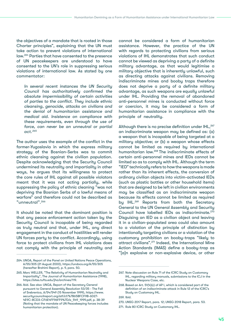the objectives of a mandate that is rooted in those Charter principles", explaining that the UN must take action to prevent violations of international law.264 Parties that have consented to the presence of UN peacekeepers are understood to have consented to the UN's role in suppressing serious violations of international law. As stated by one commentator:

*In several recent instances the UN Security Council has authoritatively confirmed the absolute impermissibility of certain activities of parties to the conflict. They include ethnic cleansing, genocide, attacks on civilians and the denial of humanitarian assistance and medical aid. Insistence on compliance with these requirements, even through the use of force, can never be an unneutral or partial act.265*

The author uses the example of the conflict in the former-Yugoslavia in which the express military strategy of the Bosnian-Serbs was to commit ethnic cleansing against the civilian population. Despite acknowledging that the Security Council undermined its neutrality and impartiality in other ways, he argues that its willingness to protect the core rules of IHL against all possible violators meant that it was not acting partially, while suppressing the policy of ethnic cleaning "was not depriving the Bosnian Serbs of a lawful means of warfare" and therefore could not be described as "unneutral".266

It should be noted that the dominant position is that any peace *enforcement* action taken by the Security Council is incapable of being regarded as truly neutral and that, under IHL, any direct engagement in the conduct of hostilities will render UN forces party to the conflict. Accordingly, using force to protect civilians from IHL violations does not comply with the principle of neutrality and cannot be considered a form of humanitarian assistance. However, the practice of the UN with regards to protecting civilians from serious violations of IHL demonstrates that such conduct cannot be viewed as depriving a party of a definite military advantage, as that would legitimise a military objective that is inherently unlawful, such as directing attacks against civilians. Removing indiscriminate mines and booby traps therefore does not deprive a party of a definite military advantage, as such weapons are equally unlawful under IHL. Providing the removal of abandoned anti-personnel mines is conducted without force or coercion, it may be considered a form of humanitarian assistance in compliance with the principle of neutrality.

Although there is no precise definition under IHL, 267 an indiscriminate weapon may be defined as: (a) a weapon that is incapable of being targeted at a military objective; or (b) a weapon whose effects cannot be limited as required by international humanitarian law.268 The indiscriminate effects of certain anti-personnel mines and IEDs cannot be limited so as to comply with IHL. Although the term "IED" technically refers to how the weapons is made rather than its inherent effects, the conversion of ordinary civilian objects into victim-activated IEDs (such as plastic bottles or other household items) that are designed to be left in civilian environments may be classified as an indiscriminate weapon because its effects cannot be limited as required by IHL.<sup>269</sup> Reports from both the Secretary General to the UN General Assembly and Security Council have labelled IEDs as indiscriminate.270 Disguising an IED as a civilian object and leaving it in a civilian-populated area could also amount to a violation of the principle of distinction by intentionally targeting civilians or a violation of the customary prohibition on booby-traps "likely to attract civilians".271 Indeed, the International Mine Action Standards (IMAS) define a booby-trap as "[a]n explosive or non-explosive device, or other

<sup>264.</sup> UNGA, Report of the Panel on United Nations Peace Operations, A/55/305 (21 August 2000),<https://undocs.org/A/55/305> (hereafter Brahimi Report), p. 9, para. 50.

<sup>265.</sup> Marc WELLER, "The Relativity of Humanitarian Neutrality and Impartiality", The Journal of Humanitarian Assistance (1998), [https://sites.tufts.edu/jha/archives/119.](https://sites.tufts.edu/jha/archives/119)

<sup>266.</sup> Ibid. See also: UNGA, Report of the Secretary General pursuant to General Assembly Resolution 53/35 - The Fall of Srebrenica, A/54/549 (15 November 1999), [https://www.](https://www.securitycouncilreport.org/atf/cf/%7B65BFCF9B-6D27-4E9C-8CD3-CF6E4FF96FF9%7D/a_549_1999.p) [securitycouncilreport.org/atf/cf/%7B65BFCF9B-6D27-](https://www.securitycouncilreport.org/atf/cf/%7B65BFCF9B-6D27-4E9C-8CD3-CF6E4FF96FF9%7D/a_549_1999.p) [4E9C-8CD3-CF6E4FF96FF9%7D/a\\_549\\_1999.pdf](https://www.securitycouncilreport.org/atf/cf/%7B65BFCF9B-6D27-4E9C-8CD3-CF6E4FF96FF9%7D/a_549_1999.p), p. 38-39 (Noting that the mandate of UN Peacekeeping forces includes humanitarian protection).

<sup>267.</sup> Note discussion on Rule 71 of the ICRC Study on Customary IHL, regarding military manuals, submissions to the ICJ in the Nuclear Weapons Case, etc.

<sup>268.</sup> Based on Art. 51(4)(c) of AP I, which is considered part of the definition of an indiscriminate attack in Rule 12 of the ICRC's Study on Customary IHL.

<sup>269.</sup> Ibid.

<sup>270.</sup> UNSG 2017 Report, para. 12; UNSG 2018 Report, para. 53.

<sup>271.</sup> Rule 80 ICRC Study on Customary IHL.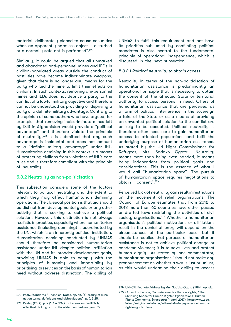material, deliberately placed to cause casualties when an apparently harmless object is disturbed or a normally safe act is performed".<sup>272</sup>

Similarly, it could be argued that all unmarked and abandoned anti-personnel mines and IEDs in civilian-populated areas outside the conduct of hostilities have become indiscriminate weapons, given that there is no longer any means for the party who laid the mine to limit their effects on civilians. In such contexts, removing ani-personnel mines and IEDs does not deprive a party to the conflict of a lawful military objective and therefore cannot be understood as providing or depriving a party of a definite military advantage. Contrary to the opinion of some authors who have argued, for example, that removing indiscriminate mines left by ISIS in Afghanistan would provide a "political advantage" and therefore violate the principle of neutrality, $273$  it is submitted that any such advantage is incidental and does not amount to a "definite military advantage" under IHL. Humanitarian demining in this context is a means of protecting civilians from violations of IHL's core rules and is therefore compliant with the principle of neutrality.

#### 5.3.2 Neutrality as non-politicisation

This subsection considers some of the factors relevant to political neutrality and the extent to which they may affect humanitarian demining operations. The classical position is that aid should be distinct from developmental goals or any other activity that is seeking to achieve a political solution. However, this distinction is not always realistic in practice, especially where humanitarian assistance (including demining) is coordinated by the UN, which is an inherently political institution. Humanitarian demining conducted by UNMAS should therefore be considered humanitarian assistance under IHL despite political affiliation with the UN and its broader development goals, providing UNMAS is able to comply with the principles of humanity and impartiality by prioritising its services on the basis of humanitarian need without adverse distinction. The ability of UNMAS to fulfil this requirement and not have its priorities subsumed by conflicting political mandates is also central to the fundamental principle of operational independence, which is discussed in the next subsection.

#### *5.3.2.1 Political neutrality to obtain access*

Neutrality in terms of the non-politicisation of humanitarian assistance is predominantly an operational principle that is necessary to obtain the consent of the affected State or territorial authority to access persons in need. Offers of humanitarian assistance that are perceived as a form of political interference in the sovereign affairs of the State or as a means of providing an unwanted political solution to the conflict are unlikely to be accepted. Political neutrality is therefore often necessary to gain humanitarian access to affected populations and fulfil the underlying purpose of humanitarian assistance. As stated by the UN Hight Commissioner for Refugees, Mrs. Sadako Ogata: "Neutrality means more than being even handed, it means being independent from political goals and considerations. This is the essence of what I would call "humanitarian space". The pursuit of humanitarian space requires negotiations to obtain consent".274

Perceived lack of neutrality can result in restrictions on the movement of relief organisations. The Council of Europe estimates that from 2012 to 2018 more than 60 countries have either passed or drafted laws restricting the activities of civil society organisations.<sup>275</sup> Whether a humanitarian organisation's political motivations or affiliations result in the denial of entry will depend on the circumstances of the particular case, but it should be recalled that purpose of humanitarian assistance is not to achieve political change or condemn violence; it is to save lives and protect human dignity. As stated by one commentator, humanitarian organisations "should not make any pronouncement on whether a war is just or unjust, as this would undermine their ability to access

<sup>274.</sup> UNHCR, Keynote Address by Mrs. Sadako Ogata (1994), op. cit.

<sup>272.</sup> IMAS, Standards & Technical Notes, op. cit. "Glossary of mine action terms, definitions and abbreviations", p. 9, 3.25. 275. Council of Europe, Commissioner for Human Rights, "The

<sup>273.</sup> Keeley (2017), p. 4 ("[A]n NGO that clears active IEDs is effectively taking part in the wider counterinsurgency").

Shrinking Space for Human Rights Organisations" Human Rights Comments, Strasbourg (4 April 2017), [http://www.coe.](http://www.coe.int/en/web/commissioner/-/the-shrinking-space-for-human-rightsorganisations) [int/en/web/commissioner/-/the-shrinking-space-for-human](http://www.coe.int/en/web/commissioner/-/the-shrinking-space-for-human-rightsorganisations)[rightsorganisations.](http://www.coe.int/en/web/commissioner/-/the-shrinking-space-for-human-rightsorganisations)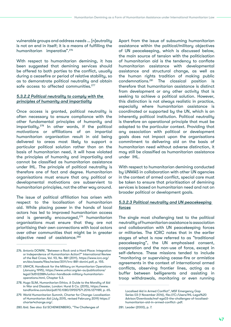vulnerable groups and address needs … [n]eutrality is not an end in itself; it is a means of fulfilling the humanitarian imperative".276

With respect to humanitarian demining, it has been suggested that demining services should be offered to both parties to the conflict, usually during a ceasefire or period of relative stability, so as to demonstrate political neutrality and obtain safe access to affected communities.<sup>277</sup>

## *5.3.2.2 Political neutrality to comply with the principles of humanity and impartiality*

Once access is granted, political neutrality is often necessary to ensure compliance with the other fundamental principles of humanity and impartiality.278 In other words, if the political motivations or affiliations of an impartial humanitarian organisation result in aid being delivered to areas most likely to support a particular political solution rather than on the basis of humanitarian need, it will have violated the principles of humanity and impartiality and cannot be classified as humanitarian assistance under IHL. The principle of political neutrality is therefore one of fact and degree. Humanitarian organisations must ensure that any political or developmental motivations are subservient to humanitarian principles, not the other way around.

The issue of political affiliation has arisen with respect to the localisation of humanitarian aid. While placing power in the hands of local actors has led to improved humanitarian access and is generally encouraged,<sup>279</sup> humanitarian organisations must ensure that they are not prioritising their own connections with local actors over other communities that might be in greater objective need of assistance.<sup>280</sup>

280.Ibid. See also: Ed SCHENKENBERG, "The Challenges of

Apart from the issue of subsuming humanitarian assistance within the political/military objectives of UN peacekeeping, which is discussed below, the main source of tension with the politicisation of humanitarian aid is the tendency to conflate humanitarian assistance with developmental assistance and structural change, as well as the human rights tradition of making public condemnations.281 The classical position is therefore that humanitarian assistance is distinct from development or any other activity that is seeking to achieve a political solution. However, this distinction is not always realistic in practice, especially where humanitarian assistance is coordinated or supported by the UN, which is an inherently political institution. Political neutrality is therefore an operational principle that must be adapted to the particular context. Providing that any association with political or development goals does not impact upon the organisations commitment to delivering aid on the basis of humanitarian need without adverse distinction, it may still be classified as humanitarian assistance under IHL.

With respect to humanitarian demining conducted by UNMAS in collaboration with other UN agencies in the context of armed conflict, special care must be taken to ensure that prioritisation of demining services is based on humanitarian need and not on broader political or development goals.

#### *5.3.2.3 Political neutrality and UN peacekeeping forces*

The single most challenging test to the political neutrality of humanitarian assistance is association and collaboration with UN peacekeeping forces or militaries. The ICRC notes that in the earlier stages of what is now referred to as "traditional peacekeeping", the UN emphasised consent, cooperation and the non-use of force, except in self-defence. These missions tended to include "monitoring or supervising cease-fire or armistice agreements in the context of international armed conflicts, observing frontier lines, acting as a buffer between belligerents and assisting in troop withdrawals, monitoring or even running

<sup>276.</sup> Antonio DONINI, "Between a Rock and a Hard Place: Integration or Independence of Humanitarian Action?" International Review of the Red Cross, Vol. 93, No. 881 (2011), [https://www.icrc.org/](https://www.icrc.org/en/doc/assets/files/review/2011/irrc-881-donini.pdf) [en/doc/assets/files/review/2011/irrc-881-donini.pdf](https://www.icrc.org/en/doc/assets/files/review/2011/irrc-881-donini.pdf), p. 155.

<sup>277.</sup> UNHCR, Handbook for the Military on Humanitarian Operations (January 1995), [https://www.unhcr.org/en-au/publications/](https://www.unhcr.org/en-au/publications/legal/3d5122884/unhcr-handbook-military-humanitarian-operat) [legal/3d5122884/unhcr-handbook-military-humanitarian](https://www.unhcr.org/en-au/publications/legal/3d5122884/unhcr-handbook-military-humanitarian-operat)[operations.html](https://www.unhcr.org/en-au/publications/legal/3d5122884/unhcr-handbook-military-humanitarian-operat), Chapter 5.3.

<sup>278.</sup> Hugo SLIM, Humanitarian Ethics. A Guide to the Morality of Aid in War and Disaster, London: Hurst & Co. (2015), [https://www.](https://www.tandfonline.com/doi/pdf/10.1080/09557571.2016.1271189) [tandfonline.com/doi/pdf/10.1080/09557571.2016.1271189](https://www.tandfonline.com/doi/pdf/10.1080/09557571.2016.1271189), p. 65.

<sup>279.</sup> World Humanitarian Summit, Charter for Change: Localisation of Humanitarian Aid (July 2015, revised February 2019) [https://](https://charter4change.org/) [charter4change.org/.](https://charter4change.org/)

Localised Aid in Armed Conflict", MSF Emergency Gap Series 03 (1 November 2016), file:///C:/Users/IHL-Legal%20 Advisor/Downloads/msf-egs03-the-challenges-of-localisedhumanitarian-aid-in-armed-conflict-.pdf.

<sup>281.</sup> Leader (2000), p. 7.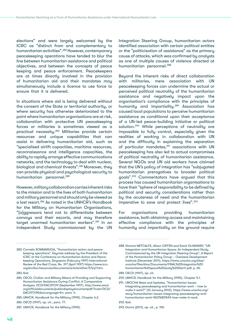elections" and were largely welcomed by the ICRC as "distinct from and complementary to humanitarian activities".282 However, contemporary peacekeeping operations have tended to blur the line between humanitarian assistance and political objectives, and between the concepts of peace keeping and peace enforcement. Peacekeepers are at times directly involved in the provision of humanitarian aid and their mandates may simultaneously include a licence to use force to ensure that it is delivered.

In situations where aid is being delivered without the consent of the State or territorial authority, or where security has otherwise deteriorated to the point where humanitarian organisations are at risk, collaboration with protective UN peacekeeping forces or militaries is sometimes viewed as a practical necessity.283 Militaries provide certain resources and unique capabilities that can assist in delivering humanitarian aid, such as "specialised airlift capacities, maritime resources, reconnaissance and intelligence capacities, the ability to rapidly arrange effective communications networks, and the technology to deal with nuclear, biological and chemical threats".<sup>284</sup> Moreover, they can provide physical and psychological security to humanitarian personnel.285

However, military collaboration carries inherent risks to the mission and to the lives of both humanitarian and military personnel and should only be viewed as a last resort.286 As noted in the UNHCR's Handbook for the Military on Humanitarian Organisations, "[a]ggressors tend not to differentiate between convoys and their escorts, and may therefore target unarmed humanitarian workers".287 In an independent Study commissioned by the UN

Integration Steering Group, humanitarian actors identified association with certain political entities or the "politicisation of assistance" as the primary cause of attacks, which was confirmed by analysts as one of multiple causes of violence directed at humanitarian personnel.<sup>288</sup>

Beyond the inherent risks of direct collaboration with militaries, mere association with UN peacekeeping forces can undermine the actual or perceived political neutrality of the humanitarian assistance and negatively impact upon the organisation's compliance with the principles of humanity and impartiality.<sup>289</sup> Association has caused local populations to perceive humanitarian assistance as conditional upon their acceptance of a UN-led peace-building initiative or political solution.<sup>290</sup> While perceptions of neutrality are impossible to fully control, especially given the realities of working in collaboration with UN and the difficulty in explaining the separation of particular mandates,<sup>291</sup> associations with UN peacekeeping has also led to actual compromises of political neutrality of humanitarian assistance. Several NGOs and UN aid workers have claimed that the UN's policy of integration has "subjugated humanitarian prerogatives to broader political goals".292 Commentators have argued that this process has caused humanitarian organisations to have their "sphere of responsibility to be defined by political and security considerations rather than by the acuteness of need and the humanitarian imperative to save and protect lives".<sup>293</sup>

For organisations providing humanitarian assistance, both obtaining access and maintaining effective compliance with the principles of humanity and impartiality on the ground require

<sup>282.</sup>Cornelio SOMMARUGA, "Humanitarian action and peacekeeping operations", Keynote address by the President of the ICRC at the Conference on Humanitarian Action and Peacekeeping Operations, Singapore (February 1997) International Review of the Red Cross, No. 317 (April 1997) [https://www.icrc.](https://www.icrc.org/en/doc/resources/documents/article/other/57jnj7.htm) [org/en/doc/resources/documents/article/other/57jnj7.htm.](https://www.icrc.org/en/doc/resources/documents/article/other/57jnj7.htm)

<sup>283.</sup> Ibid.

<sup>284.</sup> OECD, Civilian and Military Means of Providing and Supporting Humanitarian Assistance During Conflict: A Comparative Analysis, DCD/DAC(97)19 (September 1997), [http://www.oecd.](http://www.oecd.org/officialdocuments/publicdisplaydocumentpdf/?cote=DCD/DAC(97)19&docLanguage=En) [org/officialdocuments/publicdisplaydocumentpdf/?cote=DCD/](http://www.oecd.org/officialdocuments/publicdisplaydocumentpdf/?cote=DCD/DAC(97)19&docLanguage=En) [DAC\(97\)19&docLanguage=En,](http://www.oecd.org/officialdocuments/publicdisplaydocumentpdf/?cote=DCD/DAC(97)19&docLanguage=En) para. 4.

<sup>285.</sup>UNHCR, Handbook for the Military (1995), Chapter 6.2.

<sup>286.</sup>OECD (1997), op. cit., para. 77.

<sup>287.</sup> UNHCR, Handbook for the Military (1995).

<sup>288.</sup>Victoria METCALFE, Alison GIFFEN and Samir ELHAWARY, "UN Integration and Humanitarian Space: An Independent Study Commissioned by the UN Integration Steering Group", A Report of the Humanitarian Policy Group – Overseas Development Institute (December 2011), [https://www.unocha.org/sites/](https://www.unocha.org/sites/unocha/files/dms/Documents/FINAL%20Integration%20humanitarian%20space%2) [unocha/files/dms/Documents/FINAL%20Integration%20](https://www.unocha.org/sites/unocha/files/dms/Documents/FINAL%20Integration%20humanitarian%20space%2) [humanitarian%20space%20study%20Dec11.pdf](https://www.unocha.org/sites/unocha/files/dms/Documents/FINAL%20Integration%20humanitarian%20space%2), p. 26.

<sup>289.</sup> OECD (1997), op. cit.

<sup>290.</sup>UNHCR, Handbook for the Military (1995), Chapter 5.1.

<sup>291.</sup> UNOCHA News and Updates, "Humanitarian Issues: Integrating peacekeeping and humanitarian work – how to make it work?" (10 January 2012), [https://www.unocha.org/](https://www.unocha.org/story/humanitarian-issues-integrating-peacekeeping-and-humanitarian-work-%E2%) [story/humanitarian-issues-integrating-peacekeeping-and](https://www.unocha.org/story/humanitarian-issues-integrating-peacekeeping-and-humanitarian-work-%E2%)[humanitarian-work-%E2%80%93-how-make-it-work](https://www.unocha.org/story/humanitarian-issues-integrating-peacekeeping-and-humanitarian-work-%E2%).

<sup>292.</sup> Ibid.

<sup>293.</sup>Donini (2011), op. cit., p. 155.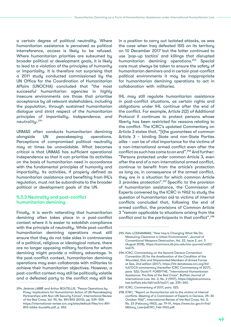a certain degree of political neutrality. Where humanitarian assistance is perceived as political interreference, access is likely to be refused. Where humanitarian priorities are subsumed by broader political or development goals, it is likely to lead to a violation of the principles of humanity or impartiality. It is therefore not surprising that a 2011 study conducted commissioned by the UN Office for the Coordination of Humanitarian Affairs (UNOCHA) concluded that "the most successful humanitarian agencies in highly insecure environments are those that prioritise acceptance by all relevant stakeholders, including the population, through sustained humanitarian dialogue and *strict respect of the humanitarian principles of impartiality, independence, and neutrality.*<sup>294</sup>

UNMAS often conducts humanitarian demining alongside UN peacekeeping operations. Perceptions of compromised political neutrality may at times be unavoidable. What becomes critical is that UNMAS has sufficient operational independence so that it can prioritise its activities on the basis of humanitarian need in accordance with the fundamental principles of humanity and impartiality. Its activities, if properly defined as humanitarian assistance and benefiting from IHL's regulation, must not be subordinate to the broader political or development goals of the UN.

## 5.3.3 Neutrality and post-conflict humanitarian demining

Finally, it is worth reiterating that humanitarian demining often takes place in a post-conflict context where it is easier to establish compliance with the principle of neutrality. While post-conflict humanitarian demining operations must still ensure that they do not take sides in controversies of a political, religious or ideological nature, there are no longer opposing military factions for whom demining might provide a military advantage. In the post-conflict context, humanitarian demining operations may even collaborate with militaries to achieve their humanitarian objectives. However, a post-conflict context may still be politically volatile and a defeated party to the conflict may still be in a position to carry out isolated attacks, as was the case when Iraa defeated ISIS on its territoru on 10 December 2017 but the latter continued to use 'pop-up tactics' and killings that disrupted humanitarian demining operations.<sup>295</sup> Special care must always be taken to ensure the safety of humanitarian deminers and in certain post-conflict political environments it may be inappropriate for humanitarian demining operations to act in collaboration with militaries.

IHL may still regulate humanitarian assistance in post-conflict situations, as certain rights and obligations under IHL continue after the end of the conflict. For example, Article 2(2) of Additional Protocol II continues to protect persons whose liberty has been restricted for reasons relating to the conflict. The ICRC's updated Commentary on Article 3 states that, "[t]he guarantees of common Article 3 – binding State and non-State Parties alike – can be of vital importance for the victims of a non-international armed conflict even after the conflict as such has come to an end".296 And further: "Persons protected under common Article 3, even after the end of a non-international armed conflict, continue to benefit from the article's protection as long as, in consequence of the armed conflict, they are in a situation for which common Article 3 provides protection".297 Specific to the provision of humanitarian assistance, the Commission of Experts convened by the ICRC in 1962 to study the question of humanitarian aid to victims of internal conflicts concluded that, following the end of armed conflict, the provisions of Common Article 3 "remain applicable to situations arising from the conflict and to the participants in that conflict".<sup>298</sup>

297. ICRC, Commentary of 2017, para. 523.

<sup>294.</sup> Jérémie LABBÉ and Arthur BOUTELLIS, "Peace Operations by Proxy: Implications for Humanitarian Action of UN Peacekeeping Partnerships with Non-UN Security Forces", International Review of the Red Cross, Vol. 95, No. 891/892 (2013), pp. 539–559, [https://international-review.icrc.org/sites/default/files/irrc-891-](https://international-review.icrc.org/sites/default/files/irrc-891-892-labbe-boutellis.pdf) [892-labbe-boutellis.pdf,](https://international-review.icrc.org/sites/default/files/irrc-891-892-labbe-boutellis.pdf) p. 552.

<sup>295.</sup> Pehr LODHAMMAR, "How Iraq Is Changing What We Do: Measuring Clearance in Urban Environments", Journal of Conventional Weapons Destruction, Vol. 22, Issue 2, art. 5 (August 2018), [https://commons.lib.jmu.edu/cisr-journal/vol22/](https://commons.lib.jmu.edu/cisr-journal/vol22/iss2/5) [iss2/5.](https://commons.lib.jmu.edu/cisr-journal/vol22/iss2/5)

<sup>296.</sup> ICRC, Commentary on the Second Geneva Convention: Convention (II) for the Amelioration of the Condition of the Wounded, Sick and Shipwrecked Members of Armed Forces at Sea, 2nd edition (2017), [https://ihl-databases.icrc.org/ihl/](https://ihl-databases.icrc.org/ihl/full/GCII-commentary) [full/GCII-commentary](https://ihl-databases.icrc.org/ihl/full/GCII-commentary) (hereafter ICRC Commentary of 2017), para. 522; David P. FORSYTHE, "International Humanitarian Assistance: The Role of the Red Cross", Buffalo Journal of International Law, Vol. 3, No. 2 (1997), [https://digitalcommons.](https://digitalcommons.law.buffalo.edu/bjil/vol3/iss2/1, pp. 235-260) [law.buffalo.edu/bjil/vol3/iss2/1, pp. 235–260.](https://digitalcommons.law.buffalo.edu/bjil/vol3/iss2/1, pp. 235-260)

<sup>298.</sup> ICRC, "Report on Humanitarian aid to the victims of internal conflicts. Meeting of a Commission of Experts in Geneva, 25–30 October 1962", International Review of the Red Cross, Vol. 3, No. 23 (February 1963), pp. 79-91, [https://www.loc.gov/rr/frd/](https://www.loc.gov/rr/frd/Military_Law/pdf/RC_Feb-1963.pdf) [Military\\_Law/pdf/RC\\_Feb-1963.pdf](https://www.loc.gov/rr/frd/Military_Law/pdf/RC_Feb-1963.pdf).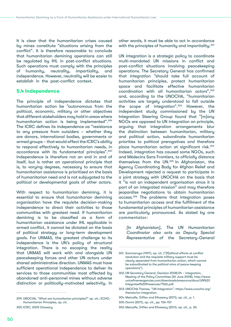It is clear that the humanitarian crises caused by mines constitute "situations arising from the conflict". It is therefore reasonable to conclude that humanitarian demining operations can still be regulated by IHL in post-conflict situations. Such operations must comply with the principles of humanity, neutrality, impartiality, and independence. However, neutrality will be easier to establish in the post-conflict context.

## **5.4 Independence**

The principle of independence dictates that humanitarian action be "autonomous from the political, economic, military or other objectives that different stakeholders may hold in areas where humanitarian action is being implemented".<sup>299</sup> The ICRC defines its independence as "resistance to any pressure from outsiders – whether they are donors, international bodies, governments or armed groups – that would affect the ICRC's ability to respond effectively to humanitarian needs, in accordance with its fundamental principles".300 Independence is therefore not an end in and of itself, but is rather an operational principle that is, to varying degrees, necessary to ensure that humanitarian assistance is prioritised on the basis of humanitarian need and is not subjugated to the political or developmental goals of other actors.

With respect to humanitarian demining, it is essential to ensure that humanitarian demining organisation have the requisite decision-making independence to direct their activities to those communities with greatest need. If humanitarian demining is to be classified as a form of humanitarian assistance under IHL applicable in armed conflict, it cannot be dictated on the basis of political strategy or long-term development goals. For UNMAS, the greatest challenge to its independence is the UN's policy of structural integration. There is no escaping the reality that UNMAS will work with and alongside UN peacekeeping forces and other UN actors under shared administrative direction. UNMAS must have sufficient operational independence to deliver its services to those communities most affected by abandoned anti-personnel mines without adverse distinction or politically-motivated selectivity. In other words, it must be able to act in accordance with the principles of humanity and impartiality.<sup>301</sup>

UN integration is a strategic policy to coordinate multi-mandated UN missions in conflict and post-conflict situations involving peacekeeping operations. The Secretary General has confirmed that integration "should take full account of humanitarian principles, protect humanitarian space and facilitate effective humanitarian coordination with all humanitarian actors",302 and, according to the UNOCHA, "humanitarian activities are largely understood to fall outside the scope of integration".<sup>303</sup> However, the independent study commissioned by the UN Integration Steering Group found that "[m]any NGOs are opposed to UN integration on principle, arguing that integration arrangements blur the distinction between humanitarian, military and political action, subordinate humanitarian priorities to political prerogatives and therefore place humanitarian action at significant risk.304 Indeed, integration has caused some NGOs, such and Médecins Sans Frontiers, to officially distance themselves from the UN.305 In Afghanistan, the Agency Coordinating Body for Afghan Relief and Development rejected a request to participate in a joint strategy with UNOCHA on the basis that it "is not an independent organisation since it is part of an integrated mission" and may therefore jeopardise negotiations to obtain humanitarian access.306 The problems that integration poses to humanitarian access and the fulfillment of the fundamental principles of humanitarian assistance are particularly pronounced. As stated by one commentator:

*[In Afghanistan], The UN Humanitarian Coordinator also acts as Deputy Special Representative of the Secretary-General* 

306.Metcalfe, Giffen and Elhawary (2011), op. cit., p. 30.

<sup>299.</sup> UNOCHA, "What are humanitarian principles?" op. cit.; ECHO, Humanitarian Principles, op. cit. 300.ICRC, 2009 Glossary.

<sup>301.</sup> Sommaruga (1997), op. cit. ("[P]olitical efforts at conflict resolution and the requisite military support must be clearly separated from humanitarian action, which cannot be subordinated to the political aims of peace-keeping operations").

<sup>302.</sup>UN Secretary General, Decision 2008/24 – Integration, Meeting of the Policy Committee (26 June 2008), [http://www.](http://www.unicefinemergencies.com/downloads/eresource/docs/UN%20Integrated%20Presences/7526.pdf) [unicefinemergencies.com/downloads/eresource/docs/UN%20](http://www.unicefinemergencies.com/downloads/eresource/docs/UN%20Integrated%20Presences/7526.pdf) [Integrated%20Presences/7526.pdf.](http://www.unicefinemergencies.com/downloads/eresource/docs/UN%20Integrated%20Presences/7526.pdf)

<sup>303.</sup>UNOCHA Themes, "UN Integration", [https://www.unocha.org/](https://www.unocha.org/themes/un-integration) [themes/un-integration](https://www.unocha.org/themes/un-integration).

<sup>304.</sup> Metcalfe, Giffen and Elhawary (2011), op. cit., p. 1.

<sup>305.</sup>Donini (2011), op. cit., pp. 156-157.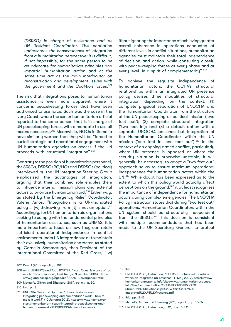*(DSRSG) in charge of assistance and as UN Resident Coordinator. This conflation underscores the consequences of integration from a humanitarian perspective: it is difficult, if not impossible, for the same person to be an advocate for humanitarian principles and impartial humanitarian action and at the same time act as the main interlocutor on reconstruction and development issues with the government and the Coalition forces.307*

The risk that integrations poses to humanitarian assistance is even more apparent where it concerns peacekeeping forces that have been authorised to use force. Such was the case in the Ivory Coast, where the senior humanitarian official reported to the same person that is in charge of UN peacekeeping forces with a mandate to use all means necessary.308 Meanwhile, NGOs in Somalia have similarly warned that they will be "forced to curtail strategic and operational engagement with UN humanitarian agencies on access if the UN proceeds with structural integration".309

Contrary to the position of humanitarian personnel, the SRSGs, DSRSG/RC/HCs and DSRSGs (political) interviewed by the UN Integration Steering Group emphasised the advantages of integration, arguing that their combined role enables them to influence internal mission plans and external actors to prioritise humanitarian aid.310 Either way, as stated by the Emergency Relief Coordinator, Valerie Amos, "Integration is a UN-mandated policy ... [w]ithdrawing from [it] is not an option.<sup>311</sup> Accordingly, for UN humanitarian aid organisations seeking to comply with the fundamental principles of humanitarian assistance, such as UNMAS, it is more important to focus on how they can retain sufficient operational independence in conflict environments under UN integration so as to maintain their exclusively humanitarian character. As stated by Cornelio Sommaruga, then-President of the International Committee of the Red Cross, "[w]

ithout ignoring the importance of achieving greater overall coherence in operations conducted at different levels in conflict situations, humanitarian agencies must maintain their total independence of decision and action, while consulting closely with peace-keeping forces at every phase and at every level, in a spirit of complementarity". 312

To achieve the requisite independence of humanitarian actors, the OCHA's structural relationships within an integrated UN presence policy devises three modalities of structural integration depending on the context: (1) complete physical separation of UNOCHA and the Humanitarian Coordinator from the structure of the UN peacekeeping or political mission ('two feet out'); (2) complete structural integration ('two feet in'); and (3) a default option with a separate UNOCHA presence but integration of the Humanitarian Coordinator within the UN mission ('one foot in, one foot out'). $313$  In the context of an ongoing armed conflict, particularly where UN presence is opposed or where the security situation is otherwise unstable, it will generally be necessary to adopt a "two feet out" approach so as to ensure maximum operational independence for humanitarian actors within the UN.314 While doubt has been expressed as to the extent to which this policy would actually affect perceptions on the ground,<sup>315</sup> it at least recognises the importance of independence for humanitarian actors during complex emergencies. The UNOCHA Policy Instruction states that during "two feet out" operations, Humanitarian Coordinators within the UN system should be structurally independent from the SRSGs.316 This decision is consistent with multiple recommendations that had been made to the UN Secretary General to protect

<sup>307.</sup> Donini (2011), op. cit., p. 152.

<sup>308.</sup>Anna JEFFERYS and Toby PORTER, "Ivory Coast is a case of too much UN coordination", Alert Net (26 November 2004), [http://](http://www.globalpolicy.org/ngos/aid/2004/1126ivorycoast.html) [www.globalpolicy.org/ngos/aid/2004/1126ivorycoast.html](http://www.globalpolicy.org/ngos/aid/2004/1126ivorycoast.html).

<sup>309.</sup> Metcalfe, Giffen and Elhawary (2011), op. cit., p. 30.

<sup>310.</sup> Ibid, p. 18.

<sup>311.</sup> UNOCHA News and Updates, "Humanitarian Issues: Integrating peacekeeping and humanitarian work – how to make it work?" (10 January 2012), [https://www.unocha.org/](https://www.unocha.org/story/humanitarian-issues-integrating-peacekeeping-and-humanitarian-work-%E2%) [story/humanitarian-issues-integrating-peacekeeping-and](https://www.unocha.org/story/humanitarian-issues-integrating-peacekeeping-and-humanitarian-work-%E2%)[humanitarian-work-%E2%80%93-how-make-it-work.](https://www.unocha.org/story/humanitarian-issues-integrating-peacekeeping-and-humanitarian-work-%E2%)

<sup>312.</sup> Ibid.

<sup>313.</sup> UNOCHA Policy Instruction, "OCHA's structural relationships within an integrated UN presence", (1 May 2009), [https://www.](https://www.humanitarianresponse.info/sites/www.humanitarianresponse.info/files/documents/files/OCHA) [humanitarianresponse.info/sites/www.humanitarianresponse.](https://www.humanitarianresponse.info/sites/www.humanitarianresponse.info/files/documents/files/OCHA) [info/files/documents/files/OCHA%E2%80%99s%20](https://www.humanitarianresponse.info/sites/www.humanitarianresponse.info/files/documents/files/OCHA) [Structural%20Relationships%20Within%20An%20](https://www.humanitarianresponse.info/sites/www.humanitarianresponse.info/files/documents/files/OCHA) [Integrated%20UN%20Presence.pdf.](https://www.humanitarianresponse.info/sites/www.humanitarianresponse.info/files/documents/files/OCHA)

<sup>314.</sup> Ibid, pp. 12-13.

<sup>315.</sup> Metcalfe, Giffen and Elhawary (2011), op. cit., pp. 33-34.

<sup>316.</sup> UNOCHA Policy Instruction, p. 12, para. 6.2.2.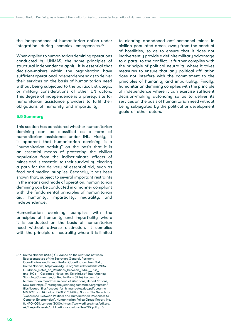the independence of humanitarian action under integration during complex emergencies.<sup>317</sup>

When applied to humanitarian demining operations conducted by UNMAS, the same principles of structural independence apply. It is essential that decision-makers within the organisation have sufficient operational independence so as to deliver their services on the basis of humanitarian need without being subjected to the political, strategic, or military considerations of other UN actors. This degree of independence is a prerequisite for humanitarian assistance providers to fulfil their obligations of humanity and impartiality.

#### **5.5 Summary**

This section has considered whether humanitarian demining can be classified as a form of humanitarian assistance under IHL. Firstly, it is apparent that humanitarian demining is a "humanitarian activity" on the basis that it is an essential means of protecting the civilian population from the indiscriminate effects of mines and is essential to their survival by clearing a path for the delivery of essential aid, such as food and medical supplies. Secondly, it has been shown that, subject to several important restraints in the means and mode of operation, humanitarian demining can be conducted in a manner compliant with the fundamental principles of humanitarian aid: humanity, impartiality, neutrality, and independence.

Humanitarian demining complies with the principles of humanity and impartiality where it is conducted on the basis of humanitarian need without adverse distinction. It complies with the principle of neutrality where it is limited

to clearing abandoned anti-personnel mines in civilian-populated areas, away from the conduct of hostilities, so as to ensure that it does not inadvertently provide a definite military advantage to a party to the conflict. It further complies with the principle of political neutrality where it takes measures to ensure that any political affiliation does not interfere with the commitment to the principles of humanity and impartiality. Finally, humanitarian demining complies with the principle of independence where it can exercise sufficient decision-making autonomy so as to deliver its services on the basis of humanitarian need without being subjugated by the political or development goals of other actors.

<sup>317.</sup> United Nations (2000) Guidance on the relations between Representatives of the Secretary General, Resident Coordinators and Humanitarian Coordinators. New York, United Nations, [https://unsdg.un.org/sites/default/files/1057-](https://unsdg.un.org/sites/default/files/1057-Guidance_Notes_on_Relations_between_SRSG__RCs_and_HCs_) [Guidance\\_Notes\\_on\\_Relations\\_between\\_SRSG\\_\\_RCs\\_](https://unsdg.un.org/sites/default/files/1057-Guidance_Notes_on_Relations_between_SRSG__RCs_and_HCs_) and HCs - Guidance Notes on Relatio1.pdf; Inter Agency Standing Committee, United Nations (1996) Respect for humanitarian mandates in conflict situations, United Nations, New York [https://interagencystandingcommittee.org/system/](https://interagencystandingcommittee.org/system/files/legacy_files/respect_for_h_mandates.doc.pdf) [files/legacy\\_files/respect\\_for\\_h\\_mandates.doc.pdf;](https://interagencystandingcommittee.org/system/files/legacy_files/respect_for_h_mandates.doc.pdf) Joanna MACRAE and Nicholas LEADER, "Shifting Sands: The Search for 'Coherence' Between Political and Humanitarian Responses to Complex Emergencies", Humanitarian Policy Group Report, No. 8, HPG-ODI, London (2000), [https://www.odi.org/sites/odi.org.](https://www.odi.org/sites/odi.org.uk/files/odi-assets/publications-opinion-files/299.pdf) [uk/files/odi-assets/publications-opinion-files/299.pdf](https://www.odi.org/sites/odi.org.uk/files/odi-assets/publications-opinion-files/299.pdf), p. 6.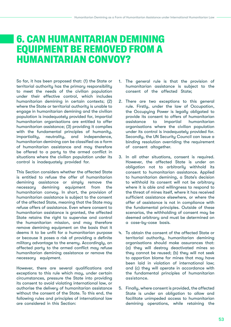## 6. CAN HUMANITARIAN DEMINING EQUIPMENT BE REMOVED FROM A HUMANITARIAN CONVOY?

So far, it has been proposed that: (1) the State or territorial authority has the primary responsibility to meet the needs of the civilian population under their effective control, which includes humanitarian demining in certain contexts; (2) where the State or territorial authority is unable to engage in humanitarian demining and the civilian population is inadequately provided for, impartial humanitarian organisations are entitled to offer humanitarian assistance; (3) providing it complies with the fundamental principles of humanity, impartiality, neutrality, and independence, humanitarian demining can be classified as a form of humanitarian assistance and may therefore be offered to a party to the armed conflict in situations where the civilian population under its control is inadequately provided for.

This Section considers whether the affected State is entitled to refuse the offer of humanitarian demining assistance or simply remove the necessary demining equipment from the humanitarian convoy. In short, the provision of humanitarian assistance is subject to the consent of the affected State, meaning that the State may refuse offers of assistance. Even where consent to humanitarian assistance is granted, the affected State retains the right to supervise and control the humanitarian mission, and may therefore remove demining equipment on the basis that it deems it to be unfit for a humanitarian purpose or because it poses a risk of providing a definite military advantage to the enemy. Accordingly, an affected party to the armed conflict may refuse humanitarian demining assistance or remove the necessary equipment.

However, there are several qualifications and exceptions to this rule which may, under certain circumstances, pressure the State into providing its consent to avoid violating international law, or authorise the delivery of humanitarian assistance without the consent of the State. To this end, the following rules and principles of international law are considered in this Section:

- 1. The general rule is that the provision of humanitarian assistance is subject to the consent of the affected State;
- 2. There are two exceptions to this general rule. Firstly, under the law of Occupation, the Occupying Power is legally obligated to provide its consent to offers of humanitarian assistance to impartial humanitarian organisations where the civilian population under its control is inadequately provided for. Secondly, the UN Security Council can issue a binding resolution overriding the requirement of consent altogether.
- 3. In all other situations, consent is required. However, the affected State is under an obligation not to arbitrarily withhold its consent to humanitarian assistance. Applied to humanitarian demining, a State's decision to withhold its consent will not be arbitrary where it is able and willingness to respond to the threat of mines itself, where it has received sufficient assistance elsewhere, or where the offer of assistance is not in compliance with the fundamental principles. Outside of these scenarios, the withholding of consent may be deemed arbitrary and must be determined on a case-by-case basis.
- 4. To obtain the consent of the affected State or territorial authority, humanitarian demining organisations should make assurances that: (a) they will destroy deactivated mines so they cannot be reused; (b) they will not seek to apportion blame for mines that may have been laid in violation of international law; and (c) they will operate in accordance with the fundamental principles of humanitarian assistance.
- 5. Finally, where consent is provided, the affected State is under an obligation to allow and facilitate unimpeded access to humanitarian demining operations, while retaining the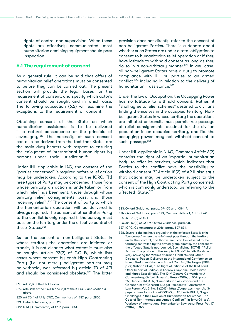rights of control and supervision. When these rights are effectively communicated, most humanitarian demining equipment should pass inspection.

## **6.1 The requirement of consent**

As a general rule, it can be said that offers of humanitarian relief operations must be consented to before they can be carried out. The present section will provide the legal bases for the requirement of consent, and specify which actor's consent should be sought and in which case. The following subsection (6.2) will examine the exceptions to the requirement of consent.

Obtaining consent of the State on which humanitarian assistance is to be delivered is a natural consequence of the principle of sovereignty.<sup>318</sup> The necessity of such consent can also be derived from the fact that States are the main duty-bearers with respect to ensuring the enjoyment of international human rights by persons under their jurisdiction.319

Under IHL applicable in IAC, the consent of the "parties concerned" is required before relief action may be undertaken. According to the ICRC, "[t] hree types of Party may be concerned: those from whose territory an action is undertaken or from which relief has been sent, those through whose territory relief consignments pass, and those receiving relief".320 The consent of party to which the humanitarian operation will be delivered is always required. The consent of other States Party to the conflict is only required if the convoy must pass on the territory under the effective control of these States.<sup>321</sup>

As for the consent of non-belligerent States in whose territory the operations are initiated or transit, it is not clear to what extent it must also be sought. Article 23(2) of GC IV, which lists cases where consent by each High Contracting Party (i.e. not merely belligerent parties) may be withheld, was reformed by article 70 of API and should be considered obsolete.322 The latter

provision does not directly refer to the consent of non-belligerent Parties. There is a debate about whether such States are under a total obligation to consent to humanitarian relief operation or if they have latitude to withhold consent as long as they do so in a non-arbitrary manner.<sup>323</sup> In any case, all non-belligerent States have a duty to promote compliance with IHL by parties to an armed conflict,324 including in relation to the delivery of humanitarian assistance.<sup>325</sup>

Under the law of Occupation, the Occupying Power has no latitude to withhold consent. Rather, it "shall agree to relief schemes" destined to civilians finding themselves in the occupied territory. Nonbelligerent States in whose territory the operations are initiated or transit, must permit free passage of relief consignments destined for the civilian population in an occupied territory, and like the occupying power, may not withhold consent to such passage.<sup>326</sup>

Under IHL applicable in NIAC, *Common Article 3*(2) contains the right of an impartial humanitarian body to offer its services, which indicates that Parties to the conflict have the possibility to withhold consent.<sup>327</sup> Article 18(2) of AP II also says that actions may be undertaken subject to the consent of the High Contracting Party concerned, which is commonly understood as referring to the affected State.328

<sup>318.</sup> Art. 2(1) of the UN Charter.

<sup>319.</sup> Arts. 2(1) of the ICCPR and 2(1) of the ICESCR and section 3.2 above.

<sup>320.</sup> Art 70(1) of AP I; ICRC, Commentary of 1987, para. 2806.

<sup>321.</sup> Oxford Guidance, para. 23.

<sup>322.</sup> ICRC, Commentary of 1987, para. 2851.

<sup>323.</sup> Oxford Guidance, paras. 99-105 and 108-119.

<sup>324.</sup> Oxford Guidance, para. 129; Common Article 1; Art. 1 of AP I. 325. Art. 70(5) of AP I.

<sup>326.</sup> Art. 59(3) of GC IV; Oxford Guidance, para. 98.

<sup>327.</sup> ICRC, Commentary of 2016, paras. 827-831.

<sup>328.</sup> Several scholars have argued that the affected State is only "concerned" where the relief must pass through the territory under their control, and that where it can be delivered to the territory controlled by the armed group directly, the consent of the affected State is not required. See: Michael BOTHE, "Relief Actions: The position of the Recipient State", in Frits Kalshoven (ed.), Assisting the Victims of Armed Conflicts and Other Disasters- Papers Delivered at the International Conference on Humanitarian Assistance in Armed Conflict, The Hague (1988), p.94; Nishat NISHAT, "The Right of Initiative of the ICRC and Other Impartial Bodies", in Andrew Clapham, Paola Gaeta and Marco Sassòli (eds), The 1949 Geneva Conventions: A Commentary, Oxford University Press (2015), p. 502, para. 25; Cedric RYNGAER, "Humanitarian Assistance and the Conundrum of Consent: A Legal Perspective", Amsterdam Law Forum ,Vol. 5, No. 2 (2013), [https://papers.ssrn.com/sol3/](https://papers.ssrn.com/sol3/papers.cfm?abstract_id=2293349) [papers.cfm?abstract\\_id=2293349,](https://papers.ssrn.com/sol3/papers.cfm?abstract_id=2293349) p. 17; Emilie KUIJT, "Legal Challenges in the Provision of Humanitarian Assistance: The Case of Non-International Armed Conflicts", in Terry Gill (ed), Yearbook of International Humanitarian Law, Asser Press, Vol. 17 (2014), p. 145.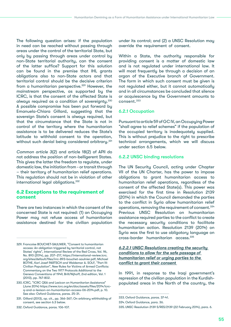The following question arises: if the population in need can be reached without passing through areas under the control of the territorial State, but only by passing through areas under control by non-State territorial authority, can the consent of the latter suffice? Support for this solution can be found in the premise that IHL grants obligations also to non-State actors and that territorial control should be the decisive criterion from a humanitarian perspective.<sup>329</sup> However, the mainstream perspective, as supported by the ICRC, is that the consent of the affected State is always required as a condition of sovereignty. 330 A possible compromise has been put forward by Emanuela-Chiara Gillard, suggesting that the sovereign State's consent is always required, but that the circumstance that the State is not in control of the territory where the humanitarian assistance is to be delivered reduces the State's latitude to withhold consent to the operation, without such denial being considered arbitrary. 331

*Common article 3*(2) and article 18(2) of APII do not address the position of non-belligerent States. This gives the latter the freedom to regulate, under domestic law, the initiation from - or transit through – their territory of humanitarian relief operations. This regulation should not be in violation of other international legal obligations.332

## **6.2 Exceptions to the requirement of consent**

There are two instances in which the consent of the concerned State is not required: (1) an Occupying Power may not refuse access of humanitarian assistance destined for the civilian population

332.Oxford Guidance, paras. 106-107.

under its control; and (2) a UNSC Resolution may override the requirement of consent.

Within a State, the authority responsible for providing consent is a matter of domestic law and is not regulated under international law. It will most frequently be through a decision of an organ of the Executive branch of Government. The form in which such consent must be given is not regulated either, but it cannot automatically and in all circumstances be concluded that silence or acquiescence by the Government amounts to consent.333

## 6.2.1 Occupation

Pursuant to article 59 of GC IV, an Occupying Power "shall agree to relief schemes" if the population of the occupied territory is inadequately supplied. This is without prejudice to the right to prescribe technical arrangements, which we will discuss under section 6.5 below.

#### 6.2.2 UNSC binding resolutions

The UN Security Council, acting under Chapter VII of the UN Charter, has the power to impose obligations to grant humanitarian access to humanitarian relief operations, regardless of the consent of the affected State(s). This power was exercised for the first time in Resolution 2139 (2014) in which the Council demanded the parties to the conflict in Syria allow humanitarian relief operations, removing the requirement of consent.334 Previous UNSC Resolution on humanitarian assistance required parties to the conflict to create the necessary security conditions to facilitate humanitarian action. Resolution 2139 (2014) on Syria was the first to use obligatory language on cross-border humanitarian access.335

*6.2.2.1 UNSC Resolutions creating the security conditions to allow for the safe passage of humanitarian relief or urging parties to the conflict to grant their consent*

In 1991, in response to the Iraqi government's repression of the civilian population in the Kurdishpopulated areas in the North of the country, the

<sup>329.</sup> Francoise BOUCHET-SAULNIER, "Consent to humanitarian access: An obligation triggered by territorial control, not States' rights", International Review of the Red Cross, Vol. 96, No. 893 (2014), pp. 207–217, [https://international-review.icrc.](https://international-review.icrc.org/sites/default/files/irrc-893-bouchet-saulnier.pdf) [org/sites/default/files/irrc-893-bouchet-saulnier.pdf](https://international-review.icrc.org/sites/default/files/irrc-893-bouchet-saulnier.pdf); Michael BOTHE, Karl Josef PARTSCH and Waldemar A. SOLF, "Part IV: Civilian Population", New Rules for Victims of Armed Conflicts: Commentary on the Two 1977 Protocols Additional to the Geneva Conventions of 1949, Brill/Nijhoff, 2nd edition, Vol. 1 (2013), pp. 767-802.

<sup>330.</sup>ICRC, "ICRC Q&A and Lexicon on Humanitarian Assistance" (June 2014) [https://www.icrc.org/en/doc/assets/files/2014/icrc](https://www.icrc.org/en/doc/assets/files/2014/icrc-q-and-a-lexison-on-humanitarian-access-06-2014.pd)[q-and-a-lexison-on-humanitarian-access-06-2014.pdf](https://www.icrc.org/en/doc/assets/files/2014/icrc-q-and-a-lexison-on-humanitarian-access-06-2014.pd), p. 10. See also: Oxford Guidance, paras. 25-31.

<sup>331.</sup> Gillard (2013), op. cit., pp. 366-367; On arbitrary withholding of consent, see section 6.3 below.

<sup>333.</sup> Oxford Guidance, paras. 37-41.

<sup>334.</sup> Oxford Guidance, para. 36.

<sup>335.</sup> UNSC Resolution 2139 S/RES/2139 (22 February 2014), para. 6.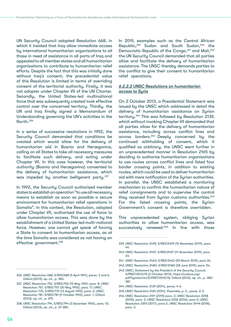UN Security Council adopted Resolution 668, in which it insisted that Iraq allow immediate access by international humanitarian organisations to all those in need of assistance in all parts of Iraq and appealed to all member states and all humanitarian organisations to contribute to humanitarian relief efforts. Despite the fact that this was initially done without Iraq's consent, the precedential value of this Resolution is limited in terms of overriding consent of the territorial authority. Firstly, it was not adopter under Chapter VII of the UN Charter. Secondly, the United States-led multinational force that was subsequently created took effective control over the concerned territory. Thirdly, the UN and Iraq finally signed a Memorandum of Understanding governing the UN's activities in the North.336

In a series of successive resolutions in 1992, the Security Council demanded that conditions be created which would allow for the delivery of humanitarian aid in Bosnia and Herzegovina, calling on all States to take all necessary measures to facilitate such delivery, and acting under Chapter VII. In this case however, the territorial authority (Bosnia and Herzegovina) consented to the delivery of humanitarian assistance, which was impeded by another belligerent party.<sup>337</sup>

In 1992, the Security Council authorised member states to establish an operation "to use all necessary means to establish as soon as possible a secure environment for humanitarian relief operations in Somalia". In this context, the Resolution, adopted under Chapter VII, authorised the use of force to allow humanitarian access. This was done by the establishment of a United States-led multi-national force. However, one cannot yet speak of forcing a State to consent to humanitarian access, as at the time Somalia was considered as not having an effective government.<sup>338</sup>

336. UNSC Resolution 688, S/RES/688 (5 April 1991), paras. 3 and 6; Gillard (2013), op. cit., p. 380.

In 2019, examples such as the Central African Republic,339 Sudan and South Sudan,340 the Democratic Republic of the Congo, 341 and Mali, 342 the UN Security Council demanded that all parties allow and facilitate the delivery of humanitarian assistance. The UNSC thereby demands parties to the conflict to give their consent to humanitarian relief operations.

#### *6.2.2.2 UNSC Resolutions on humanitarian access to Syria*

On 2 October 2013, a Presidential Statement was issued by the UNSC which addressed in detail the delivery of humanitarian assistance on Syrian territory.343 This was followed by Resolution 2139, which without invoking Chapter VII demanded that all parties allow for the delivery of humanitarian assistance, including across conflict lines and across borders.344 Deeply concerned by the continued withholding of consent, which it qualified as arbitrary, the UNSC went further in an unprecedented manner in Resolution 2165 by deciding to authorize humanitarian organisations to use routes across conflict lines and listed four border crossing points, in addition to existing routes, which could be used to deliver humanitarian aid with mere notification of the Syrian authorities. In parallel, the UNSC established a monitoring mechanism to confirm the humanitarian nature of relief consignments and to supervise the control they received from Syrian customs authorities.<sup>345</sup> For the listed crossing points, the Syrian Government's consent is therefore overridden.

This unprecedented system, obliging Syrian authorities to allow humanitarian access, was successively renewed.<sup>346</sup> In line with those

<sup>337.</sup> UNSC Resolution 752, S/RES/752 (15 May 1992, para. 8; UNSC Resolution 757, S/RES/757 (30 May 1992), para. 17; UNSC Resolution 770, S/RES/770 (13 August 1992), para. 2; UNSC Resolution 781, S/RES/781 (9 October 1992), para. 1; Gillard (2013), op. cit., p. 379.

<sup>338.</sup>UNSC Resolution 794, S/RES/794 (3 December 1992), para. 10; Gillard (2013), op. cit., p. 37-380.

<sup>339.</sup> UNSC Resolution 2499, S/RES/2499 (15 November 2019), para. 49.

<sup>340.</sup>UNSC Resolution 2497, S/RES/2497 (14 November 2019), para 23.

<sup>341.</sup> UNSC Resolution 2463, S/RES/2463 (29 March 2019), para 36.

<sup>342.</sup>UNSC Resolution 2480, S/RES/2480 (28 June 2019), para. 54.

<sup>343.</sup>UNSC, Statement by the President of the Security Council, S/PRST/2013/15 (2 October 2013), [https://undocs.org/](https://undocs.org/pdf?symbol=en/S/PRST/2013/15; Gillard (2013), op. cit.) [pdf?symbol=en/S/PRST/2013/15; Gillard \(2013\), op. cit.,](https://undocs.org/pdf?symbol=en/S/PRST/2013/15; Gillard (2013), op. cit.) p. 380- 381.

<sup>344.</sup> UNSC Resolution 2139 (2014), paras. 4-6.

<sup>345.</sup>UNSC Resolution 2165 (2014), Preamble, p. 2., paras. 2-3.

<sup>346.</sup>UNSC Resolution 2191 (2015) para. 2; UNSC Resolution 2258 (2015), para. 2; UNSC Resolution 2332 (2016), para 2; UNSC Resolution 2393 (2017), para 2; UNSC Resolution 2449 (2018), para. 3.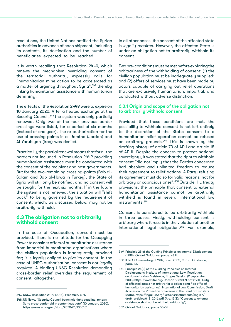resolutions, the United Nations notified the Syrian authorities in advance of each shipment, including its contents, its destination and the number of beneficiaries expected to be reached.

It is worth recalling that Resolution 2449, which renews the mechanism overriding consent of the territorial authority, expressly calls for "humanitarian mine action to be accelerated as a matter of urgency throughout Syria",<sup>347</sup> thereby linking humanitarian assistance with humanitarian demining.

The effects of the Resolution 2449 were to expire on 10 January 2020. After a heated exchange at the Security Council, 348 the system was only partially renewed. Only two of the four previous border crossings were listed, for a period of six months (instead of one year). The re-authorization for the use of crossing points in al-Ramtha (Jordan) and Al Yarubiyah (Iraq) was denied.

Practically, the partial renewal means that for all the borders not included in Resolution 2449 providing humanitarian assistance must be conducted with the consent of the recipient and host governments. But for the two-remaining crossing-points (Bab al-Salam and Bab al-Hawa in Turkey), the State of Syria will still only be notified, and no consent will be sought for the next six months. If in the future the system is not renewed, the situation will "shift back" to being governed by the requirement of consent, which, as discussed below, may not be arbitrarily withheld.

## **6.3 The obligation not to arbitrarily withhold consent**

In the case of Occupation, consent must be provided. There is no latitude for the Occupying Power to consider offers of humanitarian assistance from impartial humanitarian organisations where the civilian population is inadequately provided for; it is legally obliged to give its consent. In the case of UNSC authorisation, consent is *not legally required*. A binding UNSC Resolution demanding cross-border relief overrides the requirement of consent altogether.

In all other cases, the consent of the affected state is *legally required*. However, the affected State is under an obligation not to arbitrarily withhold its consent.

Two pre-conditions must be met before exploring the arbitrariness of the withholding of consent: (1) the civilian population must be inadequately supplied; and (2) offers of services must have been made by actors capable of carrying out relief operations that are exclusively humanitarian, impartial, and conducted without adverse distinction.

## 6.3.1 Origin and scope of the obligation not to arbitrarily withhold consent

Provided that these conditions are met, the possibility to withhold consent is not left entirely to the discretion of the State: consent to a humanitarian relief operation cannot be refused on arbitrary grounds.<sup>349</sup> This is shown by the drafting history of article 70 of AP I and article 18 of AP II. Despite the concern to protect national sovereignty, it was stated that the right to withhold consent "did not imply that the Parties concerned had absolute and unlimited freedom to reduce their agreement to relief actions. A Party refusing its agreement must do so for valid reasons, not for arbitrary or capricious ones".350 Outside IHL treaty provisions, the principle that consent to external humanitarian assistance cannot be arbitrarily withheld is found in several international law instruments.351

Consent is considered to be arbitrarily withheld in three cases. Firstly, withholding consent is arbitrary where it results in the violation of another international legal obligation.352 For example,

<sup>347.</sup> UNSC Resolution 2449 (2018), Preamble, p. 4.

<sup>348.</sup>UN News, "Security Council beats midnight deadline, renews Syria cross-border aid in contentious vote" (10 January 2020), <https://news.un.org/en/story/2020/01/1055181>.

<sup>349.</sup> Principle 25 of the Guiding Principles on Internal Displacement (1998); Oxford Guidance, paras. 43 ff.

<sup>350.</sup>ICRC, Commentary of 1987, para. 2805; Oxford Guidance, para. 46.

<sup>351.</sup> Principle 25(2) of the Guiding Principles on Internal Displacement; Institute of International Law, Resolution on Humanitarian Assistance, Bruges Session (2 September 2003)<https://www.ifrc.org/Docs/idrl/I318EN.pdf> ("VIII : Duty of affected states not arbitrarily to reject bona fide offer of humanitarian assistance); International Law Commission, Draft Articles on the Protection of Persons in the Event of Disasters (2016), [https://legal.un.org/ilc/texts/instruments/english/](https://legal.un.org/ilc/texts/instruments/english/draft_articles/6_3_2016.pdf) [draft\\_articles/6\\_3\\_2016.pdf](https://legal.un.org/ilc/texts/instruments/english/draft_articles/6_3_2016.pdf) (Art. 13(2): "Consent to external assistance shall not be withheld arbitrarily").

<sup>352.</sup>Oxford Guidance, paras 50-51.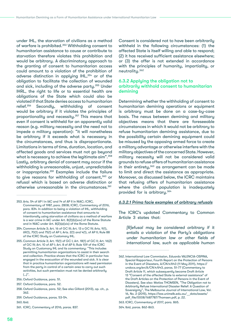under IHL, the starvation of civilians as a method of warfare is prohibited.353 Withholding consent to humanitarian assistance to cause or contribute to starvation therefore violates this prohibition and would be arbitrary. A discriminatory approach to the granting of consent to humanitarian access could amount to a violation of the prohibition of adverse distinction in applying  $IHL$ ,  $354$  or of the obligation to facilitate the collection of wounded and sick, including of the adverse party.355 Under IHRL, the right to life or to essential health are obligations of the State which could also be violated if that State denies access to humanitarian relief.356 Secondly, withholding of consent would be arbitrary if it violates the principles of proportionality and necessity.357 This means that even if consent is withheld for an apparently valid reason (e.g. military necessity and the need not to impede a military operation): "it will nonetheless be arbitrary if it exceeds what is necessary in the circumstances, and thus is disproportionate. Limitations in terms of time, duration, location, and affected goods and services must not go beyond what is necessary to achieve the legitimate aim". 358 Lastly, arbitrary denial of consent may occur if the withholding is unreasonable, unjust, unpredictable or inappropriate.<sup>359</sup> Examples include the failure to give reasons for withholding of consent,<sup>360</sup> or refusal which is based on adverse distinction or otherwise unreasonable in the circumstances.<sup>361</sup>

Consent is considered not to have been arbitrarily withheld in the following circumstances: (1) the affected State is itself willing and able to respond; (2) it has received sufficient assistance elsewhere; or (3) the offer is not extended in accordance with the principles of humanity, impartiality, or neutrality.362

## 6.3.2 Applying the obligation not to arbitrarily withhold consent to humanitarian demining

Determining whether the withholding of consent to humanitarian demining operations or equipment is arbitrary must be done on a case-by-case basis. The nexus between demining and military objectives means that there are foreseeable circumstances in which it would not be arbitrary to refuse humanitarian demining assistance, due to the possibility certain demining equipment could be misused by the opposing armed force to create a military advantage or otherwise interfere with the military objectives of the concerned State. However, military necessity will not be considered valid grounds to refuse offers of humanitarian assistance in their entirety, $363$  as arrangement can be made to limit and direct the assistance as appropriate. Moreover, as discussed below, the ICRC maintains that refusing offers of humanitarian assistance where the civilian population is inadequately provided for is arbitrary.364

#### *6.3.2.1 Prima facie examples of arbitrary refusals*

The ICRC's updated Commentary to Common Article 3 states that:

*[R]efusal may be considered arbitrary if it entails a violation of the Party's obligations under humanitarian law or other fields of international law, such as applicable human* 

<sup>353.</sup> Arts. 54 of AP I in IAC and 14 of AP II in NIAC; ICRC, Commentary of 1987, para. 2808; ICRC, Commentary of 2016, para. 834. In addition to being a violation of IHL, withholding of consent to humanitarian assistance that amounts to intentionally using starvation of civilians as a method of warfare is a war crime in IAC under Art. 8(2)(b)(xxv) of the Rome Statute and in NIAC under Art. 8(2)(e)(xix) of the Rome Statute.

<sup>354.</sup> Common Article 3; Art. 16 of GC III; Art. 13 o GC IV; Arts. 9(1), 69(1), 70(1) and 75(1) of AP I; Arts. 2(1) and 4(1), of AP II; Rule 88 of the ICRC Study on Customary IHL.

<sup>355.</sup>Common Article 3; Art. 15(1) of GC I; Art. 18(1) of GC II; Art. 16(2) of GC IV; Art. 10 of AP I; Art. 8 of AP II; Rule 109 of the ICRC Study on Customary IHL and its commentary: "This includes permitting humanitarian organizations to assist in their search and collection. Practice shows that the ICRC in particular has engaged in the evacuation of the wounded and sick. It is clear that in practice humanitarian organizations will need permission from the party in control of a certain area to carry out such activities, but such permission must not be denied arbitrarily  $(...)$ ".

<sup>356.</sup>Oxford Guidance, para. 51.

<sup>357.</sup> Oxford Guidance, para. 52.

<sup>358.</sup>Oxford Guidance, para. 52; See also Gillard (2013), op. cit., p. 362.

<sup>359.</sup> Oxford Guidance, paras. 53-54.

<sup>360.</sup>Ibid.

<sup>361.</sup> ICRC, Commentary of 2016, paras. 837.

<sup>362.</sup> International Law Commission, Eduardo VALENCIA-OSPINA, Special Rapporteur, Fourth Report on the Protection of Persons in the Event of Disasters, A/CN.4/643 (11 May 2011), [https://](https://undocs.org/en/A/CN.4/643) [undocs.org/en/A/CN.4/643,](https://undocs.org/en/A/CN.4/643) paras. 51-77 (Commentary to Draft Article 11, which subsequently became Draft Article 13 "Consent of the affected State to external assistance" of the Draft Articles on the Protection of Persons in the Event of Disasters). See also: Matias THOMSEN, "The Obligation not to Arbitrarily Refuse International Disaster Relief: A Question of Sovereignty", The Melbourne Journal of International Law, Vol. 16, No. 2 (2015), [https://law.unimelb.edu.au/\\_\\_data/assets/](https://law.unimelb.edu.au/__data/assets/pdf_file/0008/1687787/Thomsen.pdf) [pdf\\_file/0008/1687787/Thomsen.pdf](https://law.unimelb.edu.au/__data/assets/pdf_file/0008/1687787/Thomsen.pdf), p. 22.

<sup>363.</sup> ICRC, Commentary of 2017, para. 865.

<sup>364.</sup> Ibid, paras. 862-863.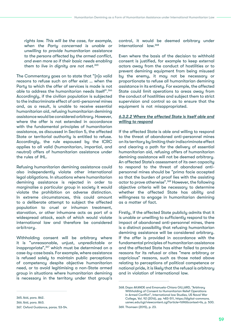*rights law. This will be the case, for example, when the Party concerned is unable or unwilling to provide humanitarian assistance to the persons affected by the armed conflict, and even more so if their basic needs enabling them to live in dignity are not met.365*

The Commentary goes on to state that "[n]o valid reasons to refuse such an offer exist … when the Party to which the offer of services is made is not able to address the humanitarian needs itself".366 Accordingly, if the civilian population is subjected to the indiscriminate effect of anti-personnel mines and, as a result, is unable to receive essential humanitarian aid, refusing humanitarian demining assistance would be considered arbitrary. However, where the offer is not extended in accordance with the fundamental principles of humanitarian assistance, as discussed in Section 5, the affected State or territorial authority is entitled to refuse. Accordingly, the rule espoused by the ICRC applies to all valid (humanitarian, impartial, and neutral) offers of humanitarian assistance under the rules of IHL.

Refusing humanitarian demining assistance could also independently violate other international legal obligations. In situations where humanitarian demining assistance is rejected in order to marginalise a particular group in society it would violate the prohibition on adverse distinction. In extreme circumstances, this could amount to a deliberate attempt to subject the affected population to cruel or inhuman treatment, starvation, or other inhumane acts as part of a widespread attack, each of which would violate international law and therefore be considered arbitrary.

Withholding consent will be arbitrary where it is "unreasonable, unjust, unpredictable or inappropriate",<sup>367</sup> which must be determined on a case-by-case basis. For example, where assistance is refused solely to maintain public perceptions of competency despite objective humanitarian need, or to avoid legitimising a non-State armed group in situations where humanitarian demining is necessary in the territory under that group's

control, it would be deemed arbitrary under international law.368

Even where the basis of the decision to withhold consent is justified, for example to keep external actors away from the conduct of hostilities or to prevent demining equipment from being misused by the enemy, it may not be necessary or proportionate to refuse all humanitarian demining assistance in its entirety. For example, the affected State could limit operations to areas away from the conduct of hostilities and subject them to strict supervision and control so as to ensure that the equipment is not misappropriated.

## *6.3.2.2 Where the affected State is itself able and willing to respond*

If the affected State is able and willing to respond to the threat of abandoned anti-personnel mines on its territory by limiting their indiscriminate effect and clearing a path for the delivery of essential humanitarian aid, refusing offers of humanitarian demining assistance will not be deemed arbitrary. An affected State's assessment of its own capacity to respond to the threat of abandoned antipersonnel mines should be "prima facie accepted so that the burden of proof lies with the assisting actor to prove otherwise".369 However, the following objective criteria will be necessary to determine whether the affected State has ability and willingness to engage in humanitarian demining as a matter of fact.

Firstly, if the affected State publicly admits that it is unable or unwilling to sufficiently respond to the impact of abandoned anti-personnel mines, there is a distinct possibility that refusing humanitarian demining assistance will be considered arbitrary. If the offer is provided in accordance with the fundamental principles of humanitarian assistance and the affected State has either failed to provide reasons for its refusal or cites "mere arbitrary or capricious" reasons, such as those noted above relating to perceptions of political competence or national pride, it is likely that the refusal is arbitrary and in violation of international law.

366. Ibid, para. 863.

<sup>368.</sup>Dapo AKANDE and Emanuela-Chiara GILLARD, "Arbitrary Withholding of Consent to Humanitarian Relief Operations in Armed Conflict", International law Studies, US Naval War College, Vol. 92 (2016), pp. 483-511, [https://digital-commons.](https://digital-commons.usnwc.edu/cgi/viewcontent.cgi?article=1696&context=ils) [usnwc.edu/cgi/viewcontent.cgi?article=1696&context=ils,](https://digital-commons.usnwc.edu/cgi/viewcontent.cgi?article=1696&context=ils) p. 500.

<sup>369.</sup> Thomsen (2015), p. 23.

<sup>365.</sup> Ibid, para. 862.

<sup>367.</sup> Oxford Guidance, paras. 53-54.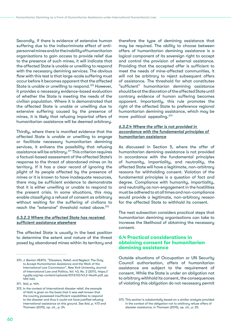Secondly, if there is evidence of extensive human suffering due to the indiscriminate effect of antipersonnel mines and/or the inability of humanitarian organisations to gain access to provide relief due to the presence of such mines, it will indicate that the affected State is unable or unwilling to respond with the necessary demining services. The obvious flaw with this test is that large-scale suffering must occur before it becomes apparent that the affected State is unable or unwilling to respond.<sup>370</sup> However, it provides a necessary evidence-based evaluation of whether the State is meeting the needs of the civilian population. Where it is demonstrated that the affected State is unable or unwilling due to extensive suffering caused by the presence of mines, it is likely that refusing impartial offers of humanitarian assistance will be deemed arbitrary.

Thirdly, where there is *manifest* evidence that the affected State is unable or unwilling to engage or facilitate necessary humanitarian demining services, it enlivens the possibility that refusing assistance will be arbitrary.371 This criterion requires a factual-based assessment of the affected State's response to the threat of abandoned mines on its territory. If it has a clear record of ignoring the plight of its people affected by the presence of mines or it is known to have inadequate resources, there may be sufficient evidence to demonstrate that it is either unwilling or unable to respond to the present crisis. In some situations, this may enable classifying a refusal of consent as arbitrary without waiting for the suffering of civilians to reach the "extensive" threshold noted above.<sup>372</sup>

## *6.3.2.3 Where the affected State has received sufficient assistance elsewhere*

The affected State is usually in the best position to determine the extent and nature of the threat posed by abandoned mines within its territory and

therefore the type of demining assistance that may be required. The ability to choose between offers of humanitarian demining assistance is a logical component of its sovereign right to accept and control the provision of external assistance. Providing that the accepted offer is sufficient to meet the needs of mine-affected communities, it will not be arbitrary to reject subsequent offers of assistance. The threshold for what constitutes "sufficient" humanitarian demining assistance should be at the discretion of the affected State until contrary evidence of human suffering becomes apparent. Importantly, this rule promotes the right of the affected State to preference regional humanitarian demining assistance, which may be more political appealing.373

## *6.3.2.4 Where the offer is not provided in accordance with the fundamental principles of humanitarian assistance*

As discussed in Section 5, where the offer of humanitarian demining assistance is not provided in accordance with the fundamental principles of humanity, impartiality, and neutrality, the affected State will have a legitimate, non-arbitrary reasons for withholding consent. Violation of the fundamental principles is a question of fact and degree. Compliance with humanity, impartiality, and neutrality as non-engagement in the hostilities must be adhered to at all times and non-compliance would provide a legitimate, non-arbitrary reason for the affected State to withhold its consent.

The next subsection considers practical steps that humanitarian demining organisations can take to increase the likelihood of obtaining the necessary consent.

## **6.4 Practical considerations in obtaining consent for humanitarian demining assistance**

Outside situations of Occupation or UN Security Council authorisation, offers of humanitarian assistance are subject to the requirement of consent. While the State is under an obligation not to arbitrary withhold its consent, the consequences of violating this obligation do not necessary permit

<sup>370.</sup> J. Benton HEATH, "Disasters, Relief, and Neglect: The Duty to Accept Humanitarian Assistance and the Work of the International Law Commission", New York University Journal of International Law and Politics, Vol. 43, No. 2 (2011), [https://](https://nyujilp.org/wp-content/uploads/2013/02/43.2-Heath.pdf) [nyujilp.org/wp-content/uploads/2013/02/43.2-Heath.pdf,](https://nyujilp.org/wp-content/uploads/2013/02/43.2-Heath.pdf) pp. 459-460.

<sup>371.</sup> Ibid, p. 464.

<sup>372.</sup> In the context of international disaster relief, the example of Haiti is given on the basis that it was well-known that the country possessed insufficient capabilities to respond to the disaster and thus it could not have justified refusing international assistance on this ground. See ibid, p. 473 and Thomsen (2015), op. cit., p. 24.

<sup>373.</sup> This section is substantially based on a similar analysis provided in the context of the obligation not to arbitrary refuse offers of disaster assistance, in Thomsen (2015), op. cit., p. 25.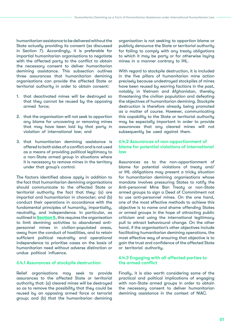humanitarian assistance to be delivered without the State actually providing its consent (as discussed in Section 7). Accordingly, it is preferable for impartial humanitarian organisations to negotiate with the affected party to the conflict to obtain the necessary consent to deliver humanitarian demining assistance. This subsection outlines three assurances that humanitarian demining organisations can provide the affected State or territorial authority in order to obtain consent:

- 1. that deactivated mines will be destroyed so that they cannot be reused by the opposing armed force;
- 2. that the organisation will not seek to apportion any blame for uncovering or removing mines that may have been laid by that party in violation of international law; and
- 3. that humanitarian demining assistance is offered to both sides of a conflict and is not used as a means of providing political legitimacy to a non-State armed group in situations where it is necessary to remove mines in the territory under that group's control.

The factors identified above apply in addition to the fact that humanitarian demining organisations should communicate to the affected State or territorial authority the fact that they: (a) are impartial and humanitarian in character; and (b) conduct their operations in accordance with the fundamental principles of humanity, impartiality, neutrality, and independence. In particular, as outlined in **Section 5**, this requires the organisation to limit demining activities to abandoned antipersonnel mines in civilian-populated areas, away from the conduct of hostilities, and to retain sufficient political neutrality and operational independence to prioritise cases on the basis of humanitarian need without adverse distinction or undue political influence.

#### 6.4.1 Assurances of stockpile destruction

Relief organisations may seek to provide assurances to the affected State or territorial authoritu that: (a) cleared mines will be destroued so as to remove the possibility that they could be reused by an opposing armed force or terrorist group; and (b) that the humanitarian demining

organisation is not seeking to apportion blame or publicly denounce the State or territorial authority for failing to comply with any treaty obligations to which it may be party or for otherwise laying mines in a manner contrary to IHL.

With regard to stockpile destruction, it is included in the five pillars of humanitarian mine action precisely because undestroyed stockpiles of mines have been reused by warring factions in the past, notably in Vietnam and Afghanistan, thereby threatening the civilian population and defeating the objectives of humanitarian demining. Stockpile destruction is therefore already being promoted as a matter of course. However, communicating this capability to the State or territorial authority may be especially important in order to provide assurances that any cleared mines will not subsequently be used against them.

## 6.4.2 Assurances of non-apportionment of blame for potential violations of international law

Assurances as to the non-apportionment of blame for potential violations of treaty and/ or IHL obligations may present a tricky situation for humanitarian demining organisations whose mandate involves pressuring States to ratify the Anti-personnel Mine Ban Treaty or non-State armed groups to sign a Deed of Commitment not to use anti-personnel mines. On the one hand, one of the most effective methods to achieve this objective is to name and shame offending States or armed groups in the hope of attracting public criticism and using the international legitimacy pull to attract behavioural change. On the other hand, if the organisation's other objectives include facilitating humanitarian demining operations, the most effective way of ensuring that objective is to gain the trust and confidence of the affected State or territorial authority.

#### 6.4.3 Engaging with all affected parties to the armed conflict

Finally, it is also worth considering some of the practical and political implications of engaging with non-State armed groups in order to obtain the necessary consent to deliver humanitarian demining assistance in the context of NIAC.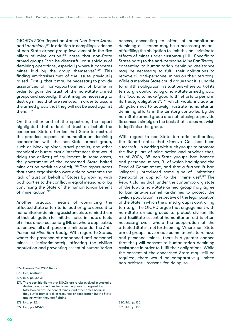GICHD's 2006 Report on *Armed Non-State Actors and Landmines,*374 in addition to compiling evidence of non-State armed group involvement in the five pillars of mine action,<sup>375</sup> notes that non-State armed groups "can be distrustful or suspicious of demining operations, especially where it concerns mines laid by the group themselves".<sup>376</sup> This finding emphasises two of the issues previously raised. Firstly, that it may be necessary to provide assurances of non-apportionment of blame in order to gain the trust of the non-State armed group; and secondly, that it may be necessary to destroy mines that are removed in order to assure the armed group that they will not be used against them. 377

On the other end of the spectrum, the report highlighted that a lack of trust on behalf the concerned State often led that State to obstruct the practical aspects of humanitarian demining cooperation with the non-State armed group, such as blocking visas, travel permits, and other technical or bureaucratic interferences that would delay the delivery of equipment. In some cases, the government of the concerned State halted mine action activities entirely.<sup>378</sup> The report notes that some organisation were able to overcome the lack of trust on behalf of States by working with both parties to the conflict in equal measure, or by convincing the State of the humanitarian benefit of mine action.379

Another practical means of convincing the affected State or territorial authority to consent to humanitarian demining assistance is to remind them of their obligation to limit the indiscriminate effects of mines under customary IHL or, where applicable, to removal all anti-personnel mines under the *Anti-Personnel Mine Ban Treaty*. With regard to States, where the presence of abandoned anti-personnel mines is indiscriminately affecting the civilian population and preventing essential humanitarian

376. Ibid, pp. 32-33.

378. Ibid, p. 32.

379. Ibid, pp. 42-43.

access, consenting to offers of humanitarian demining assistance may be a necessary means of fulfilling the obligation to limit the indiscriminate effects of mines under customary IHL. Specific to States party to the *Anti-personnel Mine Ban Treaty,*  consenting to humanitarian demining assistance may be necessary to fulfil their obligations to remove all anti-personnel mines on their territory. While a member State could argue that it is unable to fulfil this obligation in situations where part of its territory is controlled by a non-State armed group, it is "bound to make 'good faith' efforts to perform its treaty obligations",380 which would include an obligation not to actively frustrate humanitarian demining efforts in the territory controlled by the non-State armed group and not refusing to provide its consent simply on the basis that it does not wish to legitimise the group.

With regard to non-State territorial authorities, the Report notes that Geneva Call has been successful in working with such groups to promote the five pillars of mine action and provides that, as of 2006, 35 non-State groups had banned anti-personnel mines, 31 of which had signed the Deed of Commitment, and that a further 14 had "allegedly introduced some type of limitations (temporal or applied) to their mine use".381 The Report claims that, under the contemporary state of the law, a non-State armed group may agree to ban anti-personnel landmines to protect the civilian population irrespective of the legal position of the State in which the armed group is controlling territory. The GICHD argue that engagement with non-State armed groups to protect civilian life and facilitate essential humanitarian aid is often necessary even where the cooperation of the affected State is not forthcoming. Where non-State armed groups have made commitments to remove anti-personnel mines, there is a greater chance that they will consent to humanitarian demining assistance in order to fulfil their obligations. While the consent of the concerned State may still be required, there would be comparatively limited non-arbitrary reasons for doing so.

380.Ibid, p. 135. 381. Ibid, p. 130.

<sup>374.</sup> Geneva Call 2006 Report.

<sup>375.</sup> Ibid, Abstract.

<sup>377.</sup> The report highlights that NSAGs are rarely involved in stockpile destruction, sometimes because they have not agreed to a total ban on anti-personnel mines, and other times because they suffer from a lack of resources or cooperation by the State against which they are fighting.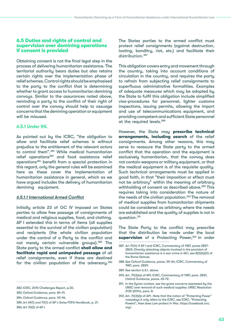## **6.5 Duties and rights of control and supervision over demining operations if consent is provided**

Obtaining consent is not the final legal step in the process of delivering humanitarian assistance. The territorial authority bears duties but also retains certain rights over the implementation phase of relief schemes. Control rights should be emphasised to the party to the conflict that is determining whether to grant access to humanitarian demining convoys. Similar to the assurances noted above, reminding a party to the conflict of their right of control over the convoy should help to assuage concerns that the demining operation or equipment will be misused.

## 6.5.1 Under IHL

As pointed out by the ICRC, "the obligation to allow and facilitate relief schemes is without prejudice to the entitlement of the relevant actors to control them".382 While medical humanitarian relief operations<sup>383</sup> and food assistance relief operations384 benefit from a special protection in this regard, only the general rules will be examined here as these cover the implementation of humanitarian assistance in general, which as we have argued includes the delivery of humanitarian demining equipment.

#### *6.5.1.1 International Armed Conflict*

Initially article 23 of GC IV imposed on States parties to allow free passage of consignments of medical and religious supplies, food, and clothing. AP I extended this in terms of items (all supplies essential to the survival of the civilian population) and recipients (the whole civilian population under the control of a Party to the conflict and not merely certain vulnerable groups).385 The State party to the armed conflict **shall allow and facilitate rapid and unimpeded passage** of all relief consignments, even if these are destined for the civilian population of the adversary.<sup>386</sup>

385.Art 69(1) and 70(1) of AP I; Swiss FDFA Handbook, p. 21. 386. Art 70(2) of AP I.

The States parties to the armed conflict must protect relief consignments (against destruction, looting, banditry, riot, etc.) and facilitate their distribution.387

This obligation covers entry and movement through the country, taking into account conditions of circulation in the country, and requires the party to refrain from subjecting relief consignments to superfluous administrative formalities. Examples of adequate measures which may be adopted by the State to fulfil this obligation include simplified visa-procedures for personnel, lighter customs inspections, issuing permits, allowing the import and use of telecommunications equipment, and providing competent and sufficient State personnel at the required levels.388

However, the State may **prescribe technical arrangements, including search** of the relief consignments. Among other reasons, this may serve to reassure the State party to the armed conflict that the operation and the equipment is exclusively humanitarian, that the convoy does not contain weapons or military equipment, or that the medical equipment is of the requisite quality. Such technical arrangements must be applied in good faith, in that "their imposition or effect must not be arbitrary" within the meaning of arbitrary withholding of consent as described above.<sup>389</sup> This requires taking into consideration the nature of the needs of the civilian population.390 The removal of medical supplies from humanitarian shipments could be considered as arbitrary where the needs are established and the quality of supplies is not in question.391

The State Party to the conflict may prescribe that the distribution be made under the local supervision of a Protecting Power,<sup>392</sup> in order

- 388.See Oxford Guidance, paras. 59-64; ICRC, Commentary of 1987, para. 2829.
- 389. See section 6.3.1. above.
- 390.Art. 70(3)(a) of API; ICRC, Commentary of 1987, para. 2831; Oxford Guidance, paras. 65-72.
- 391. In the Syrian context, see the grave concerns expressed by the UNSC over removal of such medical supplies: UNSC Resolution 2139 (2014), para. 8.
- 392. Art. 70(3)(b) of API ; Note that the notion of "Protecting Power" nowadays it only refers to the ICRC, see ICRC, "Protecting Powers", How does Law protect in War, [https://casebook.icrc.](https://casebook.icrc.org/) [org/.](https://casebook.icrc.org/)

<sup>382.</sup>ICRC, 2015 Challenges Report, p.30.

<sup>383.</sup>Oxford Guidance, para. 84-91.

<sup>384.</sup> Oxford Guidance, para. 92-96.

<sup>387.</sup> Art 70(4) if AP I and ICRC, Commentary of 1987, paras 2857- 2865; Directly attacking objects involved in the provision of humanitarian assistance is a war crime in IAC, see 8(2)(b)(iii) of the Rome Statute.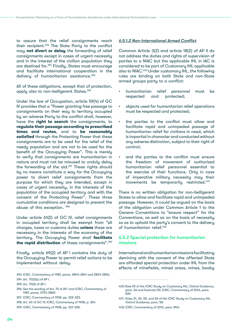to assure that the relief consignments reach their recipient.393 The State Party to the conflict may **not divert or delay** the forwarding of relief consignments except in cases of urgent necessity and in the interest of the civilian population they are destined for.394 Finally, States must encourage and facilitate international cooperation in the delivery of humanitarian assistance.<sup>395</sup>

All of these obligations, except that of protection, apply also to non-belligerent States.396

Under the law of Occupation, article 59(4) of GC IV provides that a "Power granting free passage to consignments on their way to territory occupied by an adverse Party to the conflict shall, however, have the **right to search** the consignments, to **regulate their passage according to prescribed times and routes**, and to **be reasonably satisfied** through the Protecting Power that these consignments are to be used for the relief of the needy population and are not to be used for the benefit of the Occupying Power". This is merely to verify that consignments are humanitarian in nature and must not be misused to unduly delay the forwarding of the aid.<sup>397</sup> These rights should by no means constitute a way for the Occupying power to divert relief consignments from the purpose for which they are intended, except in cases of urgent necessity, in the interests of the population of the occupied territory and with the consent of the Protecting Power". These three cumulative conditions are designed to prevent the abuse of this exception. 398

Under article 61(2) of GC IV, relief consignments in occupied territory shall be exempt from "all charges, taxes or customs duties **unless** these are necessary in the interests of the economy of the territory. The Occupying Power shall **facilitate**  the rapid distribution of these consignments".<sup>399</sup>

Finally, article 69(2) of AP I contains the duty of the Occupying Power to permit relief actions to be implemented without delay.

399. ICRC, Commentary of 1958, pp. 327-328.

## *6.5.1.2 Non-International Armed Conflict*

Common Article 3(2) and article 18(2) of AP II do not address the duties and rights of supervision of parties to a NIAC but the applicable IHL in IAC is considered to be part of Customary IHL applicable also to NIAC.400 Under customary IHL, the following rules are binding on both State and non-State armed groups party to a conflict:

- humanitarian relief personnel must be respected and protected;
- objects used for humanitarian relief operations must be respected and protected;
- the parties to the conflict must allow and facilitate rapid and unimpeded passage of humanitarian relief for civilians in need, which is impartial in character and conducted without any adverse distinction, subject to their right of control;
- and the parties to the conflict must ensure the freedom of movement of authorized humanitarian relief personnel essential to the exercise of their functions. Only in case of imperative military necessity may their movements be temporarily restricted.<sup>401</sup>

There is no written obligation for non-belligerent States to allow and facilitate rapid and unimpeded passage. However, it could be argued on the basis of the obligation under Common Article 1 to the Geneva Conventions to "ensure respect" for the Conventions, as well as on the basis of necessity so as to uphold the party's consent to the delivery of humanitarian relief.<sup>402</sup>

## 6.5.2 Special protection for humanitarian missions

International and humanitarian missions facilitating demining with the consent of the affected State are afforded special protection under IHL from the effects of minefields, mined areas, mines, booby

<sup>393.</sup> ICRC, Commentary of 1987, paras. 2840-2841 and 2853-2856. 394. Art. 70(3)(c) of AP I.

<sup>395.</sup> Art. 70(5) of AP I.

<sup>396.</sup> See the wording of Art. 70 of AP I and ICRC, Commentary of 1987, paras. 2790-2869.

<sup>397.</sup> ICRC, Commentary of 1958, pp. 322-323.

<sup>398.</sup> Art. 60 of GC IV; ICRC, Commentary of 1958, p. 324.

<sup>400.</sup>Rule 55 of the ICRC Study on Customary IHL; Oxford Guidance, para. 56 and footnote 55; ICRC, Commentary of 2016, para. 839.

<sup>401.</sup> Rules 31, 32, 55, and 56 of the ICRC Study on Customary IHL; Oxford Guidance, para. 58.

<sup>402.</sup>ICRC, Commentary of 2016, para. 840.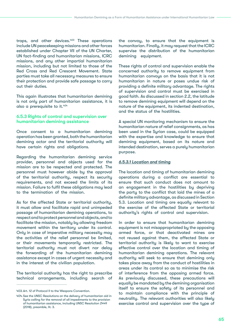traps, and other devices.<sup>403</sup> These operations include UN peacekeeping missions and other forces established under Chapter VII of the UN Charter, UN fact-finding and humanitarian missions, ICRC missions, and any other impartial humanitarian mission, including but not limited to those of the Red Cross and Red Crescent Movement. State parties must take all necessary measures to ensure their protection and provide safe passage to carry out their duties.

This again illustrates that humanitarian demining is not only part of humanitarian assistance, it is also a prerequisite to it.<sup>404</sup>

## 6.5.3 Rights of control and supervision over humanitarian demining assistance

Once consent to a humanitarian demining operation has been granted, both the humanitarian demining actor and the territorial authority will have certain rights and obligations.

Regarding the humanitarian demining service provider, personnel and objects used for the mission are to be respected and protected. The personnel must however abide by the approval of the territorial authority, respect its security requirements, and not exceed the limits of its mission. Failure to fulfil these obligations may lead to the termination of the mission.

As for the affected State or territorial authority, it must allow and facilitate rapid and unimpeded passage of humanitarian demining operations, to respect and to protect personnel and objects, and to facilitate the mission, notably by allowing freedom movement within the territory under its control. Only in case of imperative military necessity may the activities of the relief personnel be limited, or their movements temporarily restricted. The territorial authority must not divert nor delay the forwarding of the humanitarian demining assistance except in cases of urgent necessity and in the interest of the civilian population.

The territorial authority has the right to prescribe technical arrangements, including search of

the convoy, to ensure that the equipment is humanitarian. Finally, it may request that the ICRC supervise the distribution of the humanitarian demining equipment.

These rights of control and supervision enable the concerned authority to remove equipment from humanitarian convoys on the basis that it is not humanitarian in nature or poses undue risk of providing a definite military advantage. The rights of supervision and control must be exercised in good faith. As discussed in section 2.2, the latitude to remove demining equipment will depend on the nature of the equipment, its indented destination, and the status of the hostilities.

A special UN monitoring mechanism to ensure the humanitarian nature of relief consignments, as has been used in the Syrian case, could be equipped with the expertise and knowledge to ensure that demining equipment, based on its nature and intended destination, serves a purely humanitarian purpose.

## *6.5.3.1 Location and timing*

The location and timing of humanitarian demining operations during a conflict are essential to ensure that such conduct does not amount to an engagement in the hostilities by depriving the party to the conflict that laid the mines of a definite military advantage, as discussed in Section 5.3. Location and timing are equally relevant to the exercise of the affected State or territorial authority's rights of control and supervision.

In order to ensure that humanitarian demining equipment is not misappropriated by the opposing armed force, or that deactivated mines are not reused against them, the affected State or territorial authority is likely to want to exercise effective control over the location and timing of humanitarian demining operations. The relevant authority will seek to ensure that demining only takes place away from the conduct of hostilities in areas under its control so as to minimise the risk of interference from the opposing armed force. As previously discussed, these precautions will equally be mandated by the demining organisation itself to ensure the safety of its personnel and to maintain compliance with the principle of neutrality. The relevant authorities will also likely exercise control and supervision over the type of

<sup>403.</sup>Art. 12 of Protocol II to the Weapons Convention.

<sup>404.</sup>See the UNSC Resolutions on the delivery of humanitarian aid in Syria calling for the removal of all impediments to the provision of humanitarian assistance, including UNSC Resolution 2449 (2018), preamble, lit. 3.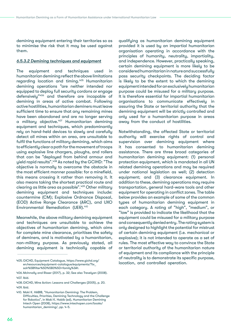demining equipment entering their territories so as to minimise the risk that it may be used against them.

#### *6.5.3.2 Demining techniques and equipment*

The equipment and techniques used in humanitarian demining reflect the above limitations regarding location and timing.<sup>405</sup> Humanitarian demining operations "are neither intended nor equipped to deploy full security cordons or engage defensively"406 and therefore are incapable of demining in areas of active combat. Following active hostilities, humanitarian deminers must leave sufficient time to ensure that any remaining mines have been abandoned and are no longer serving a military objective.<sup>407</sup> Humanitarian demining equipment and techniques, which predominantly rely on hand-held devices to slowly and carefully detect all mines within an area, are unsuitable to fulfil the functions of military demining, which aims to efficiently clear a path for the movement of troops using explosive line chargers, ploughs, and rollers that can be "deployed from behind armour and yield rapid results".408 As noted by the GCIHD: "The objective is normally to overcome the obstacle in the most efficient manner possible: for a minefield, this means crossing it rather than removing it. It also means taking the shortest practical route and clearing as little area as possible".<sup>409</sup> Other military demining equipment and techniques include: countermine (CM); Explosive Ordnance Disposal, (EOD) Active Range Clearance (ARC), and UXO Environmental Remediation (UER).<sup>410</sup>

Meanwhile, the above military demining equipment and techniques are unsuitable to achieve the objectives of humanitarian demining, which aims for complete mine clearance, prioritises the safety of deminers, and is motivated by a humanitarian, non-military purpose. As previously stated, all demining equipment is technically capable of qualifying as humanitarian demining equipment provided it is used by an impartial humanitarian organisation operating in accordance with the principles of humanity, neutrality, impartiality, and independence. However, practically speaking, certain demining equipment is more likely to be considered humanitarian in nature and successfully pass security checkpoints. The deciding factor is likely to be the extent to which the demining equipment intended for an exclusively humanitarian purpose could be misused for a military purpose. It is therefore essential for impartial humanitarian organisations to communicate effectively in assuring the State or territorial authority that the demining equipment will be strictly controlled and only used for a humanitarian purpose in areas away from the conduct of hostilities.

Notwithstanding, the affected State or territorial authority will exercise rights of control and supervision over demining equipment where it has consented to humanitarian demining assistance. There are three broad categories of humanitarian demining equipment: (1) personal protection equipment, which is mandated in all UN related demining operations and may be required under national legislation as well; (2) detection equipment; and (3) clearance equipment. In addition to these, demining operations may require transportation, general hard-ware tools and other equipment for operating in conflict zones. The table below provides an example of some of the common types of humanitarian demining equipment in each category. A rating of "high", "medium", or "low" is provided to indicate the likelihood that the equipment could be misused for a military purpose and consequently denied entry. The rating system is only designed to highlight the potential for mistrust of certain demining equipment (i.e. mechanical or explosive); it is not intended to operate as a set of rules. The most effective way to convince the State or territorial authority of the humanitarian nature of equipment and its compliance with the principle of neutrality is to demonstrate its specific purpose,

location, and controlled operation. 405.GICHD, Equipment Catalogue, [https://www.gichd.org/](https://www.gichd.org/en/resources/equipment-catalogue/equipments/?tx_solr%5Bfilter%5D%5B3%5D=family) [en/resources/equipment-catalogue/equipments/?tx\\_](https://www.gichd.org/en/resources/equipment-catalogue/equipments/?tx_solr%5Bfilter%5D%5B3%5D=family) [solr%5Bfilter%5D%5B3%5D=family%3A1.](https://www.gichd.org/en/resources/equipment-catalogue/equipments/?tx_solr%5Bfilter%5D%5B3%5D=family)

<sup>406.</sup>McInnally and Risser (2017), p. 32; See also Trevelyan (2008). 407. Ibid.

<sup>408.</sup>GICHD, Mine Action: Lessons and Challenges (2005), p. 20. 409. Ibid.

<sup>410.</sup> Maki K. HABIB, "Humanitarian Demining: The Problem, Difficulties, Priorities, Demining Technology and the Challenge for Robotics", in Maki K. Habib (ed), Humanitarian Demining Intech Open (2008), [https://www.intechopen.com/books/](https://www.intechopen.com/books/humanitarian_demining/) [humanitarian\\_demining/,](https://www.intechopen.com/books/humanitarian_demining/) pp. 4-5.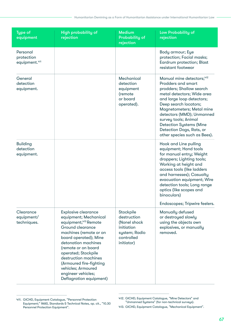| <b>Type of</b><br>equipment                         | High probability of<br>rejection                                                                                                                                                                                                                                                                                                                              | <b>Medium</b><br><b>Probability of</b><br>rejection                                                 | Low Probability of<br>rejection                                                                                                                                                                                                                                                                                                                                    |
|-----------------------------------------------------|---------------------------------------------------------------------------------------------------------------------------------------------------------------------------------------------------------------------------------------------------------------------------------------------------------------------------------------------------------------|-----------------------------------------------------------------------------------------------------|--------------------------------------------------------------------------------------------------------------------------------------------------------------------------------------------------------------------------------------------------------------------------------------------------------------------------------------------------------------------|
| Personal<br>protection<br>equipment. <sup>411</sup> |                                                                                                                                                                                                                                                                                                                                                               |                                                                                                     | Body armour; Eye<br>protection; Facial masks;<br><b>Eardrum protection; Blast</b><br>resistant footwear                                                                                                                                                                                                                                                            |
| General<br>detection<br>equipment.                  |                                                                                                                                                                                                                                                                                                                                                               | <b>Mechanical</b><br>detection<br>equipment<br>(remote<br>or board<br>operated).                    | Manual mine detectors; <sup>412</sup><br><b>Prodders and smart</b><br>prodders; Shallow search<br>metal detectors; Wide area<br>and large loop detectors;<br>Deep search locators;<br>Magnetometers; Metal mine<br>detectors (MMD); Unmanned<br>survey tools; Animal<br><b>Detection Systems (Mine</b><br>Detection Dogs, Rats, or<br>other species such as Bees). |
| <b>Building</b><br>detection<br>equipment.          |                                                                                                                                                                                                                                                                                                                                                               |                                                                                                     | Hook and Line pulling<br>equipment; Hand tools<br>for manual entry; Weight<br>droppers; Lighting tools;<br>Working at height and<br>access tools (like ladders<br>and harnesses); Casualty<br>evacuation equipment; Wire<br>detection tools; Long range<br>optics (like scopes and<br>binoculars)<br>Endoscopes; Tripwire feelers.                                 |
| Clearance<br>equipment/<br>techniques.              | <b>Explosive clearance</b><br>equipment; Mechanical<br>equipment; <sup>413</sup> Remote<br>Ground clearance<br>machines (remote or on<br>board operated); Mine<br>detonation machines<br>(remote or on board<br>operated; Stockpile<br>destruction machines<br>(Armoured fire-fighting<br>vehicles; Armoured<br>engineer vehicles;<br>Deflagration equipment) | Stockpile<br>destruction<br>(Nonel shock<br>initiation<br>system; Radio<br>controlled<br>initiator) | Manually defused<br>or destroyed slowly<br>using the objects own<br>explosives, or manually<br>removed.                                                                                                                                                                                                                                                            |

<sup>411.</sup> GICHD, Equipment Catalogue, "Personnel Protection Equipment;" IMAS, Standards & Technical Notes, op. cit., "10.30 Personnel Protection Equipment".

<sup>412.</sup> GICHD, Equipment Catalogue, "Mine Detectors" and "Unmanned Systems" (for non-technical surveys).

<sup>413.</sup> GICHD, Equipment Catalogue, "Mechanical Equipment".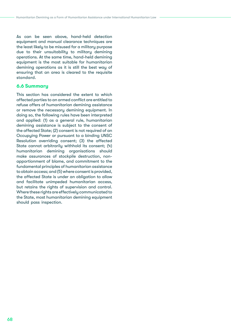As can be seen above, hand-held detection equipment and manual clearance techniques are the least likely to be misused for a military purpose due to their unsuitability to military demining operations. At the same time, hand-held demining equipment is the most suitable for humanitarian demining operations as it is still the best way of ensuring that an area is cleared to the requisite standard.

## **6.6 Summary**

This section has considered the extent to which affected parties to an armed conflict are entitled to refuse offers of humanitarian demining assistance or remove the necessary demining equipment. In doing so, the following rules have been interpreted and applied: (1) as a general rule, humanitarian demining assistance is subject to the consent of the affected State; (2) consent is not required of an Occupying Power or pursuant to a binding UNSC Resolution overriding consent; (3) the affected State cannot arbitrarily withhold its consent; (4) humanitarian demining organisations should make assurances of stockpile destruction, nonapportionment of blame, and commitment to the fundamental principles of humanitarian assistance to obtain access; and (5) where consent is provided, the affected State is under an obligation to allow and facilitate unimpeded humanitarian access, but retains the rights of supervision and control. Where these rights are effectively communicated to the State, most humanitarian demining equipment should pass inspection.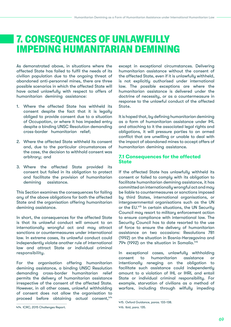# 7. CONSEQUENCES OF UNLAWFULLY IMPEDING HUMANITARIAN DEMINING

As demonstrated above, in situations where the affected State has failed to fulfil the needs of its civilian population due to the ongoing threat of abandoned anti-personnel mines, there are three possible scenarios in which the affected State will have acted unlawfully with respect to offers of humanitarian demining assistance:

- 1. Where the affected State has withheld its consent despite the fact that it is legally obliged to provide consent due to a situation of Occupation, or where it has impeded entry despite a binding UNSC Resolution demanding cross-border humanitarian relief;
- 2. Where the affected State withheld its consent and, due to the particular circumstances of the case, the decision to withhold consent was arbitrary; and
- 3. Where the affected State provided its consent but failed in its obligation to protect and facilitate the provision of humanitarian demining assistance.

This Section examines the consequences for failing any of the above obligations for both the affected State and the organisation offering humanitarian demining assistance.

In short, the consequences for the affected State is that its unlawful conduct will amount to an internationally wrongful act and may attract sanctions or countermeasures under international law. In extreme cases, its unlawful conduct could independently violate another rule of international law and attract State or individual criminal responsibility.

For the organisation offering humanitarian demining assistance, a binding UNSC Resolution demanding cross-border humanitarian relief permits the delivery of humanitarian assistance irrespective of the consent of the affected State. However, in all other cases, unlawful withholding of consent does not allow the organisation to proceed before obtaining actual consent.<sup>414</sup>

except in exceptional circumstances. Delivering humanitarian assistance without the consent of the affected State, even if it is unlawfully withheld, is not explicitly authorised under international law. The possible exceptions are where the humanitarian assistance is delivered under the doctrine of necessity, or as a countermeasure in response to the unlawful conduct of the affected State.

It is hoped that, by defining humanitarian demining as a form of humanitarian assistance under IHL and attaching to it the associated legal rights and obligations, it will pressure parties to an armed conflict that are unwilling or unable to deal with the impact of abandoned mines to accept offers of humanitarian demining assistance.

## **7.1 Consequences for the affected State**

If the affected State has unlawfully withheld its consent or failed to comply with its obligation to facilitate humanitarian demining assistance, it has committed an internationally wrongful act and may be liable to countermeasures or sanctions imposed by third States, international organisations, or intergovernmental organisations such as the UN or the EU.<sup>415</sup> In certain situations, the UN Security Council may resort to military enforcement action to ensure compliance with international law. The Security Council has to date resorted to the use of force to ensure the delivery of humanitarian assistance on two occasions: Resolutions 781 (1992) on the situation in Bosnia-Herzegovina and 794 (1992) on the situation in Somalia.<sup>416</sup>

In exceptional cases, unlawfully withholding consent to humanitarian assistance or intentionally reneging on the obligation to facilitate such assistance could independently amount to a violation of IHL or IHRL and entail State or individual criminal responsibility. For example, starvation of civilians as a method of warfare, including through wilfully impeding

<sup>414.</sup> ICRC, 2015 Challenges Report.

<sup>415.</sup> Oxford Guidance, paras. 133-138.

<sup>416.</sup> Ibid, para. 135.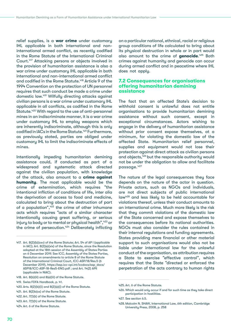relief supplies, is a **war crime** under customary IHL applicable in both international and noninternational armed conflict, as recently codified in the Rome Statute of the International Criminal Court.417 Attacking persons or objects involved in the provision of humanitarian assistance is also a war crime under customary IHL applicable in both international and non-international armed conflict and codified in the Rome Statute.<sup>418</sup> Article 9 of the 1994 Convention on the protection of UN personnel requires that such conduct be made a crime under domestic law.419 Wilfully directing attacks against civilian persons is a war crime under customary IHL applicable in all conflicts, as codified in the Rome Statute.<sup>420</sup> With regard to the use of anti-personnel mines in an indiscriminate manner, it is a war crime under customary IHL to employ weapons which are inherently indiscriminate, although this is only codified in IACs in the Rome Statute.<sup>421</sup> Furthermore, as previously stated, parties are obliged under customary IHL to limit the indiscriminate effects of mines.

Intentionally impeding humanitarian demining assistance could, if conducted as part of a widespread and systematic attack directed against the civilian population, with knowledge of the attack, also amount to a **crime against humanity**. The most applicable would be the crime of extermination, which requires "the intentional infliction of conditions of life, inter alia the deprivation of access to food and medicine, calculated to bring about the destruction of part of a population", $422$  the crime of other inhumane acts which requires "acts of a similar character intentionally causing great suffering, or serious injury to body or to mental or physical health", 423 or the crime of persecution.<sup>424</sup> Deliberately inflicting

- 421. Art. 8(2)b(xx) of the Rome Statute.
- 422.Art. 7(1)(k) of the Rome Statute.
- 423. Art. 7(1)(h) of the Rome Statute.
- 424. Art. 6 of the Rome Statute.

on a particular national, ethnical, racial or religious group conditions of life calculated to bring about its physical destruction in whole or in part would also amount to the crime of **genocide**. 425 Both crimes against humanity and genocide can occur during armed conflict and in peacetime where IHL does not apply.

## **7.2 Consequences for organisations offering humanitarian demining assistance**

The fact that an affected State's decision to withhold consent is unlawful does not entitle organisations to provide humanitarian demining assistance without such consent, except in exceptional circumstances. Actors wishing to engage in the delivery of humanitarian assistance without prior consent expose themselves, at a minimum, for violating the domestic law of the affected State. Humanitarian relief personnel, supplies and equipment would not lose their protection against direct attack as civilian persons and objects,<sup>426</sup> but the responsible authority would not be under the obligation to allow and facilitate passage.<sup>427</sup>

The nature of the legal consequences they face depends on the nature of the actor in question. Private actors, such as NGOs and individuals, are not direct subjects of public international law428 and less likely to be held accountable for violations thereof, unless their conduct amounts to an international crime. Much more likely is the risk that they commit violations of the domestic law of the State concerned and expose themselves to the consequences before its national authorities. NGOs must also consider the rules contained in their internal regulations and funding agreements. States providing mere financial or other material support to such organisations would also not be liable under international law for the unlawful conduct of the organisation, as attribution requires a State to exercise "effective control", which requires that the State "directed or enforced the perpetration of the acts contrary to human rights

<sup>417.</sup> Art. 8(2)(b)(xxv) of the Rome Statute; Art. 54 of AP I (applicable in IAC); Art. 8(2)(e)(xix) of the Rome Statute, since the Resolution adopted at the 18th session of the Assembly of States Parties on 6 December 2019. See ICC, Assembly of the States Parties, Resolution on amendments to article 8 of the Rome Statute of the International Criminal Court, ICC-ASP/18/Res.5 (6 December 2019), [https://asp.icc-cpi.int/iccdocs/asp\\_docs/](https://asp.icc-cpi.int/iccdocs/asp_docs/ASP18/ICC-ASP-18-Res5-ENG.pdf) [ASP18/ICC-ASP-18-Res5-ENG.pdf](https://asp.icc-cpi.int/iccdocs/asp_docs/ASP18/ICC-ASP-18-Res5-ENG.pdf) ; and Art. 14(2) APII (applicable in NIAC).

<sup>418.</sup> Art. 8(b)(iii) and 8(e)(iii) of the Rome Statute.

<sup>419.</sup> Swiss FDFA Handbook, p. 41.

<sup>420.</sup>Arts. 8(2)(b)(ii) and 8(2)(e)(i) of the Rome Statute.

<sup>425.</sup> Art. 6 of the Rome Statute.

<sup>426.</sup> Which would only occur if and for such time as they take direct participation in hostilities.

<sup>427.</sup> See section 6.5.

<sup>428.</sup> Malcolm N. SHAW, International Law, 6th edition, Cambridge University Press, 2008, p. 258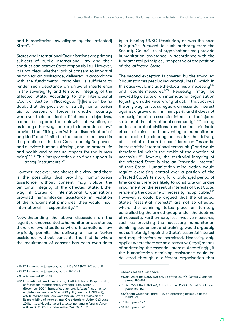and humanitarian law alleged by the [affected] State".<sup>429</sup>

States and International Organisations are primary subjects of public international law and their conduct can attract State responsibility. However, it is not clear whether lack of consent to impartial humanitarian assistance, delivered in accordance with the fundamental principles, is sufficient to render such assistance an unlawful interference in the sovereignty and territorial integrity of the affected State. According to the International Court of Justice in Nicaragua, "[t]here can be no doubt that the provision of strictly humanitarian aid to persons or forces in another country, whatever their political affiliations or objectives, cannot be regarded as unlawful intervention, or as in any other way contrary to international law" provided that "it is given 'without discrimination' of any kind" and "limited to the purposes hallowed in the practice of the Red Cross, namely 'to prevent and alleviate human suffering', and 'to protect life and health and to ensure respect for the human being'".430 This interpretation also finds support in IHL treaty instruments.<sup>431</sup>

However, not everyone shares this view, and there is the possibility that providing humanitarian assistance without consent may violate the territorial integrity of the affected State. Either way, if States or International Organisations provided humanitarian assistance in violation of the fundamental principles, they would incur international responsibility.<sup>432</sup>

Notwithstanding the above discussion on the legality of unconsented to humanitarian assistance, there are two situations where international law explicitly permits the delivery of humanitarian assistance without consent. The first is where the requirement of consent has been overridden

by a binding UNSC Resolution, as was the case in Syria.<sup>433</sup> Pursuant to such authority from the Security Council, relief organisations may provide humanitarian assistance in accordance with the fundamental principles, irrespective of the position of the affected State.

The second exception is covered by the so-called 'circumstances precluding wrongfulness', which in this case would include the doctrines of necessity $434$ and countermeasures.<sup>435</sup> Necessity "may be invoked by a state or an international organisation to justify an otherwise wrongful act, if that act was the only way for it to safeguard an essential interest against a grave and imminent peril; and it does not seriously impair an essential interest of the injured state or of the international community".<sup>436</sup> Taking action to protect civilians from the indiscriminate effect of mines and preventing a humanitarian catastrophe by clearing access for the delivery of essential aid can be considered an "essential interest of the international community" and would therefore fall within the ambit of the doctrine of necessity.<sup>437</sup> However, the territorial integrity of the affected State is also an "essential interest" of that State. Humanitarian mine action would require exercising control over a portion of the affected State's territory for a prolonged period of time and is therefore likely to constitute an undue impairment on the essential interests of that State, rendering the doctrine of necessity inapplicable.<sup>438</sup> However, it could be argued that the affected State's "essential interests" are not so affected where the demining takes place on territory controlled by the armed group under the doctrine of necessity. Furthermore, less invasive measures, such as providing the necessary humanitarian demining equipment and training, would arguably not sufficiently impair the State's essential interest and may therefore be permitted. Necessity only applies where there are no alternative (legal) means of addressing the essential interest. Accordingly, if the humanitarian demining assistance could be delivered through a different organisation that

<sup>429.</sup> ICJ Nicaragua judgment, para. 115 ; DARSIWA, 47, para. 5.

<sup>430.</sup>ICJ Nicaragua judgment, paras. 242-243.

<sup>431.</sup> Arts. 64 and 70 of AP I.

<sup>432.</sup>International Law Commission, Draft Articles on Responsibility of States for Internationally Wrongful Acts, A/56/10 (November 2001), [https://legal.un.org/ilc/texts/instruments/](https://legal.un.org/ilc/texts/instruments/english/commentaries/9_6_2001.pdf) [english/commentaries/9\\_6\\_2001.pdf](https://legal.un.org/ilc/texts/instruments/english/commentaries/9_6_2001.pdf) (hereafter DARSIWA), Art. 1; International Law Commission, Draft Articles on the Responsibility of International Organizations, A/66/10 (3 June 2011), [https://legal.un.org/ilc/texts/instruments/english/draft\\_](https://legal.un.org/ilc/texts/instruments/english/draft_articles/9_11_2011.pdf) [articles/9\\_11\\_2011.pdf](https://legal.un.org/ilc/texts/instruments/english/draft_articles/9_11_2011.pdf) (hereafter DARIO), Art. 3.

<sup>433.</sup> See section 6.2.2 above.

<sup>434.</sup> Art. 25 of the DARSIWA; Art. 25 of the DARIO; Oxford Guidance, paras. 146-151.

<sup>435.</sup>Art. 22 of the DARSIWA; Art. 22 of the DARIO; Oxford Guidance, paras.152-157.

<sup>436.</sup>Oxford Guidance, para. 146, paraphrasing article 25 of the DARSIWA.

<sup>437.</sup> Ibid, para. 147.

<sup>438.</sup>Ibid, para. 148.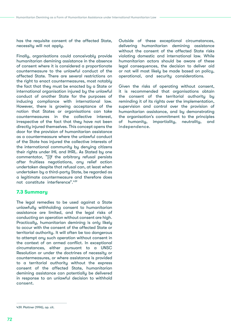has the requisite consent of the affected State, necessity will not apply.

Finally, organisations could conceivably provide humanitarian demining assistance in the absence of consent where it is considered a proportionate countermeasure to the unlawful conduct of the affected State. There are several restrictions on the right to enact countermeasures, most notably the fact that they must be enacted by a State or international organisation injured by the unlawful conduct of another State for the purposes of inducing compliance with international law. However, there is growing acceptance of the notion that States or organisations can take countermeasures in the collective interest, irrespective of the fact that they have not been directly injured themselves. This concept opens the door for the provision of humanitarian assistance as a countermeasure where the unlawful conduct of the State has injured the collective interests of the international community by denying citizens their rights under IHL and IHRL. As Stated by one commentator, "[i]f the arbitrary refusal persists after fruitless negotiations, any relief action undertaken despite that refusal can, at least when undertaken by a third-party State, be regarded as a legitimate countermeasure and therefore does not constitute interference". 439

## **7.3 Summary**

The legal remedies to be used against a State unlawfully withholding consent to humanitarian assistance are limited, and the legal risks of conducting an operation without consent are high. Practically, humanitarian demining is only likely to occur with the consent of the affected State or territorial authority. It will often be too dangerous to attempt any such operation without consent in the context of an armed conflict. In exceptional circumstances, either pursuant to a UNSC Resolution or under the doctrines of necessity or countermeasures, or where assistance is provided to a territorial authority without the express consent of the affected State, humanitarian demining assistance can potentially be delivered in response to an unlawful decision to withhold consent.

Outside of these exceptional circumstances, delivering humanitarian demining assistance without the consent of the affected State risks violating domestic and international law. While humanitarian actors should be aware of these legal consequences, the decision to deliver aid or not will most likely be made based on policy, operational, and security considerations.

Given the risks of operating without consent, it is recommended that organisations obtain the consent of the territorial authority by reminding it of its rights over the implementation, supervision and control over the provision of humanitarian assistance, and by demonstrating the organisation's commitment to the principles of humanity, impartiality, neutrality, and independence.

<sup>439.</sup> Plattner (1996), op. cit.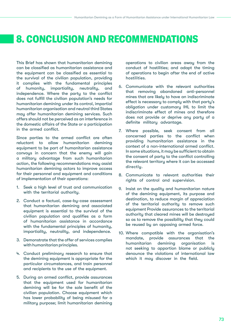## 8. CONCLUSION AND RECOMMENDATIONS

This Brief has shown that humanitarian demining can be classified as humanitarian assistance and the equipment can be classified as essential to the survival of the civilian population, providing it complies with the fundamental principles of humanity, impartiality, neutrality, and independence. Where the party to the conflict does not fulfill the civilian population's needs for humanitarian demining under its control, impartial humanitarian organisation and neutral third States may offer humanitarian demining services. Such offers should not be perceived as an interference in the domestic affairs of the State or a participation in the armed conflict.

Since parties to the armed conflict are often reluctant to allow humanitarian demining equipment to be part of humanitarian assistance convoys in concern that the enemy will gain a military advantage from such humanitarian action, the following recommendations may assist humanitarian demining actors to improve access for their personnel and equipment and conditions of implementation of their operations:

- 1. Seek a high level of trust and communication with the territorial authority.
- 2. Conduct a factual, case-by-case assessment that humanitarian demining and associated equipment is essential to the survival of the civilian population and qualifies as a form of humanitarian assistance in accordance with the fundamental principles of humanity, impartiality, neutrality, and independence.
- 3. Demonstrate that the offer of services complies with humanitarian principles.
- 4. Conduct preliminary research to ensure that the demining equipment is appropriate for the particular circumstances, and train personnel and recipients to the use of the equipment.
- 5. During an armed conflict, provide assurances that the equipment used for humanitarian demining will be for the sole benefit of the civilian population. Choose equipment which has lower probability of being misused for a military purpose; limit humanitarian demining

operations to civilian areas away from the conduct of hostilities; and adapt the timing of operations to begin after the end of active hostilities.

- 6. Communicate with the relevant authorities that removing abandoned anti-personnel mines that are likely to have an indiscriminate effect is necessary to comply with that party's obligation under customary IHL to limit the indiscriminate effect of mines and therefore does not provide or deprive any party of a definite military advantage.
- 7. Where possible, seek consent from all concerned parties to the conflict when providing humanitarian assistance in the context of a non-international armed conflict. In some situations, it may be sufficient to obtain the consent of party to the conflict controlling the relevant territory where it can be accessed directly.
- 8. Communicate to relevant authorities their rights of control and supervision.
- 9. Insist on the quality and humanitarian nature of the demining equipment, its purpose and destination, to reduce margin of appreciation of the territorial authority to remove such equipment Provide assurances to the territorial authority that cleared mines will be destroyed so as to remove the possibility that they could be reused by an opposing armed force.
- 10. Where compatible with the organisation's mandate, provide assurances that the humanitarian demining organisation is not seeking to apportion blame or publicly denounce the violations of international law which it may discover in the field.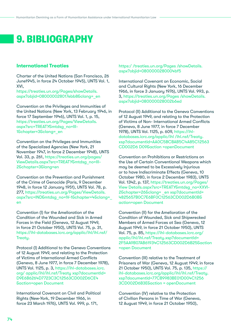# 9. BIBLIOGRAPHY

## **International Treaties**

Charter of the United Nations (San Francisco, 26 June1945, in force 24 October 1945), UNTS Vol. 1, XVI,

[https://treaties.un.org/Pages/showDetails.](https://treaties.un.org/Pages/showDetails.aspx?objid=080000028017ebb8&clang=_en) [aspx?objid=080000028017ebb8&clang=\\_en](https://treaties.un.org/Pages/showDetails.aspx?objid=080000028017ebb8&clang=_en)

Convention on the Privileges and Immunities of the United Nations (New York, 13 February 1946, in force 17 September 1946), UNTS Vol. 1, p. 15, [https://treaties.un.org/Pages/ViewDetails.](https://treaties.un.org/Pages/ViewDetails.aspx?src=TREATY&mtdsg_no=III-1&chapter=3&clang=_en) [aspx?src=TREATY&mtdsg\\_no=III-](https://treaties.un.org/Pages/ViewDetails.aspx?src=TREATY&mtdsg_no=III-1&chapter=3&clang=_en)[1&chapter=3&clang=\\_en](https://treaties.un.org/Pages/ViewDetails.aspx?src=TREATY&mtdsg_no=III-1&chapter=3&clang=_en)

Convention on the Privileges and Immunities of the Specialized Agencies (New York, 21 November 1947, in force 2 December 1948), UNTS Vol. 33, p. 261, [https://treaties.un.org/pages/](https://treaties.un.org/pages/ViewDetails.aspx?src=TREATY&mtdsg_no=III-2&chapter=3&lang=en) [ViewDetails.aspx?src=TREATY&mtdsg\\_no=III-](https://treaties.un.org/pages/ViewDetails.aspx?src=TREATY&mtdsg_no=III-2&chapter=3&lang=en)[2&chapter=3&lang=en](https://treaties.un.org/pages/ViewDetails.aspx?src=TREATY&mtdsg_no=III-2&chapter=3&lang=en) 

Convention on the Prevention and Punishment of the Crime of Genocide (Paris, 9 December 1948, in force 12 January 1951), UNTS Vol. 78, p. 277, [https://treaties.un.org/Pages/ViewDetails.](https://treaties.un.org/Pages/ViewDetails.aspx?src=IND&mtdsg_no=IV-1&chapter=4&clang=_en) [aspx?src=IND&mtdsg\\_no=IV-1&chapter=4&clang=\\_](https://treaties.un.org/Pages/ViewDetails.aspx?src=IND&mtdsg_no=IV-1&chapter=4&clang=_en) [en](https://treaties.un.org/Pages/ViewDetails.aspx?src=IND&mtdsg_no=IV-1&chapter=4&clang=_en)

Convention (I) for the Amelioration of the Condition of the Wounded and Sick in Armed Forces in the Field (Geneva, 12 August 1949, in force 21 October 1950), UNTS Vol. 75, p. 31, [https://ihl-databases.icrc.org/applic/ihl/ihl.nsf/](https://ihl-databases.icrc.org/applic/ihl/ihl.nsf/Treaty) [Treaty.](https://ihl-databases.icrc.org/applic/ihl/ihl.nsf/Treaty)

Protocol (I) Additional to the Geneva Conventions of 12 August 1949, and relating to the Protection of Victims of International Armed Conflicts (Geneva, 8 June 1977, in force 7 December 1978), UNTS Vol. 1125, p. 3, [https://ihl-databases.icrc.](https://ihl-databases.icrc.org/ applic/ihl/ihl.nsf/Treaty xsp?documentId= D9E6B6264D7723C3C12563CD00) [org/ applic/ihl/ihl.nsf/Treaty xsp?documentId=](https://ihl-databases.icrc.org/ applic/ihl/ihl.nsf/Treaty xsp?documentId= D9E6B6264D7723C3C12563CD00) [D9E6B6264D7723C3C12563CD002D6CE4](https://ihl-databases.icrc.org/ applic/ihl/ihl.nsf/Treaty xsp?documentId= D9E6B6264D7723C3C12563CD00) [&action=open Document](https://ihl-databases.icrc.org/ applic/ihl/ihl.nsf/Treaty xsp?documentId= D9E6B6264D7723C3C12563CD00)

International Covenant on Civil and Political Rights (New-York, 19 December 1966, in force 23 March 1976), UNTS Vol. 999, p. 171,

#### [https:/ /treaties.un.org/Pages /showDetails.](https:/ /treaties.un.org/Pages /showDetails.aspx?objid=0800000280004bf5) [aspx?objid=0800000280004bf5](https:/ /treaties.un.org/Pages /showDetails.aspx?objid=0800000280004bf5)

International Covenant on Economic, Social and Cultural Rights (New York, 16 December 1966, in force 3 January 1976), UNTS Vol. 993, p. 3, [https://treaties.un.org/Pages /showDetails.](https://treaties.un.org/Pages /showDetails.aspx?objid=080000028002b6ed) [aspx?objid=080000028002b6ed](https://treaties.un.org/Pages /showDetails.aspx?objid=080000028002b6ed)

Protocol (II) Additional to the Geneva Conventions of 12 August 1949, and relating to the Protection of Victims of Non- International Armed Conflicts (Geneva, 8 June 1977, in force 7 December 1978), UNTS Vol. 1125, p. 609, [https://ihl](https://ihl-databases.icrc.org/applic/ihl /ihl.nsf/Treaty.xsp?documentId=AA0C5BCBAB5C4A85C12563 CD00)[databases.icrc.org/applic/ihl /ihl.nsf/Treaty.](https://ihl-databases.icrc.org/applic/ihl /ihl.nsf/Treaty.xsp?documentId=AA0C5BCBAB5C4A85C12563 CD00) [xsp?documentId=AA0C5BCBAB5C4A85C12563](https://ihl-databases.icrc.org/applic/ihl /ihl.nsf/Treaty.xsp?documentId=AA0C5BCBAB5C4A85C12563 CD00) [CD002D6 D09&action =openDocument](https://ihl-databases.icrc.org/applic/ihl /ihl.nsf/Treaty.xsp?documentId=AA0C5BCBAB5C4A85C12563 CD00)

Convention on Prohibitions or Restrictions on the Use of Certain Conventional Weapons which may be deemed to be Excessively Injurious or to have Indiscriminate Effects (Geneva, 10 October 1980, in force 2 December 1983), UNTS Vol. 1342, p. 137, [https://treaties.un.org/Pages/](https://treaties.un.org/Pages/View Details.aspx?src=TREATY&mtdsg_no=XXVI-2&chapter=26&clang= _en xsp) [View Details.aspx?src=TREATY&mtdsg\\_no=XXVI-](https://treaties.un.org/Pages/View Details.aspx?src=TREATY&mtdsg_no=XXVI-2&chapter=26&clang= _en xsp)[2&chapter=26&clang= \\_en xsp?documentId=](https://treaties.un.org/Pages/View Details.aspx?src=TREATY&mtdsg_no=XXVI-2&chapter=26&clang= _en xsp)  [4825657B0C7E6BF0C12563CD002D6B0B&](https://treaties.un.org/Pages/View Details.aspx?src=TREATY&mtdsg_no=XXVI-2&chapter=26&clang= _en xsp) [action=open Document](https://treaties.un.org/Pages/View Details.aspx?src=TREATY&mtdsg_no=XXVI-2&chapter=26&clang= _en xsp) 

Convention (II) for the Amelioration of the Condition of Wounded, Sick and Shipwrecked Members of Armed Forces at Sea (Geneva, 12 August 1949, in force 21 October 1950), UNTS Vol. 75, p. 85, [https://ihl-databases.icrc.org/](https://ihl-databases.icrc.org/applic/ihl/ihl.nsf/Treaty.xsp?documentId= 2F5AA9B07AB61934C12563CD002) [applic/ihl/ihl.nsf/Treaty.xsp?documentId=](https://ihl-databases.icrc.org/applic/ihl/ihl.nsf/Treaty.xsp?documentId= 2F5AA9B07AB61934C12563CD002)  [2F5AA9B07AB61934C12563CD002D6B25&action](https://ihl-databases.icrc.org/applic/ihl/ihl.nsf/Treaty.xsp?documentId= 2F5AA9B07AB61934C12563CD002) [=open Document](https://ihl-databases.icrc.org/applic/ihl/ihl.nsf/Treaty.xsp?documentId= 2F5AA9B07AB61934C12563CD002) 

Convention (III) relative to the Treatment of Prisoners of War (Geneva, 12 August 1949, in force 21 October 1950), UNTS Vol. 75, p. 135, [https://](https://ihl-databases.icrc.org/applic/ihl/ihl.nsf/Treaty.xsp?documentId=77CB9983BE01D004C1256 3CD002) [ihl-databases.icrc.org/applic/ihl/ihl.nsf/Treaty.](https://ihl-databases.icrc.org/applic/ihl/ihl.nsf/Treaty.xsp?documentId=77CB9983BE01D004C1256 3CD002) [xsp?documentId=77CB9983BE01D004C1256](https://ihl-databases.icrc.org/applic/ihl/ihl.nsf/Treaty.xsp?documentId=77CB9983BE01D004C1256 3CD002)  [3CD002D6B3E&action = openDocument](https://ihl-databases.icrc.org/applic/ihl/ihl.nsf/Treaty.xsp?documentId=77CB9983BE01D004C1256 3CD002)

Convention (IV) relative to the Protection of Civilian Persons in Time of War (Geneva, 12 August 1949, in force 21 October 1950),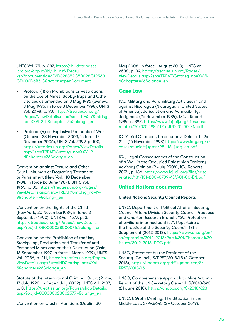UNTS Vol. 75, p. 287, [https://ihl-databases.](https://ihl-databases.icrc.org/applic/ihl/ ihl.nsf/Treaty.xsp?documentId=AE2D398352C5B028C12563 CD00) [icrc.org/applic/ihl/ ihl.nsf/Treaty.](https://ihl-databases.icrc.org/applic/ihl/ ihl.nsf/Treaty.xsp?documentId=AE2D398352C5B028C12563 CD00) [xsp?documentId=AE2D398352C5B028C12563](https://ihl-databases.icrc.org/applic/ihl/ ihl.nsf/Treaty.xsp?documentId=AE2D398352C5B028C12563 CD00) [CD002D6B5 C&action=openDocument](https://ihl-databases.icrc.org/applic/ihl/ ihl.nsf/Treaty.xsp?documentId=AE2D398352C5B028C12563 CD00)

- Protocol (II) on Prohibitions or Restrictions on the Use of Mines, Booby-Traps and Other Devices as amended on 3 May 1996 (Geneva, 3 May 1996, in force 3 December 1998), UNTS Vol. 2048, p. 93, [https://treaties.un.org/](https://treaties.un.org/Pages/ViewDetails.aspx?src=TREATY&mtdsg_no=XXVI-2-b&chapter=26&clang=_en) [Pages/ViewDetails.aspx?src=TREATY&mtdsg\\_](https://treaties.un.org/Pages/ViewDetails.aspx?src=TREATY&mtdsg_no=XXVI-2-b&chapter=26&clang=_en) [no=XXVI-2-b&chapter=26&clang=\\_en](https://treaties.un.org/Pages/ViewDetails.aspx?src=TREATY&mtdsg_no=XXVI-2-b&chapter=26&clang=_en)
- Protocol (V) on Explosive Remnants of War (Geneva, 28 November 2003, in force 12 November 2006), UNTS Vol. 2399, p. 100, [https://treaties.un.org/Pages/ViewDetails.](https://treaties.un.org/Pages/ViewDetails.aspx?src=TREATY&mtdsg_no=XXVI-2-d&chapter=26&clang=_en) [aspx?src=TREATY&mtdsg\\_no=XXVI-2](https://treaties.un.org/Pages/ViewDetails.aspx?src=TREATY&mtdsg_no=XXVI-2-d&chapter=26&clang=_en) [d&chapter=26&clang=\\_en](https://treaties.un.org/Pages/ViewDetails.aspx?src=TREATY&mtdsg_no=XXVI-2-d&chapter=26&clang=_en)

Convention against Torture and Other Cruel, Inhuman or Degrading Treatment or Punishment (New York, 10 December 1984, in force 26 June 1987), UNTS Vol. 1465, p. 85, [https://treaties.un.org/Pages/](https://treaties.un.org/Pages/ViewDetails.aspx?src=TREATY&mtdsg_no=IV-9&chapter=4&clang=_en) [ViewDetails.aspx?src=TREATY&mtdsg\\_no=IV-](https://treaties.un.org/Pages/ViewDetails.aspx?src=TREATY&mtdsg_no=IV-9&chapter=4&clang=_en)[9&chapter=4&clang=\\_en](https://treaties.un.org/Pages/ViewDetails.aspx?src=TREATY&mtdsg_no=IV-9&chapter=4&clang=_en)

Convention on the Rights of the Child (New York, 20 November1989, in force 2 September 1990), UNTS Vol. 1577, p. 3., [https://treaties.un.org/Pages/showDetails.](https://treaties.un.org/Pages/showDetails.aspx?objid=08000002800007fe&clang=_en) [aspx?objid=08000002800007fe&clang=\\_en](https://treaties.un.org/Pages/showDetails.aspx?objid=08000002800007fe&clang=_en)

Convention on the Prohibition of the Use, Stockpiling, Production and Transfer of Anti-Personnel Mines and on their Destruction (Oslo, 18 September 1997, in force 1 March 1999), UNTS Vol. 2056, p. 211, [https://treaties.un.org/Pages/](https://treaties.un.org/Pages/ViewDetails.aspx?src=IND&mtdsg_no=XXVI-5&chapter=26&clang=_en) [ViewDetails.aspx?src=IND&mtdsg\\_no=XXVI-](https://treaties.un.org/Pages/ViewDetails.aspx?src=IND&mtdsg_no=XXVI-5&chapter=26&clang=_en)[5&chapter=26&clang=\\_en](https://treaties.un.org/Pages/ViewDetails.aspx?src=IND&mtdsg_no=XXVI-5&chapter=26&clang=_en)

Statute of the International Criminal Court (Rome, 17 July 1998, in force 1 July 2002), UNTS Vol. 2187, p. 3, [https://treaties.un.org/Pages/showDetails.](https://treaties.un.org/Pages/showDetails.aspx?objid=0800000280025774&clang=_en) [aspx?objid=0800000280025774&clang=\\_en](https://treaties.un.org/Pages/showDetails.aspx?objid=0800000280025774&clang=_en)

Convention on Cluster Munitions (Dublin, 30

May 2008, in force 1 August 2010), UNTS Vol. 2688, p. 39, [https://treaties.un.org/Pages/](https://treaties.un.org/Pages/ViewDetails.aspx?src=TREATY&mtdsg_no=XXVI-6&chapter=26&clang=_en) [ViewDetails.aspx?src=TREATY&mtdsg\\_no=XXVI-](https://treaties.un.org/Pages/ViewDetails.aspx?src=TREATY&mtdsg_no=XXVI-6&chapter=26&clang=_en)[6&chapter=26&clang=\\_en](https://treaties.un.org/Pages/ViewDetails.aspx?src=TREATY&mtdsg_no=XXVI-6&chapter=26&clang=_en) 

#### **Case Law**

ICJ, Military and Paramilitary Activities in and against Nicaragua (Nicaragua v. United States of America), Jurisdiction and Admissibility, Judgment (26 November 1984), I.C.J. Reports 1984, p. 392, [https://www.icj-cij.org/files/case](https://www.icj-cij.org/files/case-related/70/070-19841126-JUD-01-00-EN.pdf)[related/70/070-19841126-JUD-01-00-EN.pdf](https://www.icj-cij.org/files/case-related/70/070-19841126-JUD-01-00-EN.pdf)

ICTY Trial Chamber, Prosecutor v. Delalic, IT-96- 21-T (16 November 1998) [https://www.icty.org/x/](https://www.icty.org/x/cases/mucic/tjug/en/981116_judg_en.pdf) [cases/mucic/tjug/en/981116\\_judg\\_en.pdf](https://www.icty.org/x/cases/mucic/tjug/en/981116_judg_en.pdf)

ICJ, Legal Consequences of the Construction of a Wall in the Occupied Palestinian Territory, Advisory Opinion (9 July 2004), ICJ Reports 2004, p. 136, [https://www.icj-cij.org/files/case](https://www.icj-cij.org/files/case-related/131/131-20040709-ADV-01-00-EN.pdf)[related/131/131-20040709-ADV-01-00-EN.pdf](https://www.icj-cij.org/files/case-related/131/131-20040709-ADV-01-00-EN.pdf)

## **United Nations documents**

#### United Nations Security Council Reports

UNSC, Department of Political Affairs - Security Council Affairs Division Security Council Practices and Charter Research Branch, "29. Protection of civilians in armed conflict", Repertoire of the Practice of the Security Council, 18th Supplement (2012-2013), [https://www.un.org/en/](https://www.un.org/en/sc/repertoire/2012-2013/Part%20I/Thematic%20issues/2012-2013_POC.pdf) [sc/repertoire/2012-2013/Part%20I/Thematic%20](https://www.un.org/en/sc/repertoire/2012-2013/Part%20I/Thematic%20issues/2012-2013_POC.pdf) [issues/2012-2013\\_POC.pdf](https://www.un.org/en/sc/repertoire/2012-2013/Part%20I/Thematic%20issues/2012-2013_POC.pdf)

UNSC, Statement by the President of the Security Council, S/PRST/2013/15 (2 October 2013), [https://undocs.org/pdf?symbol=en/S/](https://undocs.org/pdf?symbol=en/S/PRST/2013/15) [PRST/2013/15](https://undocs.org/pdf?symbol=en/S/PRST/2013/15)

UNSC, Comprehensive Approach to Mine Action - Report of the UN Secretary General, S/2018/623 (21 June 2018),<https://undocs.org/S/2018/623>

UNSC, 8645th Meeting, The Situation in the Middle East, S/Pv.8645 (24 October 2019),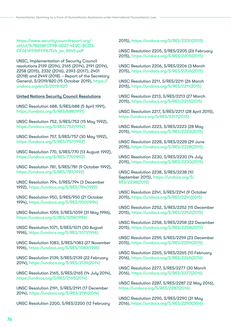[https://www.securitycouncilreport.org/](https://www.securitycouncilreport.org/atf/cf/%7B65BFCF9B-6D27-4E9C-8CD3-CF6E4FF96FF9%7D/s_pv_8645.pd) [atf/cf/%7B65BFCF9B-6D27-4E9C-8CD3-](https://www.securitycouncilreport.org/atf/cf/%7B65BFCF9B-6D27-4E9C-8CD3-CF6E4FF96FF9%7D/s_pv_8645.pd) [CF6E4FF96FF9%7D/s\\_pv\\_8645.pdf](https://www.securitycouncilreport.org/atf/cf/%7B65BFCF9B-6D27-4E9C-8CD3-CF6E4FF96FF9%7D/s_pv_8645.pd)

UNSC, Implementation of Security Council resolutions 2139 (2014), 2165 (2014), 2191 (2014), 2258 (2015), 2332 (2016), 2393 (2017), 2401 (2018) and 2449 (2018) – Report of the Secretary General, S/2019/820 (15 October 2019), [https://](https://undocs.org/en/S/2019/820) [undocs.org/en/S/2019/820](https://undocs.org/en/S/2019/820)

#### United Nations Security Council Resolutions

UNSC Resolution 688, S/RES/688 (5 April 1991), [https://undocs.org/S/RES/688\(1991\)](https://undocs.org/S/RES/688(1991))

UNSC Resolution 752, S/RES/752 (15 May 1992), [https://undocs.org/S/RES/752\(1992\)](https://undocs.org/S/RES/752(1992))

UNSC Resolution 757, S/RES/757 (30 May 1992), [https://undocs.org/S/RES/757\(1992\)](https://undocs.org/S/RES/757(1992))

UNSC Resolution 770, S/RES/770 (13 August 1992), [https://undocs.org/S/RES/770\(1992\)](https://undocs.org/S/RES/770(1992))

UNSC Resolution 781, S/RES/781 (9 October 1992), [https://undocs.org/S/RES/781\(1992\)](https://undocs.org/S/RES/781(1992)) 

UNSC Resolution 794, S/RES/794 (3 December 1992), [https://undocs.org/S/RES/794\(1992\)](https://undocs.org/S/RES/794(1992)) 

UNSC Resolution 950, S/RES/950 (21 October 1994), [https://undocs.org/S/RES/950\(1994\)](https://undocs.org/S/RES/950(1994))

UNSC Resolution 1059, S/RES/1059 (31 May 1996), [https://undocs.org/S/RES/1059\(1996\)](https://undocs.org/S/RES/1059(1996))

UNSC Resolution 1071, S/RES/1071 (30 August 1996), [https://undocs.org/S/RES/1071\(1996\)](https://undocs.org/S/RES/1071(1996))

UNSC Resolution 1083, S/RES/1083 (27 November 1996), [https://undocs.org/S/RES/1083\(1996\)](https://undocs.org/S/RES/1083(1996))

UNSC Resolution 2139, S/RES/2139 (22 February 2014), [https://undocs.org/S/RES/2139\(2014\)](https://undocs.org/S/RES/2139(2014)) 

UNSC Resolution 2165, S/RES/2165 (14 July 2014), [https://undocs.org/S/RES/2165\(2014\)](https://undocs.org/S/RES/2165(2014))

UNSC Resolution 2191, S/RES/2191 (17 December 2014), [https://undocs.org/S/RES/2191\(2014\)](https://undocs.org/S/RES/2191(2014))

UNSC Resolution 2200, S/RES/2200 (12 February

2015), [https://undocs.org/S/RES/2200\(2015\)](https://undocs.org/S/RES/2200(2015))

UNSC Resolution 2205, S/RES/2205 (26 February 2015), [https://undocs.org/S/RES/2205\(2015\)](https://undocs.org/S/RES/2205(2015))

UNSC Resolution 2206, S/RES/2206 (3 March 2015), [https://undocs.org/S/RES/2206\(2015\)](https://undocs.org/S/RES/2206(2015))

UNSC Resolution 2211, S/RES/2211 (26 March 2015), [https://undocs.org/S/RES/2211\(2015\)](https://undocs.org/S/RES/2211(2015))

UNSC Resolution 2213, S/RES/2213 (27 March 2015), [https://undocs.org/S/RES/2213\(2015\)](https://undocs.org/S/RES/2213(2015))

UNSC Resolution 2217, S/RES/2217 (28 April 2015), [https://undocs.org/S/RES/2217\(2015\)](https://undocs.org/S/RES/2217(2015))

UNSC Resolution 2223, S/RES/2223 (28 May 2015), [https://undocs.org/S/RES/2223\(2015\)](https://undocs.org/S/RES/2223(2015))

UNSC Resolution 2228, S/RES/2228 (29 June 2015), [https://undocs.org/S/RES/2228\(2015\)](https://undocs.org/S/RES/2228(2015))

UNSC Resolution 2230, S/RES/2230 (14 July 2015), [https://undocs.org/S/RES/2230\(2015\)](https://undocs.org/S/RES/2230(2015))

UNSC Resolution 2238, S/RES/2238 (10 September 2015), [https://undocs.org/S/](https://undocs.org/S/RES/2238(2015)) [RES/2238\(2015\)](https://undocs.org/S/RES/2238(2015))

UNSC Resolution 2241, S/RES/2241 (9 October 2015), [https://undocs.org/S/RES/2241\(2015\)](https://undocs.org/S/RES/2241(2015))

UNSC Resolution 2252, S/RES/2252 (15 December 2015), [https://undocs.org/S/RES/2252\(2015\)](https://undocs.org/S/RES/2252(2015))

UNSC Resolution 2258, S/RES/2258 (22 December 2015), [https://undocs.org/S/RES/2258\(2015\)](https://undocs.org/S/RES/2258(2015)) 

UNSC Resolution 2259, S/RES/2259 (23 December 2015), [https://undocs.org/S/RES/2259\(2015\)](https://undocs.org/S/RES/2259(2015))

UNSC Resolution 2265, S/RES/2265 (10 February 2016), [https://undocs.org/S/RES/2265\(2016\)](https://undocs.org/S/RES/2265(2016))

UNSC Resolution 2277, S/RES/2277 (30 March 2016), [https://undocs.org/S/RES/2277\(2016\)](https://undocs.org/S/RES/2277(2016))

UNSC Resolution 2287, S/RES/2287 (12 May 2016), [https://undocs.org/S/RES/2287\(2016\)](ttps://undocs.org/S/RES/2287(2016))

UNSC Resolution 2290, S/RES/2290 (31 May 2016), [https://undocs.org/S/RES/2290\(2016\)](https://undocs.org/S/RES/2290(2016))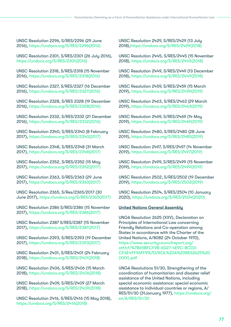UNSC Resolution 2296, S/RES/2296 (29 June 2016), [https://undocs.org/S/RES/2296\(2016\)](https://undocs.org/S/RES/2296(2016))

UNSC Resolution 2301, S/RES/2301 (26 July 2016), [https://undocs.org/S/RES/2301\(2016\)](https://undocs.org/S/RES/2301(2016))

UNSC Resolution 2318, S/RES/2318 (15 November 2016), [https://undocs.org/S/RES/2318\(2016\)](https://undocs.org/S/RES/2318(2016))

UNSC Resolution 2327, S/RES/2327 (16 December 2016), [https://undocs.org/S/RES/2327\(2016\)](https://undocs.org/S/RES/2327(2016))

UNSC Resolution 2328, S/RES 2328 (19 December 2016), [https://undocs.org/S/RES/2328\(2016\)](https://undocs.org/S/RES/2328(2016))

UNSC Resolution 2332, S/RES/2332 (21 December 2016), [https://undocs.org/S/RES/2332\(2016\)](https://undocs.org/S/RES/2332(2016))

UNSC Resolution 2340, S/RES/2340 (8 February 2017), [https://undocs.org/S/RES/2340\(2017\)](https://undocs.org/S/RES/2340(2017))

UNSC Resolution 2348, S/RES/2348 (31 March 2017), [https://undocs.org/S/RES/2348\(2017\)](https://undocs.org/S/RES/2348(2017))

UNSC Resolution 2352, S/RES/2352 (15 May 2017), [https://undocs.org/S/RES/2352\(2017\)](https://undocs.org/S/RES/2352(2017))

UNSC Resolution 2363, S/RES/2363 (29 June 2017), [https://undocs.org/S/RES/2363\(2017\)](https://undocs.org/S/RES/2363(2017))

UNSC Resolution 2365, S/Res/2365/2017 (30 June 2017), [https://undocs.org/S/RES/2365\(2017\)](https://undocs.org/S/RES/2365(2017))

UNSC Resolution 2386 S/RES/2386 (15 November 2017), [https://undocs.org/S/RES/2386\(2017\)](https://undocs.org/S/RES/2386(2017))

UNSC Resolution 2387 S/RES/2387 (15 November 2017), [https://undocs.org/S/RES/2387\(2017\)](https://undocs.org/S/RES/2387(2017))

UNSC Resolution 2393, S/RES/2393 (19 December 2017), [https://undocs.org/S/RES/2393\(2017\)](https://undocs.org/S/RES/2393(2017)) 

UNSC Resolution 2401, S/RES/2401 (24 February 2018), [https://undocs.org/S/RES/2401\(2018\)](https://undocs.org/S/RES/2401(2018))

UNSC Resolution 2406, S/RES/2406 (15 March 2018), [https://undocs.org/S/RES/2406\(2018\)](https://undocs.org/S/RES/2406(2018))

UNSC Resolution 2409, S/RES/2409 (27 March 2018), [https://undocs.org/S/RES/2409\(2018\)](https://undocs.org/S/RES/2409(2018))

UNSC Resolution 2416, S/RES/2416 (15 May 2018), [https://undocs.org/S/RES/2416\(2018\)](https://undocs.org/S/RES/2416(2018)) 

UNSC Resolution 2429, S/RES/2429 (13 July 2018)[,https://undocs.org/S/RES/2429\(2018\)](https://undocs.org/S/RES/2429(2018))

UNSC Resolution 2445, S/RES/2445 (15 November 2018), [https://undocs.org/S/RES/2445\(2018\)](https://undocs.org/S/RES/2445(2018))

UNSC Resolution 2449, S/RES/2449 (13 December 2018), [https://undocs.org/S/RES/2449\(2018\)](https://undocs.org/S/RES/2449(2018))

UNSC Resolution 2459, S/RES/2459 (15 March 2019), [https://undocs.org/S/RES/2459\(2019\)](https://undocs.org/S/RES/2459(2019))

UNSC Resolution 2463, S/RES/2463 (29 March 2019), [https://undocs.org/S/RES/2463\(2019\)](https://undocs.org/S/RES/2463(2019)) 

UNSC Resolution 2469, S/RES/2469 (14 May 2019), [https://undocs.org/S/RES/2469\(2019\)](https://undocs.org/S/RES/2469(2019))

UNSC Resolution 2480, S/RES/2480 (28 June 2019), [https://undocs.org/S/RES/2480\(2019\)](https://undocs.org/S/RES/2480(2019))

UNSC Resolution 2497, S/RES/2497 (14 November 2019), [https://undocs.org/S/RES/2497\(2019\)](https://undocs.org/S/RES/2497(2019)) 

UNSC Resolution 2499, S/RES/2499 (15 November 2019), [https://undocs.org/S/RES/2499\(2019\)](https://undocs.org/S/RES/2499(2019))

UNSC Resolution 2502, S/RES/2502 (19 December 2019), [https://undocs.org/S/RES/2502\(2019\)](https://undocs.org/S/RES/2502(2019))

UNSC Resolution 2504, S/RES/2504 (10 January 2020), [https://undocs.org/S/RES/2504\(2020\)](https://undocs.org/S/RES/2504(2020))

## United Nations General Assembly

UNGA Resolution 2625 (XXV), Declaration on Principles of International Law concerning Friendly Relations and Co-operation among States in accordance with the Charter of the United Nations, A/8082 (24 October 1970), [https://www.securitycouncilreport.org/](https://www.securitycouncilreport.org/atf/cf/%7B65BFCF9B-6D27-4E9C-8CD3-CF6E4FF96FF9%7D/ROL%20A%20RE) [atf/cf/%7B65BFCF9B-6D27-4E9C-8CD3-](https://www.securitycouncilreport.org/atf/cf/%7B65BFCF9B-6D27-4E9C-8CD3-CF6E4FF96FF9%7D/ROL%20A%20RE) [CF6E4FF96FF9%7D/ROL%20A%20RES2625%20](https://www.securitycouncilreport.org/atf/cf/%7B65BFCF9B-6D27-4E9C-8CD3-CF6E4FF96FF9%7D/ROL%20A%20RE) [\(XXV\).pdf](https://www.securitycouncilreport.org/atf/cf/%7B65BFCF9B-6D27-4E9C-8CD3-CF6E4FF96FF9%7D/ROL%20A%20RE)

UNGA Resolutions 51/30, Strengthening of the coordination of humanitarian and disaster relief assistance of the United Nations, including special economic assistance: special economic assistance to individual countries or regions, A/ RES/51/30 (31January 1977), [https://undocs.org/](https://undocs.org/en/A/RES/51/30) [en/A/RES/51/30](https://undocs.org/en/A/RES/51/30)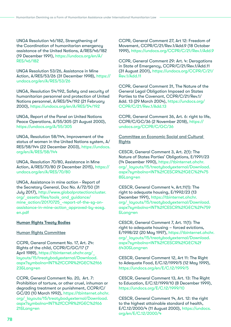UNGA Resolution 46/182, Strengthening of the Coordination of humanitarian emergency assistance of the United Nations, A/RES/46/182 (19 December 1991), [https://undocs.org/en/A/](https://undocs.org/en/A/RES/46/182) [RES/46/182](https://undocs.org/en/A/RES/46/182)

UNGA Resolution 53/26, Assistance in Mine Action, A/RES/53/26 (31 December 1998), [https://](https://undocs.org/en/A/RES/53/26) [undocs.org/en/A/RES/53/26](https://undocs.org/en/A/RES/53/26)

UNGA, Resolution 54/192, Safety and security of humanitarian personnel and protection of United Nations personnel, A/RES/54/192 (21 February 2000),<https://undocs.org/en/A/RES/54/192>

UNGA, Report of the Panel on United Nations Peace Operations, A/55/305 (21 August 2000), <https://undocs.org/A/55/305>

UNGA, Resolution 58/144, Improvement of the status of women in the United Nations system, A/ RES/58/144 (22 December 2003), [https://undocs.](https://undocs.org/en/A/RES/58/144) [org/en/A/RES/58/144](https://undocs.org/en/A/RES/58/144)

UNGA, Resolution 70/80, Assistance in Mine Action, A/RES/70/80 (9 December 2015), [https://](https://undocs.org/en/A/RES/70/80) [undocs.org/en/A/RES/70/80](https://undocs.org/en/A/RES/70/80)

UNGA, Assistance in mine action - Report of the Secretary General, Doc No. A/72/50 (31 July 2017), [http://www.globalprotectioncluster.](http://www.globalprotectioncluster.org/_assets/files/tools_and_guidance/mine_action/20170725_-report) [org/\\_assets/files/tools\\_and\\_guidance/](http://www.globalprotectioncluster.org/_assets/files/tools_and_guidance/mine_action/20170725_-report) [mine\\_action/20170725\\_-report-of-the-sg-on](http://www.globalprotectioncluster.org/_assets/files/tools_and_guidance/mine_action/20170725_-report)[assistance-in-mine-action\\_approved-by-eosg.](http://www.globalprotectioncluster.org/_assets/files/tools_and_guidance/mine_action/20170725_-report) [en.pdf](http://www.globalprotectioncluster.org/_assets/files/tools_and_guidance/mine_action/20170725_-report) 

#### Human Rights Treaty Bodies

#### Human Rights Committee

CCPR, General Comment No. 17, Art. 24: Rights of the child, CCPR/C/GC/17 (7 April 1989), [https://tbinternet.ohchr.org/\\_](https://tbinternet.ohchr.org/_layouts/15/treatybodyexternal/Download.aspx?symbolno=INT%2fCCPR%2fGEC%) [layouts/15/treatybodyexternal/Download.](https://tbinternet.ohchr.org/_layouts/15/treatybodyexternal/Download.aspx?symbolno=INT%2fCCPR%2fGEC%) [aspx?symbolno=INT%2fCCPR%2fGEC%2f66](https://tbinternet.ohchr.org/_layouts/15/treatybodyexternal/Download.aspx?symbolno=INT%2fCCPR%2fGEC%) [23&Lang=en](https://tbinternet.ohchr.org/_layouts/15/treatybodyexternal/Download.aspx?symbolno=INT%2fCCPR%2fGEC%) 

CCPR, General Comment No. 20, Art. 7: Prohibition of torture, or other cruel, inhuman or degrading treatment or punishment, CCPR/C/ GC/20 (10 March 1992), [https://tbinternet.ohchr.](https://tbinternet.ohchr.org/_layouts/15/treatybodyexternal/Download.aspx?symbolno=INT%2fCCPR%2fGEC%) [org/\\_layouts/15/treatybodyexternal/Download.](https://tbinternet.ohchr.org/_layouts/15/treatybodyexternal/Download.aspx?symbolno=INT%2fCCPR%2fGEC%) [aspx?symbolno=INT%2fCCPR%2fGEC%2f66](https://tbinternet.ohchr.org/_layouts/15/treatybodyexternal/Download.aspx?symbolno=INT%2fCCPR%2fGEC%) [21&Lang=en](https://tbinternet.ohchr.org/_layouts/15/treatybodyexternal/Download.aspx?symbolno=INT%2fCCPR%2fGEC%)

CCPR, General Comment 27, Art 12: Freedom of Movement, CCPR/C/21/Rev.1/Add.9 (18 October 1999), [https://undocs.org/CCPR/C/21/Rev.1/Add.9](https://undocs.org/CCPR/C/21/Rev.1/Add.9 )

CCPR, General Comment 29: Art. 4: Derogations in State of Emergency, CCPR/C/21/Rev.1/Add.11 (31 August 2001), [https://undocs.org/CCPR/C/21/](https://undocs.org/CCPR/C/21/Rev.1/Add.11) [Rev.1/Add.11](https://undocs.org/CCPR/C/21/Rev.1/Add.11)

CCPR, General Comment 31, The Nature of the General Legal Obligation Imposed on States Parties to the Covenant, CCPR/C/21/Rev.1/ Add. 13 (29 March 2004), [https://undocs.org/](https://undocs.org/CCPR/C/21/Rev.1/Add.13) [CCPR/C/21/Rev.1/Add.13](https://undocs.org/CCPR/C/21/Rev.1/Add.13)

CCPR, General Comment 36, Art. 6: right to life, CCPR/C/GC/36 (2 November 2018), [https://](https://undocs.org/CCPR/C/GC/36) [undocs.org/CCPR/C/GC/36](https://undocs.org/CCPR/C/GC/36)

Committee on Economic Social and Cultural **Rights** 

CESCR, General Comment 3, Art. 2(1): The Nature of States Parties' Obligations, E/1991/23 (14 December 1990), [https://tbinternet.ohchr.](https://tbinternet.ohchr.org/_layouts/15/treatybodyexternal/Download.aspx?symbolno=INT%2fCESCR%2fGEC) [org/\\_layouts/15/treatybodyexternal/Download.](https://tbinternet.ohchr.org/_layouts/15/treatybodyexternal/Download.aspx?symbolno=INT%2fCESCR%2fGEC) [aspx?symbolno=INT%2fCESCR%2fGEC%2f475](https://tbinternet.ohchr.org/_layouts/15/treatybodyexternal/Download.aspx?symbolno=INT%2fCESCR%2fGEC) [8&Lang=en](https://tbinternet.ohchr.org/_layouts/15/treatybodyexternal/Download.aspx?symbolno=INT%2fCESCR%2fGEC)

CESCR, General Comment 4, Art.11(1): The right to adequate housing, E/1992/23 (13 December 1991), [https://tbinternet.ohchr.](https://tbinternet.ohchr.org/_layouts/15/treatybodyexternal/Download.aspx?symbolno=INT%2fCESCR%2fGEC) [org/\\_layouts/15/treatybodyexternal/Download.](https://tbinternet.ohchr.org/_layouts/15/treatybodyexternal/Download.aspx?symbolno=INT%2fCESCR%2fGEC) [aspx?symbolno=INT%2fCESCR%2fGEC%2f4759](https://tbinternet.ohchr.org/_layouts/15/treatybodyexternal/Download.aspx?symbolno=INT%2fCESCR%2fGEC) [&Lang=en](https://tbinternet.ohchr.org/_layouts/15/treatybodyexternal/Download.aspx?symbolno=INT%2fCESCR%2fGEC)

CESCR, General Comment 7, Art. 11(1): The right to adequate housing – forced evictions, E/1998/22 (20 May 1997), [https://tbinternet.ohchr.](https://tbinternet.ohchr.org/_layouts/15/treatybodyexternal/Download.aspx?symbolno=INT%2fCESCR%2fGEC) [org/\\_layouts/15/treatybodyexternal/Download.](https://tbinternet.ohchr.org/_layouts/15/treatybodyexternal/Download.aspx?symbolno=INT%2fCESCR%2fGEC) [aspx?symbolno=INT%2fCESCR%2fGEC%2f](https://tbinternet.ohchr.org/_layouts/15/treatybodyexternal/Download.aspx?symbolno=INT%2fCESCR%2fGEC) [6430&Lang=en](https://tbinternet.ohchr.org/_layouts/15/treatybodyexternal/Download.aspx?symbolno=INT%2fCESCR%2fGEC)

CESCR, General Comment 12, Art 11: The Right to Adequate Food, E/C.12/1999/5 (12 May 1999), <https://undocs.org/en/E/C.12/1999/5>

CESCR, General Comment 13, Art. 13: The Right to Education, E/C.12/1999/10 (8 December 1999), <https://undocs.org/E/C.12/1999/10>

CESCR, General Comment 14, Art. 12: the right to the highest attainable standard of health, E/C.12/2000/4 (11 August 2000), [https://undocs.](https://undocs.org/en/E/C.12/2000/4) [org/en/E/C.12/2000/4](https://undocs.org/en/E/C.12/2000/4)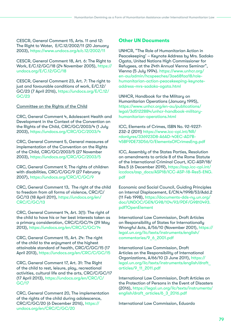CESCR, General Comment 15, Arts. 11 and 12: The Right to Water, E/C.12/2002/11 (20 January 2003), <https://www.undocs.org/e/c.12/2002/11>

CESCR, General Comment 18, Art. 6: The Right to Work, E/C.12/GC/18 (24 November 2005), [https://](https://undocs.org/E/C.12/GC/18) [undocs.org/E/C.12/GC/18](https://undocs.org/E/C.12/GC/18)

CESCR, General Comment 23, Art. 7: The right to just and favourable conditions of work, E/C.12/ GC/23 (7 April 2016), [https://undocs.org/E/C.12/](https://undocs.org/E/C.12/GC/23) [GC/23](https://undocs.org/E/C.12/GC/23)

Committee on the Rights of the Child

CRC, General Comment 4, Adolescent Health and Development in the Context of the Convention on the Rights of the Child, CRC/GC/2003/4 (1 July 2003), <https://undocs.org/CRC/GC/2003/4>

CRC, General Comment 5, General measures of implementation of the Convention on the Rights of the Child, CRC/GC/2003/5 (27 November 2003), <https://undocs.org/CRC/GC/2003/5>

CRC, General Comment 9, The rights of children with disabilities, CRC/C/GC/9 (27 February 2007),<https://undocs.org/CRC/C/GC/9>

CRC, General Comment 13, The right of the child to freedom from all forms of violence, CRC/C/ GC/13 (18 April 2011), [https://undocs.org/en/](https://undocs.org/en/CRC/C/GC/13 ) [CRC/C/GC/13](https://undocs.org/en/CRC/C/GC/13 )

CRC, General Comment 14, Art. 3(1): The right of the child to have his or her best interests taken as a primary consideration, CRC/C/GC/14 (29 May 2013),<https://undocs.org/en/CRC/C/GC/14>

CRC, General Comment 15, Art. 24: The right of the child to the enjoyment of the highest attainable standard of health, CRC/C/GC/15 (17 April 2013),<https://undocs.org/en/CRC/C/GC/15>

CRC, General Comment 17, Art. 31: The Right of the child to rest, leisure, play, recreational activities, cultural life and the arts, CRC/C/GC/17 (17 April 2013), [https://undocs.org/en/CRC/C/](https://undocs.org/en/CRC/C/GC/17) [GC/17](https://undocs.org/en/CRC/C/GC/17)

CRC, General Comment 20, The implementation of the rights of the child during adolescence, CRC/C/GC/20 (6 December 2016), [https://](https://undocs.org/en/CRC/C/GC/20) [undocs.org/en/CRC/C/GC/20](https://undocs.org/en/CRC/C/GC/20)

## **Other UN Documents**

UNHCR, "The Role of Humanitarian Action in Peacekeeping' – Keynote Address by Mrs. Sadako Ogata, United Nations High Commissioner for Refugees, at the 24th Annual Vienna Seminar", Vienna (5 July 1994). [https://www.unhcr.org/](https://www.unhcr.org/en-au/admin/hcspeeches/3ae68faa18/role-humanitarian-action-peacekeeping-keynot) [en-au/admin/hcspeeches/3ae68faa18/role](https://www.unhcr.org/en-au/admin/hcspeeches/3ae68faa18/role-humanitarian-action-peacekeeping-keynot)[humanitarian-action-peacekeeping-keynote](https://www.unhcr.org/en-au/admin/hcspeeches/3ae68faa18/role-humanitarian-action-peacekeeping-keynot)[address-mrs-sadako-ogata.html](https://www.unhcr.org/en-au/admin/hcspeeches/3ae68faa18/role-humanitarian-action-peacekeeping-keynot)

UNHCR, Handbook for the Military on Humanitarian Operations (January 1995), [https://www.unhcr.org/en-au/publications/](https://www.unhcr.org/en-au/publications/legal/3d5122884/unhcr-handbook-military-humanitarian-operat) [legal/3d5122884/unhcr-handbook-military](https://www.unhcr.org/en-au/publications/legal/3d5122884/unhcr-handbook-military-humanitarian-operat)[humanitarian-operations.html](https://www.unhcr.org/en-au/publications/legal/3d5122884/unhcr-handbook-military-humanitarian-operat)

ICC, Elements of Crimes, ISBN No. 92-9227- 232-2 (2011) [https://www.icc-cpi.int/NR/](https://www.icc-cpi.int/NR/rdonlyres/336923D8-A6AD-40EC-AD7B-45BF9DE73D56/0/ElementsOfCrimesEng.pdf) [rdonlyres/336923D8-A6AD-40EC-AD7B-](https://www.icc-cpi.int/NR/rdonlyres/336923D8-A6AD-40EC-AD7B-45BF9DE73D56/0/ElementsOfCrimesEng.pdf)[45BF9DE73D56/0/ElementsOfCrimesEng.pdf](https://www.icc-cpi.int/NR/rdonlyres/336923D8-A6AD-40EC-AD7B-45BF9DE73D56/0/ElementsOfCrimesEng.pdf)

ICC, Assembly of the States Parties, Resolution on amendments to article 8 of the Rome Statute of the International Criminal Court, ICC-ASP/18/ Res.5 (6 December 2019), [https://asp.icc-cpi.int/](https://asp.icc-cpi.int/iccdocs/asp_docs/ASP18/ICC-ASP-18-Res5-ENG.pdf) [iccdocs/asp\\_docs/ASP18/ICC-ASP-18-Res5-ENG.](https://asp.icc-cpi.int/iccdocs/asp_docs/ASP18/ICC-ASP-18-Res5-ENG.pdf) [pdf](https://asp.icc-cpi.int/iccdocs/asp_docs/ASP18/ICC-ASP-18-Res5-ENG.pdf)

Economic and Social Council, Guiding Principles on Internal Displacement, E/CN.4/1998/53/Add.2 (11 Feb 1998), [https://documents-dds-ny.un.org/](https://documents-dds-ny.un.org/doc/UNDOC/GEN/G98/104/93/PDF/G9810493.pdf?OpenElement) [doc/UNDOC/GEN/G98/104/93/PDF/G9810493.](https://documents-dds-ny.un.org/doc/UNDOC/GEN/G98/104/93/PDF/G9810493.pdf?OpenElement) [pdf?OpenElement](https://documents-dds-ny.un.org/doc/UNDOC/GEN/G98/104/93/PDF/G9810493.pdf?OpenElement) 

International Law Commission, Draft Articles on Responsibility of States for Internationally Wrongful Acts, A/56/10 (November 2001), [https://](https://legal.un.org/ilc/texts/instruments/english/commentaries/9_6_2001.pdf) [legal.un.org/ilc/texts/instruments/english/](https://legal.un.org/ilc/texts/instruments/english/commentaries/9_6_2001.pdf) [commentaries/9\\_6\\_2001.pdf](https://legal.un.org/ilc/texts/instruments/english/commentaries/9_6_2001.pdf) 

International Law Commission, Draft Articles on the Responsibility of International Organizations, A/66/10 (3 June 2011), [https://](https://legal.un.org/ilc/texts/instruments/english/draft_articles/9_11_2011.pdf) [legal.un.org/ilc/texts/instruments/english/draft\\_](https://legal.un.org/ilc/texts/instruments/english/draft_articles/9_11_2011.pdf) [articles/9\\_11\\_2011.pdf](https://legal.un.org/ilc/texts/instruments/english/draft_articles/9_11_2011.pdf)

International Law Commission, Draft Articles on the Protection of Persons in the Event of Disasters (2016), [https://legal.un.org/ilc/texts/instruments/](https://legal.un.org/ilc/texts/instruments/english/draft_articles/6_3_2016.pdf) [english/draft\\_articles/6\\_3\\_2016.pdf](https://legal.un.org/ilc/texts/instruments/english/draft_articles/6_3_2016.pdf)

International Law Commission, Eduardo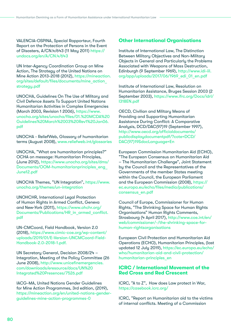VALENCIA-OSPINA, Special Rapporteur, Fourth Report on the Protection of Persons in the Event of Disasters, A/CN.4/643 (11 May 2011) [https://](https://undocs.org/en/A/CN.4/643) [undocs.org/en/A/CN.4/643](https://undocs.org/en/A/CN.4/643)

UN Inter-Agency Coordination Group on Mine Action, The Strategy of the United Nations on Mine Action 2013-2018 (2012), [https://mineaction.](https://mineaction.org/sites/default/files/documents/mine_action_strategy.pdf) [org/sites/default/files/documents/mine\\_action\\_](https://mineaction.org/sites/default/files/documents/mine_action_strategy.pdf) [strategy.pdf](https://mineaction.org/sites/default/files/documents/mine_action_strategy.pdf) 

UNOCHA, Guidelines On The Use of Military and Civil Defence Assets To Support United Nations Humanitarian Activities in Complex Emergencies (March 2003, Revision 1 2006), [https://www.](https://www.unocha.org/sites/unocha/files/01.%20MCDA%20Guidelines%20March%2003%20Rev1%20Jan06.pdf) [unocha.org/sites/unocha/files/01.%20MCDA%20](https://www.unocha.org/sites/unocha/files/01.%20MCDA%20Guidelines%20March%2003%20Rev1%20Jan06.pdf) [Guidelines%20March%2003%20Rev1%20Jan06.](https://www.unocha.org/sites/unocha/files/01.%20MCDA%20Guidelines%20March%2003%20Rev1%20Jan06.pdf) [pdf](https://www.unocha.org/sites/unocha/files/01.%20MCDA%20Guidelines%20March%2003%20Rev1%20Jan06.pdf)

UNOCHA - ReliefWeb, Glossary of humanitarian terms (August 2008), [www.reliefweb.int/glossaries](http://www.reliefweb.int/glossaries)

UNOCHA, "What are humanitarian principles?" OCHA on message: Humanitarian Principles, (June 2012), [https://www.unocha.org/sites/dms/](https://www.unocha.org/sites/dms/Documents/OOM-humanitarianprinciples_eng_June12.pdf) [Documents/OOM-humanitarianprinciples\\_eng\\_](https://www.unocha.org/sites/dms/Documents/OOM-humanitarianprinciples_eng_June12.pdf) [June12.pdf](https://www.unocha.org/sites/dms/Documents/OOM-humanitarianprinciples_eng_June12.pdf)

UNOCHA Themes, "UN Integration", [https://www.](https://www.unocha.org/themes/un-integration) [unocha.org/themes/un-integration](https://www.unocha.org/themes/un-integration)

UNOHCHR, International Legal Protection of Human Rights in Armed Conflict, Geneva and New-York (2011), [https://www.ohchr.org/](https://www.ohchr.org/Documents/Publications/HR_in_armed_conflict.pdf) [Documents/Publications/HR\\_in\\_armed\\_conflict.](https://www.ohchr.org/Documents/Publications/HR_in_armed_conflict.pdf) [pdf](https://www.ohchr.org/Documents/Publications/HR_in_armed_conflict.pdf)

UN-CMCoord, Field Handbook, Version 2.0 (2018), [https://www.cimic-coe.org/wp-content/](https://www.cimic-coe.org/wp-content/uploads/2019/01/E-Version-UNCMCoord-Field-Handbook-2.0-2018-1.p) [uploads/2019/01/E-Version-UNCMCoord-Field-](https://www.cimic-coe.org/wp-content/uploads/2019/01/E-Version-UNCMCoord-Field-Handbook-2.0-2018-1.p)[Handbook-2.0-2018-1.pdf.](https://www.cimic-coe.org/wp-content/uploads/2019/01/E-Version-UNCMCoord-Field-Handbook-2.0-2018-1.p)

UN Secretary General, Decision 2008/24 – Integration, Meeting of the Policy Committee (26 June 2008), [http://www.unicefinemergencies.](http://www.unicefinemergencies.com/downloads/eresource/docs/UN%20Integrated%20Presences/7526.pdf) [com/downloads/eresource/docs/UN%20](http://www.unicefinemergencies.com/downloads/eresource/docs/UN%20Integrated%20Presences/7526.pdf) [Integrated%20Presences/7526.pdf](http://www.unicefinemergencies.com/downloads/eresource/docs/UN%20Integrated%20Presences/7526.pdf)

IACG-MA, United Nations Gender Guidelines for Mine Action Programmes, 3rd edition, (2019), [https://mineaction.org/en/united-nations-gender](https://mineaction.org/en/united-nations-gender-guidelines-mine-action-programmes-0)[guidelines-mine-action-programmes-0](https://mineaction.org/en/united-nations-gender-guidelines-mine-action-programmes-0)

## **Other International Organisations**

Institute of International Law, The Distinction Between Military Objectives and Non-Military Objects in General and Particularly the Problems Associated with Weapons of Mass Destruction, Edinburgh (9 September 1969), [http://www.idi-iil.](http://www.idi-iil.org/app/uploads/2017/06/1969_edi_01_en.pdf) [org/app/uploads/2017/06/1969\\_edi\\_01\\_en.pdf](http://www.idi-iil.org/app/uploads/2017/06/1969_edi_01_en.pdf)

Institute of International Law, Resolution on Humanitarian Assistance, Bruges Session 2003 (2 September 2003), [https://www.ifrc.org/Docs/idrl/](https://www.ifrc.org/Docs/idrl/I318EN.pdf) [I318EN.pdf](https://www.ifrc.org/Docs/idrl/I318EN.pdf) 

OECD, Civilian and Military Means of Providing and Supporting Humanitarian Assistance During Conflict: A Comparative Analysis, DCD/DAC(97)19 (September 1997), [http://www.oecd.org/officialdocuments/](http://www.oecd.org/officialdocuments/publicdisplaydocumentpdf/?cote=DCD/DAC(97)19&docLanguage=En) [publicdisplaydocumentpdf/?cote=DCD/](http://www.oecd.org/officialdocuments/publicdisplaydocumentpdf/?cote=DCD/DAC(97)19&docLanguage=En) [DAC\(97\)19&docLanguage=En](http://www.oecd.org/officialdocuments/publicdisplaydocumentpdf/?cote=DCD/DAC(97)19&docLanguage=En)

European Commission Humanitarian Aid (ECHO), "The European Consensus on Humanitarian Aid – The Humanitarian Challenge", Joint Statement by the Council and the Representatives of the Governments of the member States meeting within the Council, the European Parliament and the European Commission (2008), [https://](https://ec.europa.eu/echo/files/media/publications/consensus_en.pdf) [ec.europa.eu/echo/files/media/publications/](https://ec.europa.eu/echo/files/media/publications/consensus_en.pdf) [consensus\\_en.pdf](https://ec.europa.eu/echo/files/media/publications/consensus_en.pdf)

Council of Europe, Commissioner for Human Rights, "The Shrinking Space for Human Rights Organisations" Human Rights Comments, Strasbourg (4 April 2017), [http://www.coe.int/en/](http://www.coe.int/en/web/commissioner/-/the-shrinking-space-for-human-rightsorganisations) [web/commissioner/-/the-shrinking-space-for](http://www.coe.int/en/web/commissioner/-/the-shrinking-space-for-human-rightsorganisations)[human-rightsorganisations](http://www.coe.int/en/web/commissioner/-/the-shrinking-space-for-human-rightsorganisations) 

European Civil Protection and Humanitarian Aid Operations (ECHO), Humanitarian Principles, (last updated 12 July 2019), [https://ec.europa.eu/echo/](https://ec.europa.eu/echo/who/humanitarian-aid-and-civil-protection/humanitarian-principles_en) [who/humanitarian-aid-and-civil-protection/](https://ec.europa.eu/echo/who/humanitarian-aid-and-civil-protection/humanitarian-principles_en) [humanitarian-principles\\_en](https://ec.europa.eu/echo/who/humanitarian-aid-and-civil-protection/humanitarian-principles_en)

## **ICRC / International Movement of the Red Cross and Red Crescent**

ICRC, "A to Z", How does Law protect in War, [https://casebook.icrc.org/](https://casebook.icrc.org/  ) 

ICRC, "Report on Humanitarian aid to the victims of internal conflicts. Meeting of a Commission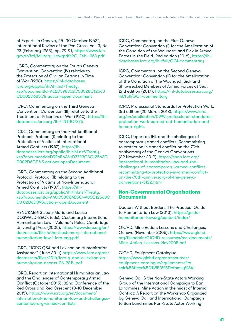of Experts in Geneva, 25–30 October 1962", International Review of the Red Cross, Vol. 3, No. 23 (February 1963), pp. 79-91, [https://www.loc.](https://www.loc.gov/rr/frd/Military_Law/pdf/RC_Feb-1963.pdf) [gov/rr/frd/Military\\_Law/pdf/RC\\_Feb-1963.pdf](https://www.loc.gov/rr/frd/Military_Law/pdf/RC_Feb-1963.pdf)

 ICRC, Commentary on the Fourth Geneva Convention: Convention (IV) relative to the Protection of Civilian Persons in Time of War (1958), [https://ihl-databases.](https://ihl-databases.icrc.org/applic/ihl/ihl.nsf/Treaty.xsp?documentId=AE2D398352C5B028C12563 CD002) [icrc.org/applic/ihl/ihl.nsf/Treaty.](https://ihl-databases.icrc.org/applic/ihl/ihl.nsf/Treaty.xsp?documentId=AE2D398352C5B028C12563 CD002) [xsp?documentId=AE2D398352C5B028C12563](https://ihl-databases.icrc.org/applic/ihl/ihl.nsf/Treaty.xsp?documentId=AE2D398352C5B028C12563 CD002)  [CD002D6B5C& action=open Document](https://ihl-databases.icrc.org/applic/ihl/ihl.nsf/Treaty.xsp?documentId=AE2D398352C5B028C12563 CD002)

ICRC, Commentary on the Third Geneva Convention: Convention (III) relative to the Treatment of Prisoners of War (1960), [https://ihl](https://ihl-databases.icrc.org /ihl/ INTRO/375)[databases.icrc.org /ihl/ INTRO/375](https://ihl-databases.icrc.org /ihl/ INTRO/375)

ICRC, Commentary on the First Additional Protocol: Protocol (I) relating to the Protection of Victims of International Armed Conflicts (1987), [https://ihl](https://ihl-databases.icrc.org/applic/ihl/ihl.nsf/Treaty.xsp?documentId=D9E6B6264D7723C3C12563C D002)[databases.icrc.org/applic/ihl/ihl.nsf/Treaty.](https://ihl-databases.icrc.org/applic/ihl/ihl.nsf/Treaty.xsp?documentId=D9E6B6264D7723C3C12563C D002) [xsp?documentId=D9E6B6264D7723C3C12563C](https://ihl-databases.icrc.org/applic/ihl/ihl.nsf/Treaty.xsp?documentId=D9E6B6264D7723C3C12563C D002) [D002D6CE 4& action= openDocument](https://ihl-databases.icrc.org/applic/ihl/ihl.nsf/Treaty.xsp?documentId=D9E6B6264D7723C3C12563C D002)

ICRC, Commentary on the Second Additional Protocol: Protocol (II) relating to the Protection of Victims of Non-International Armed Conflicts (1987), [https://ihl](https://ihl-databases.icrc.org/applic/ihl/ihl.nsf/Treaty.xsp?documentId=AA0C5BCBAB5C4A85C12563C D0 0)[databases.icrc.org/applic/ihl/ihl.nsf/Treaty.](https://ihl-databases.icrc.org/applic/ihl/ihl.nsf/Treaty.xsp?documentId=AA0C5BCBAB5C4A85C12563C D0 0) [xsp?documentId=AA0C5BCBAB5C4A85C12563C](https://ihl-databases.icrc.org/applic/ihl/ihl.nsf/Treaty.xsp?documentId=AA0C5BCBAB5C4A85C12563C D0 0) [D0 02D6D09&action= openDocument](https://ihl-databases.icrc.org/applic/ihl/ihl.nsf/Treaty.xsp?documentId=AA0C5BCBAB5C4A85C12563C D0 0)

HENCKAERTS Jean-Marie and Louise DOSWALD-BECK (eds), Customary International Humanitarian Law - Volume 1: Rules, Cambridge University Press (2005), [https://www.icrc.org/en/](https://www.icrc.org/en/doc/assets/files/other/customary-international-humanitarian-law-i-icrc-eng.p) [doc/assets/files/other/customary-international](https://www.icrc.org/en/doc/assets/files/other/customary-international-humanitarian-law-i-icrc-eng.p)[humanitarian-law-i-icrc-eng.pdf](https://www.icrc.org/en/doc/assets/files/other/customary-international-humanitarian-law-i-icrc-eng.p)

ICRC, "ICRC Q&A and Lexicon on Humanitarian Assistance" (June 2014) [https://www.icrc.org/en/](https://www.icrc.org/en/doc/assets/files/2014/icrc-q-and-a-lexison-on-humanitarian-access-06-2014.pd) [doc/assets/files/2014/icrc-q-and-a-lexison-on](https://www.icrc.org/en/doc/assets/files/2014/icrc-q-and-a-lexison-on-humanitarian-access-06-2014.pd)[humanitarian-access-06-2014.pdf](https://www.icrc.org/en/doc/assets/files/2014/icrc-q-and-a-lexison-on-humanitarian-access-06-2014.pd)

ICRC, Report on International Humanitarian Law and the Challenges of Contemporary Armed Conflict (October 2015), 32nd Conference of the Red Cross and Red Crescent (8-10 December 2015), [https://www.icrc.org/en/document/](https://www.icrc.org/en/document/international-humanitarian-law-and-challenges-contemporary-armed-co) [international-humanitarian-law-and-challenges](https://www.icrc.org/en/document/international-humanitarian-law-and-challenges-contemporary-armed-co)[contemporary-armed-conflicts](https://www.icrc.org/en/document/international-humanitarian-law-and-challenges-contemporary-armed-co) 

ICRC, Commentary on the First Geneva Convention: Convention (I) for the Amelioration of the Condition of the Wounded and Sick in Armed Forces in the Field, 2nd edition (2016), [https://ihl](https://ihl-databases.icrc.org/ihl/full/GCI-commentary)[databases.icrc.org/ihl/full/GCI-commentary](https://ihl-databases.icrc.org/ihl/full/GCI-commentary)

ICRC, Commentary on the Second Geneva Convention: Convention (II) for the Amelioration of the Condition of the Wounded, Sick and Shipwrecked Members of Armed Forces at Sea, 2nd edition (2017), [https://ihl-databases.icrc.org/](https://ihl-databases.icrc.org/ihl/full/GCII-commentary) [ihl/full/GCII-commentary](https://ihl-databases.icrc.org/ihl/full/GCII-commentary)

ICRC, Professional Standards for Protection Work, 3rd edition (20 March 2018), [https://www.icrc.](https://www.icrc.org/en/publication/0999-professional-standards-protection-work-carried-out-humanita) [org/en/publication/0999-professional-standards](https://www.icrc.org/en/publication/0999-professional-standards-protection-work-carried-out-humanita)[protection-work-carried-out-humanitarian-and](https://www.icrc.org/en/publication/0999-professional-standards-protection-work-carried-out-humanita)[human-rights](https://www.icrc.org/en/publication/0999-professional-standards-protection-work-carried-out-humanita)

ICRC, Report on IHL and the challenges of contemporary armed conflicts: Recommitting to protection in armed conflict on the 70th anniversary of the Geneva Conventions (22 November 2019), [https://shop.icrc.org/](https://shop.icrc.org/international-humanitarian-law-and-the-challenges-of-contemporary-armed-confli) [international-humanitarian-law-and-the](https://shop.icrc.org/international-humanitarian-law-and-the-challenges-of-contemporary-armed-confli)[challenges-of-contemporary-armed-conflicts](https://shop.icrc.org/international-humanitarian-law-and-the-challenges-of-contemporary-armed-confli)[recommitting-to-protection-in-armed-conflict](https://shop.icrc.org/international-humanitarian-law-and-the-challenges-of-contemporary-armed-confli)[on-the-70th-anniversary-of-the-geneva](https://shop.icrc.org/international-humanitarian-law-and-the-challenges-of-contemporary-armed-confli)[conventions-3122.html](https://shop.icrc.org/international-humanitarian-law-and-the-challenges-of-contemporary-armed-confli) 

## **Non-Governmental Organisations Documents**

Doctors Without Borders, The Practical Guide to Humanitarian Law (2013), [https://guide](https://guide-humanitarian-law.org/content/index/)[humanitarian-law.org/content/index/](https://guide-humanitarian-law.org/content/index/)

GICHD, Mine Action: Lessons and Challenges, Geneva (November 2005), [https://www.gichd.](https://www.gichd.org/fileadmin/GICHD-resources/rec-documents/Mine_Action_Lessons_Nov2005.pdf) [org/fileadmin/GICHD-resources/rec-documents/](https://www.gichd.org/fileadmin/GICHD-resources/rec-documents/Mine_Action_Lessons_Nov2005.pdf) Mine Action Lessons Nov2005.pdf

GICHD, Equipment Catalogue, [https://www.gichd.org/en/resources/](https://www.gichd.org/en/resources/equipment-catalogue/equipments/?tx_solr%5Bfilter%5D%5B3%5D=family) [equipment-catalogue/equipments/?tx\\_](https://www.gichd.org/en/resources/equipment-catalogue/equipments/?tx_solr%5Bfilter%5D%5B3%5D=family) [solr%5Bfilter%5D%5B3%5D=family%3A1](https://www.gichd.org/en/resources/equipment-catalogue/equipments/?tx_solr%5Bfilter%5D%5B3%5D=family)

Geneva Call & the Non-State Actors Working Group of the International Campaign to Ban Landmines, Mine Action in the midst of Internal Conflict: A Report on the Workshop Organized by Geneva Call and International Campaign to Ban Landmines Non-State Actor Working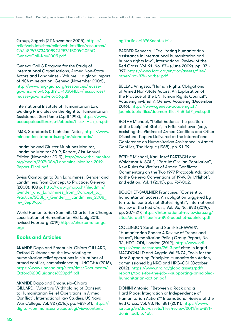Group, Zagreb (27 November 2005), [https://](https://reliefweb.int/sites/reliefweb.int/files/resources/C4248247373A3089C125721B004C0F6C-GenevaCal) [reliefweb.int/sites/reliefweb.int/files/resources/](https://reliefweb.int/sites/reliefweb.int/files/resources/C4248247373A3089C125721B004C0F6C-GenevaCal) [C4248247373A3089C125721B004C0F6C-](https://reliefweb.int/sites/reliefweb.int/files/resources/C4248247373A3089C125721B004C0F6C-GenevaCal)[GenevaCall-Nov2005.pdf](https://reliefweb.int/sites/reliefweb.int/files/resources/C4248247373A3089C125721B004C0F6C-GenevaCal)

Geneva Call & Program for the Study of International Organisations, Armed Non-State Actors and Landmines - Volume II: a global report of NSA mine action, Geneva (November 2006), [http://www.ruig-gian.org/ressources/reusse](http://www.ruig-gian.org/ressources/reusse-gc-ansal-nov06.pdf?ID=133&FILE=/ressources/reusse-gc-ansa)[gc-ansal-nov06.pdf?ID=133&FILE=/ressources/](http://www.ruig-gian.org/ressources/reusse-gc-ansal-nov06.pdf?ID=133&FILE=/ressources/reusse-gc-ansa) [reusse-gc-ansal-nov06.pdf](http://www.ruig-gian.org/ressources/reusse-gc-ansal-nov06.pdf?ID=133&FILE=/ressources/reusse-gc-ansa)

International Institute of Humanitarian Law, Guiding Principles on the Right to Humanitarian Assistance, San Remo (April 1993), [https://www.](https://www.peacepalacelibrary.nl/ebooks/files/IIHL4_en.pdf) [peacepalacelibrary.nl/ebooks/files/IIHL4\\_en.pdf](https://www.peacepalacelibrary.nl/ebooks/files/IIHL4_en.pdf)

IMAS, Standards & Technical Notes, [https://www.](https://www.mineactionstandards.org/en/standards/) [mineactionstandards.org/en/standards/](https://www.mineactionstandards.org/en/standards/)

Landmine and Cluster Munitions Monitor, Landmine Monitor 2019, Report, 21st Annual Edition (November 2019), [http://www.the-monitor.](http://www.the-monitor.org/media/3074086/Landmine-Monitor-2019-Report-Final.pdf) [org/media/3074086/Landmine-Monitor-2019-](http://www.the-monitor.org/media/3074086/Landmine-Monitor-2019-Report-Final.pdf) [Report-Final.pdf](http://www.the-monitor.org/media/3074086/Landmine-Monitor-2019-Report-Final.pdf)

Swiss Campaign to Ban Landmines, Gender and Landmines: from Concept to Practice, Geneva (2008), 108 p. [http://www.gmap.ch/fileadmin/](http://www.gmap.ch/fileadmin/Gender_and_Landmines_from_Concept_to_Practice/SCBL_-_Gender___Landmines) [Gender\\_and\\_Landmines\\_from\\_Concept\\_to\\_](http://www.gmap.ch/fileadmin/Gender_and_Landmines_from_Concept_to_Practice/SCBL_-_Gender___Landmines) Practice/SCBL - Gender Landmines 2008 [rev\\_Sep09.pdf](http://www.gmap.ch/fileadmin/Gender_and_Landmines_from_Concept_to_Practice/SCBL_-_Gender___Landmines)

World Humanitarian Summit, Charter for Change: Localisation of Humanitarian Aid (July 2015, revised February 2019) [https://charter4change.](https://charter4change.org/ ) [org/](https://charter4change.org/ )

## **Books and Articles**

AKANDE Dapo and Emanuela-Chiara GILLARD, Oxford Guidance on the law relating to humanitarian relief operations in situations of armed conflict, commissioned by UNOCHA (2016), [https://www.unocha.org/sites/dms/Documents/](https://www.unocha.org/sites/dms/Documents/Oxford%20Guidance%20pdf.pdf) [Oxford%20Guidance%20pdf.pdf](https://www.unocha.org/sites/dms/Documents/Oxford%20Guidance%20pdf.pdf)

AKANDE Dapo and Emanuela-Chiara GILLARD, "Arbitrary Withholding of Consent to Humanitarian Relief Operations in Armed Conflict", International law Studies, US Naval War College, Vol. 92 (2016), pp. 483-511, [https://](https://digital-commons.usnwc.edu/cgi/viewcontent.cgi?article=1696&context=ils) [digital-commons.usnwc.edu/cgi/viewcontent.](https://digital-commons.usnwc.edu/cgi/viewcontent.cgi?article=1696&context=ils)

#### [cgi?article=1696&context=ils](https://digital-commons.usnwc.edu/cgi/viewcontent.cgi?article=1696&context=ils)

BARBER Rebecca, "Facilitating humanitarian assistance in international humanitarian and human rights law", International Review of the Red Cross, Vol. 91, No. 874 (June 2009), pp. 371- 397, [https://www.icrc.org/en/doc/assets/files/](https://www.icrc.org/en/doc/assets/files/other/irrc-874-barber.pdf) [other/irrc-874-barber.pdf](https://www.icrc.org/en/doc/assets/files/other/irrc-874-barber.pdf)

BELLAL Annyssa, "Human Rights Obligations of Armed Non-State Actors: An Exploration of the Practice of the UN Human Rights Council", Academy in-Brief 7, Geneva Academy (December 2016), [https://www.geneva-academy.ch/](https://www.geneva-academy.ch/joomlatools-files/docman-files/InBrief7_web.pdf) [joomlatools-files/docman-files/InBrief7\\_web.pdf](https://www.geneva-academy.ch/joomlatools-files/docman-files/InBrief7_web.pdf)

BOTHE Michael, "Relief Actions: The position of the Recipient State", in Frits Kalshoven (ed.), Assisting the Victims of Armed Conflicts and Other Disasters- Papers Delivered at the International Conference on Humanitarian Assistance in Armed Conflict, The Hague (1988), pp. 91-99.

BOTHE Michael, Karl Josef PARTSCH and Waldemar A. SOLF, "Part IV: Civilian Population", New Rules for Victims of Armed Conflicts: Commentary on the Two 1977 Protocols Additional to the Geneva Conventions of 1949, Brill/Nijhoff, 2nd edition, Vol. 1 (2013), pp. 767-802.

BOUCHET-SAULNIER Francoise, "Consent to humanitarian access: An obligation triggered by territorial control, not States' rights", International Review of the Red Cross, Vol. 96, No. 893 (2014), pp. 207–217, [https://international-review.icrc.org/](https://international-review.icrc.org/sites/default/files/irrc-893-bouchet-saulnier.pdf) [sites/default/files/irrc-893-bouchet-saulnier.pdf](https://international-review.icrc.org/sites/default/files/irrc-893-bouchet-saulnier.pdf) 

COLLINSON Sarah and Samir ELHAWARY, "Humanitarian Space: A Review of Trends and Issues", Humanitarian Policy Group Report, No. 32, HPG-ODI, London (2012), [http://www.odi.](http://www.odi.org.uk/resources/docs/7643.pdf) [org.uk/resources/docs/7643.pdf](http://www.odi.org.uk/resources/docs/7643.pdf) cited in Ingrid MACDONALD and Angela VALENZA, Tools for the Job: Supporting Principled Humanitarian Action, commissioned by NRC and HPG-ODI (October 2012), [https://www.nrc.no/globalassets/pdf/](https://www.nrc.no/globalassets/pdf/reports/tools-for-the-job---supporting-principled-humanitarian-a) [reports/tools-for-the-job---supporting-principled](https://www.nrc.no/globalassets/pdf/reports/tools-for-the-job---supporting-principled-humanitarian-a)[humanitarian-action.pdf](https://www.nrc.no/globalassets/pdf/reports/tools-for-the-job---supporting-principled-humanitarian-a)

DONINI Antonio, "Between a Rock and a Hard Place: Integration or Independence of Humanitarian Action?" International Review of the Red Cross, Vol. 93, No. 881 (2011), [https://www.](https://www.icrc.org/en/doc/assets/files/review/2011/irrc-881-donini.pdf, p. 155) [icrc.org/en/doc/assets/files/review/2011/irrc-881](https://www.icrc.org/en/doc/assets/files/review/2011/irrc-881-donini.pdf, p. 155) [donini.pdf, p. 155.](https://www.icrc.org/en/doc/assets/files/review/2011/irrc-881-donini.pdf, p. 155)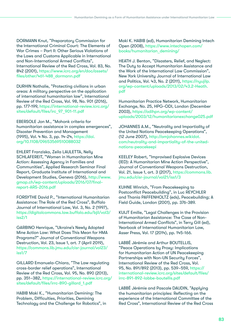DORMANN Knut, "Preparatory Commission for the International Criminal Court: The Elements of War Crimes – Part II: Other Serious Violations of the Laws and Customs Applicable in International and Non-International Armed Conflicts", International Review of the Red Cross, Vol. 83, No. 842 (2001), [https://www.icrc.org/en/doc/assets/](https://www.icrc.org/en/doc/assets/files/other/461-488_dormann.pdf) [files/other/461-488\\_dormann.pdf](https://www.icrc.org/en/doc/assets/files/other/461-488_dormann.pdf)

DURHIN Nathalie, "Protecting civilians in urban areas: A military perspective on the application of international humanitarian law", International Review of the Red Cross, Vol. 98, No. 901 (2016), pp. 177-199, [https://international-review.icrc.org/](https://international-review.icrc.org/sites/default/files/irc_97_901-11.pdf) [sites/default/files/irc\\_97\\_901-11.pdf](https://international-review.icrc.org/sites/default/files/irc_97_901-11.pdf)

EBERSOLE Jon M., "Mohonk criteria for humanitarian assistance in complex emergences", Disaster Prevention and Management (1995), Vol. 4 No. 3, pp. 14-24, [https://doi.](https://doi.org/10.1108/09653569510088032) [org/10.1108/09653569510088032](https://doi.org/10.1108/09653569510088032)

EHLERT Franziska, Zeila LAULETTA, Nelly SCHLAFEREIT, "Women in Humanitarian Mine Action: Assessing Agency in Families and Communities", Applied Research Seminar Final Report, Graduate Institute of International and Development Studies, Geneva (2016), [http://www.](http://www.gmap.ch/wp-content/uploads/2016/07/final-report-ARS-2016.pdf) [gmap.ch/wp-content/uploads/2016/07/final](http://www.gmap.ch/wp-content/uploads/2016/07/final-report-ARS-2016.pdf)[report-ARS-2016.pdf](http://www.gmap.ch/wp-content/uploads/2016/07/final-report-ARS-2016.pdf)

FORSYTHE David P., "International Humanitarian Assistance: The Role of the Red Cross", Buffalo Journal of International Law, Vol. 3, No. 2 (1997), [https://digitalcommons.law.buffalo.edu/bjil/vol3/](https://digitalcommons.law.buffalo.edu/bjil/vol3/iss2/1) [iss2/1](https://digitalcommons.law.buffalo.edu/bjil/vol3/iss2/1)

GARBINO Henrique, "Ukraine's Newly Adopted Mine Action Law: What Does This Mean for HMA Programs?" Journal of Conventional Weapons Destruction, Vol. 23, Issue 1, art. 7 (April 2019), [https://commons.lib.jmu.edu/cisr-journal/vol23/](https://commons.lib.jmu.edu/cisr-journal/vol23/iss1/7) [iss1/7](https://commons.lib.jmu.edu/cisr-journal/vol23/iss1/7) 

GILLARD Emanuela-Chiara, "The Law regulating cross-border relief operations", International Review of the Red Cross, Vol. 95, No. 890 (2013), pp. 351–382, [https://international-review.icrc.org/](https://international-review.icrc.org/sites/default/files/irrc-890-gillard_1.pdf) [sites/default/files/irrc-890-gillard\\_1.pdf](https://international-review.icrc.org/sites/default/files/irrc-890-gillard_1.pdf)

HABIB Maki K., "Humanitarian Demining: The Problem, Difficulties, Priorities, Demining Technology and the Challenge for Robotics", in Maki K. HABIB (ed), Humanitarian Demining Intech Open (2008), [https://www.intechopen.com/](https://www.intechopen.com/books/humanitarian_demining/) [books/humanitarian\\_demining/](https://www.intechopen.com/books/humanitarian_demining/)

HEATH J. Benton, "Disasters, Relief, and Neglect: The Duty to Accept Humanitarian Assistance and the Work of the International Law Commission", New York University Journal of International Law and Politics, Vol. 43, No. 2 (2011), [https://nyujilp.](https://nyujilp.org/wp-content/uploads/2013/02/43.2-Heath.pdf) [org/wp-content/uploads/2013/02/43.2-Heath.](https://nyujilp.org/wp-content/uploads/2013/02/43.2-Heath.pdf) [pdf](https://nyujilp.org/wp-content/uploads/2013/02/43.2-Heath.pdf)

Humanitarian Practice Network, Humanitarian Exchange, No. 25, HPG-ODI, London (December 2003), [https://odihpn.org/wp-content/](https://odihpn.org/wp-content/uploads/2003/12/humanitarianexchange025.pdf) [uploads/2003/12/humanitarianexchange025.pdf](https://odihpn.org/wp-content/uploads/2003/12/humanitarianexchange025.pdf)

JOHANNES A.M., "Neutrality and Impartiality of the United Nations Peacekeeping Operations", (12 June 2007), [http://amjohannes.wikidot.](http://amjohannes.wikidot.com/neutrality-and-impartiality-of-the-united-nations-peacekeepi) [com/neutrality-and-impartiality-of-the-united](http://amjohannes.wikidot.com/neutrality-and-impartiality-of-the-united-nations-peacekeepi)[nations-peacekeepi](http://amjohannes.wikidot.com/neutrality-and-impartiality-of-the-united-nations-peacekeepi)

KEELEY Robert, "Improvised Explosive Devices (IED): A Humanitarian Mine Action Perspective", Journal of Conventional Weapons Destruction, Vol. 21, Issue 1, art. 3 (2017), [https://commons.lib.](https://commons.lib.jmu.edu/cisr-journal/vol21/iss1/3) [jmu.edu/cisr-journal/vol21/iss1/3](https://commons.lib.jmu.edu/cisr-journal/vol21/iss1/3) 

KUHNE Winrich, "From Peacekeeping to Postconflict Peacebuilding", in Luc REYCHLER and Thania PAFFENHOLTZ (eds), Peacebuilding; A Field Guide, London (2001), pp. 376-389.

KUIJT Emilie, "Legal Challenges in the Provision of Humanitarian Assistance: The Case of Non-International Armed Conflicts", in Terry Gill (ed), Yearbook of International Humanitarian Law, Asser Press, Vol. 17 (2014), pp. 145-166.

LABBÉ Jérémie and Arthur BOUTELLIS, "Peace Operations by Proxy: Implications for Humanitarian Action of UN Peacekeeping Partnerships with Non-UN Security Forces", International Review of the Red Cross, Vol. 95, No. 891/892 (2013), pp. 539–559, [https://](https://international-review.icrc.org/sites/default/files/irrc-891-892-labbe-boutellis.pdf) [international-review.icrc.org/sites/default/files/](https://international-review.icrc.org/sites/default/files/irrc-891-892-labbe-boutellis.pdf) [irrc-891-892-labbe-boutellis.pdf](https://international-review.icrc.org/sites/default/files/irrc-891-892-labbe-boutellis.pdf)

LABBÉ Jérémie and Pascale DAUDIN, "Applying the humanitarian principles: Reflecting on the experience of the International Committee of the Red Cross", International Review of the Red Cross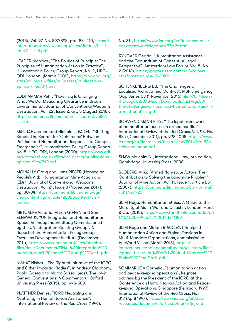(2015), Vol. 97, No. 897/898, pp. 183–210, [https://](https://international-review.icrc.org/sites/default/files/irc_97_1-2-8.pdf) [international-review.icrc.org/sites/default/files/](https://international-review.icrc.org/sites/default/files/irc_97_1-2-8.pdf) [irc\\_97\\_1-2-8.pdf](https://international-review.icrc.org/sites/default/files/irc_97_1-2-8.pdf)

LEADER Nicholas, "The Politics of Principle: The Principles of Humanitarian Action in Practice", Humanitarian Policy Group Report, No. 2, HPG-ODI, London, (March 2000), [https://www.odi.org/](https://www.odi.org/sites/odi.org.uk/files/odi-assets/publications-opinion-files/311.pdf) [sites/odi.org.uk/files/odi-assets/publications](https://www.odi.org/sites/odi.org.uk/files/odi-assets/publications-opinion-files/311.pdf)[opinion-files/311.pdf](https://www.odi.org/sites/odi.org.uk/files/odi-assets/publications-opinion-files/311.pdf)

LODHAMMAR Pehr, "How Iraq Is Changing What We Do: Measuring Clearance in Urban Environments", Journal of Conventional Weapons Destruction, Vol. 22, Issue 2, art. 5 (August 2018), [https://commons.lib.jmu.edu/cisr-journal/vol22/](https://commons.lib.jmu.edu/cisr-journal/vol22/iss2/5) [iss2/5](https://commons.lib.jmu.edu/cisr-journal/vol22/iss2/5)

MACRAE Joanna and Nicholas LEADER, "Shifting Sands: The Search for 'Coherence' Between Political and Humanitarian Responses to Complex Emergencies", Humanitarian Policy Group Report, No. 8, HPG-ODI, London (2000), [https://www.odi.](https://www.odi.org/sites/odi.org.uk/files/odi-assets/publications-opinion-files/299.pdf) [org/sites/odi.org.uk/files/odi-assets/publications](https://www.odi.org/sites/odi.org.uk/files/odi-assets/publications-opinion-files/299.pdf)[opinion-files/299.pdf](https://www.odi.org/sites/odi.org.uk/files/odi-assets/publications-opinion-files/299.pdf)

MCINALLY Craig and Hans RISSER (Norwegian People's Aid) "Humanitarian Mine Action and IEDs", Journal of Conventional Weapons Destruction, Vol. 21, Issue 3 (November 2017), pp. 30-34, [https://commons.lib.jmu.edu/cgi/](https://commons.lib.jmu.edu/cgi/viewcontent.cgi?article=2802&context=cisr-journal) [viewcontent.cgi?article=2802&context=cisr](https://commons.lib.jmu.edu/cgi/viewcontent.cgi?article=2802&context=cisr-journal)[journal](https://commons.lib.jmu.edu/cgi/viewcontent.cgi?article=2802&context=cisr-journal)

METCALFE Victoria, Alison GIFFEN and Samir ELHAWARY, "UN Integration and Humanitarian Space: An Independent Study Commissioned by the UN Integration Steering Group", A Report of the Humanitarian Policy Group – Overseas Development Institute (December 2011), [https://www.unocha.org/sites/unocha/](https://www.unocha.org/sites/unocha/files/dms/Documents/FINAL%20Integration%20humanitarian%20space%2) [files/dms/Documents/FINAL%20Integration%20](https://www.unocha.org/sites/unocha/files/dms/Documents/FINAL%20Integration%20humanitarian%20space%2) [humanitarian%20space%20study%20Dec11.pdf](https://www.unocha.org/sites/unocha/files/dms/Documents/FINAL%20Integration%20humanitarian%20space%2)

NISHAT Nishat, "The Right of Initiative of the ICRC and Other Impartial Bodies", in Andrew Clapham, Paola Gaeta and Marco Sassòli (eds), The 1949 Geneva Conventions: A Commentary, Oxford University Press (2015), pp. 495-508.

PLATTNER Denise, "ICRC Neutrality and Neutrality in Humanitarian Assistance", International Review of the Red Cross (1996), No. 311, [https://www.icrc.org/en/doc/resources/](https://www.icrc.org/en/doc/resources/documents/article/other/57jn2z.htm) [documents/article/other/57jn2z.htm](https://www.icrc.org/en/doc/resources/documents/article/other/57jn2z.htm)

RYNGAER Cedric, "Humanitarian Assistance and the Conundrum of Consent: A Legal Perspective", Amsterdam Law Forum ,Vol. 5, No. 2 (2013), [https://papers.ssrn.com/sol3/papers.](https://papers.ssrn.com/sol3/papers.cfm?abstract_id=2293349) [cfm?abstract\\_id=2293349](https://papers.ssrn.com/sol3/papers.cfm?abstract_id=2293349)

SCHENKENBERG Ed, "The Challenges of Localised Aid in Armed Conflict", MSF Emergency Gap Series 03 (1 November 2016) file:///C:/Users/ IHL-Legal%20Advisor/Downloads/msf-egs03 the-challenges-of-localised-humanitarian-aid-inarmed-conflict-.pdf

SCHWENDIMANN Felix, "The legal framework of humanitarian access in armed conflict", International Review of the Red Cross, Vol. 93, No. 884 (December 2011), pp. 993-1008, [https://www.](https://www.icrc.org/en/doc/assets/files/review/2011/irrc-884-schwendimann.pdf) [icrc.org/en/doc/assets/files/review/2011/irrc-884](https://www.icrc.org/en/doc/assets/files/review/2011/irrc-884-schwendimann.pdf) [schwendimann.pdf](https://www.icrc.org/en/doc/assets/files/review/2011/irrc-884-schwendimann.pdf)

SHAW Malcolm N., International Law, 6th edition, Cambridge University Press, 2008.

SJÖBERG Anki, "Armed Non-state Actors: Their Contribution to Solving the Landmine Problem", Journal of Mine Action, Vol. 11, Issue 1, article 25 (2007), [https://commons.lib.jmu.edu/cisr-journal/](https://commons.lib.jmu.edu/cisr-journal/vol11/iss1/25) [vol11/iss1/25](https://commons.lib.jmu.edu/cisr-journal/vol11/iss1/25) 

SLIM Hugo, Humanitarian Ethics. A Guide to the Morality of Aid in War and Disaster, London: Hurst & Co. (2015), [https://www.tandfonline.com/doi/pd](https://www.tandfonline.com/doi/pdf/10.1080/09557571.2016.1271189) [f/10.1080/09557571.2016.1271189](https://www.tandfonline.com/doi/pdf/10.1080/09557571.2016.1271189)

SLIM Hugo and Miriam BRADLEY, Principled Humanitarian Action and Ethical Tensions in Multi-Mandate Organizations, commissioned by World Vision (March 2013), [https://](https://interagencystandingcommittee.org/system/files/legacy_files/Slim,%20WV%20Multi-Mandate%20Ethi) [interagencystandingcommittee.org/system/files/](https://interagencystandingcommittee.org/system/files/legacy_files/Slim,%20WV%20Multi-Mandate%20Ethi) [legacy\\_files/Slim,%20WV%20Multi-Mandate%20](https://interagencystandingcommittee.org/system/files/legacy_files/Slim,%20WV%20Multi-Mandate%20Ethi) [Ethics%20FinalDraft.pdf](https://interagencystandingcommittee.org/system/files/legacy_files/Slim,%20WV%20Multi-Mandate%20Ethi)

SOMMARUGA Cornelio, "Humanitarian action and peace-keeping operations", Keynote address by the President of the ICRC at the Conference on Humanitarian Action and Peacekeeping Operations, Singapore (February 1997) International Review of the Red Cross, No. 317 (April 1997), [https://www.icrc.org/en/doc/](https://www.icrc.org/en/doc/resources/documents/article/other/57jnj7.htm) [resources/documents/article/other/57jnj7.htm](https://www.icrc.org/en/doc/resources/documents/article/other/57jnj7.htm)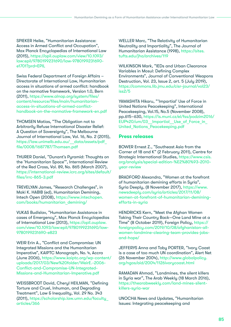SPIEKER Heike, "Humanitarian Assistance: Access in Armed Conflict and Occupation", Max Planck Encyclopedias of International Law (2015), [https://opil.ouplaw.com/view/10.1093/](https://opil.ouplaw.com/view/10.1093/law:epil/9780199231690/law-9780199231690-e1701?prd=EPIL) [law:epil/9780199231690/law-9780199231690](https://opil.ouplaw.com/view/10.1093/law:epil/9780199231690/law-9780199231690-e1701?prd=EPIL) [e1701?prd=EPIL](https://opil.ouplaw.com/view/10.1093/law:epil/9780199231690/law-9780199231690-e1701?prd=EPIL) 

Swiss Federal Department of Foreign Affairs – Directorate of International Law, Humanitarian access in situations of armed conflict: handbook on the normative framework, Version 1.0, Bern (2011), [https://www.alnap.org/system/files/](https://www.alnap.org/system/files/content/resource/files/main/humanitarian-access-in-situations-of-) [content/resource/files/main/humanitarian](https://www.alnap.org/system/files/content/resource/files/main/humanitarian-access-in-situations-of-)[access-in-situations-of-armed-conflict](https://www.alnap.org/system/files/content/resource/files/main/humanitarian-access-in-situations-of-)[handbook-on-the-normative-framework-en.pdf](https://www.alnap.org/system/files/content/resource/files/main/humanitarian-access-in-situations-of-)

THOMSEN Matias, "The Obligation not to Arbitrarily Refuse International Disaster Relief: A Question of Sovereignty", The Melbourne Journal of International Law, Vol. 16, No. 2 (2015), [https://law.unimelb.edu.au/\\_\\_data/assets/pdf\\_](https://law.unimelb.edu.au/__data/assets/pdf_file/0008/1687787/Thomsen.pdf) [file/0008/1687787/Thomsen.pdf](https://law.unimelb.edu.au/__data/assets/pdf_file/0008/1687787/Thomsen.pdf)

THURER Daniel, "Dunant's Pyramid: Thoughts on the 'Humanitarian Space'", International Review of the Red Cross, Vol. 89, No. 865 (March 2007), [https://international-review.icrc.org/sites/default/](https://international-review.icrc.org/sites/default/files/irrc-865-3.pdf) [files/irrc-865-3.pdf](https://international-review.icrc.org/sites/default/files/irrc-865-3.pdf)

TREVELYAN James, "Research Challenges", in Maki K. HABIB (ed), Humanitarian Demining, Intech Open (2008), [https://www.intechopen.](https://www.intechopen.com/books/humanitarian_demining/) [com/books/humanitarian\\_demining/](https://www.intechopen.com/books/humanitarian_demining/) 

VUKAS Budislav, "Humanitarian Assistance in cases of Emergency", Max Planck Encyclopedias of International Law (2013), [https://opil.ouplaw.](https://opil.ouplaw.com/view/10.1093/law:epil/9780199231690/law-9780199231690-e823) [com/view/10.1093/law:epil/9780199231690/law-](https://opil.ouplaw.com/view/10.1093/law:epil/9780199231690/law-9780199231690-e823)[9780199231690-e823](https://opil.ouplaw.com/view/10.1093/law:epil/9780199231690/law-9780199231690-e823)

WEIR Erin A., "Conflict and Compromise: UN Integrated Missions and the Humanitarian Imperative", KAIPTC Monograph, No. 4, Accra (June 2006), [https://www.kaiptc.org/wp-content/](https://www.kaiptc.org/wp-content/uploads/2017/03/New%20folder/WeirE.-2006-Conflict-and-Compromise-U) [uploads/2017/03/New%20folder/WeirE.-2006-](https://www.kaiptc.org/wp-content/uploads/2017/03/New%20folder/WeirE.-2006-Conflict-and-Compromise-U) [Conflict-and-Compromise-UN-Integrated-](https://www.kaiptc.org/wp-content/uploads/2017/03/New%20folder/WeirE.-2006-Conflict-and-Compromise-U)[Missions-and-Humanitarian-Imperative.pdf](https://www.kaiptc.org/wp-content/uploads/2017/03/New%20folder/WeirE.-2006-Conflict-and-Compromise-U)

WEISSBRODT David, Cheryl HEILMAN, "Defining Torture and Cruel, Inhuman, and Degrading Treatment", Law & Inequality, Vol. 29 No. 343 (2011), [https://scholarship.law.umn.edu/faculty\\_](https://scholarship.law.umn.edu/faculty_articles/366) [articles/366](https://scholarship.law.umn.edu/faculty_articles/366)

WELLER Marc, "The Relativity of Humanitarian Neutrality and Impartiality", The Journal of Humanitarian Assistance (1998), [https://sites.](https://sites.tufts.edu/jha/archives/119) [tufts.edu/jha/archives/119](https://sites.tufts.edu/jha/archives/119)

WILKINSON Mark, "IEDs and Urban Clearance Variables in Mosul: Defining Complex Environments", Journal of Conventional Weapons Destruction, Vol. 23, Issue 2, art. 5 (July 2019), [https://commons.lib.jmu.edu/cisr-journal/vol23/](https://commons.lib.jmu.edu/cisr-journal/vol23/iss2/5) [iss2/5](https://commons.lib.jmu.edu/cisr-journal/vol23/iss2/5)

YAMASHITA Hikaru, "'Impartial' Use of Force in United Nations Peacekeeping", International Peacekeeping, Vol.15, No.5 (November 2008), pp.615–630, [https://is.muni.cz/el/fss/podzim2016/](https://is.muni.cz/el/fss/podzim2016/EUP420/um/03__Impartial__Use_of_Force_in_United_Nations_Peaceke) EUP420/um/03 Impartial Use of Force in [United\\_Nations\\_Peacekeeping.pdf](https://is.muni.cz/el/fss/podzim2016/EUP420/um/03__Impartial__Use_of_Force_in_United_Nations_Peaceke)

## **Press releases**

BOWER Ernest Z., "Southeast Asia from the Corner of 18 and K" (2 February 2011), Centre for Strategic International Studies, [https://www.csis.](https://www.csis.org/analysis/special-edition-%E2%80%93-2010-year-review) [org/analysis/special-edition-%E2%80%93-2010](https://www.csis.org/analysis/special-edition-%E2%80%93-2010-year-review) [year-review](https://www.csis.org/analysis/special-edition-%E2%80%93-2010-year-review)

BRADFORD Alexandra, "Women at the forefront of humanitarian demining efforts in Syria", Syria Deeply, (8 November 2017), [https://www.](https://www.newsdeeply.com/syria/articles/2017/11/08/women-at-forefront-of-humanitarian-demining-eff) [newsdeeply.com/syria/articles/2017/11/08/](https://www.newsdeeply.com/syria/articles/2017/11/08/women-at-forefront-of-humanitarian-demining-eff) [women-at-forefront-of-humanitarian-demining](https://www.newsdeeply.com/syria/articles/2017/11/08/women-at-forefront-of-humanitarian-demining-eff)[efforts-in-syria](https://www.newsdeeply.com/syria/articles/2017/11/08/women-at-forefront-of-humanitarian-demining-eff)

HENDRICKS Kern, "Meet the Afghan Women Taking Their Country Back—One Land Mine at a Time" (8 October 2019), Foreign Policy, [https://](https://foreignpolicy.com/2019/10/08/afghanistan-all-women-landmine-clearing-team-provides-jobs-and-) [foreignpolicy.com/2019/10/08/afghanistan-all](https://foreignpolicy.com/2019/10/08/afghanistan-all-women-landmine-clearing-team-provides-jobs-and-)[women-landmine-clearing-team-provides-jobs](https://foreignpolicy.com/2019/10/08/afghanistan-all-women-landmine-clearing-team-provides-jobs-and-)[and-hope/](https://foreignpolicy.com/2019/10/08/afghanistan-all-women-landmine-clearing-team-provides-jobs-and-)

JEFFERYS Anna and Toby PORTER, "Ivory Coast is a case of too much UN coordination", Alert Net (26 November 2004), http://www.globalpolicy. org/ngos/aid/2004/1126ivorycoast.html

RAMADAN Ahmad, "Landmines, the silent killers in Syria war", The Arab Weekly (18 March 2016), [https://thearabweekly.com/land-mines-silent](https://thearabweekly.com/land-mines-silent-killers-syria-war)[killers-syria-war](https://thearabweekly.com/land-mines-silent-killers-syria-war)

UNOCHA News and Updates, "Humanitarian Issues: Integrating peacekeeping and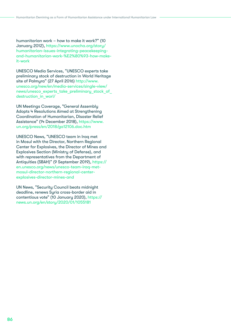humanitarian work – how to make it work?" (10 January 2012), [https://www.unocha.org/story/](https://www.unocha.org/story/humanitarian-issues-integrating-peacekeeping-and-humanitarian-work-%E2%) [humanitarian-issues-integrating-peacekeeping](https://www.unocha.org/story/humanitarian-issues-integrating-peacekeeping-and-humanitarian-work-%E2%)[and-humanitarian-work-%E2%80%93-how-make](https://www.unocha.org/story/humanitarian-issues-integrating-peacekeeping-and-humanitarian-work-%E2%)[it-work](https://www.unocha.org/story/humanitarian-issues-integrating-peacekeeping-and-humanitarian-work-%E2%)

UNESCO Media Services, "UNESCO experts take preliminary stock of destruction in World Heritage site of Palmyra" (27 April 2016) [http://www.](http://www.unesco.org/new/en/media-services/single-view/news/unesco_experts_take_preliminary_stock_o) [unesco.org/new/en/media-services/single-view/](http://www.unesco.org/new/en/media-services/single-view/news/unesco_experts_take_preliminary_stock_o) news/unesco\_experts\_take\_preliminary\_stock\_of destruction\_in\_worl/

UN Meetings Coverage, "General Assembly Adopts 4 Resolutions Aimed at Strengthening Coordination of Humanitarian, Disaster Relief Assistance" (14 December 2018), [https://www.](https://www.un.org/press/en/2018/ga12106.doc.htm) [un.org/press/en/2018/ga12106.doc.htm](https://www.un.org/press/en/2018/ga12106.doc.htm)

UNESCO News, "UNESCO team in Iraq met in Mosul with the Director, Northern Regional Center for Explosives, the Director of Mines and Explosives Section (Ministry of Defense), and with representatives from the Department of Antiquities (SBAH)" (9 September 2019), [https://](https://en.unesco.org/news/unesco-team-iraq-met-mosul-director-northern-regional-center-explosives-d) [en.unesco.org/news/unesco-team-iraq-met](https://en.unesco.org/news/unesco-team-iraq-met-mosul-director-northern-regional-center-explosives-d)[mosul-director-northern-regional-center](https://en.unesco.org/news/unesco-team-iraq-met-mosul-director-northern-regional-center-explosives-d)[explosives-director-mines-and](https://en.unesco.org/news/unesco-team-iraq-met-mosul-director-northern-regional-center-explosives-d)

UN News, "Security Council beats midnight deadline, renews Syria cross-border aid in contentious vote" (10 January 2020), [https://](https://news.un.org/en/story/2020/01/1055181) [news.un.org/en/story/2020/01/1055181](https://news.un.org/en/story/2020/01/1055181)